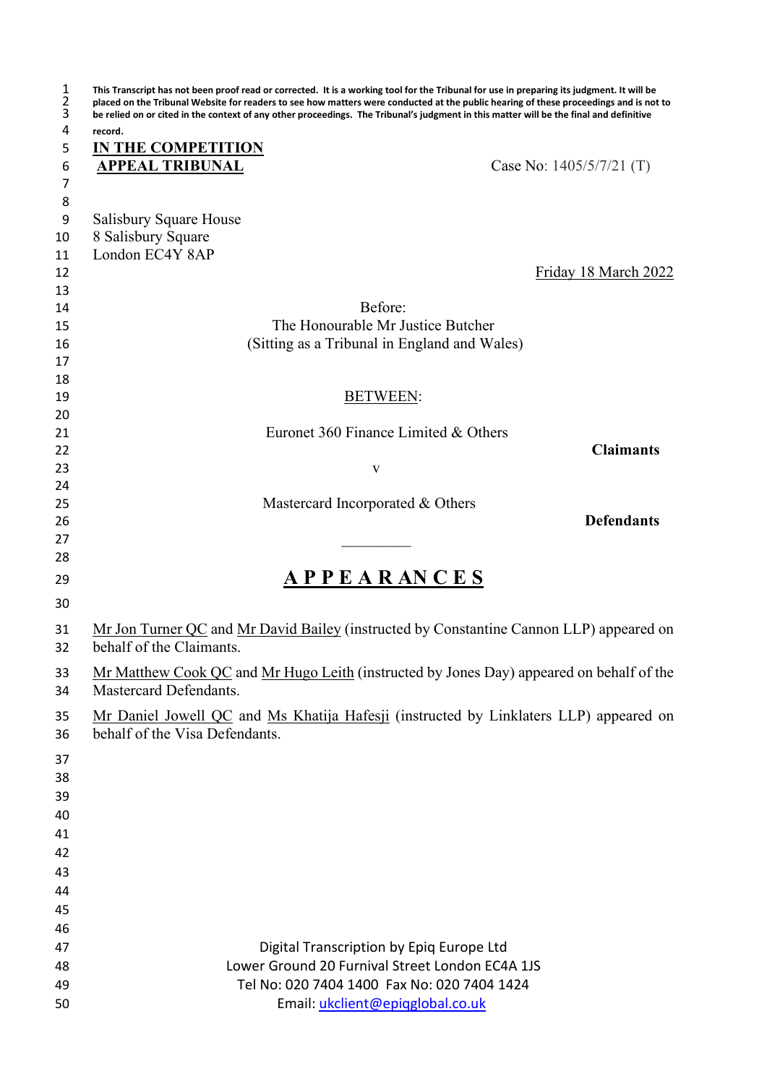|                                | This Transcript has not been proof read or corrected. It is a working tool for the Tribunal for use in preparing its judgment. It will be<br>placed on the Tribunal Website for readers to see how matters were conducted at the public hearing of these proceedings and is not to |                          |
|--------------------------------|------------------------------------------------------------------------------------------------------------------------------------------------------------------------------------------------------------------------------------------------------------------------------------|--------------------------|
|                                | be relied on or cited in the context of any other proceedings. The Tribunal's judgment in this matter will be the final and definitive                                                                                                                                             |                          |
| record.                        |                                                                                                                                                                                                                                                                                    |                          |
| <b>IN THE COMPETITION</b>      |                                                                                                                                                                                                                                                                                    |                          |
| <b>APPEAL TRIBUNAL</b>         |                                                                                                                                                                                                                                                                                    | Case No: 1405/5/7/21 (T) |
|                                |                                                                                                                                                                                                                                                                                    |                          |
| Salisbury Square House         |                                                                                                                                                                                                                                                                                    |                          |
| 8 Salisbury Square             |                                                                                                                                                                                                                                                                                    |                          |
| London EC4Y 8AP                |                                                                                                                                                                                                                                                                                    |                          |
|                                |                                                                                                                                                                                                                                                                                    | Friday 18 March 2022     |
|                                | Before:                                                                                                                                                                                                                                                                            |                          |
|                                | The Honourable Mr Justice Butcher                                                                                                                                                                                                                                                  |                          |
|                                | (Sitting as a Tribunal in England and Wales)                                                                                                                                                                                                                                       |                          |
|                                |                                                                                                                                                                                                                                                                                    |                          |
|                                |                                                                                                                                                                                                                                                                                    |                          |
|                                | <b>BETWEEN:</b>                                                                                                                                                                                                                                                                    |                          |
|                                |                                                                                                                                                                                                                                                                                    |                          |
|                                | Euronet 360 Finance Limited & Others                                                                                                                                                                                                                                               |                          |
|                                |                                                                                                                                                                                                                                                                                    | <b>Claimants</b>         |
|                                | $\mathbf{V}$                                                                                                                                                                                                                                                                       |                          |
|                                |                                                                                                                                                                                                                                                                                    |                          |
|                                | Mastercard Incorporated & Others                                                                                                                                                                                                                                                   |                          |
|                                |                                                                                                                                                                                                                                                                                    | <b>Defendants</b>        |
|                                |                                                                                                                                                                                                                                                                                    |                          |
|                                | <b>APPEARANCES</b>                                                                                                                                                                                                                                                                 |                          |
|                                |                                                                                                                                                                                                                                                                                    |                          |
|                                |                                                                                                                                                                                                                                                                                    |                          |
|                                | Mr Jon Turner QC and Mr David Bailey (instructed by Constantine Cannon LLP) appeared on                                                                                                                                                                                            |                          |
| behalf of the Claimants.       |                                                                                                                                                                                                                                                                                    |                          |
|                                | Mr Matthew Cook QC and Mr Hugo Leith (instructed by Jones Day) appeared on behalf of the                                                                                                                                                                                           |                          |
| Mastercard Defendants.         |                                                                                                                                                                                                                                                                                    |                          |
|                                | Mr Daniel Jowell QC and Ms Khatija Hafesji (instructed by Linklaters LLP) appeared on                                                                                                                                                                                              |                          |
| behalf of the Visa Defendants. |                                                                                                                                                                                                                                                                                    |                          |
|                                |                                                                                                                                                                                                                                                                                    |                          |
|                                |                                                                                                                                                                                                                                                                                    |                          |
|                                |                                                                                                                                                                                                                                                                                    |                          |
|                                |                                                                                                                                                                                                                                                                                    |                          |
|                                |                                                                                                                                                                                                                                                                                    |                          |
|                                |                                                                                                                                                                                                                                                                                    |                          |
|                                |                                                                                                                                                                                                                                                                                    |                          |
|                                |                                                                                                                                                                                                                                                                                    |                          |
|                                |                                                                                                                                                                                                                                                                                    |                          |
|                                |                                                                                                                                                                                                                                                                                    |                          |
|                                | Digital Transcription by Epiq Europe Ltd                                                                                                                                                                                                                                           |                          |
|                                | Lower Ground 20 Furnival Street London EC4A 1JS                                                                                                                                                                                                                                    |                          |
|                                | Tel No: 020 7404 1400 Fax No: 020 7404 1424                                                                                                                                                                                                                                        |                          |
|                                | Email: ukclient@epiqglobal.co.uk                                                                                                                                                                                                                                                   |                          |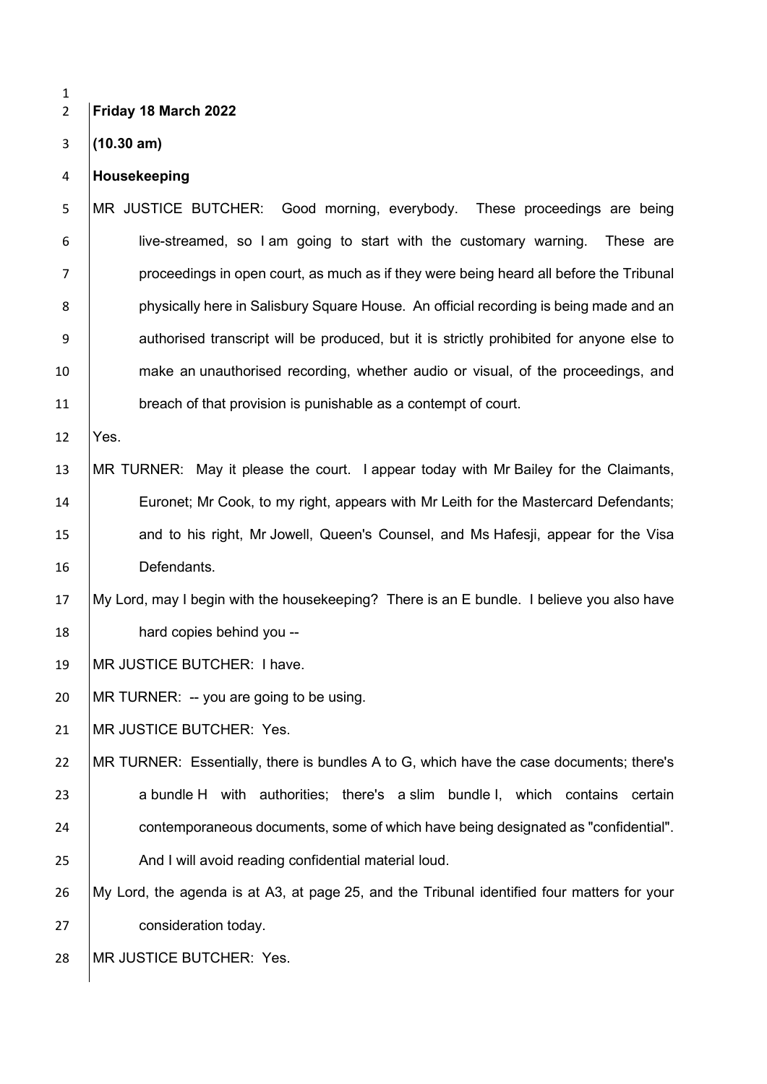## **Friday 18 March 2022**

**(10.30 am)**

## **Housekeeping**

MR JUSTICE BUTCHER: Good morning, everybody. These proceedings are being live-streamed, so I am going to start with the customary warning. These are  $7 \mid$  proceedings in open court, as much as if they were being heard all before the Tribunal **buyiers ally physically here in Salisbury Square House. An official recording is being made and an** 9 | authorised transcript will be produced, but it is strictly prohibited for anyone else to make an unauthorised recording, whether audio or visual, of the proceedings, and **breach of that provision is punishable as a contempt of court.** 

Yes.

 MR TURNER: May it please the court. I appear today with Mr Bailey for the Claimants, 14 | Euronet; Mr Cook, to my right, appears with Mr Leith for the Mastercard Defendants; **and to his right, Mr Jowell, Queen's Counsel, and Ms Hafesii, appear for the Visa** Defendants.

 My Lord, may I begin with the housekeeping? There is an E bundle. I believe you also have hard copies behind you --

MR JUSTICE BUTCHER: I have.

20  $\parallel$  MR TURNER: -- you are going to be using.

**IMR JUSTICE BUTCHER: Yes.** 

 MR TURNER: Essentially, there is bundles A to G, which have the case documents; there's 23 a bundle H with authorities; there's a slim bundle I, which contains certain **contemporaneous documents, some of which have being designated as "confidential".** 25 And I will avoid reading confidential material loud.

26 | My Lord, the agenda is at A3, at page 25, and the Tribunal identified four matters for your **consideration today.** 

MR JUSTICE BUTCHER: Yes.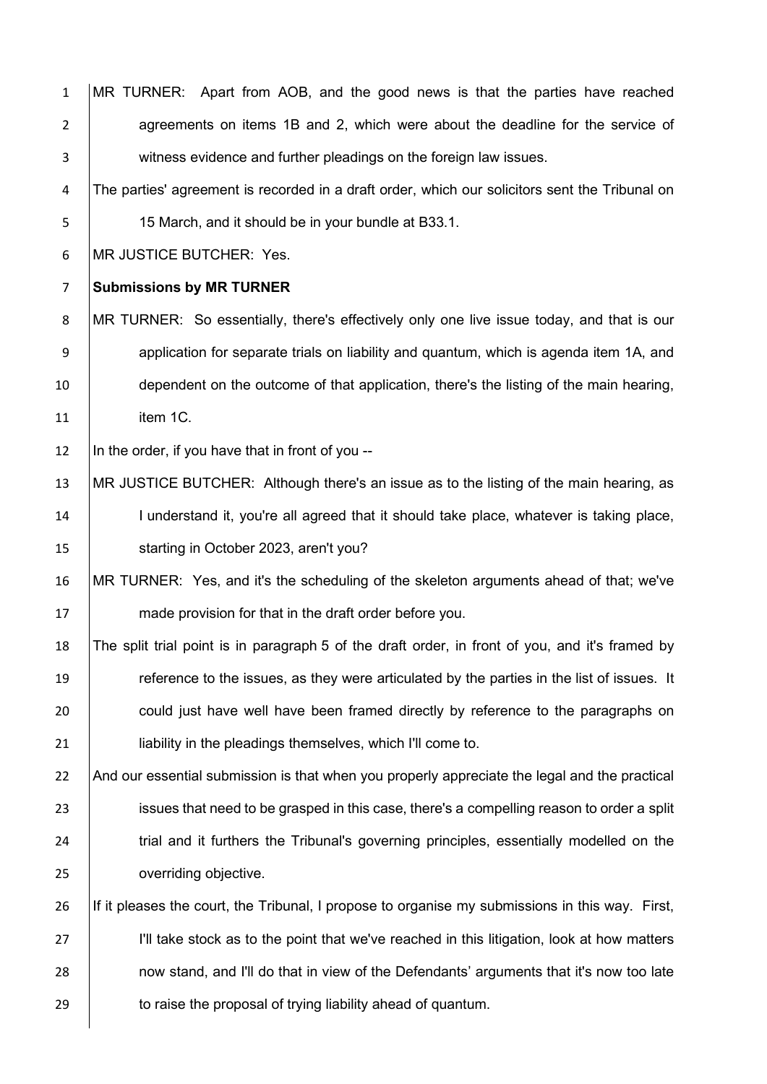| $\mathbf{1}$   | Apart from AOB, and the good news is that the parties have reached<br>MR TURNER:                |
|----------------|-------------------------------------------------------------------------------------------------|
| $\overline{2}$ | agreements on items 1B and 2, which were about the deadline for the service of                  |
| 3              | witness evidence and further pleadings on the foreign law issues.                               |
| 4              | The parties' agreement is recorded in a draft order, which our solicitors sent the Tribunal on  |
| 5              | 15 March, and it should be in your bundle at B33.1.                                             |
| 6              | MR JUSTICE BUTCHER: Yes.                                                                        |
| $\overline{7}$ | <b>Submissions by MR TURNER</b>                                                                 |
| 8              | MR TURNER: So essentially, there's effectively only one live issue today, and that is our       |
| 9              | application for separate trials on liability and quantum, which is agenda item 1A, and          |
| 10             | dependent on the outcome of that application, there's the listing of the main hearing,          |
| 11             | item 1C.                                                                                        |
| 12             | In the order, if you have that in front of you --                                               |
| 13             | MR JUSTICE BUTCHER: Although there's an issue as to the listing of the main hearing, as         |
| 14             | I understand it, you're all agreed that it should take place, whatever is taking place,         |
| 15             | starting in October 2023, aren't you?                                                           |
| 16             | MR TURNER: Yes, and it's the scheduling of the skeleton arguments ahead of that; we've          |
| 17             | made provision for that in the draft order before you.                                          |
| 18             | The split trial point is in paragraph 5 of the draft order, in front of you, and it's framed by |
| 19             | reference to the issues, as they were articulated by the parties in the list of issues. It      |
| 20             | could just have well have been framed directly by reference to the paragraphs on                |
| 21             | liability in the pleadings themselves, which I'll come to.                                      |
| 22             | And our essential submission is that when you properly appreciate the legal and the practical   |
| 23             | issues that need to be grasped in this case, there's a compelling reason to order a split       |
| 24             | trial and it furthers the Tribunal's governing principles, essentially modelled on the          |
| 25             | overriding objective.                                                                           |
| 26             | If it pleases the court, the Tribunal, I propose to organise my submissions in this way. First, |
| 27             | I'll take stock as to the point that we've reached in this litigation, look at how matters      |
| 28             | now stand, and I'll do that in view of the Defendants' arguments that it's now too late         |
| 29             | to raise the proposal of trying liability ahead of quantum.                                     |
|                |                                                                                                 |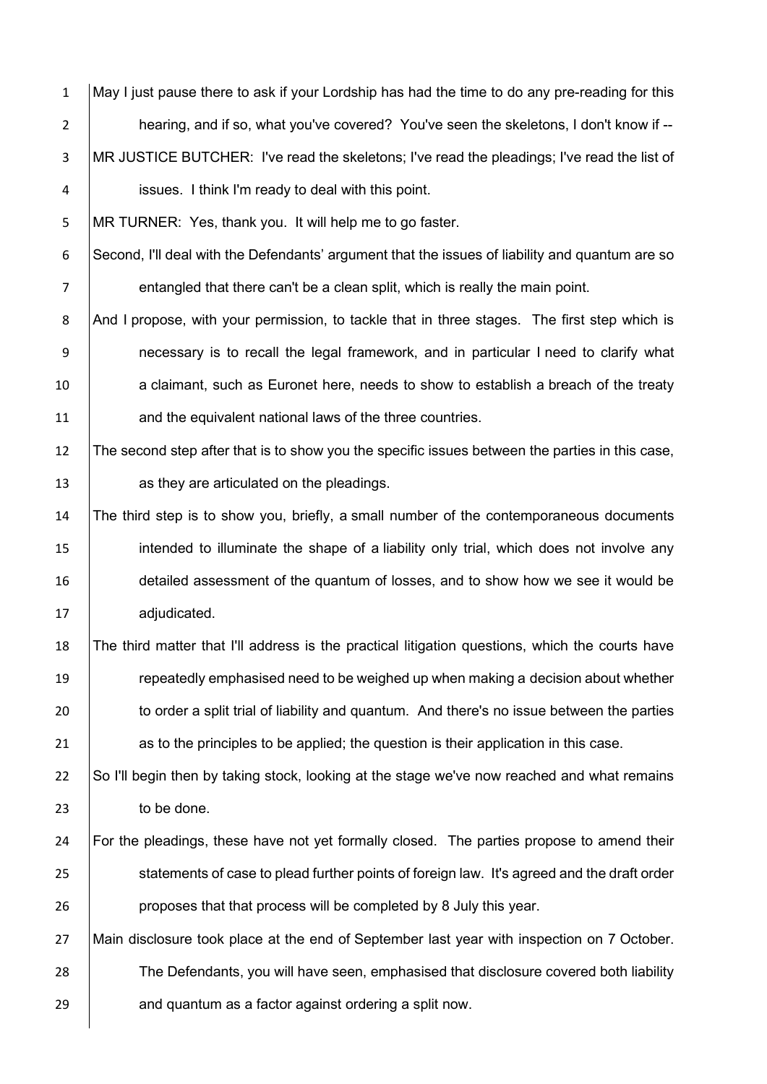1 May I just pause there to ask if your Lordship has had the time to do any pre-reading for this 2 | hearing, and if so, what you've covered? You've seen the skeletons, I don't know if --3 | MR JUSTICE BUTCHER: I've read the skeletons; I've read the pleadings; I've read the list of 4 | issues. I think I'm ready to deal with this point.

5 MR TURNER: Yes, thank you. It will help me to go faster.

6 Second, I'll deal with the Defendants' argument that the issues of liability and quantum are so  $7$  | entangled that there can't be a clean split, which is really the main point.

8 And I propose, with your permission, to tackle that in three stages. The first step which is 9 necessary is to recall the legal framework, and in particular I need to clarify what 10 a claimant, such as Euronet here, needs to show to establish a breach of the treaty 11 **and the equivalent national laws of the three countries.** 

12 The second step after that is to show you the specific issues between the parties in this case, 13 **b** as they are articulated on the pleadings.

 The third step is to show you, briefly, a small number of the contemporaneous documents **intended to illuminate the shape of a liability only trial, which does not involve any**  detailed assessment of the quantum of losses, and to show how we see it would be 17 adjudicated.

18 The third matter that I'll address is the practical litigation questions, which the courts have 19 **Fig. 20** repeatedly emphasised need to be weighed up when making a decision about whether 20 to order a split trial of liability and quantum. And there's no issue between the parties 21 as to the principles to be applied; the question is their application in this case.

22  $\vert$  So I'll begin then by taking stock, looking at the stage we've now reached and what remains 23 **b** to be done.

24 For the pleadings, these have not yet formally closed. The parties propose to amend their 25 **Statements of case to plead further points of foreign law. It's agreed and the draft order** 26 **proposes that that process will be completed by 8 July this year.** 

27 | Main disclosure took place at the end of September last year with inspection on 7 October. 28 The Defendants, you will have seen, emphasised that disclosure covered both liability 29 **and quantum as a factor against ordering a split now.**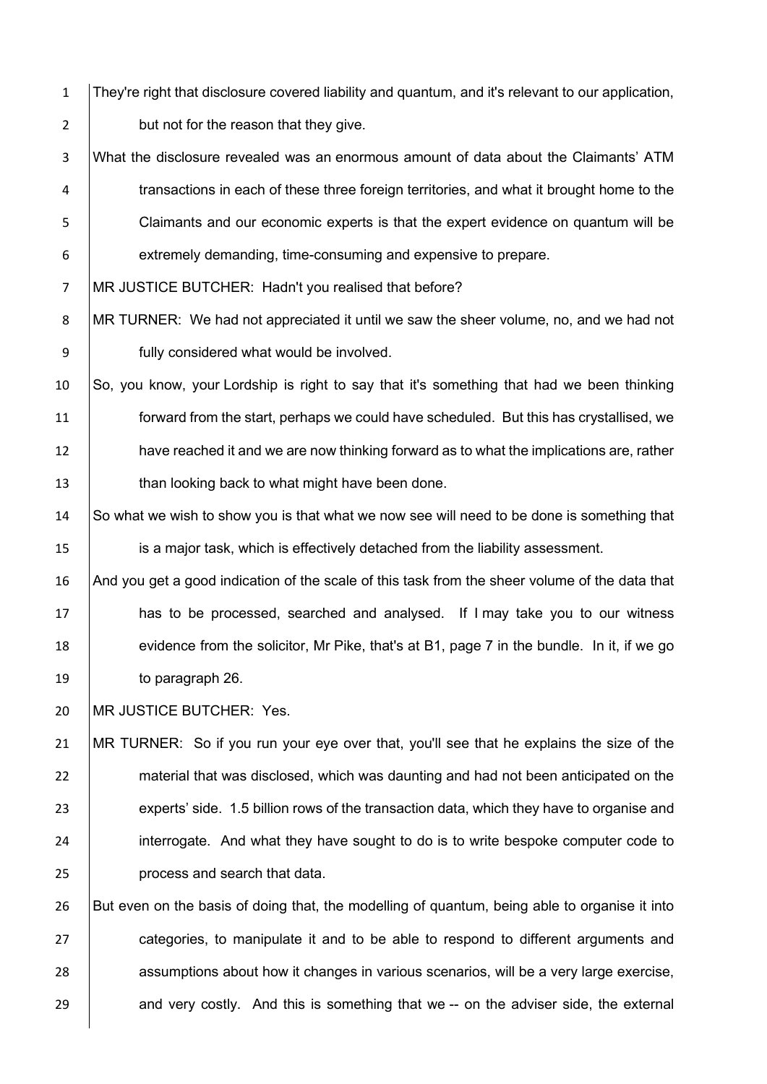1 They're right that disclosure covered liability and quantum, and it's relevant to our application,

2 but not for the reason that they give.

What the disclosure revealed was an enormous amount of data about the Claimants' ATM **transactions in each of these three foreign territories, and what it brought home to the** Claimants and our economic experts is that the expert evidence on quantum will be **extremely demanding, time-consuming and expensive to prepare.** 

7 | MR JUSTICE BUTCHER: Hadn't you realised that before?

8 MR TURNER: We had not appreciated it until we saw the sheer volume, no, and we had not fully considered what would be involved.

 So, you know, your Lordship is right to say that it's something that had we been thinking forward from the start, perhaps we could have scheduled. But this has crystallised, we 12 have reached it and we are now thinking forward as to what the implications are, rather **than looking back to what might have been done.** 

 So what we wish to show you is that what we now see will need to be done is something that **is a major task, which is effectively detached from the liability assessment.** 

16 And you get a good indication of the scale of this task from the sheer volume of the data that 17 has to be processed, searched and analysed. If I may take you to our witness 18 evidence from the solicitor, Mr Pike, that's at B1, page 7 in the bundle. In it, if we go **b** to paragraph 26.

MR JUSTICE BUTCHER: Yes.

21 MR TURNER: So if you run your eye over that, you'll see that he explains the size of the **material that was disclosed, which was daunting and had not been anticipated on the** 23 experts' side. 1.5 billion rows of the transaction data, which they have to organise and 24 interrogate. And what they have sought to do is to write bespoke computer code to **process and search that data.** 

 But even on the basis of doing that, the modelling of quantum, being able to organise it into **categories, to manipulate it and to be able to respond to different arguments and a** assumptions about how it changes in various scenarios, will be a very large exercise, and very costly. And this is something that we -- on the adviser side, the external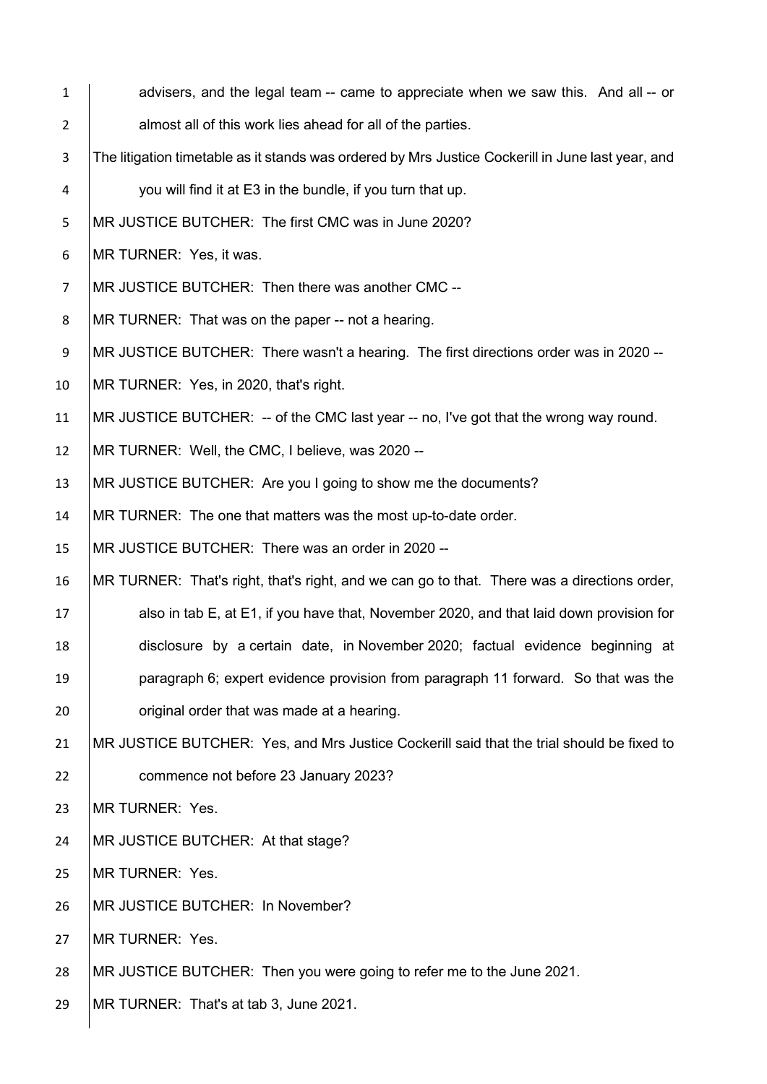| $\mathbf{1}$   | advisers, and the legal team -- came to appreciate when we saw this. And all -- or                |
|----------------|---------------------------------------------------------------------------------------------------|
| 2              | almost all of this work lies ahead for all of the parties.                                        |
| 3              | The litigation timetable as it stands was ordered by Mrs Justice Cockerill in June last year, and |
| 4              | you will find it at E3 in the bundle, if you turn that up.                                        |
| 5              | MR JUSTICE BUTCHER: The first CMC was in June 2020?                                               |
| 6              | MR TURNER: Yes, it was.                                                                           |
| $\overline{7}$ | MR JUSTICE BUTCHER: Then there was another CMC --                                                 |
| 8              | MR TURNER: That was on the paper -- not a hearing.                                                |
| 9              | MR JUSTICE BUTCHER: There wasn't a hearing. The first directions order was in 2020 --             |
| 10             | MR TURNER: Yes, in 2020, that's right.                                                            |
| 11             | MR JUSTICE BUTCHER: -- of the CMC last year -- no, I've got that the wrong way round.             |
| 12             | MR TURNER: Well, the CMC, I believe, was 2020 --                                                  |
| 13             | MR JUSTICE BUTCHER: Are you I going to show me the documents?                                     |
| 14             | MR TURNER: The one that matters was the most up-to-date order.                                    |
| 15             | MR JUSTICE BUTCHER: There was an order in 2020 --                                                 |
| 16             | MR TURNER: That's right, that's right, and we can go to that. There was a directions order,       |
| 17             | also in tab E, at E1, if you have that, November 2020, and that laid down provision for           |
| 18             | disclosure by a certain date, in November 2020; factual evidence beginning at                     |
| 19             | paragraph 6; expert evidence provision from paragraph 11 forward. So that was the                 |
| 20             | original order that was made at a hearing.                                                        |
| 21             | MR JUSTICE BUTCHER: Yes, and Mrs Justice Cockerill said that the trial should be fixed to         |
| 22             | commence not before 23 January 2023?                                                              |
| 23             | MR TURNER: Yes.                                                                                   |
| 24             | MR JUSTICE BUTCHER: At that stage?                                                                |
| 25             | MR TURNER: Yes.                                                                                   |
| 26             | MR JUSTICE BUTCHER: In November?                                                                  |
| 27             | MR TURNER: Yes.                                                                                   |
| 28             | MR JUSTICE BUTCHER: Then you were going to refer me to the June 2021.                             |
| 29             | MR TURNER: That's at tab 3, June 2021.                                                            |
|                |                                                                                                   |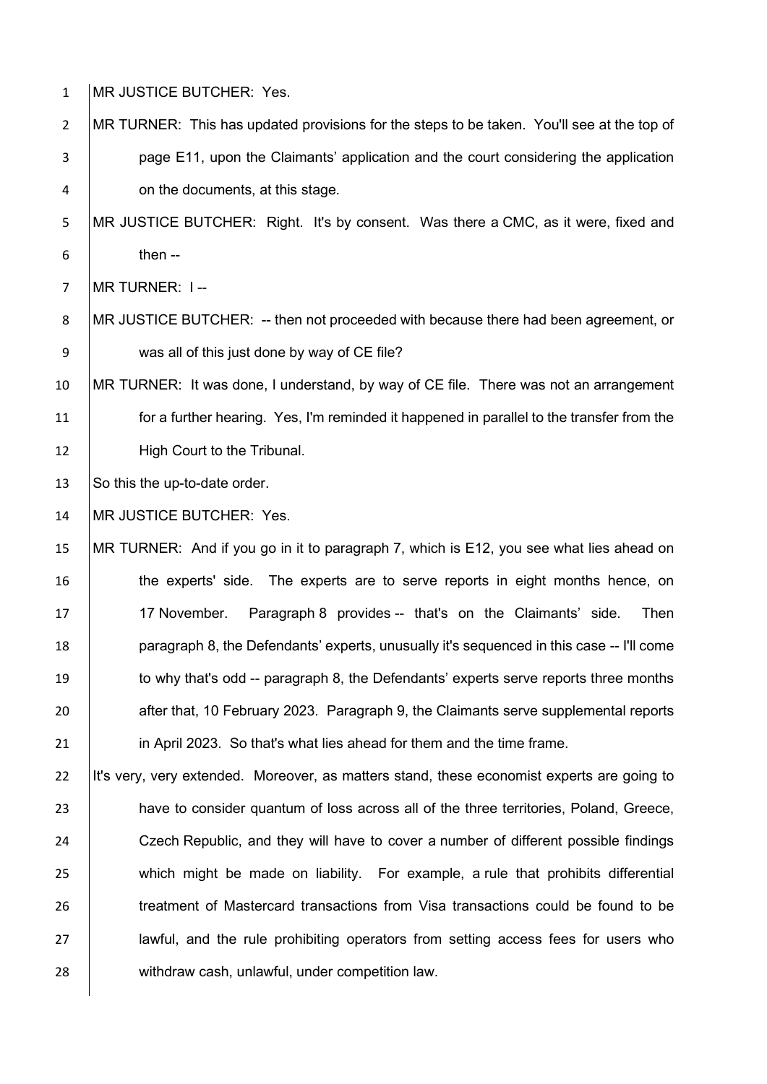|  |  | <b>IMR JUSTICE BUTCHER: Yes.</b> |  |
|--|--|----------------------------------|--|
|--|--|----------------------------------|--|

2 MR TURNER: This has updated provisions for the steps to be taken. You'll see at the top of **page E11, upon the Claimants' application and the court considering the application on the documents, at this stage.** 

5 | MR JUSTICE BUTCHER: Right. It's by consent. Was there a CMC, as it were, fixed and  $6 \quad$  then --

7 | MR TURNER: 1--

8 MR JUSTICE BUTCHER: -- then not proceeded with because there had been agreement, or was all of this just done by way of CE file?

 MR TURNER: It was done, I understand, by way of CE file. There was not an arrangement **for a further hearing. Yes, I'm reminded it happened in parallel to the transfer from the** 12 | High Court to the Tribunal.

13  $\vert$  So this the up-to-date order.

MR JUSTICE BUTCHER: Yes.

 MR TURNER: And if you go in it to paragraph 7, which is E12, you see what lies ahead on the experts' side. The experts are to serve reports in eight months hence, on 17 November. Paragraph 8 provides -- that's on the Claimants' side. Then **paragraph 8, the Defendants' experts, unusually it's sequenced in this case -- I'll come** 19 to why that's odd -- paragraph 8, the Defendants' experts serve reports three months **after that, 10 February 2023. Paragraph 9, the Claimants serve supplemental reports in April 2023.** So that's what lies ahead for them and the time frame.

22 It's very, very extended. Moreover, as matters stand, these economist experts are going to **have to consider quantum of loss across all of the three territories, Poland, Greece,** 24 Czech Republic, and they will have to cover a number of different possible findings which might be made on liability. For example, a rule that prohibits differential 26 treatment of Mastercard transactions from Visa transactions could be found to be **lawful, and the rule prohibiting operators from setting access fees for users who** withdraw cash, unlawful, under competition law.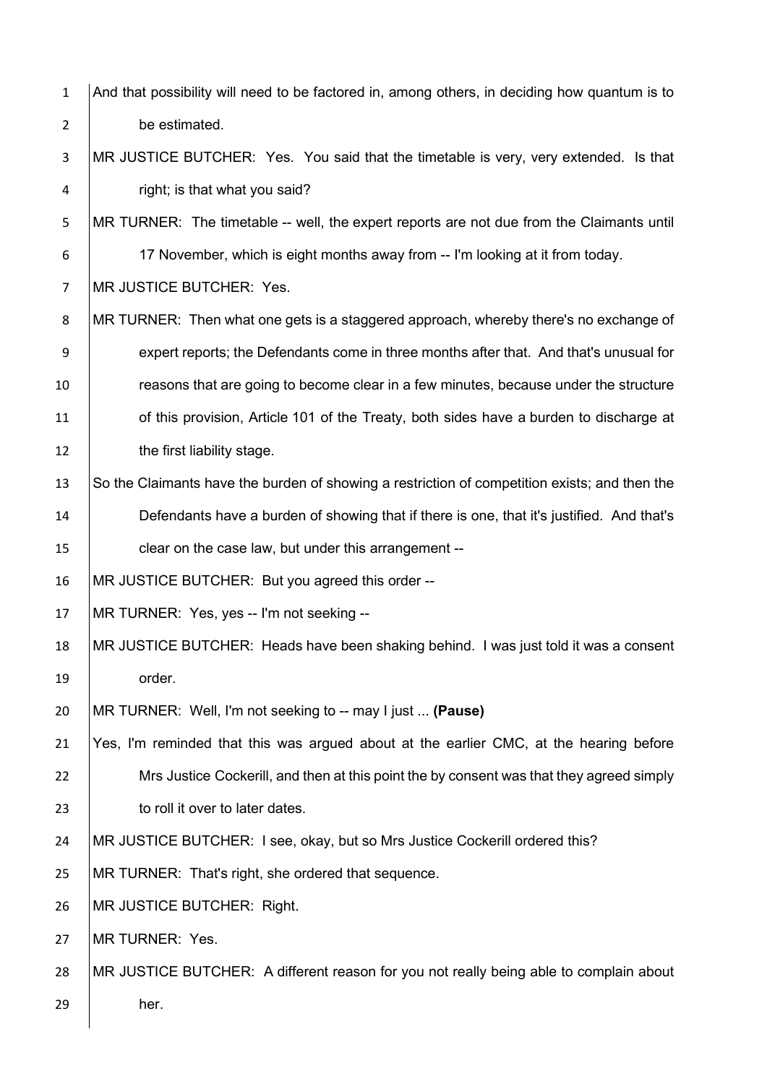| $\mathbf{1}$   | And that possibility will need to be factored in, among others, in deciding how quantum is to |
|----------------|-----------------------------------------------------------------------------------------------|
| $\overline{2}$ | be estimated.                                                                                 |
| 3              | MR JUSTICE BUTCHER: Yes. You said that the timetable is very, very extended. Is that          |
| 4              | right; is that what you said?                                                                 |
| 5              | MR TURNER: The timetable -- well, the expert reports are not due from the Claimants until     |
| 6              | 17 November, which is eight months away from -- I'm looking at it from today.                 |
| $\overline{7}$ | MR JUSTICE BUTCHER: Yes.                                                                      |
| 8              | MR TURNER: Then what one gets is a staggered approach, whereby there's no exchange of         |
| 9              | expert reports; the Defendants come in three months after that. And that's unusual for        |
| 10             | reasons that are going to become clear in a few minutes, because under the structure          |
| 11             | of this provision, Article 101 of the Treaty, both sides have a burden to discharge at        |
| 12             | the first liability stage.                                                                    |
| 13             | So the Claimants have the burden of showing a restriction of competition exists; and then the |
| 14             | Defendants have a burden of showing that if there is one, that it's justified. And that's     |
| 15             | clear on the case law, but under this arrangement --                                          |
| 16             | MR JUSTICE BUTCHER: But you agreed this order --                                              |
| 17             | MR TURNER: Yes, yes -- I'm not seeking --                                                     |
| 18             | MR JUSTICE BUTCHER: Heads have been shaking behind. I was just told it was a consent          |
| 19             | order.                                                                                        |
| 20             | MR TURNER: Well, I'm not seeking to -- may I just  (Pause)                                    |
| 21             | Yes, I'm reminded that this was argued about at the earlier CMC, at the hearing before        |
| 22             | Mrs Justice Cockerill, and then at this point the by consent was that they agreed simply      |
| 23             | to roll it over to later dates.                                                               |
| 24             | MR JUSTICE BUTCHER: I see, okay, but so Mrs Justice Cockerill ordered this?                   |
| 25             | MR TURNER: That's right, she ordered that sequence.                                           |
| 26             | MR JUSTICE BUTCHER: Right.                                                                    |
| 27             | MR TURNER: Yes.                                                                               |
| 28             | MR JUSTICE BUTCHER: A different reason for you not really being able to complain about        |
| 29             | her.                                                                                          |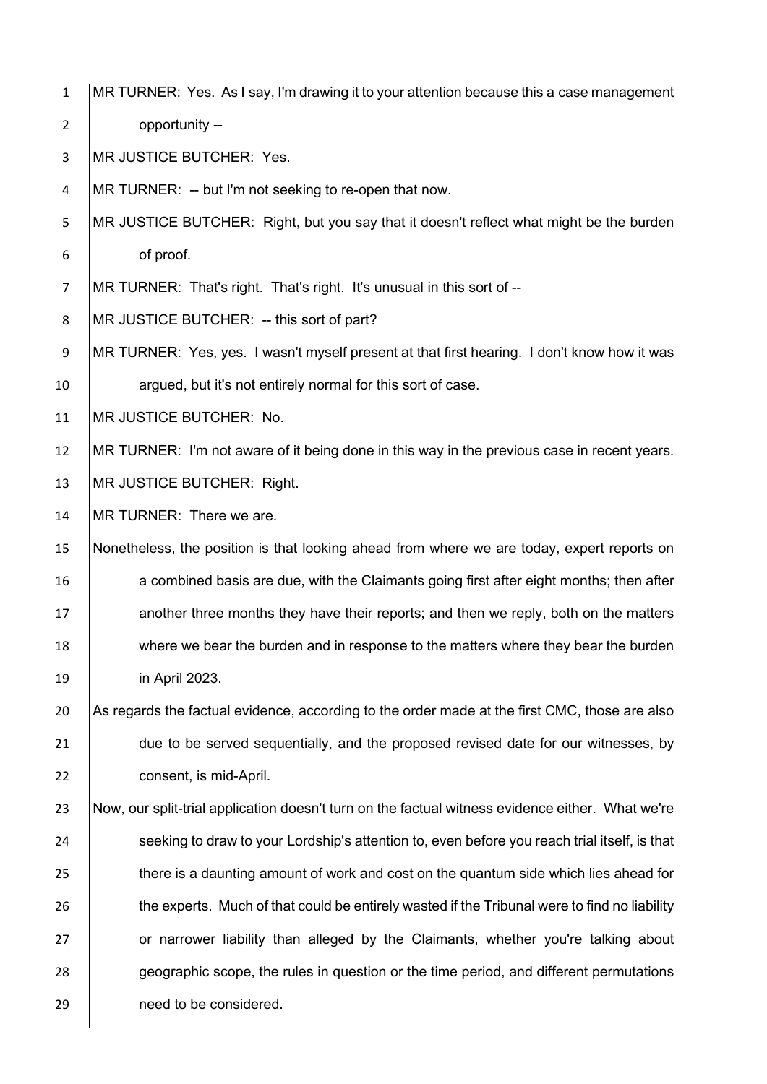| $\mathbf{1}$   | MR TURNER: Yes. As I say, I'm drawing it to your attention because this a case management        |
|----------------|--------------------------------------------------------------------------------------------------|
| $\overline{2}$ | opportunity --                                                                                   |
| 3              | MR JUSTICE BUTCHER: Yes.                                                                         |
| 4              | MR TURNER: -- but I'm not seeking to re-open that now.                                           |
| 5              | MR JUSTICE BUTCHER: Right, but you say that it doesn't reflect what might be the burden          |
| 6              | of proof.                                                                                        |
| $\overline{7}$ | MR TURNER: That's right. That's right. It's unusual in this sort of --                           |
| 8              | MR JUSTICE BUTCHER: -- this sort of part?                                                        |
| 9              | MR TURNER: Yes, yes. I wasn't myself present at that first hearing. I don't know how it was      |
| 10             | argued, but it's not entirely normal for this sort of case.                                      |
| 11             | MR JUSTICE BUTCHER: No.                                                                          |
| 12             | MR TURNER: I'm not aware of it being done in this way in the previous case in recent years.      |
| 13             | MR JUSTICE BUTCHER: Right.                                                                       |
| 14             | MR TURNER: There we are.                                                                         |
| 15             | Nonetheless, the position is that looking ahead from where we are today, expert reports on       |
| 16             | a combined basis are due, with the Claimants going first after eight months; then after          |
| 17             | another three months they have their reports; and then we reply, both on the matters             |
| 18             | where we bear the burden and in response to the matters where they bear the burden               |
| 19             | in April 2023.                                                                                   |
| 20             | As regards the factual evidence, according to the order made at the first CMC, those are also    |
| 21             | due to be served sequentially, and the proposed revised date for our witnesses, by               |
| 22             | consent, is mid-April.                                                                           |
| 23             | Now, our split-trial application doesn't turn on the factual witness evidence either. What we're |
| 24             | seeking to draw to your Lordship's attention to, even before you reach trial itself, is that     |
| 25             | there is a daunting amount of work and cost on the quantum side which lies ahead for             |
| 26             | the experts. Much of that could be entirely wasted if the Tribunal were to find no liability     |
| 27             | or narrower liability than alleged by the Claimants, whether you're talking about                |
| 28             | geographic scope, the rules in question or the time period, and different permutations           |
| 29             | need to be considered.                                                                           |
|                |                                                                                                  |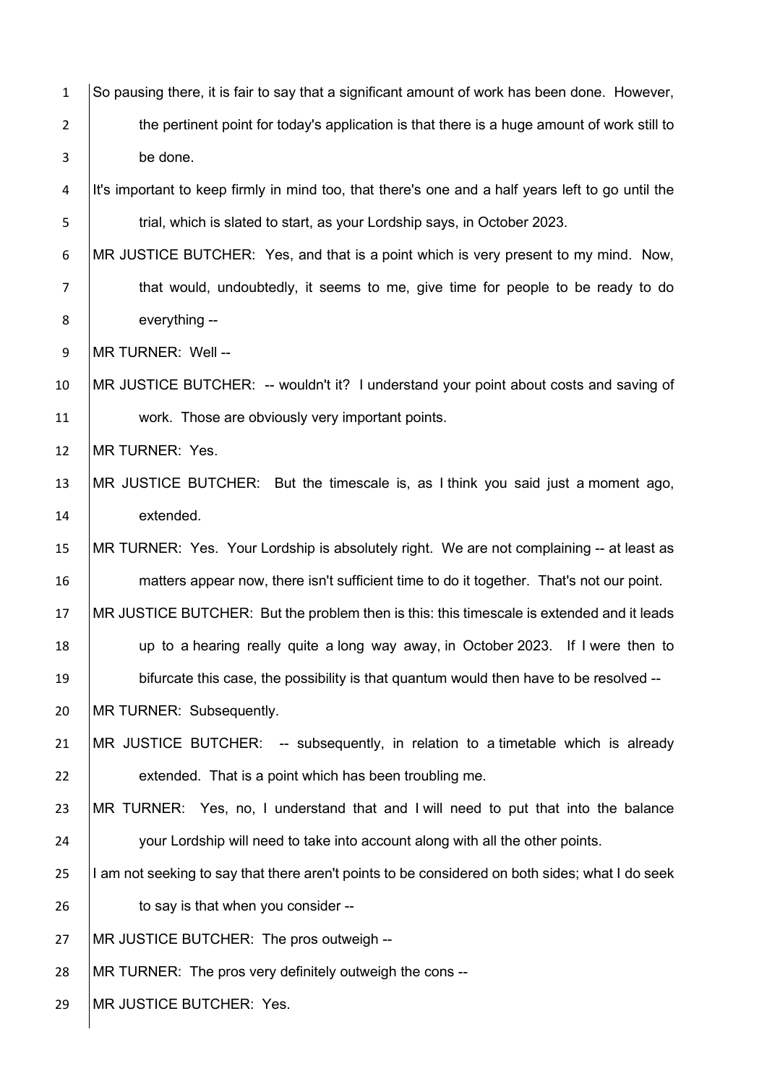| $\mathbf{1}$   | So pausing there, it is fair to say that a significant amount of work has been done. However,     |
|----------------|---------------------------------------------------------------------------------------------------|
| $\overline{2}$ | the pertinent point for today's application is that there is a huge amount of work still to       |
| 3              | be done.                                                                                          |
| 4              | It's important to keep firmly in mind too, that there's one and a half years left to go until the |
| 5              | trial, which is slated to start, as your Lordship says, in October 2023.                          |
| 6              | MR JUSTICE BUTCHER: Yes, and that is a point which is very present to my mind. Now,               |
| $\overline{7}$ | that would, undoubtedly, it seems to me, give time for people to be ready to do                   |
| 8              | everything --                                                                                     |
| 9              | MR TURNER: Well --                                                                                |
| 10             | MR JUSTICE BUTCHER: -- wouldn't it? I understand your point about costs and saving of             |
| 11             | work. Those are obviously very important points.                                                  |
| 12             | MR TURNER: Yes.                                                                                   |
| 13             | MR JUSTICE BUTCHER: But the timescale is, as I think you said just a moment ago,                  |
| 14             | extended.                                                                                         |
| 15             | MR TURNER: Yes. Your Lordship is absolutely right. We are not complaining -- at least as          |
| 16             | matters appear now, there isn't sufficient time to do it together. That's not our point.          |
| 17             | MR JUSTICE BUTCHER: But the problem then is this: this timescale is extended and it leads         |
| 18             | up to a hearing really quite a long way away, in October 2023. If I were then to                  |
| 19             | bifurcate this case, the possibility is that quantum would then have to be resolved --            |
| 20             | MR TURNER: Subsequently.                                                                          |
| 21             | MR JUSTICE BUTCHER: -- subsequently, in relation to a timetable which is already                  |
| 22             | extended. That is a point which has been troubling me.                                            |
| 23             | MR TURNER: Yes, no, I understand that and I will need to put that into the balance                |
| 24             | your Lordship will need to take into account along with all the other points.                     |
| 25             | I am not seeking to say that there aren't points to be considered on both sides; what I do seek   |
| 26             | to say is that when you consider --                                                               |
| 27             | MR JUSTICE BUTCHER: The pros outweigh --                                                          |
| 28             | MR TURNER: The pros very definitely outweigh the cons --                                          |
| 29             | MR JUSTICE BUTCHER: Yes.                                                                          |
|                |                                                                                                   |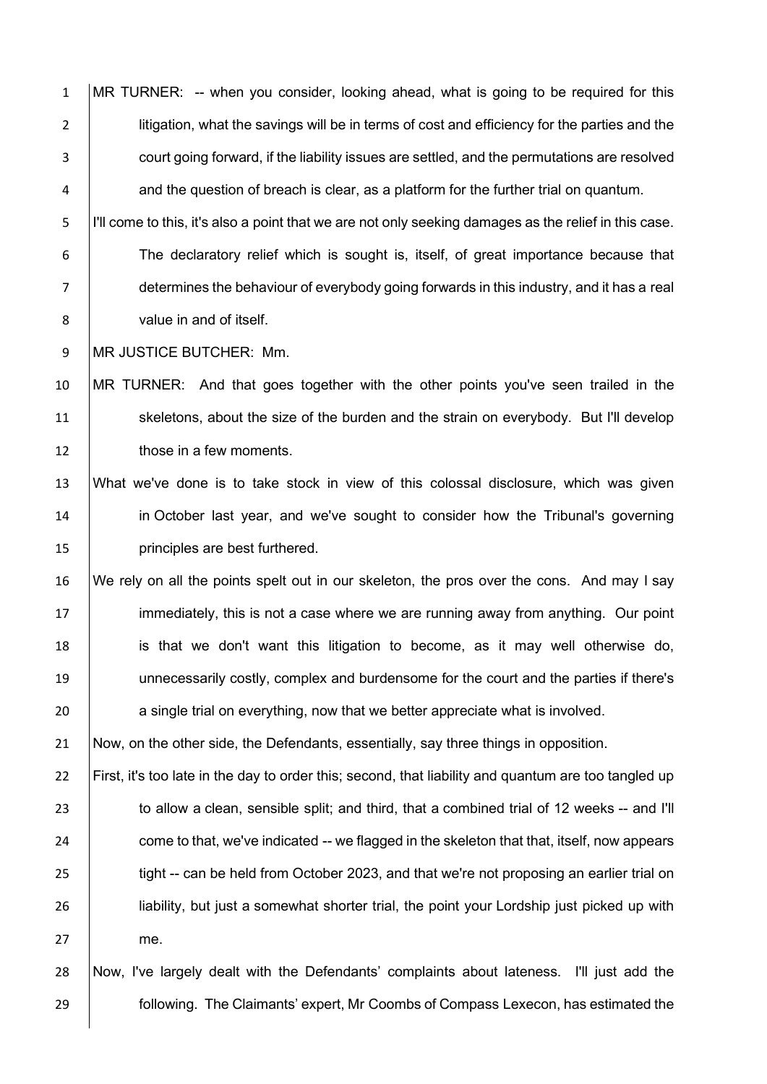1 | MR TURNER: -- when you consider, looking ahead, what is going to be required for this 2 intigation, what the savings will be in terms of cost and efficiency for the parties and the **court going forward, if the liability issues are settled, and the permutations are resolved**  and the question of breach is clear, as a platform for the further trial on quantum. I'll come to this, it's also a point that we are not only seeking damages as the relief in this case. The declaratory relief which is sought is, itself, of great importance because that

**determines the behaviour of everybody going forwards in this industry, and it has a real** 

8 value in and of itself.

9 | MR JUSTICE BUTCHER: Mm.

 MR TURNER: And that goes together with the other points you've seen trailed in the 11 Skeletons, about the size of the burden and the strain on everybody. But I'll develop **those in a few moments.** 

 What we've done is to take stock in view of this colossal disclosure, which was given in October last year, and we've sought to consider how the Tribunal's governing principles are best furthered.

 We rely on all the points spelt out in our skeleton, the pros over the cons. And may I say immediately, this is not a case where we are running away from anything. Our point is that we don't want this litigation to become, as it may well otherwise do, **unnecessarily costly, complex and burdensome for the court and the parties if there's** a single trial on everything, now that we better appreciate what is involved.

21 Now, on the other side, the Defendants, essentially, say three things in opposition.

 First, it's too late in the day to order this; second, that liability and quantum are too tangled up 23 to allow a clean, sensible split; and third, that a combined trial of 12 weeks -- and I'll come to that, we've indicated -- we flagged in the skeleton that that, itself, now appears 25 tight -- can be held from October 2023, and that we're not proposing an earlier trial on **letch** liability, but just a somewhat shorter trial, the point your Lordship just picked up with me.

 Now, I've largely dealt with the Defendants' complaints about lateness. I'll just add the **Following. The Claimants' expert, Mr Coombs of Compass Lexecon, has estimated the**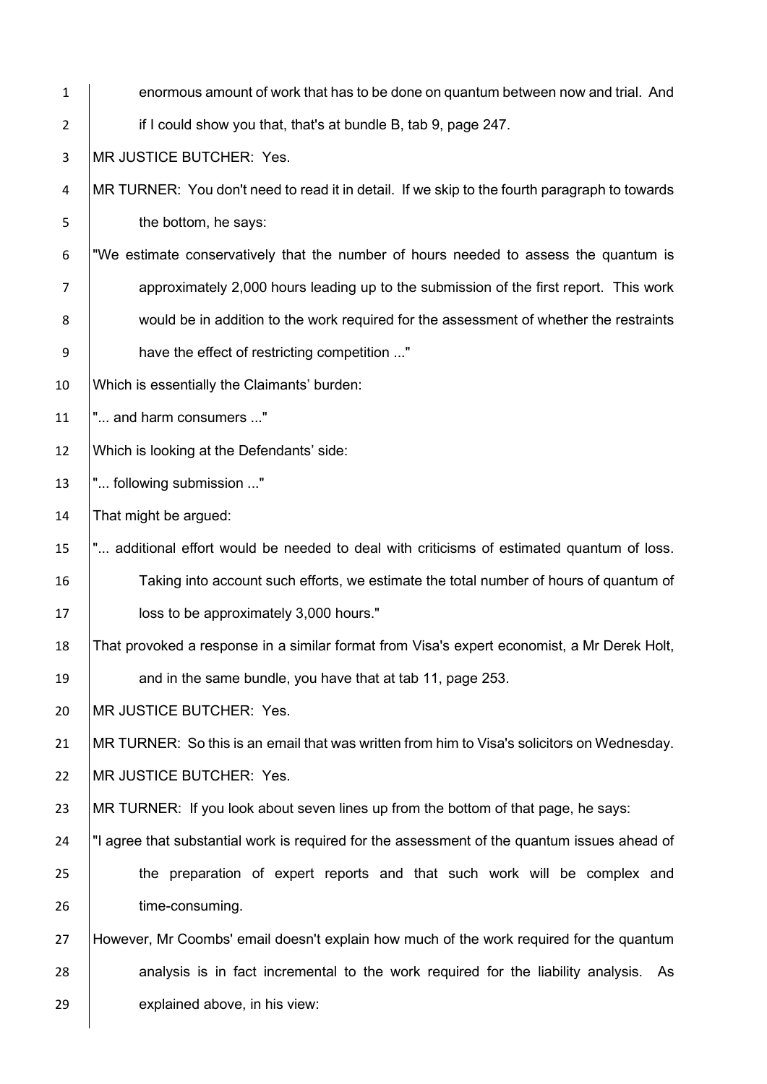| $\mathbf{1}$   | enormous amount of work that has to be done on quantum between now and trial. And             |
|----------------|-----------------------------------------------------------------------------------------------|
| $\overline{2}$ | if I could show you that, that's at bundle B, tab 9, page 247.                                |
| 3              | MR JUSTICE BUTCHER: Yes.                                                                      |
| 4              | MR TURNER: You don't need to read it in detail. If we skip to the fourth paragraph to towards |
| 5              | the bottom, he says:                                                                          |
| 6              | "We estimate conservatively that the number of hours needed to assess the quantum is          |
| 7              | approximately 2,000 hours leading up to the submission of the first report. This work         |
| 8              | would be in addition to the work required for the assessment of whether the restraints        |
| 9              | have the effect of restricting competition "                                                  |
| 10             | Which is essentially the Claimants' burden:                                                   |
| 11             | " and harm consumers "                                                                        |
| 12             | Which is looking at the Defendants' side:                                                     |
| 13             | " following submission "                                                                      |
| 14             | That might be argued:                                                                         |
| 15             | " additional effort would be needed to deal with criticisms of estimated quantum of loss.     |
| 16             | Taking into account such efforts, we estimate the total number of hours of quantum of         |
| 17             | loss to be approximately 3,000 hours."                                                        |
| 18             | That provoked a response in a similar format from Visa's expert economist, a Mr Derek Holt,   |
| 19             | and in the same bundle, you have that at tab 11, page 253.                                    |
| 20             | MR JUSTICE BUTCHER: Yes.                                                                      |
| 21             | MR TURNER: So this is an email that was written from him to Visa's solicitors on Wednesday.   |
| 22             | MR JUSTICE BUTCHER: Yes.                                                                      |
| 23             | MR TURNER: If you look about seven lines up from the bottom of that page, he says:            |
| 24             | "I agree that substantial work is required for the assessment of the quantum issues ahead of  |
| 25             | the preparation of expert reports and that such work will be complex and                      |
| 26             | time-consuming.                                                                               |
| 27             | However, Mr Coombs' email doesn't explain how much of the work required for the quantum       |
| 28             | analysis is in fact incremental to the work required for the liability analysis.<br>As        |
| 29             | explained above, in his view:                                                                 |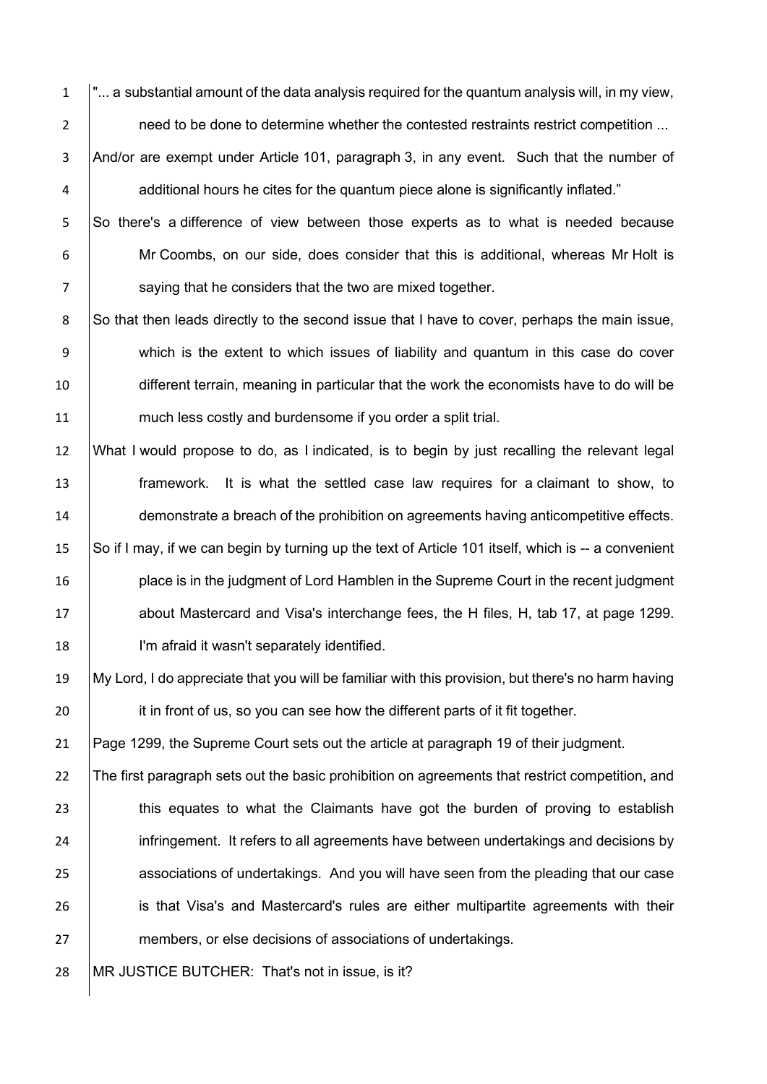1  $\vert$ "... a substantial amount of the data analysis required for the quantum analysis will, in my view,

2 **1** need to be done to determine whether the contested restraints restrict competition ...

3 And/or are exempt under Article 101, paragraph 3, in any event. Such that the number of 4 additional hours he cites for the quantum piece alone is significantly inflated."

5 So there's a difference of view between those experts as to what is needed because 6 Mr Coombs, on our side, does consider that this is additional, whereas Mr Holt is 7 **Saying that he considers that the two are mixed together.** 

8 So that then leads directly to the second issue that I have to cover, perhaps the main issue, 9 which is the extent to which issues of liability and quantum in this case do cover 10 different terrain, meaning in particular that the work the economists have to do will be 11 much less costly and burdensome if you order a split trial.

 What I would propose to do, as I indicated, is to begin by just recalling the relevant legal framework. It is what the settled case law requires for a claimant to show, to 14 demonstrate a breach of the prohibition on agreements having anticompetitive effects.  $\vert$  So if I may, if we can begin by turning up the text of Article 101 itself, which is -- a convenient **place is in the judgment of Lord Hamblen in the Supreme Court in the recent judgment** 17 about Mastercard and Visa's interchange fees, the H files, H, tab 17, at page 1299. I'm afraid it wasn't separately identified.

19 My Lord, I do appreciate that you will be familiar with this provision, but there's no harm having  $20$  it in front of us, so you can see how the different parts of it fit together.

21 Page 1299, the Supreme Court sets out the article at paragraph 19 of their judgment.

22 The first paragraph sets out the basic prohibition on agreements that restrict competition, and 23 This equates to what the Claimants have got the burden of proving to establish 24 **infringement.** It refers to all agreements have between undertakings and decisions by 25 associations of undertakings. And you will have seen from the pleading that our case 26 **i** is that Visa's and Mastercard's rules are either multipartite agreements with their 27 **members, or else decisions of associations of undertakings.** 

28 | MR JUSTICE BUTCHER: That's not in issue, is it?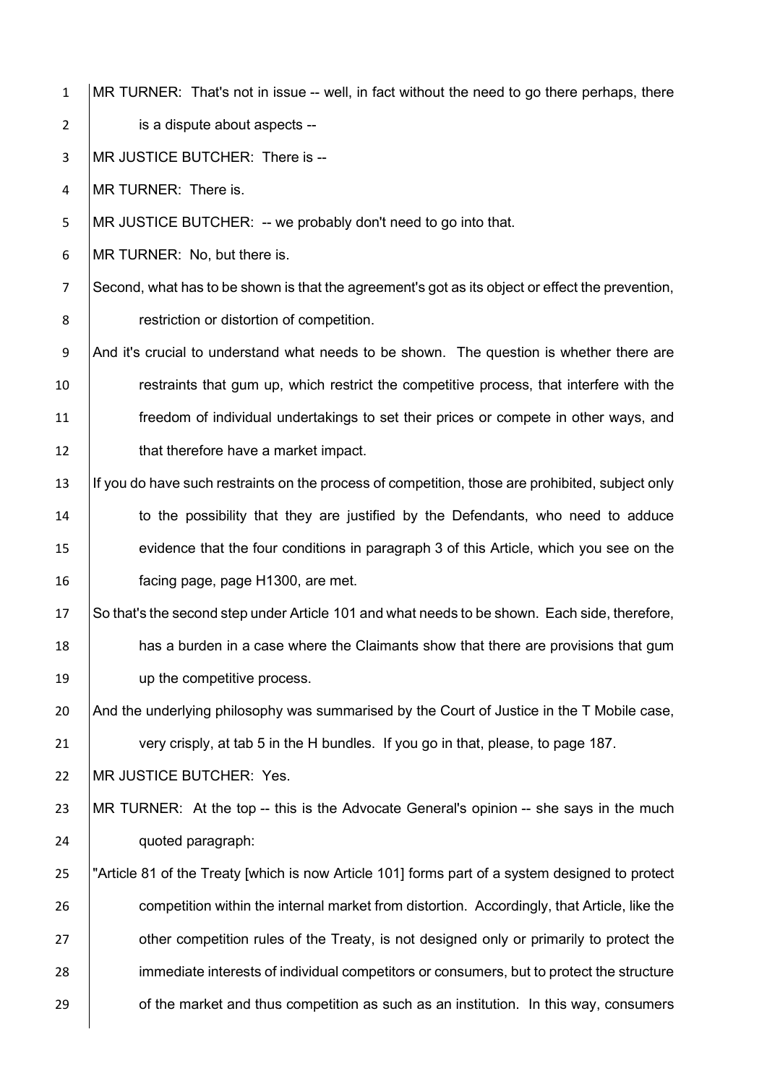| $\mathbf{1}$   | MR TURNER: That's not in issue -- well, in fact without the need to go there perhaps, there      |
|----------------|--------------------------------------------------------------------------------------------------|
| $\overline{2}$ | is a dispute about aspects --                                                                    |
| 3              | MR JUSTICE BUTCHER: There is --                                                                  |
| 4              | MR TURNER: There is.                                                                             |
| 5              | MR JUSTICE BUTCHER: -- we probably don't need to go into that.                                   |
| 6              | MR TURNER: No, but there is.                                                                     |
| $\overline{7}$ | Second, what has to be shown is that the agreement's got as its object or effect the prevention, |
| 8              | restriction or distortion of competition.                                                        |
| 9              | And it's crucial to understand what needs to be shown. The question is whether there are         |
| 10             | restraints that gum up, which restrict the competitive process, that interfere with the          |
| 11             | freedom of individual undertakings to set their prices or compete in other ways, and             |
| 12             | that therefore have a market impact.                                                             |
| 13             | If you do have such restraints on the process of competition, those are prohibited, subject only |
| 14             | to the possibility that they are justified by the Defendants, who need to adduce                 |
| 15             | evidence that the four conditions in paragraph 3 of this Article, which you see on the           |
| 16             | facing page, page H1300, are met.                                                                |
| 17             | So that's the second step under Article 101 and what needs to be shown. Each side, therefore,    |
| 18             | has a burden in a case where the Claimants show that there are provisions that gum               |
| 19             | up the competitive process.                                                                      |
| 20             | And the underlying philosophy was summarised by the Court of Justice in the T Mobile case,       |
| 21             | very crisply, at tab 5 in the H bundles. If you go in that, please, to page 187.                 |
| 22             | MR JUSTICE BUTCHER: Yes.                                                                         |
| 23             | MR TURNER: At the top -- this is the Advocate General's opinion -- she says in the much          |
| 24             | quoted paragraph:                                                                                |
| 25             | "Article 81 of the Treaty [which is now Article 101] forms part of a system designed to protect  |
| 26             | competition within the internal market from distortion. Accordingly, that Article, like the      |
| 27             | other competition rules of the Treaty, is not designed only or primarily to protect the          |
| 28             | immediate interests of individual competitors or consumers, but to protect the structure         |
| 29             | of the market and thus competition as such as an institution. In this way, consumers             |
|                |                                                                                                  |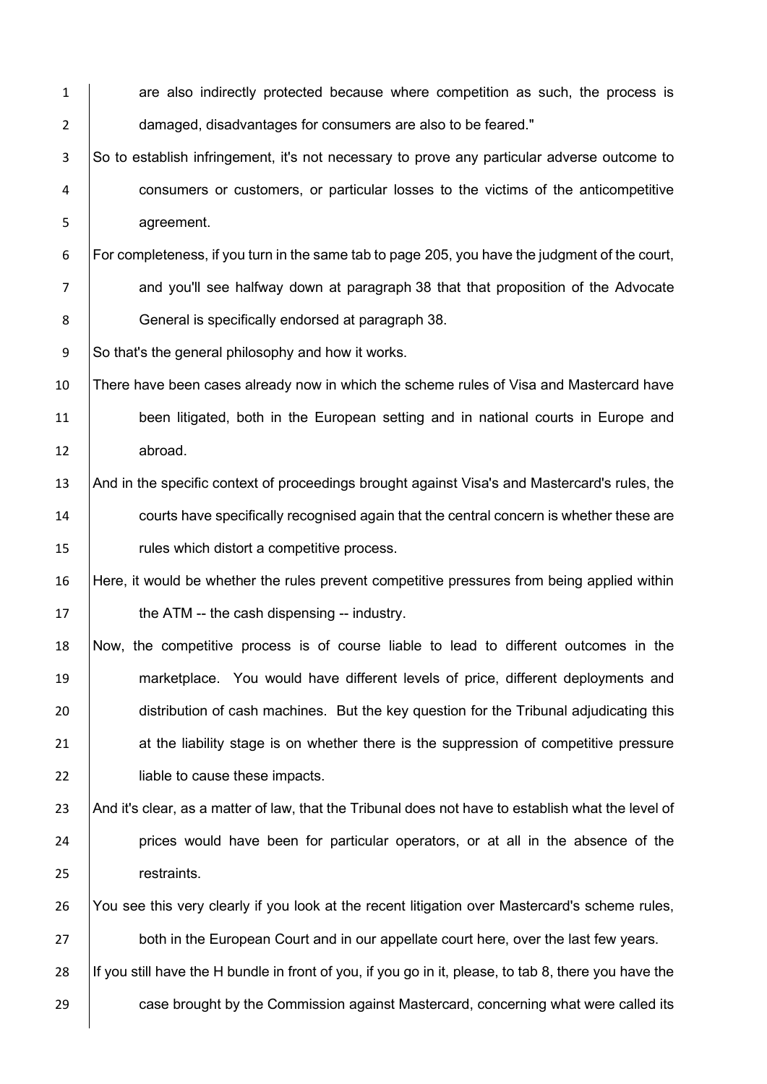1 are also indirectly protected because where competition as such, the process is **damaged, disadvantages for consumers are also to be feared."** 3 So to establish infringement, it's not necessary to prove any particular adverse outcome to consumers or customers, or particular losses to the victims of the anticompetitive agreement. For completeness, if you turn in the same tab to page 205, you have the judgment of the court, 7 | and you'll see halfway down at paragraph 38 that that proposition of the Advocate General is specifically endorsed at paragraph 38. 9 So that's the general philosophy and how it works. There have been cases already now in which the scheme rules of Visa and Mastercard have **been litigated, both in the European setting and in national courts in Europe and**  abroad. 13 And in the specific context of proceedings brought against Visa's and Mastercard's rules, the **courts have specifically recognised again that the central concern is whether these are The Studies which distort a competitive process.**  Here, it would be whether the rules prevent competitive pressures from being applied within  $\parallel$  the ATM -- the cash dispensing -- industry. Now, the competitive process is of course liable to lead to different outcomes in the marketplace. You would have different levels of price, different deployments and 20 distribution of cash machines. But the key question for the Tribunal adjudicating this 21 at the liability stage is on whether there is the suppression of competitive pressure **liable to cause these impacts.** 23 And it's clear, as a matter of law, that the Tribunal does not have to establish what the level of **prices would have been for particular operators, or at all in the absence of the c** restraints. You see this very clearly if you look at the recent litigation over Mastercard's scheme rules, 27 both in the European Court and in our appellate court here, over the last few years. 28 If you still have the H bundle in front of you, if you go in it, please, to tab 8, there you have the **case brought by the Commission against Mastercard, concerning what were called its**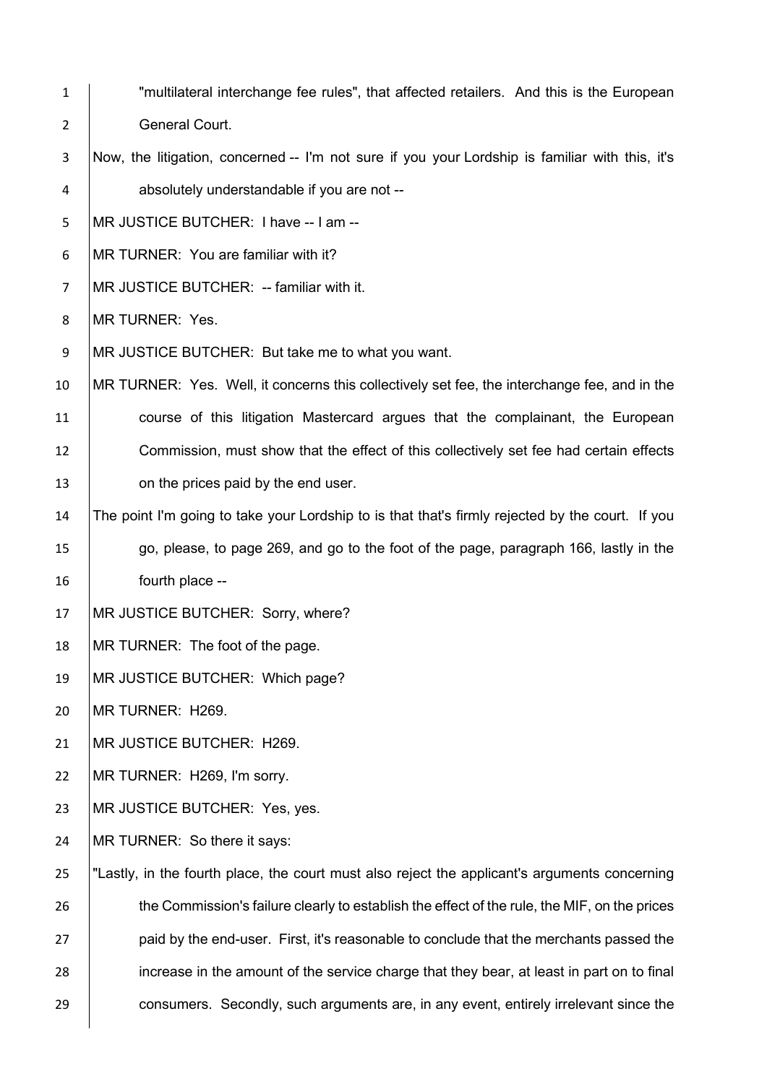| 1              | "multilateral interchange fee rules", that affected retailers. And this is the European          |
|----------------|--------------------------------------------------------------------------------------------------|
| $\overline{2}$ | General Court.                                                                                   |
| 3              | Now, the litigation, concerned -- I'm not sure if you your Lordship is familiar with this, it's  |
| 4              | absolutely understandable if you are not --                                                      |
| 5              | MR JUSTICE BUTCHER: I have -- I am --                                                            |
| 6              | MR TURNER: You are familiar with it?                                                             |
| 7              | MR JUSTICE BUTCHER: -- familiar with it.                                                         |
| 8              | MR TURNER: Yes.                                                                                  |
| 9              | MR JUSTICE BUTCHER: But take me to what you want.                                                |
| 10             | MR TURNER: Yes. Well, it concerns this collectively set fee, the interchange fee, and in the     |
| 11             | course of this litigation Mastercard argues that the complainant, the European                   |
| 12             | Commission, must show that the effect of this collectively set fee had certain effects           |
| 13             | on the prices paid by the end user.                                                              |
| 14             | The point I'm going to take your Lordship to is that that's firmly rejected by the court. If you |
| 15             | go, please, to page 269, and go to the foot of the page, paragraph 166, lastly in the            |
| 16             | fourth place --                                                                                  |
| 17             | MR JUSTICE BUTCHER: Sorry, where?                                                                |
| 18             | MR TURNER: The foot of the page.                                                                 |
| 19             | MR JUSTICE BUTCHER: Which page?                                                                  |
| 20             | MR TURNER: H269.                                                                                 |
| 21             | MR JUSTICE BUTCHER: H269.                                                                        |
| 22             | MR TURNER: H269, I'm sorry.                                                                      |
| 23             | MR JUSTICE BUTCHER: Yes, yes.                                                                    |
| 24             | MR TURNER: So there it says:                                                                     |
| 25             | "Lastly, in the fourth place, the court must also reject the applicant's arguments concerning    |
| 26             | the Commission's failure clearly to establish the effect of the rule, the MIF, on the prices     |
| 27             | paid by the end-user. First, it's reasonable to conclude that the merchants passed the           |
| 28             | increase in the amount of the service charge that they bear, at least in part on to final        |
| 29             | consumers. Secondly, such arguments are, in any event, entirely irrelevant since the             |
|                |                                                                                                  |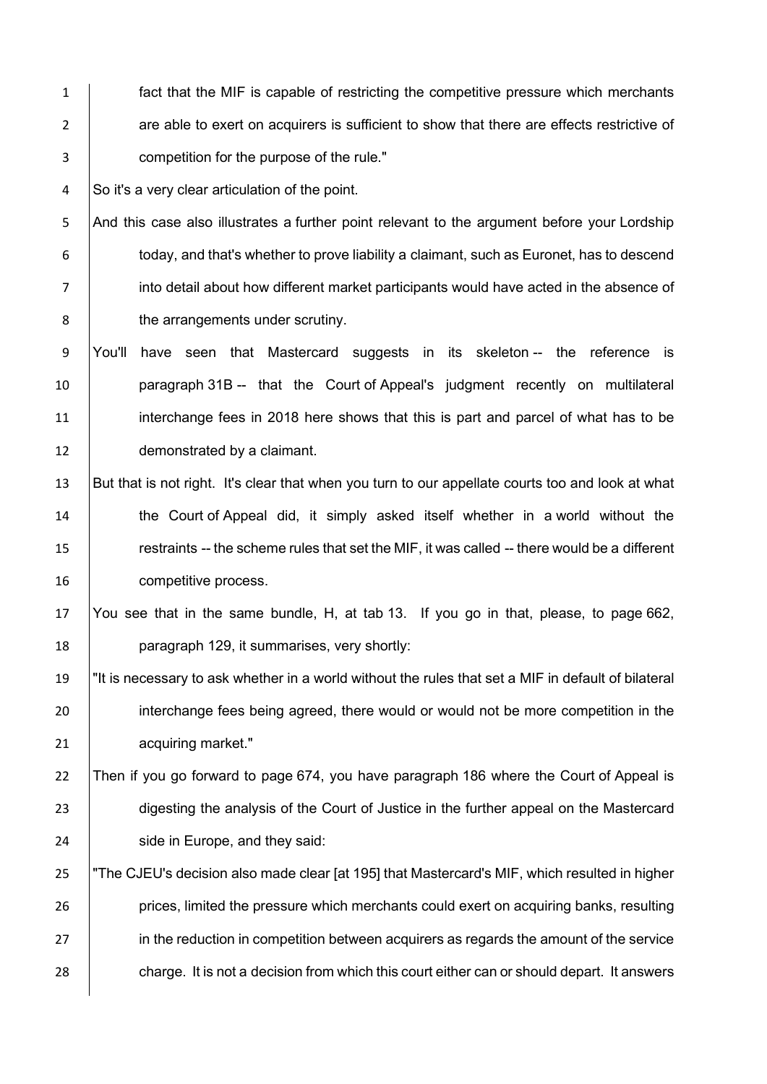**fact that the MIF is capable of restricting the competitive pressure which merchants are able to exert on acquirers is sufficient to show that there are effects restrictive of** competition for the purpose of the rule."

4 So it's a very clear articulation of the point.

5 And this case also illustrates a further point relevant to the argument before your Lordship  $\overline{6}$  today, and that's whether to prove liability a claimant, such as Euronet, has to descend **i** into detail about how different market participants would have acted in the absence of **b** the arrangements under scrutiny.

You'll have seen that Mastercard suggests in its skeleton -- the reference is paragraph 31B -- that the Court of Appeal's judgment recently on multilateral 11 interchange fees in 2018 here shows that this is part and parcel of what has to be **demonstrated by a claimant.** 

 But that is not right. It's clear that when you turn to our appellate courts too and look at what 14 the Court of Appeal did, it simply asked itself whether in a world without the **Fig. 3** restraints -- the scheme rules that set the MIF, it was called -- there would be a different **competitive process.** 

 You see that in the same bundle, H, at tab 13. If you go in that, please, to page 662, **paragraph 129, it summarises, very shortly:** 

 "It is necessary to ask whether in a world without the rules that set a MIF in default of bilateral 20 interchange fees being agreed, there would or would not be more competition in the **acquiring market."** 

 Then if you go forward to page 674, you have paragraph 186 where the Court of Appeal is 23 digesting the analysis of the Court of Justice in the further appeal on the Mastercard **Side in Europe, and they said:** 

 "The CJEU's decision also made clear [at 195] that Mastercard's MIF, which resulted in higher **prices, limited the pressure which merchants could exert on acquiring banks, resulting in the reduction in competition between acquirers as regards the amount of the service** 28 charge. It is not a decision from which this court either can or should depart. It answers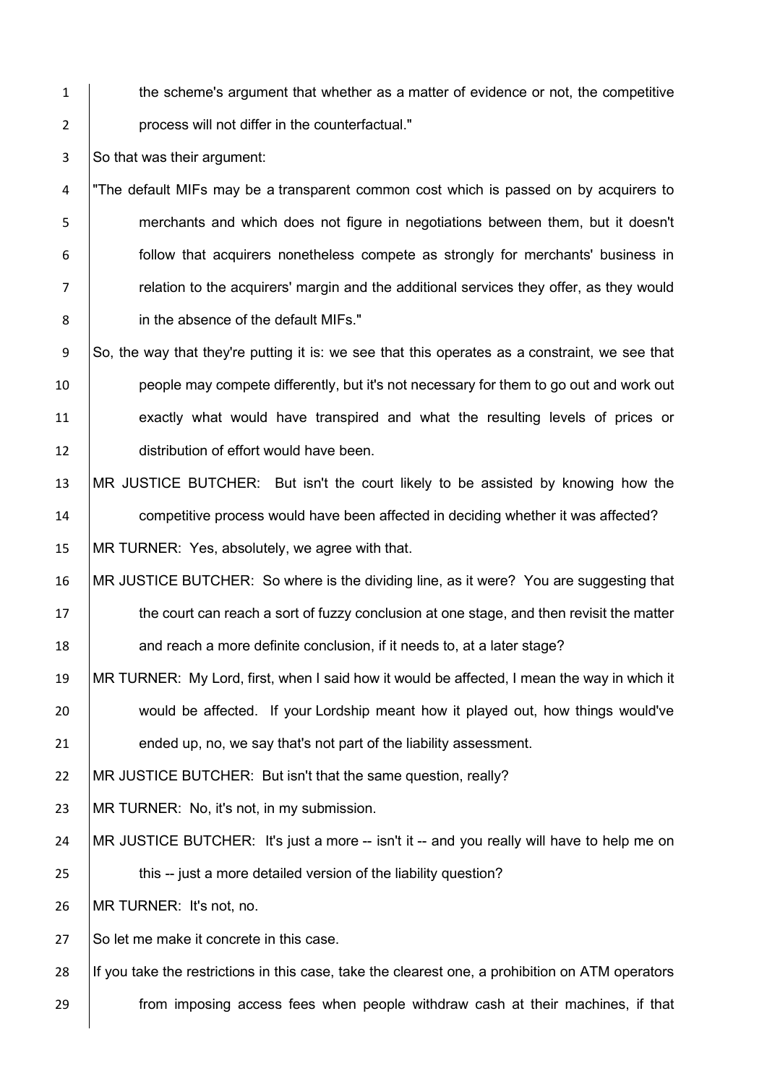1 the scheme's argument that whether as a matter of evidence or not, the competitive 2 **process will not differ in the counterfactual.**"

3 So that was their argument:

4 The default MIFs may be a transparent common cost which is passed on by acquirers to merchants and which does not figure in negotiations between them, but it doesn't follow that acquirers nonetheless compete as strongly for merchants' business in | relation to the acquirers' margin and the additional services they offer, as they would in the absence of the default MIFs."

 $\vert$ So, the way that they're putting it is: we see that this operates as a constraint, we see that **people may compete differently, but it's not necessary for them to go out and work out** 11 exactly what would have transpired and what the resulting levels of prices or **distribution of effort would have been.** 

13 MR JUSTICE BUTCHER: But isn't the court likely to be assisted by knowing how the 14 **Fig. 2** competitive process would have been affected in deciding whether it was affected? 15 | MR TURNER: Yes, absolutely, we agree with that.

16 MR JUSTICE BUTCHER: So where is the dividing line, as it were? You are suggesting that 17 the court can reach a sort of fuzzy conclusion at one stage, and then revisit the matter 18 **and reach a more definite conclusion, if it needs to, at a later stage?** 

19 MR TURNER: My Lord, first, when I said how it would be affected, I mean the way in which it 20 would be affected. If your Lordship meant how it played out, how things would've 21 **ended up, no, we say that's not part of the liability assessment.** 

22 | MR JUSTICE BUTCHER: But isn't that the same question, really?

23 | MR TURNER: No, it's not, in my submission.

24  $\parallel$  MR JUSTICE BUTCHER: It's just a more -- isn't it -- and you really will have to help me on 25 **this -- just a more detailed version of the liability question?** 

26 MR TURNER: It's not, no.

27 So let me make it concrete in this case.

28 If you take the restrictions in this case, take the clearest one, a prohibition on ATM operators 29 **from imposing access fees when people withdraw cash at their machines, if that**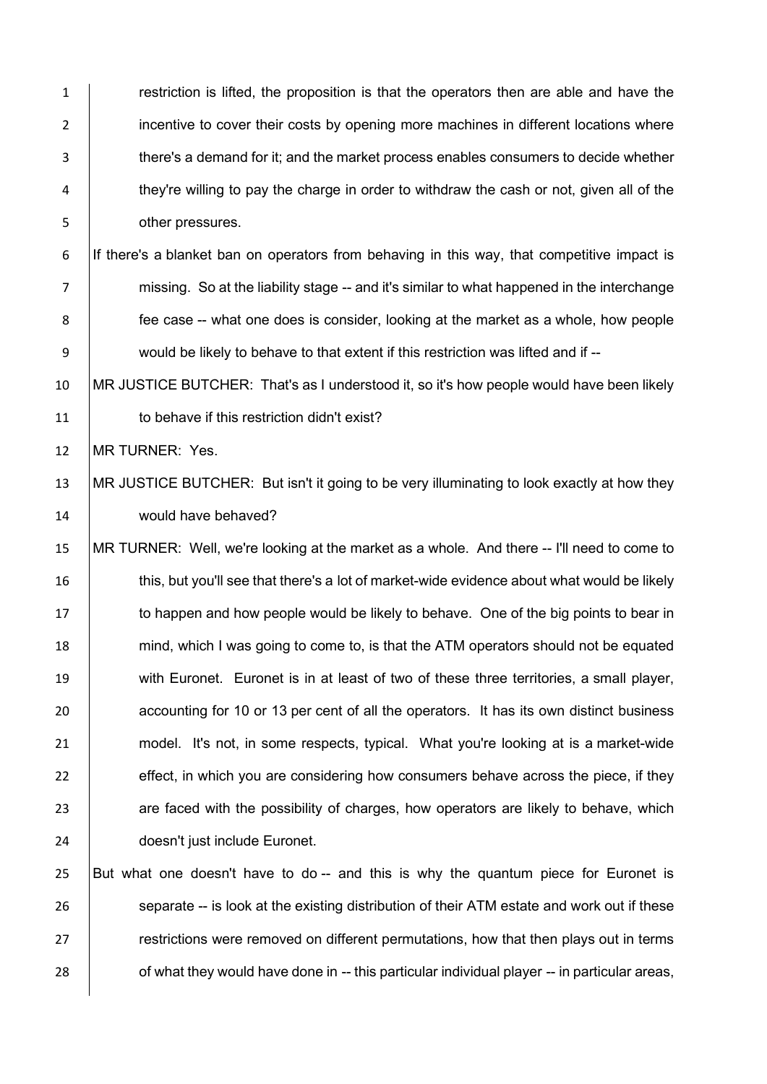1 **Fig.** restriction is lifted, the proposition is that the operators then are able and have the 2 incentive to cover their costs by opening more machines in different locations where 3 there's a demand for it; and the market process enables consumers to decide whether 4 they're willing to pay the charge in order to withdraw the cash or not, given all of the 5 other pressures.

6 If there's a blanket ban on operators from behaving in this way, that competitive impact is 7 | missing. So at the liability stage -- and it's similar to what happened in the interchange 8 fee case -- what one does is consider, looking at the market as a whole, how people 9 would be likely to behave to that extent if this restriction was lifted and if --

10 MR JUSTICE BUTCHER: That's as I understood it, so it's how people would have been likely 11 **to behave if this restriction didn't exist?** 

12 | MR TURNER: Yes.

13 MR JUSTICE BUTCHER: But isn't it going to be very illuminating to look exactly at how they 14 | would have behaved?

15 MR TURNER: Well, we're looking at the market as a whole. And there -- I'll need to come to 16 this, but you'll see that there's a lot of market-wide evidence about what would be likely 17 to happen and how people would be likely to behave. One of the big points to bear in 18 mind, which I was going to come to, is that the ATM operators should not be equated 19 with Euronet. Euronet is in at least of two of these three territories, a small player, 20 **accounting for 10 or 13 per cent of all the operators.** It has its own distinct business 21 model. It's not, in some respects, typical. What you're looking at is a market-wide 22 effect, in which you are considering how consumers behave across the piece, if they 23 are faced with the possibility of charges, how operators are likely to behave, which 24 **doesn't just include Euronet.** 

 But what one doesn't have to do -- and this is why the quantum piece for Euronet is 26 | separate -- is look at the existing distribution of their ATM estate and work out if these **Fig.** restrictions were removed on different permutations, how that then plays out in terms of what they would have done in -- this particular individual player -- in particular areas,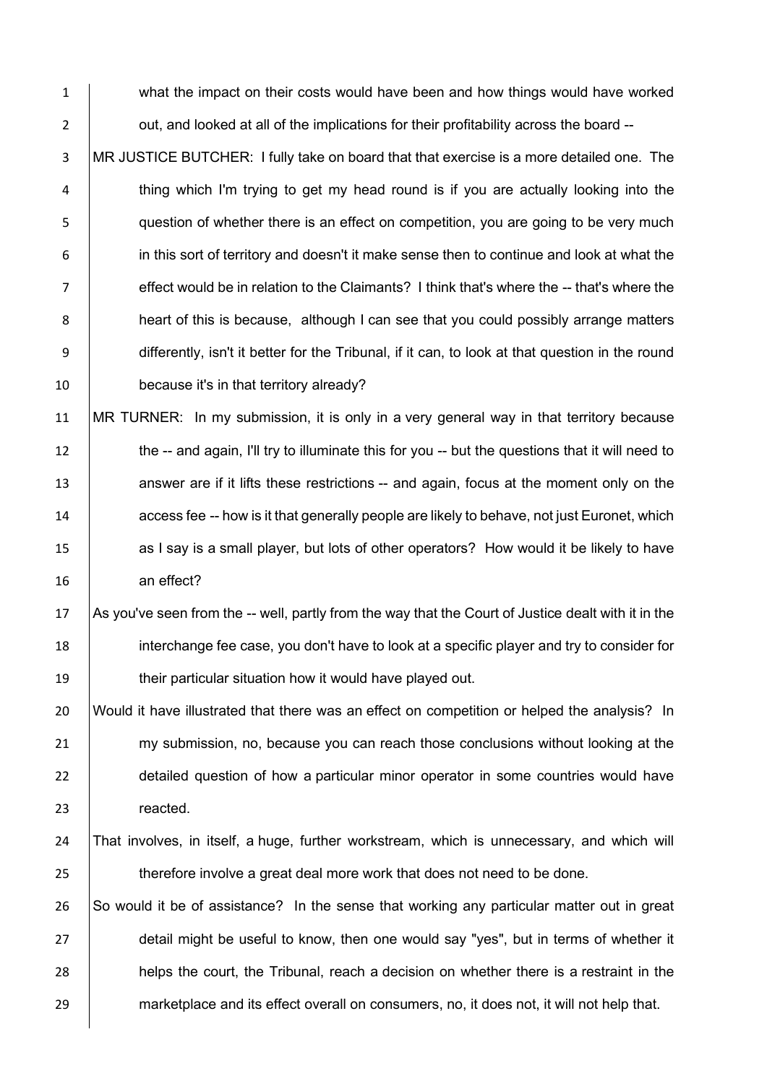1 what the impact on their costs would have been and how things would have worked  $2$   $\vert$  out, and looked at all of the implications for their profitability across the board --

MR JUSTICE BUTCHER: I fully take on board that that exercise is a more detailed one. The 4 thing which I'm trying to get my head round is if you are actually looking into the 5 question of whether there is an effect on competition, you are going to be very much **i** in this sort of territory and doesn't it make sense then to continue and look at what the **Fig.** effect would be in relation to the Claimants? I think that's where the -- that's where the **heart of this is because, although I can see that you could possibly arrange matters** differently, isn't it better for the Tribunal, if it can, to look at that question in the round **because it's in that territory already?** 

11 MR TURNER: In my submission, it is only in a very general way in that territory because 12 the -- and again, I'll try to illuminate this for you -- but the questions that it will need to 13 answer are if it lifts these restrictions -- and again, focus at the moment only on the 14 **14** access fee -- how is it that generally people are likely to behave, not just Euronet, which 15 as I say is a small player, but lots of other operators? How would it be likely to have 16 an effect?

 $17$  As you've seen from the -- well, partly from the way that the Court of Justice dealt with it in the 18 interchange fee case, you don't have to look at a specific player and try to consider for 19 **their particular situation how it would have played out.** 

20 Would it have illustrated that there was an effect on competition or helped the analysis? In 21 my submission, no, because you can reach those conclusions without looking at the 22 detailed question of how a particular minor operator in some countries would have 23 **reacted**.

## 24 That involves, in itself, a huge, further workstream, which is unnecessary, and which will 25 therefore involve a great deal more work that does not need to be done.

 $26$  So would it be of assistance? In the sense that working any particular matter out in great 27 detail might be useful to know, then one would say "yes", but in terms of whether it 28 helps the court, the Tribunal, reach a decision on whether there is a restraint in the 29 marketplace and its effect overall on consumers, no, it does not, it will not help that.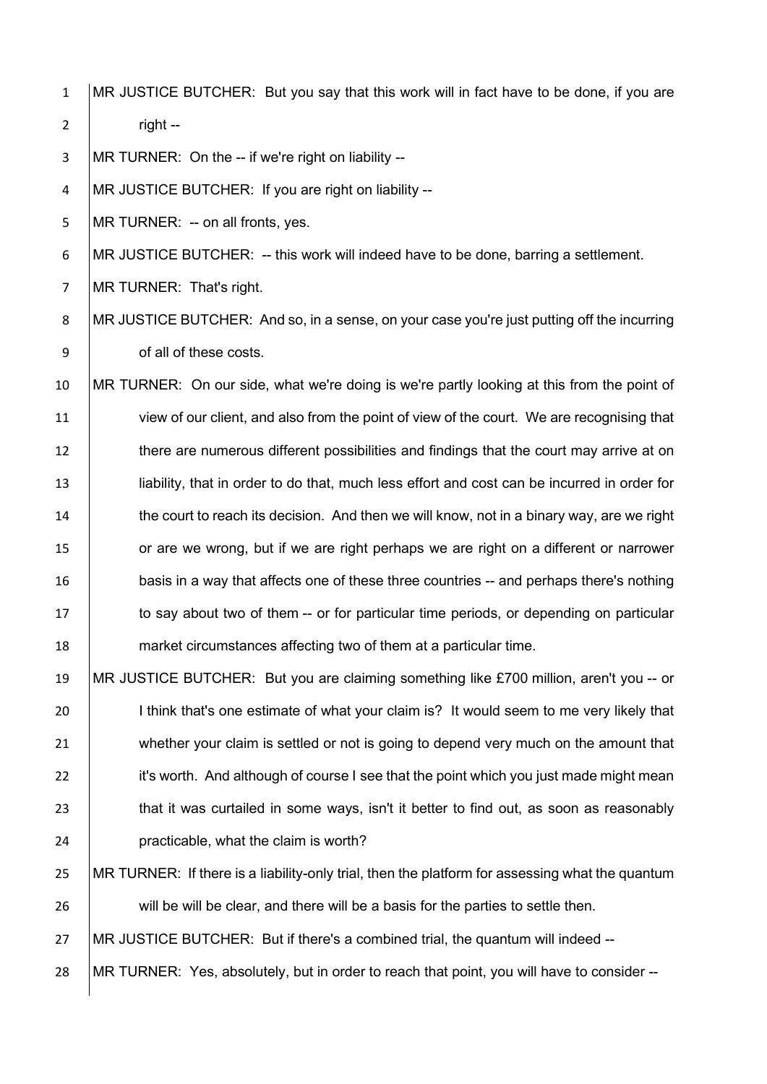- 1 | MR JUSTICE BUTCHER: But you say that this work will in fact have to be done, if you are
- $2 \mid$  right --
- 3 | MR TURNER: On the -- if we're right on liability --
- 4 | MR JUSTICE BUTCHER: If you are right on liability --
- 5 | MR TURNER: -- on all fronts, yes.

6 MR JUSTICE BUTCHER: -- this work will indeed have to be done, barring a settlement.

7 | MR TURNER: That's right.

- 8 MR JUSTICE BUTCHER: And so, in a sense, on your case you're just putting off the incurring 9 of all of these costs.
- 10 | MR TURNER: On our side, what we're doing is we're partly looking at this from the point of 11 view of our client, and also from the point of view of the court. We are recognising that 12 there are numerous different possibilities and findings that the court may arrive at on 13 liability, that in order to do that, much less effort and cost can be incurred in order for  $14$  the court to reach its decision. And then we will know, not in a binary way, are we right 15 **or are we wrong, but if we are right perhaps we are right on a different or narrower** 16 basis in a way that affects one of these three countries -- and perhaps there's nothing 17 to say about two of them -- or for particular time periods, or depending on particular 18 **market circumstances affecting two of them at a particular time.**
- 19 MR JUSTICE BUTCHER: But you are claiming something like £700 million, aren't you -- or 20 I think that's one estimate of what your claim is? It would seem to me very likely that 21 whether your claim is settled or not is going to depend very much on the amount that 22 it's worth. And although of course I see that the point which you just made might mean 23 **that it was curtailed in some ways, isn't it better to find out, as soon as reasonably** 24 practicable, what the claim is worth?
- 25 MR TURNER: If there is a liability-only trial, then the platform for assessing what the quantum 26 will be will be clear, and there will be a basis for the parties to settle then.
- 27 MR JUSTICE BUTCHER: But if there's a combined trial, the quantum will indeed --
- 28 MR TURNER: Yes, absolutely, but in order to reach that point, you will have to consider --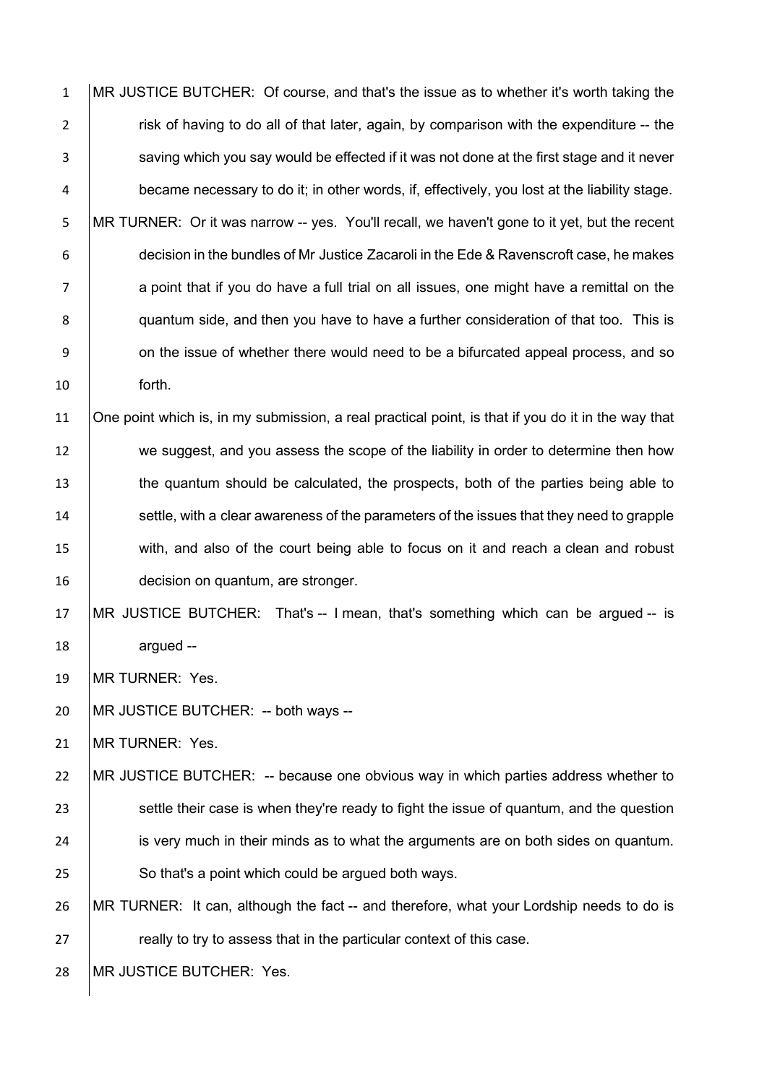1 MR JUSTICE BUTCHER: Of course, and that's the issue as to whether it's worth taking the  $2$   $\vert$  risk of having to do all of that later, again, by comparison with the expenditure -- the 3 | saving which you say would be effected if it was not done at the first stage and it never  $\vert$  became necessary to do it; in other words, if, effectively, you lost at the liability stage. 5 MR TURNER: Or it was narrow -- yes. You'll recall, we haven't gone to it yet, but the recent 6 decision in the bundles of Mr Justice Zacaroli in the Ede & Ravenscroft case, he makes  $7 \mid$  a point that if you do have a full trial on all issues, one might have a remittal on the 8 **quantum side, and then you have to have a further consideration of that too.** This is 9 <br>g on the issue of whether there would need to be a bifurcated appeal process, and so 10 forth. 11 One point which is, in my submission, a real practical point, is that if you do it in the way that 12 we suggest, and you assess the scope of the liability in order to determine then how 13 the quantum should be calculated, the prospects, both of the parties being able to 14 **Settle, with a clear awareness of the parameters of the issues that they need to grapple** 15 with, and also of the court being able to focus on it and reach a clean and robust 16 decision on quantum, are stronger. 17 | MR JUSTICE BUTCHER: That's -- I mean, that's something which can be argued -- is 18 argued --19 MR TURNER: Yes. 20 MR JUSTICE BUTCHER: -- both ways -- 21 | MR TURNER: Yes. 22 | MR JUSTICE BUTCHER: -- because one obvious way in which parties address whether to  $23$  settle their case is when they're ready to fight the issue of quantum, and the question  $24$  is very much in their minds as to what the arguments are on both sides on quantum. 25 So that's a point which could be argued both ways. 26 | MR TURNER: It can, although the fact -- and therefore, what your Lordship needs to do is 27 **Fig. 27** really to try to assess that in the particular context of this case. 28 | MR JUSTICE BUTCHER: Yes.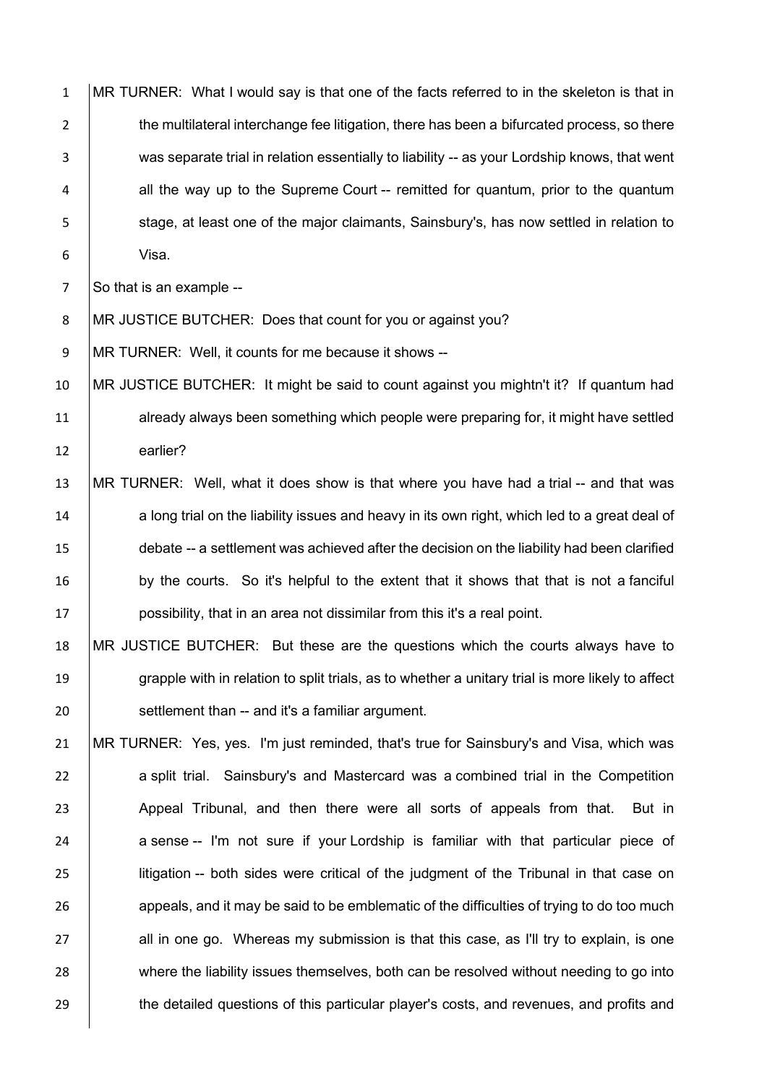1 | MR TURNER: What I would say is that one of the facts referred to in the skeleton is that in 2 the multilateral interchange fee litigation, there has been a bifurcated process, so there 3 was separate trial in relation essentially to liability -- as your Lordship knows, that went 4 all the way up to the Supreme Court -- remitted for quantum, prior to the quantum 5 Stage, at least one of the major claimants, Sainsbury's, has now settled in relation to 6 Visa.  $7$  So that is an example  $-$ 8 | MR JUSTICE BUTCHER: Does that count for you or against you? 9 MR TURNER: Well, it counts for me because it shows -- 10 MR JUSTICE BUTCHER: It might be said to count against you mightn't it? If quantum had 11 already always been something which people were preparing for, it might have settled 12 earlier? 13 MR TURNER: Well, what it does show is that where you have had a trial -- and that was  $14$  a long trial on the liability issues and heavy in its own right, which led to a great deal of 15 debate -- a settlement was achieved after the decision on the liability had been clarified 16 by the courts. So it's helpful to the extent that it shows that that is not a fanciful  $17$  possibility, that in an area not dissimilar from this it's a real point. 18 MR JUSTICE BUTCHER: But these are the questions which the courts always have to 19 grapple with in relation to split trials, as to whether a unitary trial is more likely to affect 20 Settlement than -- and it's a familiar argument. 21 MR TURNER: Yes, yes. I'm just reminded, that's true for Sainsbury's and Visa, which was 22 a split trial. Sainsbury's and Mastercard was a combined trial in the Competition 23 Appeal Tribunal, and then there were all sorts of appeals from that. But in  $24$  a sense -- I'm not sure if your Lordship is familiar with that particular piece of 25 **littigation -- both sides were critical of the judgment of the Tribunal in that case on** 26 appeals, and it may be said to be emblematic of the difficulties of trying to do too much  $27$  all in one go. Whereas my submission is that this case, as I'll try to explain, is one 28 where the liability issues themselves, both can be resolved without needing to go into 29 the detailed questions of this particular player's costs, and revenues, and profits and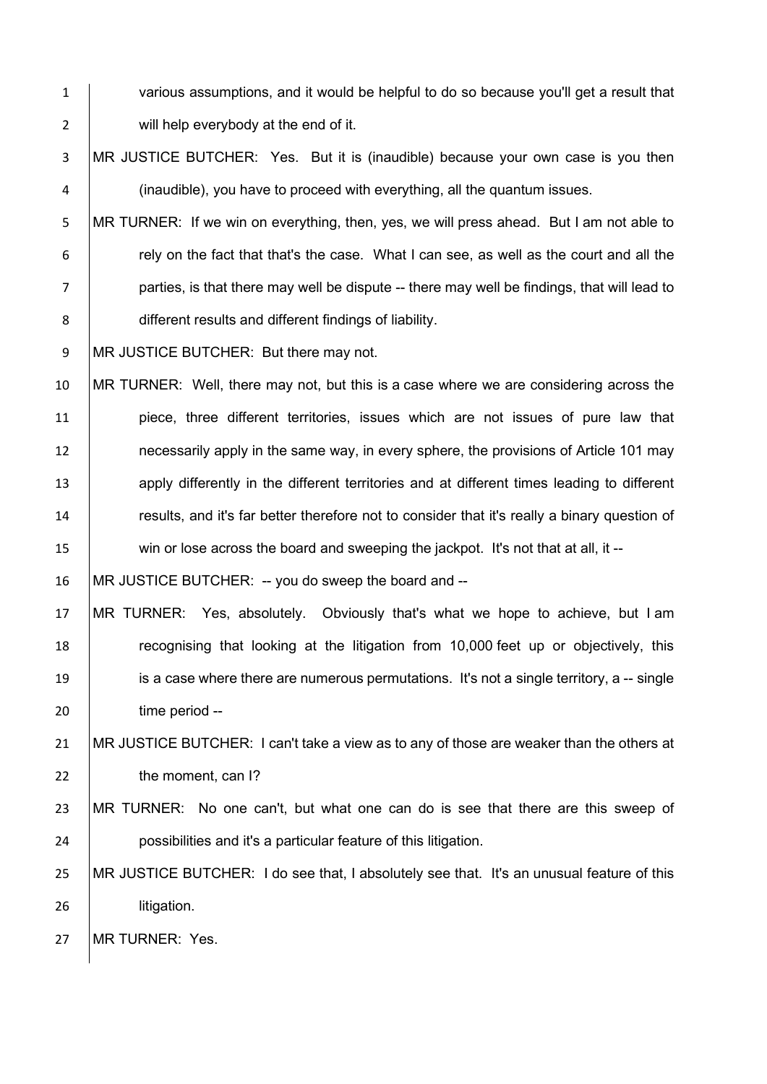- 1 various assumptions, and it would be helpful to do so because you'll get a result that 2 will help everybody at the end of it.
- 3 MR JUSTICE BUTCHER: Yes. But it is (inaudible) because your own case is you then 4 (inaudible), you have to proceed with everything, all the quantum issues.

MR TURNER: If we win on everything, then, yes, we will press ahead. But I am not able to  $\vert$  rely on the fact that that's the case. What I can see, as well as the court and all the | parties, is that there may well be dispute -- there may well be findings, that will lead to different results and different findings of liability.

9 | MR JUSTICE BUTCHER: But there may not.

 MR TURNER: Well, there may not, but this is a case where we are considering across the **piece, three different territories, issues which are not issues of pure law that necessarily apply in the same way, in every sphere, the provisions of Article 101 may apply differently in the different territories and at different times leading to different Figure 1** results, and it's far better therefore not to consider that it's really a binary question of 15 win or lose across the board and sweeping the jackpot. It's not that at all, it --

16 | MR JUSTICE BUTCHER: -- you do sweep the board and --

17 MR TURNER: Yes, absolutely. Obviously that's what we hope to achieve, but I am 18 recognising that looking at the litigation from 10,000 feet up or objectively, this 19 is a case where there are numerous permutations. It's not a single territory, a -- single 20 | time period --

21 MR JUSTICE BUTCHER: I can't take a view as to any of those are weaker than the others at 22 **the moment, can I?** 

- 23 MR TURNER: No one can't, but what one can do is see that there are this sweep of 24 **possibilities and it's a particular feature of this litigation.**
- 25 MR JUSTICE BUTCHER: I do see that, I absolutely see that. It's an unusual feature of this 26 | litigation.

27 | MR TURNER: Yes.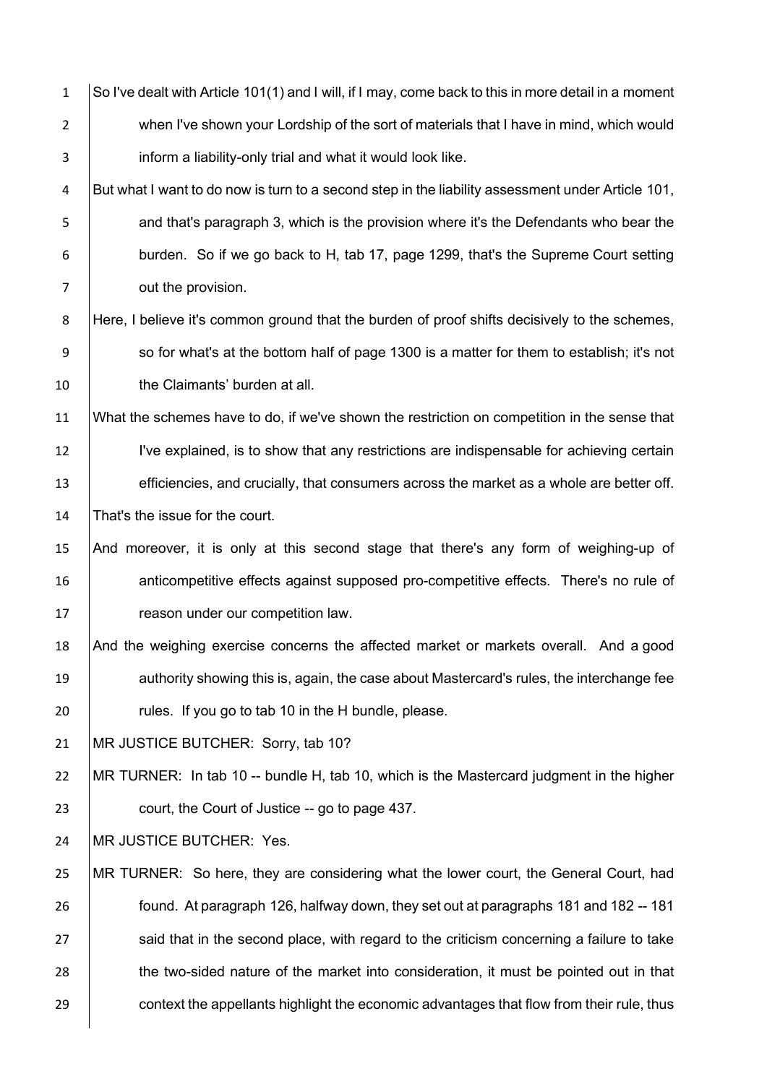| $\mathbf{1}$   | So I've dealt with Article 101(1) and I will, if I may, come back to this in more detail in a moment |
|----------------|------------------------------------------------------------------------------------------------------|
| $\overline{2}$ | when I've shown your Lordship of the sort of materials that I have in mind, which would              |
| 3              | inform a liability-only trial and what it would look like.                                           |
| 4              | But what I want to do now is turn to a second step in the liability assessment under Article 101,    |
| 5              | and that's paragraph 3, which is the provision where it's the Defendants who bear the                |
| 6              | burden. So if we go back to H, tab 17, page 1299, that's the Supreme Court setting                   |
| $\overline{7}$ | out the provision.                                                                                   |
| 8              | Here, I believe it's common ground that the burden of proof shifts decisively to the schemes,        |
| 9              | so for what's at the bottom half of page 1300 is a matter for them to establish; it's not            |
| 10             | the Claimants' burden at all.                                                                        |
| 11             | What the schemes have to do, if we've shown the restriction on competition in the sense that         |
| 12             | I've explained, is to show that any restrictions are indispensable for achieving certain             |
| 13             | efficiencies, and crucially, that consumers across the market as a whole are better off.             |
| 14             | That's the issue for the court.                                                                      |
| 15             | And moreover, it is only at this second stage that there's any form of weighing-up of                |
| 16             | anticompetitive effects against supposed pro-competitive effects. There's no rule of                 |
| 17             | reason under our competition law.                                                                    |
| 18             | And the weighing exercise concerns the affected market or markets overall. And a good                |
| 19             | authority showing this is, again, the case about Mastercard's rules, the interchange fee             |
| 20             | rules. If you go to tab 10 in the H bundle, please.                                                  |
| 21             | MR JUSTICE BUTCHER: Sorry, tab 10?                                                                   |
| 22             | MR TURNER: In tab 10 -- bundle H, tab 10, which is the Mastercard judgment in the higher             |
| 23             | court, the Court of Justice -- go to page 437.                                                       |
| 24             | MR JUSTICE BUTCHER: Yes.                                                                             |
| 25             | MR TURNER: So here, they are considering what the lower court, the General Court, had                |
| 26             | found. At paragraph 126, halfway down, they set out at paragraphs 181 and 182 -- 181                 |
| 27             | said that in the second place, with regard to the criticism concerning a failure to take             |
| 28             | the two-sided nature of the market into consideration, it must be pointed out in that                |
| 29             | context the appellants highlight the economic advantages that flow from their rule, thus             |
|                |                                                                                                      |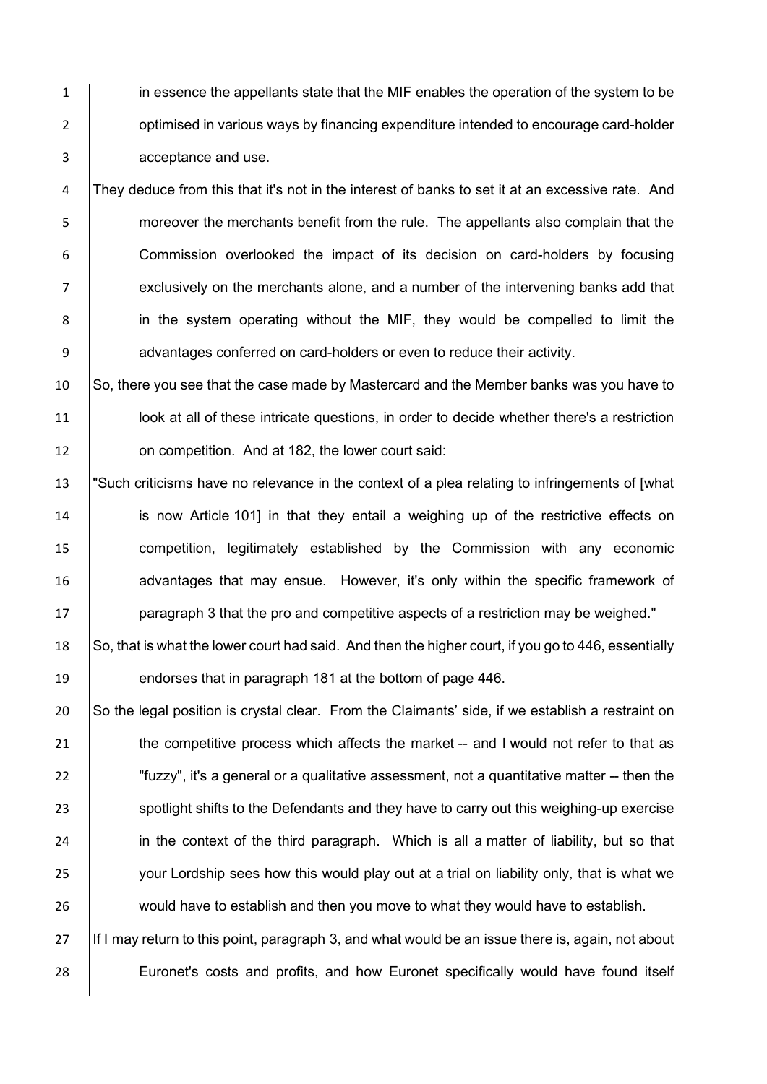1 in essence the appellants state that the MIF enables the operation of the system to be 2 **Fig. 2** optimised in various ways by financing expenditure intended to encourage card-holder 3 **acceptance and use.** 

4 They deduce from this that it's not in the interest of banks to set it at an excessive rate. And 5 moreover the merchants benefit from the rule. The appellants also complain that the 6 Commission overlooked the impact of its decision on card-holders by focusing 7 **Fig.** exclusively on the merchants alone, and a number of the intervening banks add that 8 in the system operating without the MIF, they would be compelled to limit the 9 advantages conferred on card-holders or even to reduce their activity.

10 So, there you see that the case made by Mastercard and the Member banks was you have to 11 **letch** look at all of these intricate questions, in order to decide whether there's a restriction 12 **competition.** And at 182, the lower court said:

13 "Such criticisms have no relevance in the context of a plea relating to infringements of [what 14 is now Article 101] in that they entail a weighing up of the restrictive effects on 15 competition, legitimately established by the Commission with any economic 16 **a**dvantages that may ensue. However, it's only within the specific framework of 17 1

18 So, that is what the lower court had said. And then the higher court, if you go to 446, essentially 19 endorses that in paragraph 181 at the bottom of page 446.

20 So the legal position is crystal clear. From the Claimants' side, if we establish a restraint on 21 the competitive process which affects the market -- and I would not refer to that as  $22$   $\parallel$  "fuzzy", it's a general or a qualitative assessment, not a quantitative matter -- then the 23 **Spotlight shifts to the Defendants and they have to carry out this weighing-up exercise**  $24$  in the context of the third paragraph. Which is all a matter of liability, but so that 25 your Lordship sees how this would play out at a trial on liability only, that is what we 26 would have to establish and then you move to what they would have to establish.

27 If I may return to this point, paragraph 3, and what would be an issue there is, again, not about 28 Euronet's costs and profits, and how Euronet specifically would have found itself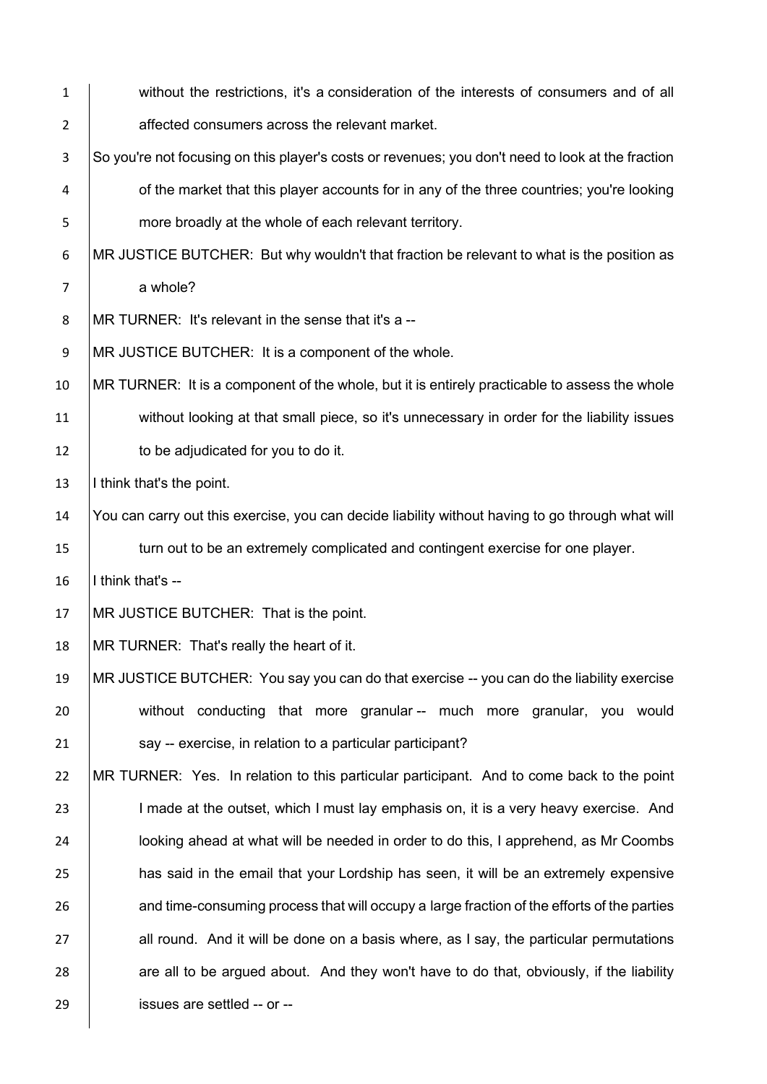| $\mathbf{1}$   | without the restrictions, it's a consideration of the interests of consumers and of all           |
|----------------|---------------------------------------------------------------------------------------------------|
| $\overline{2}$ | affected consumers across the relevant market.                                                    |
| 3              | So you're not focusing on this player's costs or revenues; you don't need to look at the fraction |
| 4              | of the market that this player accounts for in any of the three countries; you're looking         |
| 5              | more broadly at the whole of each relevant territory.                                             |
| 6              | MR JUSTICE BUTCHER: But why wouldn't that fraction be relevant to what is the position as         |
| 7              | a whole?                                                                                          |
| 8              | MR TURNER: It's relevant in the sense that it's a --                                              |
| 9              | MR JUSTICE BUTCHER: It is a component of the whole.                                               |
| 10             | MR TURNER: It is a component of the whole, but it is entirely practicable to assess the whole     |
| 11             | without looking at that small piece, so it's unnecessary in order for the liability issues        |
| 12             | to be adjudicated for you to do it.                                                               |
| 13             | I think that's the point.                                                                         |
| 14             | You can carry out this exercise, you can decide liability without having to go through what will  |
| 15             | turn out to be an extremely complicated and contingent exercise for one player.                   |
| 16             | I think that's --                                                                                 |
| 17             | MR JUSTICE BUTCHER: That is the point.                                                            |
|                |                                                                                                   |
| 18             | MR TURNER: That's really the heart of it.                                                         |
| 19             | MR JUSTICE BUTCHER: You say you can do that exercise -- you can do the liability exercise         |
| 20             | without conducting that more granular-- much more granular, you would                             |
| 21             | say -- exercise, in relation to a particular participant?                                         |
| 22             | MR TURNER: Yes. In relation to this particular participant. And to come back to the point         |
| 23             | I made at the outset, which I must lay emphasis on, it is a very heavy exercise. And              |
| 24             | looking ahead at what will be needed in order to do this, I apprehend, as Mr Coombs               |
| 25             | has said in the email that your Lordship has seen, it will be an extremely expensive              |
| 26             | and time-consuming process that will occupy a large fraction of the efforts of the parties        |
| 27             | all round. And it will be done on a basis where, as I say, the particular permutations            |
| 28             | are all to be argued about. And they won't have to do that, obviously, if the liability           |
| 29             | issues are settled -- or --                                                                       |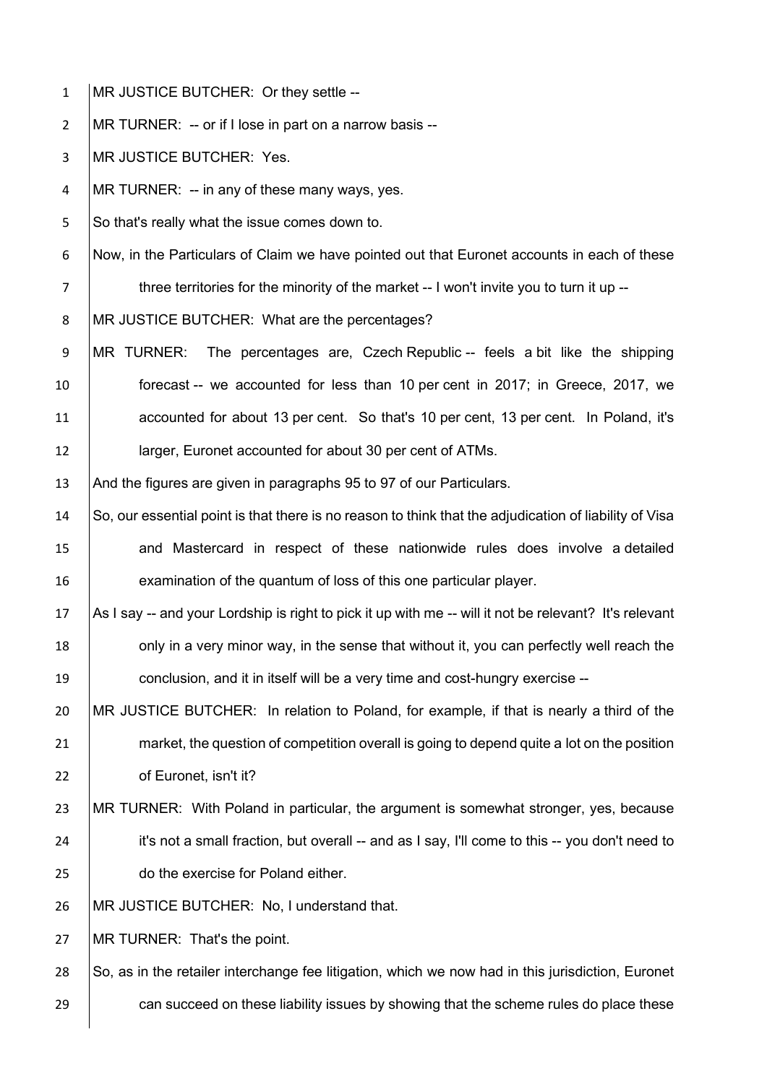- 1 | MR JUSTICE BUTCHER: Or they settle --
- 2 MR TURNER: -- or if I lose in part on a narrow basis --
- 3 | MR JUSTICE BUTCHER: Yes.
- 4  $\parallel$  MR TURNER: -- in any of these many ways, yes.
- 5 So that's really what the issue comes down to.

6 Now, in the Particulars of Claim we have pointed out that Euronet accounts in each of these

 $7$   $\vert$  three territories for the minority of the market -- I won't invite you to turn it up --

- 8 | MR JUSTICE BUTCHER: What are the percentages?
- 9 MR TURNER: The percentages are, Czech Republic -- feels a bit like the shipping 10 forecast -- we accounted for less than 10 per cent in 2017; in Greece, 2017, we 11 accounted for about 13 per cent. So that's 10 per cent, 13 per cent. In Poland, it's 12 | larger, Euronet accounted for about 30 per cent of ATMs.
- 13 And the figures are given in paragraphs 95 to 97 of our Particulars.
- 14 So, our essential point is that there is no reason to think that the adjudication of liability of Visa 15 **and Mastercard in respect of these nationwide rules does involve a detailed** 16 **examination of the quantum of loss of this one particular player.**
- 17 As I say -- and your Lordship is right to pick it up with me -- will it not be relevant? It's relevant 18 **only in a very minor way, in the sense that without it, you can perfectly well reach the** 19 **conclusion, and it in itself will be a very time and cost-hungry exercise** --
- 20 MR JUSTICE BUTCHER: In relation to Poland, for example, if that is nearly a third of the 21 market, the question of competition overall is going to depend quite a lot on the position 22 **Julie 22** of Euronet, isn't it?
- 23 MR TURNER: With Poland in particular, the argument is somewhat stronger, yes, because 24 it's not a small fraction, but overall -- and as I say, I'll come to this -- you don't need to 25 **do the exercise for Poland either.**
- 26 | MR JUSTICE BUTCHER: No, I understand that.

27 | MR TURNER: That's the point.

28  $\vert$ So, as in the retailer interchange fee litigation, which we now had in this jurisdiction, Euronet 29 **can succeed on these liability issues by showing that the scheme rules do place these**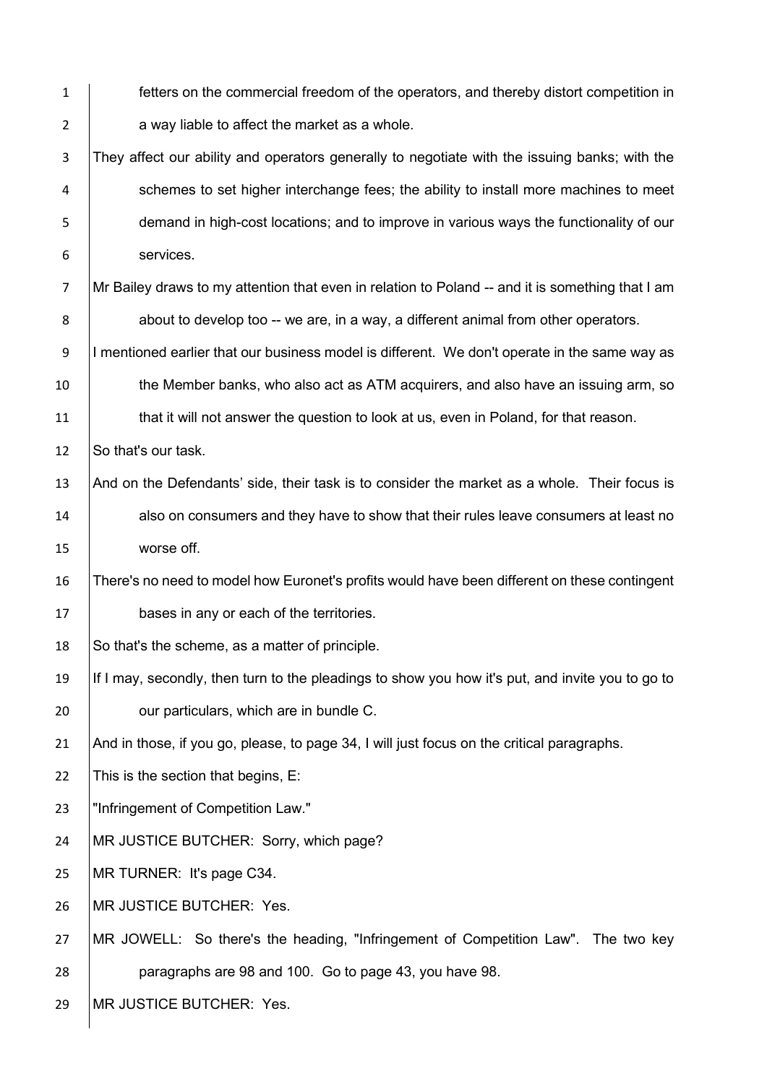| $\mathbf{1}$   | fetters on the commercial freedom of the operators, and thereby distort competition in           |
|----------------|--------------------------------------------------------------------------------------------------|
| $\overline{2}$ | a way liable to affect the market as a whole.                                                    |
| 3              | They affect our ability and operators generally to negotiate with the issuing banks; with the    |
| 4              | schemes to set higher interchange fees; the ability to install more machines to meet             |
| 5              | demand in high-cost locations; and to improve in various ways the functionality of our           |
| 6              | services.                                                                                        |
| 7              | Mr Bailey draws to my attention that even in relation to Poland -- and it is something that I am |
| 8              | about to develop too -- we are, in a way, a different animal from other operators.               |
| 9              | I mentioned earlier that our business model is different. We don't operate in the same way as    |
| 10             | the Member banks, who also act as ATM acquirers, and also have an issuing arm, so                |
| 11             | that it will not answer the question to look at us, even in Poland, for that reason.             |
| 12             | So that's our task.                                                                              |
| 13             | And on the Defendants' side, their task is to consider the market as a whole. Their focus is     |
| 14             | also on consumers and they have to show that their rules leave consumers at least no             |
| 15             | worse off.                                                                                       |
| 16             | There's no need to model how Euronet's profits would have been different on these contingent     |
| 17             | bases in any or each of the territories.                                                         |
| 18             | So that's the scheme, as a matter of principle.                                                  |
| 19             | If I may, secondly, then turn to the pleadings to show you how it's put, and invite you to go to |
| 20             | our particulars, which are in bundle C.                                                          |
| 21             | And in those, if you go, please, to page 34, I will just focus on the critical paragraphs.       |
| 22             | This is the section that begins, E:                                                              |
| 23             | "Infringement of Competition Law."                                                               |
| 24             | MR JUSTICE BUTCHER: Sorry, which page?                                                           |
| 25             | MR TURNER: It's page C34.                                                                        |
| 26             | MR JUSTICE BUTCHER: Yes.                                                                         |
| 27             | MR JOWELL: So there's the heading, "Infringement of Competition Law". The two key                |
| 28             | paragraphs are 98 and 100. Go to page 43, you have 98.                                           |
| 29             | MR JUSTICE BUTCHER: Yes.                                                                         |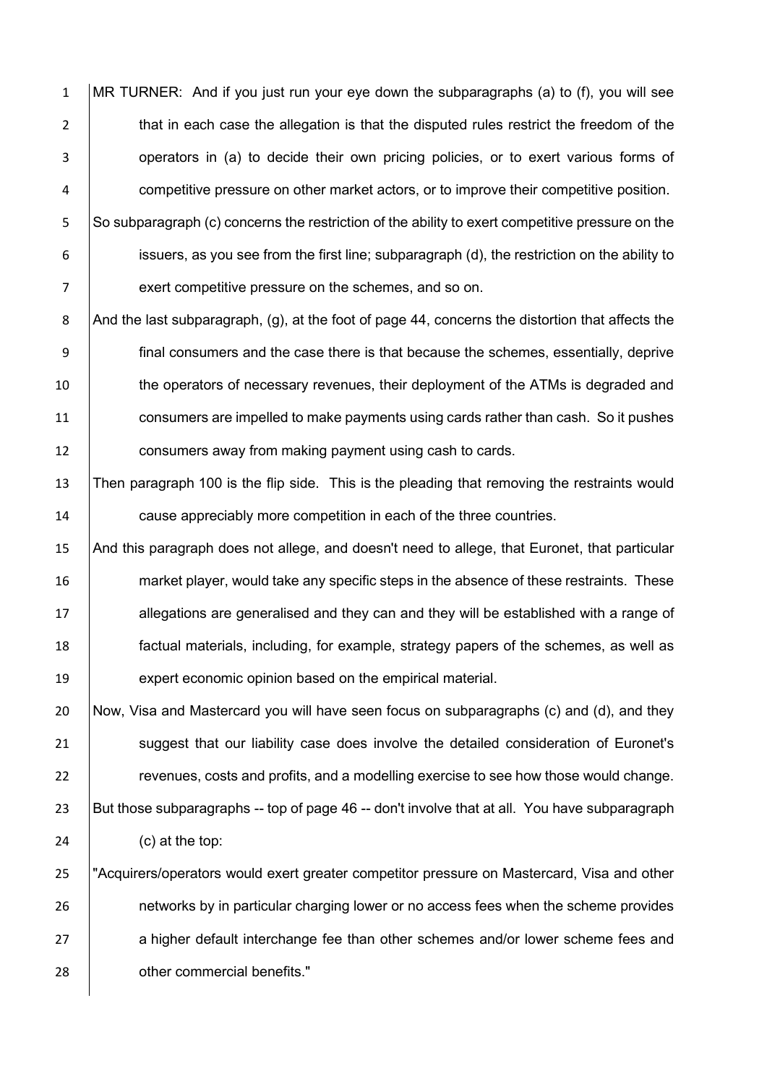MR TURNER: And if you just run your eye down the subparagraphs (a) to (f), you will see 2 that in each case the allegation is that the disputed rules restrict the freedom of the **operators in (a) to decide their own pricing policies, or to exert various forms of competitive pressure on other market actors, or to improve their competitive position.** 

 $\overline{6}$  issuers, as you see from the first line; subparagraph (d), the restriction on the ability to **exert competitive pressure on the schemes, and so on.** 

 $\overline{5}$  So subparagraph (c) concerns the restriction of the ability to exert competitive pressure on the

8 And the last subparagraph, (g), at the foot of page 44, concerns the distortion that affects the final consumers and the case there is that because the schemes, essentially, deprive 10 the operators of necessary revenues, their deployment of the ATMs is degraded and **1** consumers are impelled to make payments using cards rather than cash. So it pushes **consumers away from making payment using cash to cards.** 

 Then paragraph 100 is the flip side. This is the pleading that removing the restraints would **cause appreciably more competition in each of the three countries.** 

15 And this paragraph does not allege, and doesn't need to allege, that Euronet, that particular **market player, would take any specific steps in the absence of these restraints.** These allegations are generalised and they can and they will be established with a range of factual materials, including, for example, strategy papers of the schemes, as well as **expert economic opinion based on the empirical material.** 

 Now, Visa and Mastercard you will have seen focus on subparagraphs (c) and (d), and they 21 Suggest that our liability case does involve the detailed consideration of Euronet's **revenues, costs and profits, and a modelling exercise to see how those would change.** 23 But those subparagraphs -- top of page 46 -- don't involve that at all. You have subparagraph 24  $\vert$  (c) at the top:

 "Acquirers/operators would exert greater competitor pressure on Mastercard, Visa and other **hetworks by in particular charging lower or no access fees when the scheme provides** 27 a higher default interchange fee than other schemes and/or lower scheme fees and **other commercial benefits."**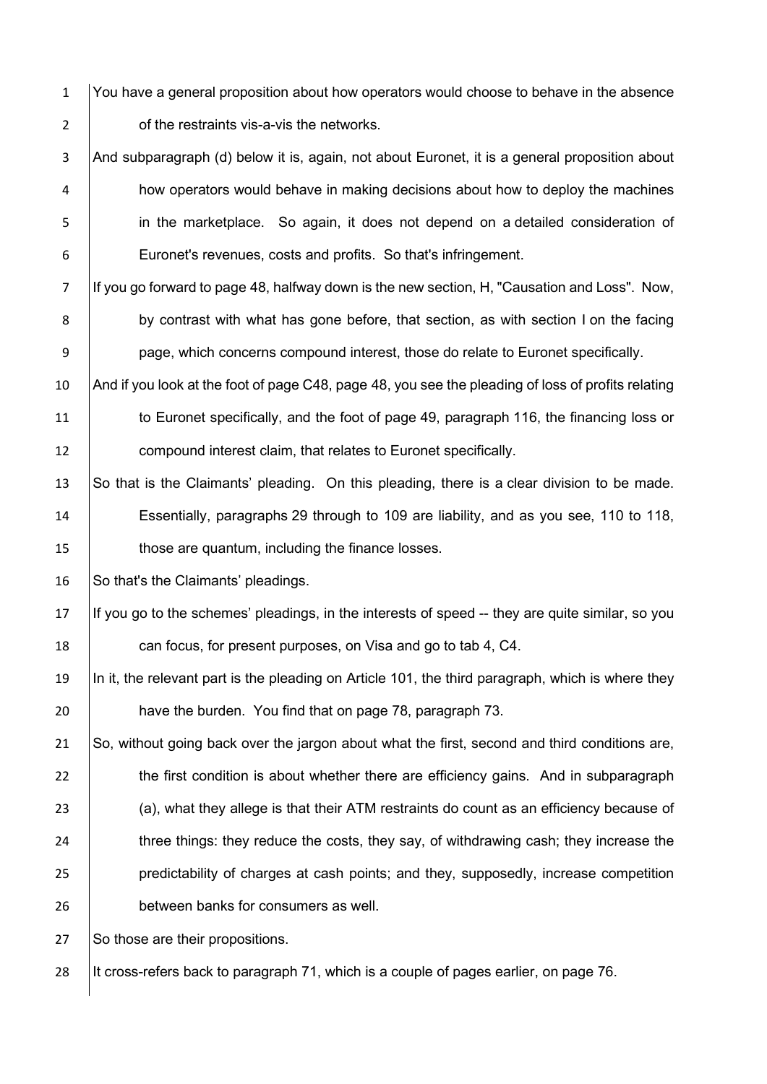1 You have a general proposition about how operators would choose to behave in the absence 2 **b** of the restraints vis-a-vis the networks.

3 And subparagraph (d) below it is, again, not about Euronet, it is a general proposition about 4 | how operators would behave in making decisions about how to deploy the machines 5 in the marketplace. So again, it does not depend on a detailed consideration of 6 Euronet's revenues, costs and profits. So that's infringement.

7 | If you go forward to page 48, halfway down is the new section, H, "Causation and Loss". Now, 8 by contrast with what has gone before, that section, as with section I on the facing 9 | page, which concerns compound interest, those do relate to Euronet specifically.

10 And if you look at the foot of page C48, page 48, you see the pleading of loss of profits relating 11 to Euronet specifically, and the foot of page 49, paragraph 116, the financing loss or 12 **compound interest claim, that relates to Euronet specifically.** 

13 So that is the Claimants' pleading. On this pleading, there is a clear division to be made. 14 Essentially, paragraphs 29 through to 109 are liability, and as you see, 110 to 118, 15 **those are quantum, including the finance losses.** 

16 So that's the Claimants' pleadings.

17 If you go to the schemes' pleadings, in the interests of speed -- they are quite similar, so you 18 **can focus, for present purposes, on Visa and go to tab 4, C4.** 

19 In it, the relevant part is the pleading on Article 101, the third paragraph, which is where they 20 have the burden. You find that on page 78, paragraph 73.

21 So, without going back over the jargon about what the first, second and third conditions are, 22 the first condition is about whether there are efficiency gains. And in subparagraph (a), what they allege is that their ATM restraints do count as an efficiency because of three things: they reduce the costs, they say, of withdrawing cash; they increase the **predictability of charges at cash points**; and they, supposedly, increase competition **between banks for consumers as well.** 

27 So those are their propositions.

28 | It cross-refers back to paragraph 71, which is a couple of pages earlier, on page 76.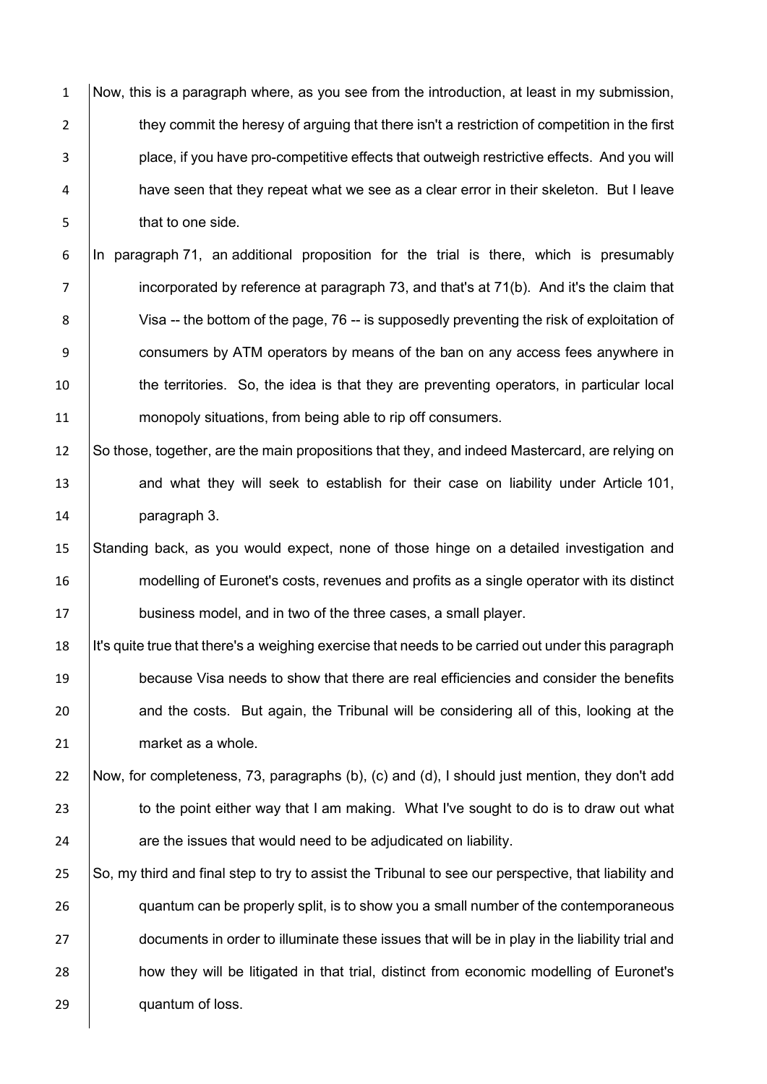1 Now, this is a paragraph where, as you see from the introduction, at least in my submission, 2  $\parallel$  they commit the heresy of arguing that there isn't a restriction of competition in the first 3 **place, if you have pro-competitive effects that outweigh restrictive effects. And you will** 4 | have seen that they repeat what we see as a clear error in their skeleton. But I leave 5 **b** that to one side.

6 In paragraph 71, an additional proposition for the trial is there, which is presumably  $7 \mid$  incorporated by reference at paragraph 73, and that's at 71(b). And it's the claim that 8 Visa -- the bottom of the page, 76 -- is supposedly preventing the risk of exploitation of 9 **consumers by ATM operators by means of the ban on any access fees anywhere in** 10 the territories. So, the idea is that they are preventing operators, in particular local 11 monopoly situations, from being able to rip off consumers.

12 So those, together, are the main propositions that they, and indeed Mastercard, are relying on 13 and what they will seek to establish for their case on liability under Article 101, 14 paragraph 3.

15 Standing back, as you would expect, none of those hinge on a detailed investigation and 16 modelling of Euronet's costs, revenues and profits as a single operator with its distinct 17 business model, and in two of the three cases, a small player.

18 It's quite true that there's a weighing exercise that needs to be carried out under this paragraph 19 **because Visa needs to show that there are real efficiencies and consider the benefits** 20 | and the costs. But again, the Tribunal will be considering all of this, looking at the 21 market as a whole.

22 Now, for completeness, 73, paragraphs (b), (c) and (d), I should just mention, they don't add 23 to the point either way that I am making. What I've sought to do is to draw out what 24 **are the issues that would need to be adjudicated on liability.** 

25 So, my third and final step to try to assist the Tribunal to see our perspective, that liability and 26 **quantum can be properly split, is to show you a small number of the contemporaneous** 27 **documents in order to illuminate these issues that will be in play in the liability trial and** 28 how they will be litigated in that trial, distinct from economic modelling of Euronet's 29 quantum of loss.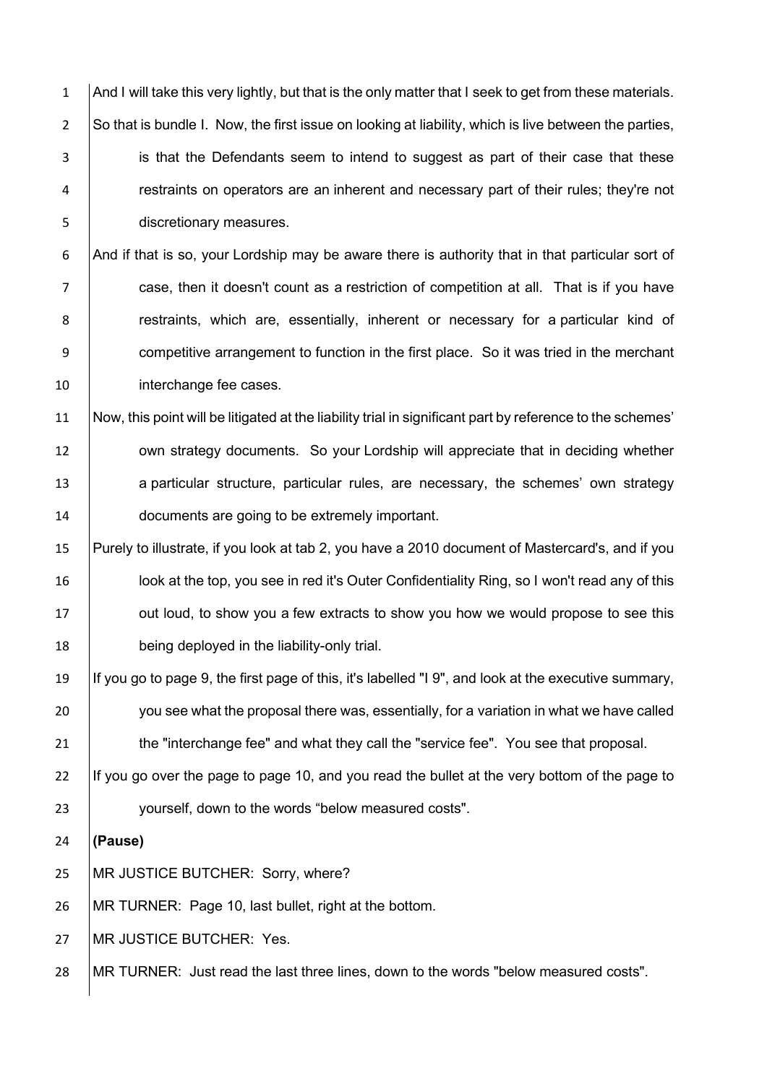1 And I will take this very lightly, but that is the only matter that I seek to get from these materials. So that is bundle I. Now, the first issue on looking at liability, which is live between the parties, 3 is that the Defendants seem to intend to suggest as part of their case that these **Fig.** restraints on operators are an inherent and necessary part of their rules; they're not discretionary measures.

6 And if that is so, your Lordship may be aware there is authority that in that particular sort of **Fig.** case, then it doesn't count as a restriction of competition at all. That is if you have **8** restraints, which are, essentially, inherent or necessary for a particular kind of **competitive arrangement to function in the first place.** So it was tried in the merchant 10 | interchange fee cases.

 Now, this point will be litigated at the liability trial in significant part by reference to the schemes' **own strategy documents.** So your Lordship will appreciate that in deciding whether 13 a particular structure, particular rules, are necessary, the schemes' own strategy **documents are going to be extremely important.** 

 Purely to illustrate, if you look at tab 2, you have a 2010 document of Mastercard's, and if you **look at the top, you see in red it's Outer Confidentiality Ring, so I won't read any of this**   $\parallel$  out loud, to show you a few extracts to show you how we would propose to see this **being deployed in the liability-only trial.** 

 If you go to page 9, the first page of this, it's labelled "I 9", and look at the executive summary, 20 you see what the proposal there was, essentially, for a variation in what we have called **the "interchange fee" and what they call the "service fee". You see that proposal.** 

22 If you go over the page to page 10, and you read the bullet at the very bottom of the page to yourself, down to the words "below measured costs".

**(Pause)**

25 | MR JUSTICE BUTCHER: Sorry, where?

26 | MR TURNER: Page 10, last bullet, right at the bottom.

27 MR JUSTICE BUTCHER: Yes.

MR TURNER: Just read the last three lines, down to the words "below measured costs".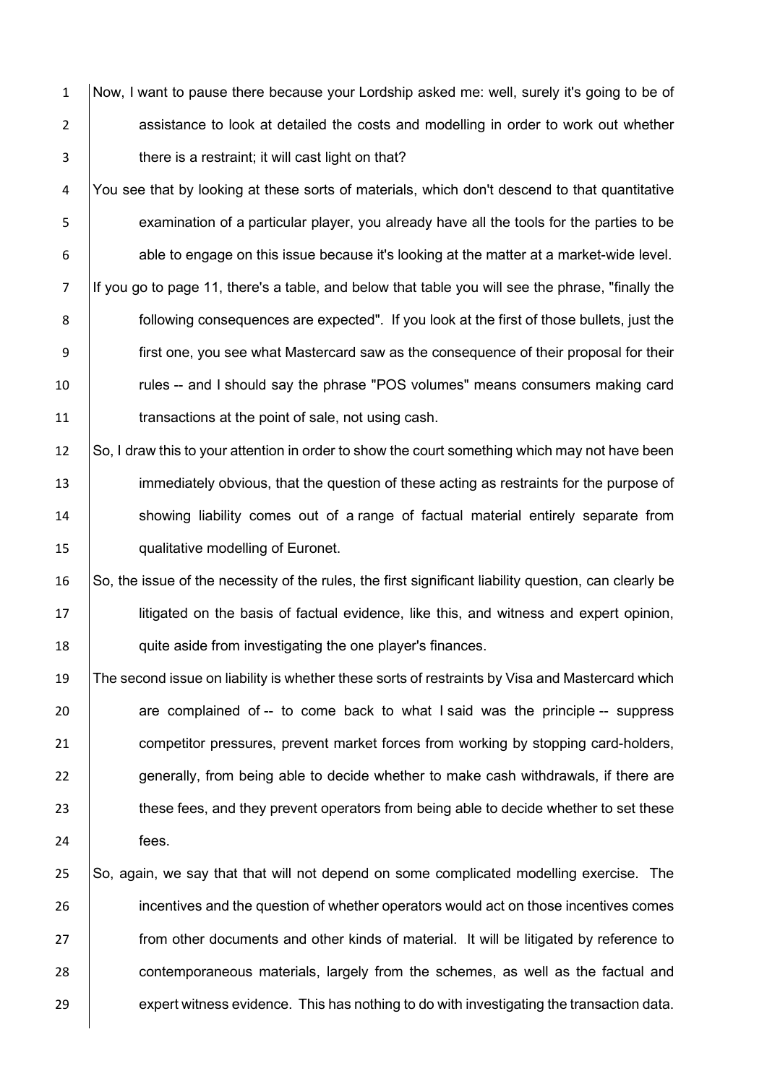1 Now, I want to pause there because your Lordship asked me: well, surely it's going to be of 2 **assistance to look at detailed the costs and modelling in order to work out whether** 3 **there is a restraint; it will cast light on that?** 

4 You see that by looking at these sorts of materials, which don't descend to that quantitative 5 examination of a particular player, you already have all the tools for the parties to be  $\overline{6}$  able to engage on this issue because it's looking at the matter at a market-wide level. 7 If you go to page 11, there's a table, and below that table you will see the phrase, "finally the 8 following consequences are expected". If you look at the first of those bullets, just the 9 first one, you see what Mastercard saw as the consequence of their proposal for their 10 Trules -- and I should say the phrase "POS volumes" means consumers making card 11 **transactions at the point of sale, not using cash.** 

 $12$  So, I draw this to your attention in order to show the court something which may not have been 13 immediately obvious, that the question of these acting as restraints for the purpose of 14 Showing liability comes out of a range of factual material entirely separate from 15 **qualitative modelling of Euronet.** 

16 So, the issue of the necessity of the rules, the first significant liability question, can clearly be 17 **litigated on the basis of factual evidence, like this, and witness and expert opinion,** 18 **quite aside from investigating the one player's finances.** 

 The second issue on liability is whether these sorts of restraints by Visa and Mastercard which **are complained of -- to come back to what I said was the principle -- suppress competitior pressures, prevent market forces from working by stopping card-holders,** 22 generally, from being able to decide whether to make cash withdrawals, if there are these fees, and they prevent operators from being able to decide whether to set these 24 fees.

25  $\vert$  So, again, we say that that will not depend on some complicated modelling exercise. The 26 incentives and the question of whether operators would act on those incentives comes 27 **from other documents and other kinds of material.** It will be litigated by reference to 28 contemporaneous materials, largely from the schemes, as well as the factual and 29 expert witness evidence. This has nothing to do with investigating the transaction data.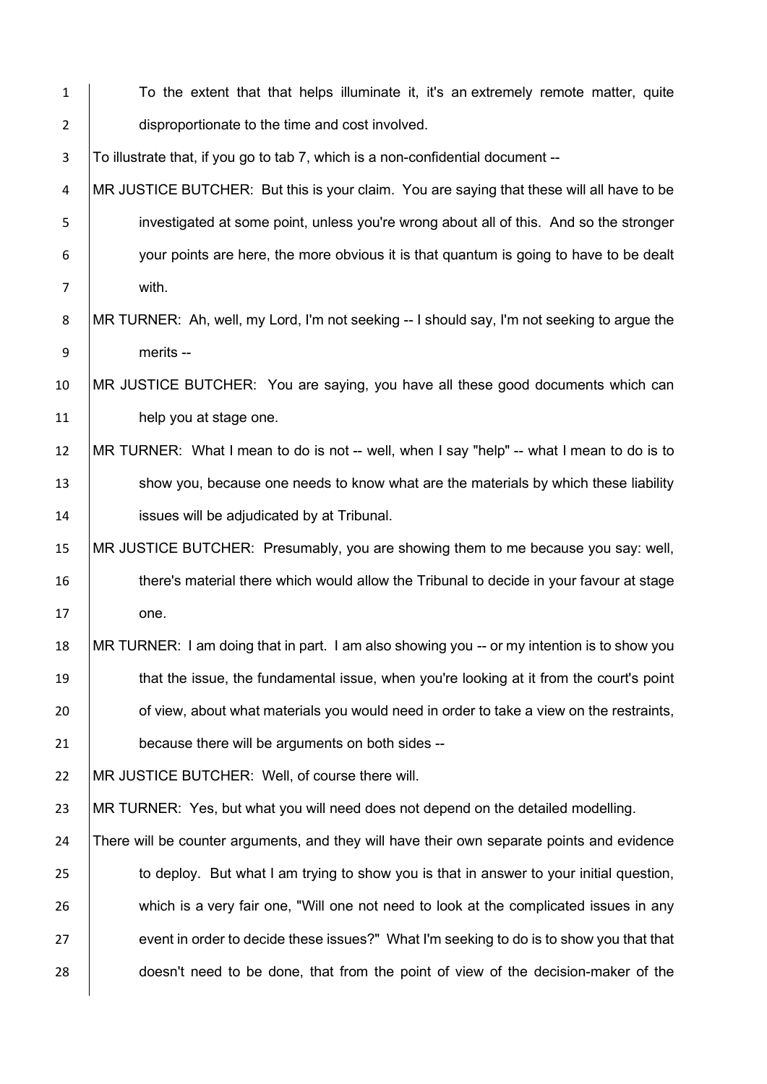| $\mathbf{1}$   | To the extent that that helps illuminate it, it's an extremely remote matter, quite         |
|----------------|---------------------------------------------------------------------------------------------|
| $\overline{2}$ | disproportionate to the time and cost involved.                                             |
| 3              | To illustrate that, if you go to tab 7, which is a non-confidential document --             |
| 4              | MR JUSTICE BUTCHER: But this is your claim. You are saying that these will all have to be   |
| 5              | investigated at some point, unless you're wrong about all of this. And so the stronger      |
| 6              | your points are here, the more obvious it is that quantum is going to have to be dealt      |
| $\overline{7}$ | with.                                                                                       |
| 8              | MR TURNER: Ah, well, my Lord, I'm not seeking -- I should say, I'm not seeking to argue the |
| 9              | merits --                                                                                   |
| 10             | MR JUSTICE BUTCHER: You are saying, you have all these good documents which can             |
| 11             | help you at stage one.                                                                      |
| 12             | MR TURNER: What I mean to do is not -- well, when I say "help" -- what I mean to do is to   |
| 13             | show you, because one needs to know what are the materials by which these liability         |
| 14             | issues will be adjudicated by at Tribunal.                                                  |
| 15             | MR JUSTICE BUTCHER: Presumably, you are showing them to me because you say: well,           |
| 16             | there's material there which would allow the Tribunal to decide in your favour at stage     |
| 17             | one.                                                                                        |
| 18             | MR TURNER: I am doing that in part. I am also showing you -- or my intention is to show you |
| 19             | that the issue, the fundamental issue, when you're looking at it from the court's point     |
| 20             | of view, about what materials you would need in order to take a view on the restraints,     |
| 21             | because there will be arguments on both sides --                                            |
| 22             | MR JUSTICE BUTCHER: Well, of course there will.                                             |
| 23             | MR TURNER: Yes, but what you will need does not depend on the detailed modelling.           |
| 24             | There will be counter arguments, and they will have their own separate points and evidence  |
| 25             | to deploy. But what I am trying to show you is that in answer to your initial question,     |
| 26             | which is a very fair one, "Will one not need to look at the complicated issues in any       |
| 27             | event in order to decide these issues?" What I'm seeking to do is to show you that that     |
| 28             | doesn't need to be done, that from the point of view of the decision-maker of the           |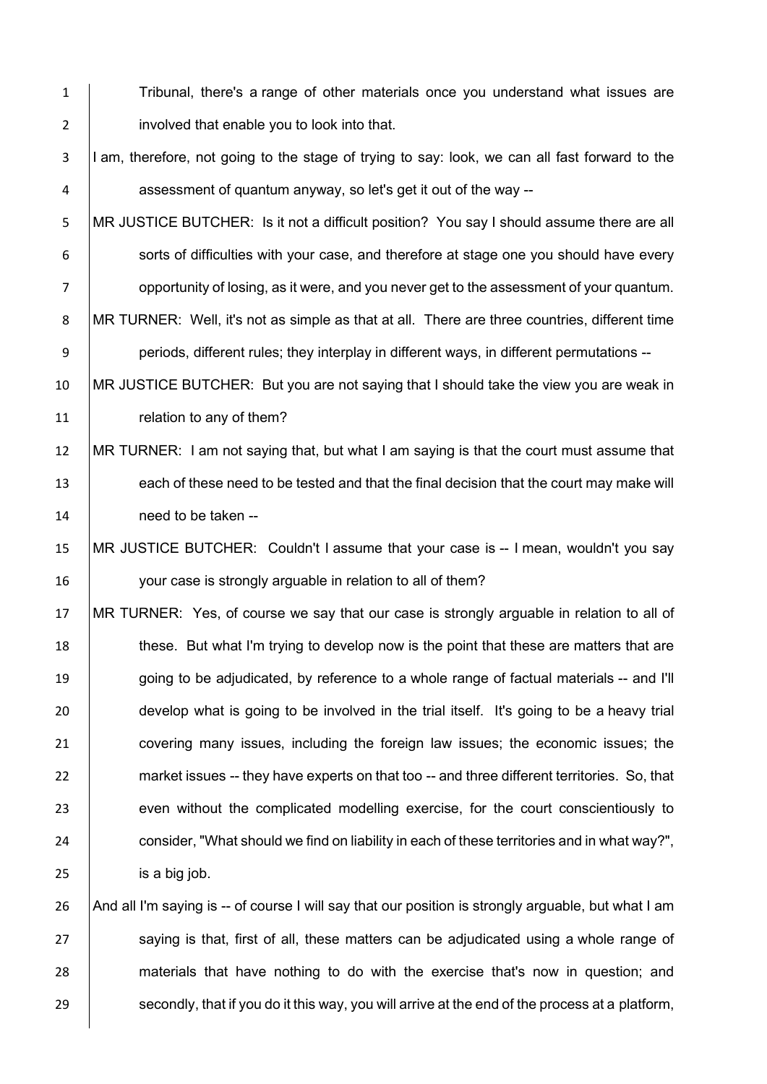- 1 Tribunal, there's a range of other materials once you understand what issues are 2 **involved that enable you to look into that.**
- 3 I am, therefore, not going to the stage of trying to say: look, we can all fast forward to the  $4$  | assessment of quantum anyway, so let's get it out of the way --
- 5 MR JUSTICE BUTCHER: Is it not a difficult position? You say I should assume there are all  $\overline{6}$  sorts of difficulties with your case, and therefore at stage one you should have every 7 **Fig. 3** opportunity of losing, as it were, and you never get to the assessment of your quantum. 8 MR TURNER: Well, it's not as simple as that at all. There are three countries, different time

9 | periods, different rules; they interplay in different ways, in different permutations --10 MR JUSTICE BUTCHER: But you are not saying that I should take the view you are weak in

11 **canceled** relation to any of them?

- 12 MR TURNER: I am not saying that, but what I am saying is that the court must assume that 13 each of these need to be tested and that the final decision that the court may make will 14 **heed to be taken** --
- 15 MR JUSTICE BUTCHER: Couldn't I assume that your case is -- I mean, wouldn't you say 16 **your case is strongly arguable in relation to all of them?**
- 17 MR TURNER: Yes, of course we say that our case is strongly arguable in relation to all of 18 these. But what I'm trying to develop now is the point that these are matters that are 19 **going to be adjudicated, by reference to a whole range of factual materials -- and I'll** 20 develop what is going to be involved in the trial itself. It's going to be a heavy trial 21 covering many issues, including the foreign law issues; the economic issues; the 22 market issues -- they have experts on that too -- and three different territories. So, that 23 even without the complicated modelling exercise, for the court conscientiously to 24 **consider, "What should we find on liability in each of these territories and in what way?",**  $25$  is a big job.
- 26 And all I'm saying is -- of course I will say that our position is strongly arguable, but what I am 27 Saying is that, first of all, these matters can be adjudicated using a whole range of 28 **materials that have nothing to do with the exercise that's now in question; and** 29 **Secondly, that if you do it this way, you will arrive at the end of the process at a platform,**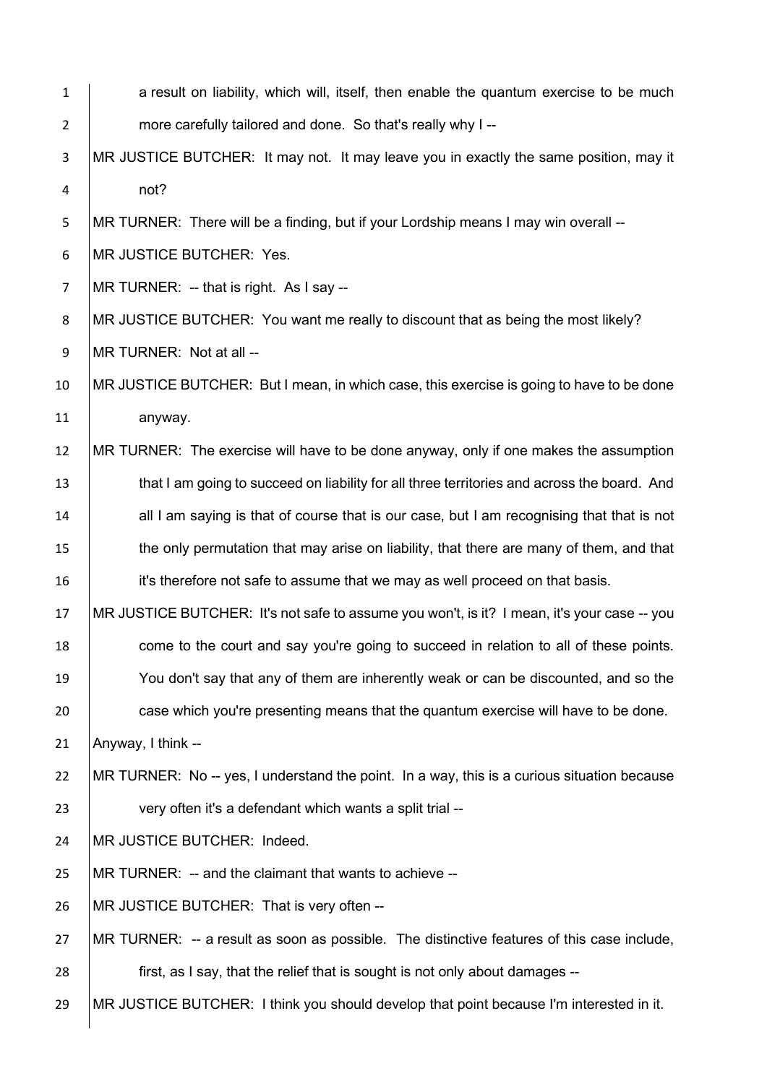| $\mathbf{1}$   | a result on liability, which will, itself, then enable the quantum exercise to be much      |
|----------------|---------------------------------------------------------------------------------------------|
| $\overline{2}$ | more carefully tailored and done. So that's really why I--                                  |
| 3              | MR JUSTICE BUTCHER: It may not. It may leave you in exactly the same position, may it       |
| 4              | not?                                                                                        |
| 5              | MR TURNER: There will be a finding, but if your Lordship means I may win overall --         |
| 6              | MR JUSTICE BUTCHER: Yes.                                                                    |
| $\overline{7}$ | MR TURNER: -- that is right. As I say --                                                    |
| 8              | MR JUSTICE BUTCHER: You want me really to discount that as being the most likely?           |
| 9              | MR TURNER: Not at all --                                                                    |
| 10             | MR JUSTICE BUTCHER: But I mean, in which case, this exercise is going to have to be done    |
| 11             | anyway.                                                                                     |
| 12             | MR TURNER: The exercise will have to be done anyway, only if one makes the assumption       |
| 13             | that I am going to succeed on liability for all three territories and across the board. And |
| 14             | all I am saying is that of course that is our case, but I am recognising that that is not   |
| 15             | the only permutation that may arise on liability, that there are many of them, and that     |
| 16             | it's therefore not safe to assume that we may as well proceed on that basis.                |
| 17             | MR JUSTICE BUTCHER: It's not safe to assume you won't, is it? I mean, it's your case -- you |
| 18             | come to the court and say you're going to succeed in relation to all of these points.       |
| 19             | You don't say that any of them are inherently weak or can be discounted, and so the         |
| 20             | case which you're presenting means that the quantum exercise will have to be done.          |
| 21             | Anyway, I think --                                                                          |
| 22             | MR TURNER: No -- yes, I understand the point. In a way, this is a curious situation because |
| 23             | very often it's a defendant which wants a split trial --                                    |
| 24             | MR JUSTICE BUTCHER: Indeed.                                                                 |
| 25             | MR TURNER: -- and the claimant that wants to achieve --                                     |
| 26             | MR JUSTICE BUTCHER: That is very often --                                                   |
| 27             | MR TURNER: -- a result as soon as possible. The distinctive features of this case include,  |
| 28             | first, as I say, that the relief that is sought is not only about damages --                |
| 29             | MR JUSTICE BUTCHER: I think you should develop that point because I'm interested in it.     |
|                |                                                                                             |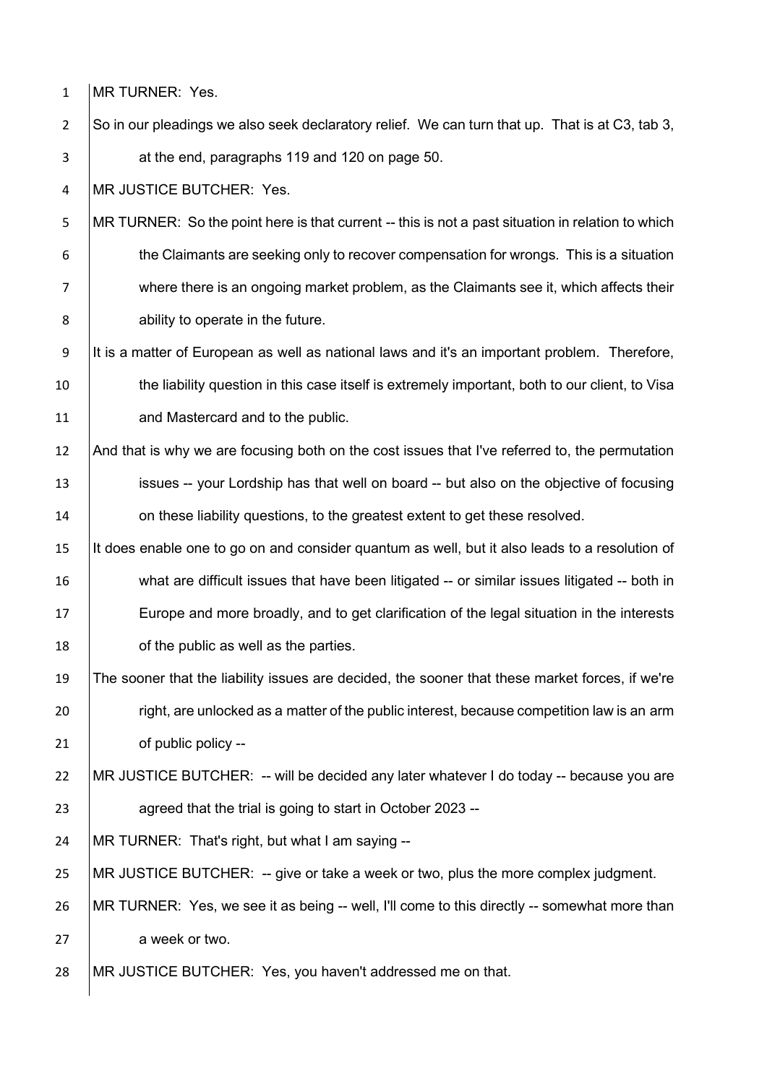- 1 MR TURNER: Yes.
- 2 So in our pleadings we also seek declaratory relief. We can turn that up. That is at C3, tab 3, 3 at the end, paragraphs 119 and 120 on page 50.

4 | MR JUSTICE BUTCHER: Yes.

MR TURNER: So the point here is that current -- this is not a past situation in relation to which 6 the Claimants are seeking only to recover compensation for wrongs. This is a situation **where there is an ongoing market problem, as the Claimants see it, which affects their budge 1** ability to operate in the future.

9 | It is a matter of European as well as national laws and it's an important problem. Therefore, 10 the liability question in this case itself is extremely important, both to our client, to Visa 11 **and Mastercard and to the public.** 

12 And that is why we are focusing both on the cost issues that I've referred to, the permutation 13 issues -- your Lordship has that well on board -- but also on the objective of focusing 14 **on these liability questions, to the greatest extent to get these resolved.** 

 It does enable one to go on and consider quantum as well, but it also leads to a resolution of 16 what are difficult issues that have been litigated -- or similar issues litigated -- both in Europe and more broadly, and to get clarification of the legal situation in the interests **b** of the public as well as the parties.

19 The sooner that the liability issues are decided, the sooner that these market forces, if we're 20 **right, are unlocked as a matter of the public interest, because competition law is an arm** 21 **of public policy** --

22 MR JUSTICE BUTCHER: -- will be decided any later whatever I do today -- because you are 23 agreed that the trial is going to start in October 2023 --

24 MR TURNER: That's right, but what I am saying --

25 MR JUSTICE BUTCHER: -- give or take a week or two, plus the more complex judgment.

26 | MR TURNER: Yes, we see it as being -- well, I'll come to this directly -- somewhat more than 27 a week or two.

28 | MR JUSTICE BUTCHER: Yes, you haven't addressed me on that.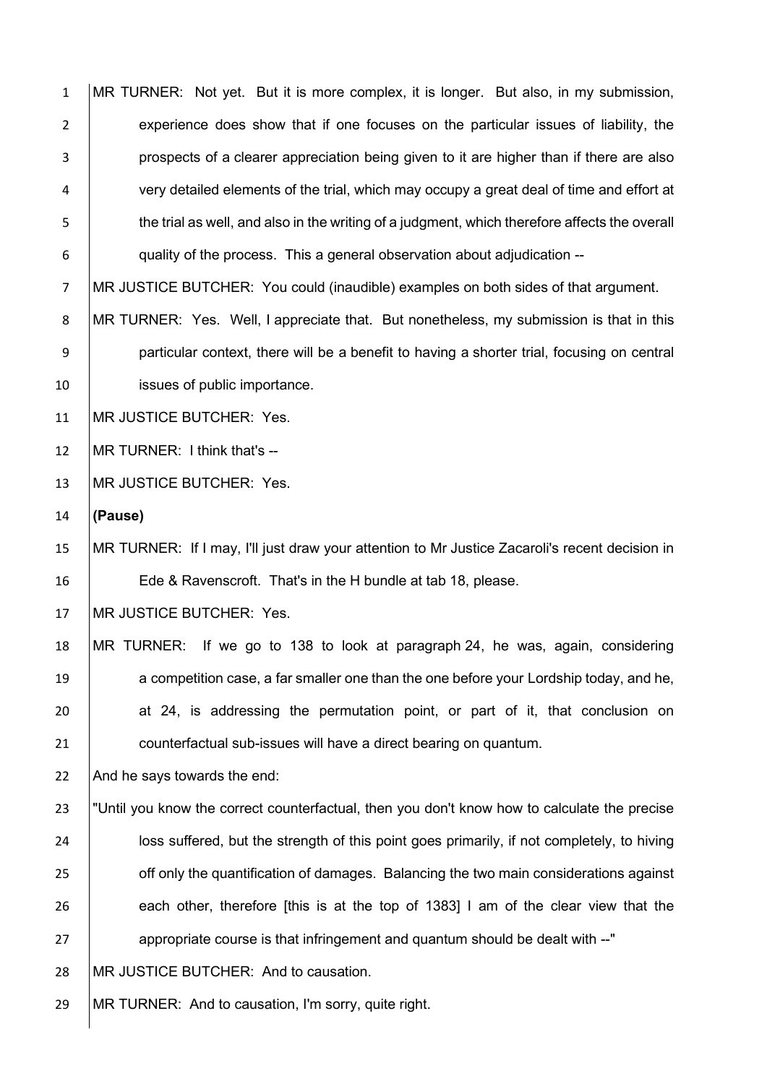MR TURNER: Not yet. But it is more complex, it is longer. But also, in my submission, 2 experience does show that if one focuses on the particular issues of liability, the **prospects of a clearer appreciation being given to it are higher than if there are also** 4 very detailed elements of the trial, which may occupy a great deal of time and effort at  $\overline{5}$  the trial as well, and also in the writing of a judgment, which therefore affects the overall **quality of the process. This a general observation about adjudication --**MR JUSTICE BUTCHER: You could (inaudible) examples on both sides of that argument. 8 MR TURNER: Yes. Well, I appreciate that. But nonetheless, my submission is that in this 9 | particular context, there will be a benefit to having a shorter trial, focusing on central **issues of public importance.**  MR JUSTICE BUTCHER: Yes. MR TURNER: I think that's -- MR JUSTICE BUTCHER: Yes. **(Pause)** MR TURNER: If I may, I'll just draw your attention to Mr Justice Zacaroli's recent decision in Ede & Ravenscroft. That's in the H bundle at tab 18, please. MR JUSTICE BUTCHER: Yes. MR TURNER: If we go to 138 to look at paragraph 24, he was, again, considering 19 a competition case, a far smaller one than the one before your Lordship today, and he, 20 at 24, is addressing the permutation point, or part of it, that conclusion on **counterfactual sub-issues will have a direct bearing on quantum.**  $\vert$  And he says towards the end: "Until you know the correct counterfactual, then you don't know how to calculate the precise **let in the strength of this point goes primarily, if not completely, to hiving off only the quantification of damages.** Balancing the two main considerations against 26 each other, therefore [this is at the top of 1383] I am of the clear view that the  $\parallel$  appropriate course is that infringement and quantum should be dealt with  $-$ " MR JUSTICE BUTCHER: And to causation. MR TURNER: And to causation, I'm sorry, quite right.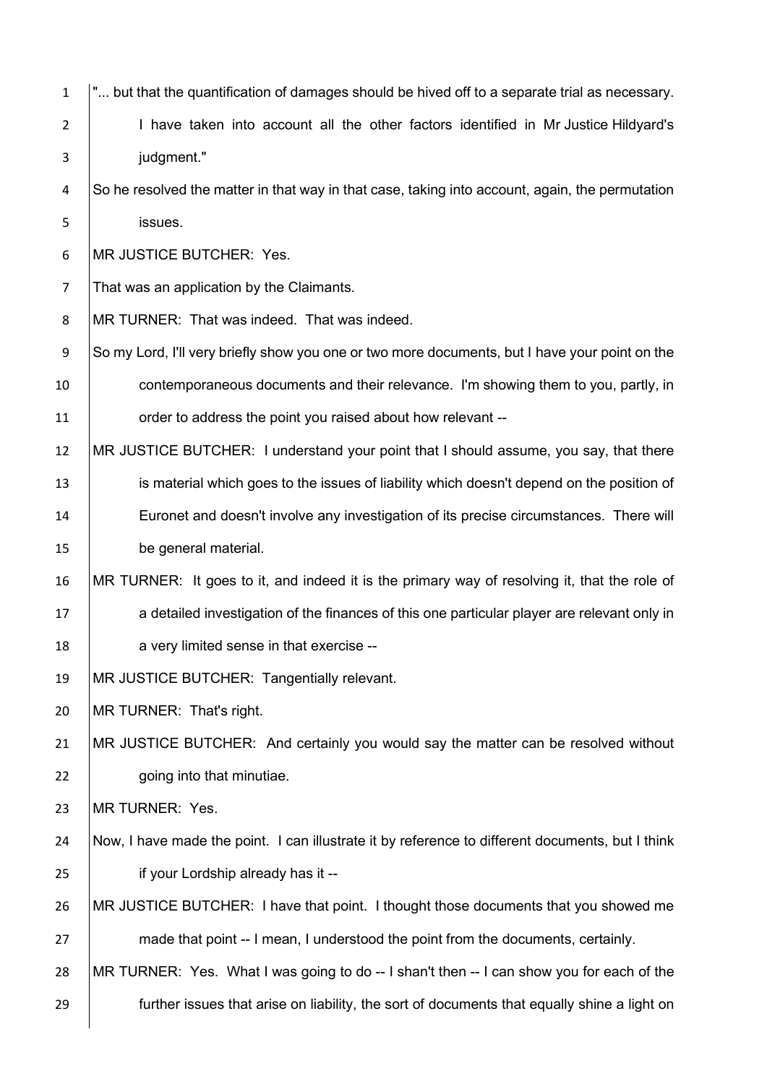| 1              | " but that the quantification of damages should be hived off to a separate trial as necessary.   |
|----------------|--------------------------------------------------------------------------------------------------|
| 2              | I have taken into account all the other factors identified in Mr Justice Hildyard's              |
| 3              | judgment."                                                                                       |
| 4              | So he resolved the matter in that way in that case, taking into account, again, the permutation  |
| 5              | issues.                                                                                          |
| 6              | MR JUSTICE BUTCHER: Yes.                                                                         |
| $\overline{7}$ | That was an application by the Claimants.                                                        |
| 8              | MR TURNER: That was indeed. That was indeed.                                                     |
| 9              | So my Lord, I'll very briefly show you one or two more documents, but I have your point on the   |
| 10             | contemporaneous documents and their relevance. I'm showing them to you, partly, in               |
| 11             | order to address the point you raised about how relevant --                                      |
| 12             | MR JUSTICE BUTCHER: I understand your point that I should assume, you say, that there            |
| 13             | is material which goes to the issues of liability which doesn't depend on the position of        |
| 14             | Euronet and doesn't involve any investigation of its precise circumstances. There will           |
| 15             | be general material.                                                                             |
| 16             | MR TURNER: It goes to it, and indeed it is the primary way of resolving it, that the role of     |
| 17             | a detailed investigation of the finances of this one particular player are relevant only in      |
| 18             | a very limited sense in that exercise --                                                         |
| 19             | MR JUSTICE BUTCHER: Tangentially relevant.                                                       |
| 20             | MR TURNER: That's right.                                                                         |
| 21             | MR JUSTICE BUTCHER: And certainly you would say the matter can be resolved without               |
| 22             | going into that minutiae.                                                                        |
| 23             | MR TURNER: Yes.                                                                                  |
| 24             | Now, I have made the point. I can illustrate it by reference to different documents, but I think |
| 25             | if your Lordship already has it --                                                               |
| 26             | MR JUSTICE BUTCHER: I have that point. I thought those documents that you showed me              |
| 27             | made that point -- I mean, I understood the point from the documents, certainly.                 |
| 28             | MR TURNER: Yes. What I was going to do -- I shan't then -- I can show you for each of the        |
| 29             | further issues that arise on liability, the sort of documents that equally shine a light on      |
|                |                                                                                                  |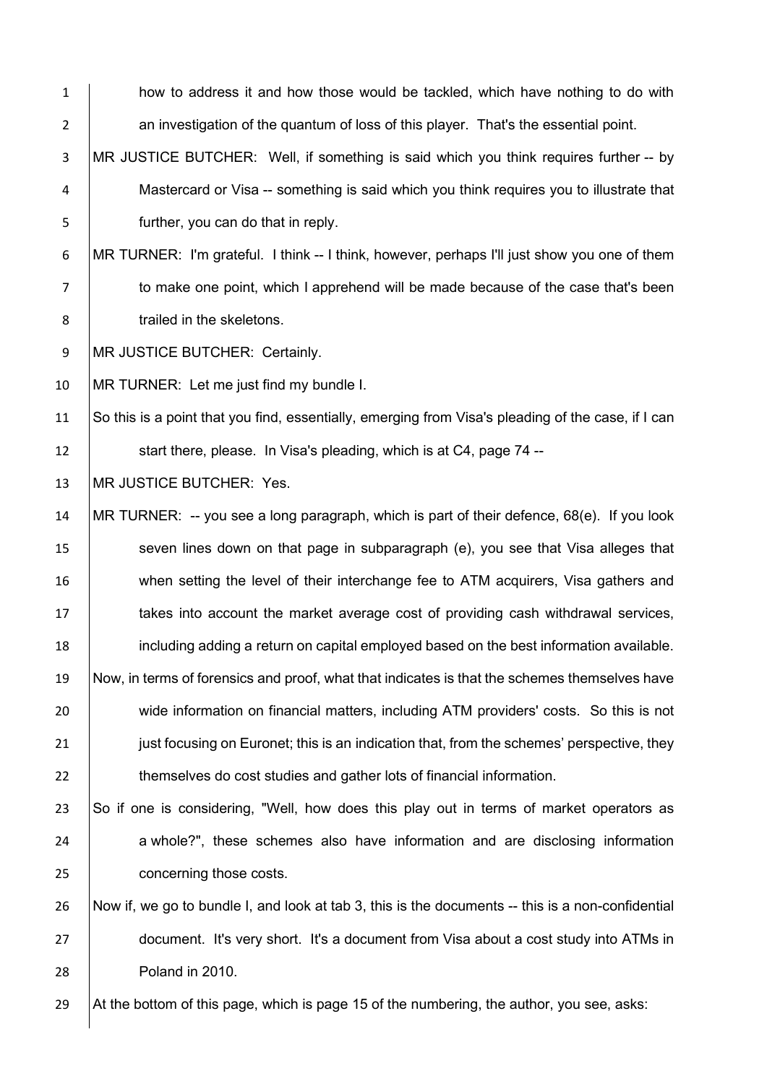| $\mathbf{1}$   | how to address it and how those would be tackled, which have nothing to do with                    |
|----------------|----------------------------------------------------------------------------------------------------|
| $\overline{2}$ | an investigation of the quantum of loss of this player. That's the essential point.                |
| 3              | MR JUSTICE BUTCHER: Well, if something is said which you think requires further -- by              |
| 4              | Mastercard or Visa -- something is said which you think requires you to illustrate that            |
| 5              | further, you can do that in reply.                                                                 |
| 6              | MR TURNER: I'm grateful. I think -- I think, however, perhaps I'll just show you one of them       |
| 7              | to make one point, which I apprehend will be made because of the case that's been                  |
| 8              | trailed in the skeletons.                                                                          |
| 9              | MR JUSTICE BUTCHER: Certainly.                                                                     |
| 10             | MR TURNER: Let me just find my bundle I.                                                           |
| 11             | So this is a point that you find, essentially, emerging from Visa's pleading of the case, if I can |
| 12             | start there, please. In Visa's pleading, which is at C4, page 74 --                                |
| 13             | MR JUSTICE BUTCHER: Yes.                                                                           |
| 14             | MR TURNER: -- you see a long paragraph, which is part of their defence, 68(e). If you look         |
| 15             | seven lines down on that page in subparagraph (e), you see that Visa alleges that                  |
| 16             | when setting the level of their interchange fee to ATM acquirers, Visa gathers and                 |
| 17             | takes into account the market average cost of providing cash withdrawal services,                  |
| 18             | including adding a return on capital employed based on the best information available.             |
| 19             | Now, in terms of forensics and proof, what that indicates is that the schemes themselves have      |
| 20             | wide information on financial matters, including ATM providers' costs. So this is not              |
| 21             | just focusing on Euronet; this is an indication that, from the schemes' perspective, they          |
| 22             | themselves do cost studies and gather lots of financial information.                               |
| 23             | So if one is considering, "Well, how does this play out in terms of market operators as            |
| 24             | a whole?", these schemes also have information and are disclosing information                      |
| 25             | concerning those costs.                                                                            |
| 26             | Now if, we go to bundle I, and look at tab 3, this is the documents -- this is a non-confidential  |
| 27             | document. It's very short. It's a document from Visa about a cost study into ATMs in               |
| 28             | Poland in 2010.                                                                                    |
| 29             | At the bottom of this page, which is page 15 of the numbering, the author, you see, asks:          |
|                |                                                                                                    |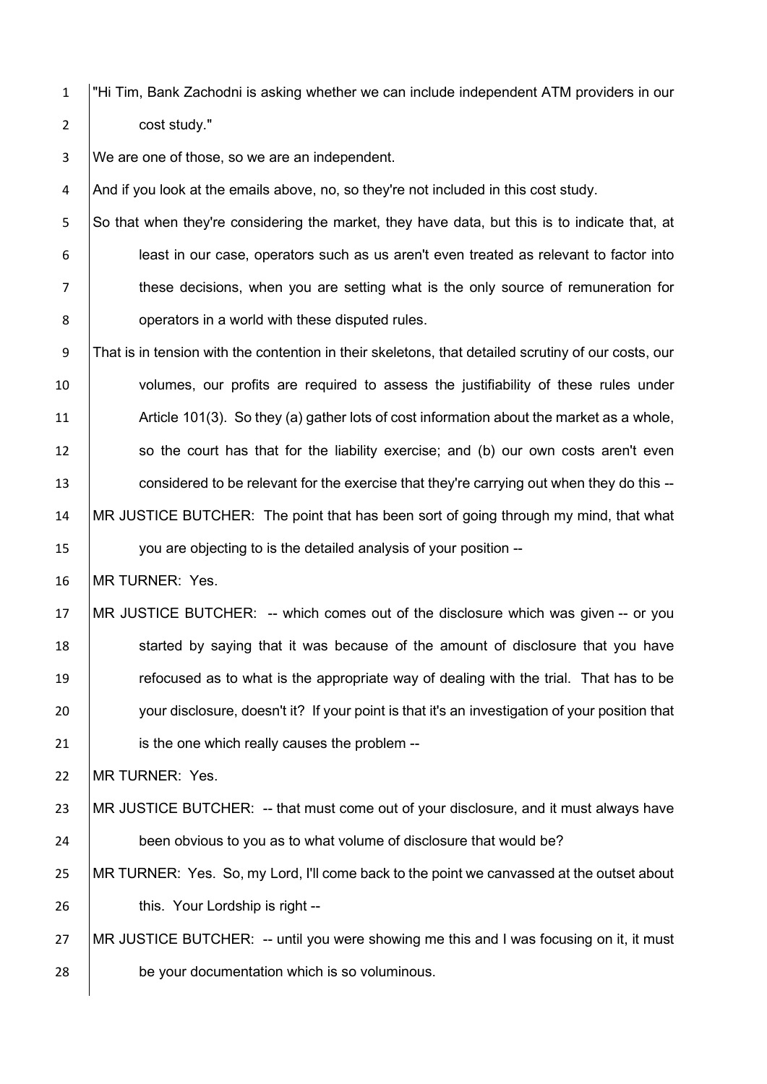1 "Hi Tim, Bank Zachodni is asking whether we can include independent ATM providers in our

2 cost study."

3 We are one of those, so we are an independent.

4 And if you look at the emails above, no, so they're not included in this cost study.

5 So that when they're considering the market, they have data, but this is to indicate that, at 6 least in our case, operators such as us aren't even treated as relevant to factor into 7 T intese decisions, when you are setting what is the only source of remuneration for 8 **b** operators in a world with these disputed rules.

9 That is in tension with the contention in their skeletons, that detailed scrutiny of our costs, our 10 volumes, our profits are required to assess the justifiability of these rules under 11  $\parallel$  Article 101(3). So they (a) gather lots of cost information about the market as a whole, 12 | so the court has that for the liability exercise; and (b) our own costs aren't even 13 **considered to be relevant for the exercise that they're carrying out when they do this --**14 MR JUSTICE BUTCHER: The point that has been sort of going through my mind, that what 15 you are objecting to is the detailed analysis of your position --

16 MR TURNER: Yes.

17 MR JUSTICE BUTCHER: -- which comes out of the disclosure which was given -- or you 18 Started by saying that it was because of the amount of disclosure that you have 19 The focused as to what is the appropriate way of dealing with the trial. That has to be 20 your disclosure, doesn't it? If your point is that it's an investigation of your position that  $21$  is the one which really causes the problem --

22 | MR TURNER: Yes.

- 23 | MR JUSTICE BUTCHER: -- that must come out of your disclosure, and it must always have  $24$  been obvious to you as to what volume of disclosure that would be?
- 25 MR TURNER: Yes. So, my Lord, I'll come back to the point we canvassed at the outset about 26 **this. Your Lordship is right --**
- 27 MR JUSTICE BUTCHER: -- until you were showing me this and I was focusing on it, it must 28 **be your documentation which is so voluminous.**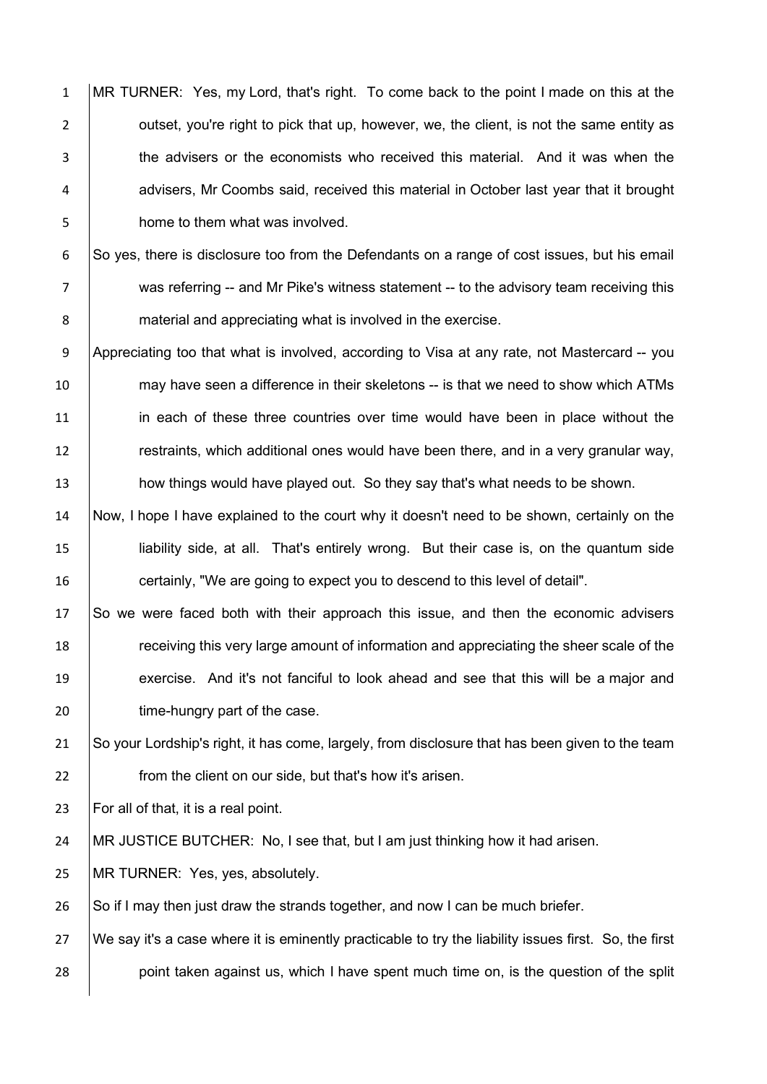1 | MR TURNER: Yes, my Lord, that's right. To come back to the point I made on this at the **J** outset, you're right to pick that up, however, we, the client, is not the same entity as 3 the advisers or the economists who received this material. And it was when the 4 advisers, Mr Coombs said, received this material in October last year that it brought home to them what was involved.

 So yes, there is disclosure too from the Defendants on a range of cost issues, but his email **was referring -- and Mr Pike's witness statement -- to the advisory team receiving this** material and appreciating what is involved in the exercise.

Appreciating too that what is involved, according to Visa at any rate, not Mastercard -- you 10 may have seen a difference in their skeletons -- is that we need to show which ATMs 11 in each of these three countries over time would have been in place without the **Fig. 7** restraints, which additional ones would have been there, and in a very granular way, 13 how things would have played out. So they say that's what needs to be shown.

 Now, I hope I have explained to the court why it doesn't need to be shown, certainly on the liability side, at all. That's entirely wrong. But their case is, on the quantum side **certainly, "We are going to expect you to descend to this level of detail".** 

 So we were faced both with their approach this issue, and then the economic advisers receiving this very large amount of information and appreciating the sheer scale of the exercise. And it's not fanciful to look ahead and see that this will be a major and 20 time-hungry part of the case.

 So your Lordship's right, it has come, largely, from disclosure that has been given to the team **from the client on our side, but that's how it's arisen.** 

For all of that, it is a real point.

24 | MR JUSTICE BUTCHER: No, I see that, but I am just thinking how it had arisen.

MR TURNER: Yes, yes, absolutely.

26  $\vert$  So if I may then just draw the strands together, and now I can be much briefer.

27 We say it's a case where it is eminently practicable to try the liability issues first. So, the first 28 point taken against us, which I have spent much time on, is the question of the split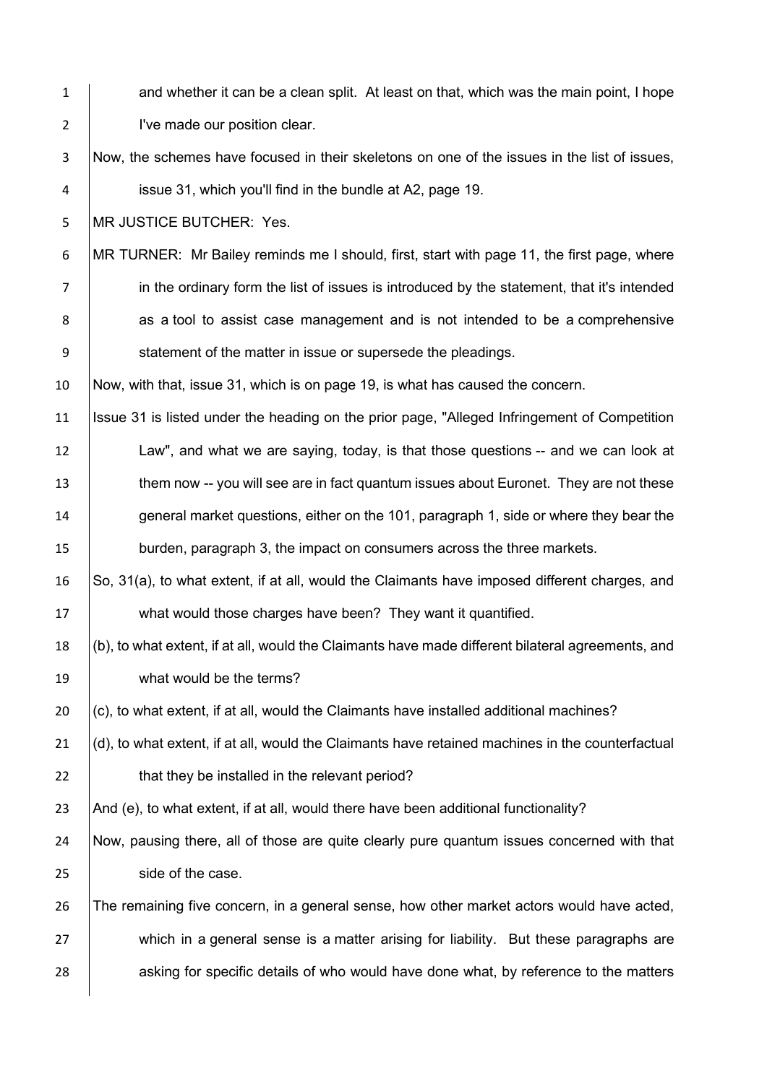| $\mathbf{1}$   | and whether it can be a clean split. At least on that, which was the main point, I hope           |
|----------------|---------------------------------------------------------------------------------------------------|
| $\overline{2}$ | I've made our position clear.                                                                     |
| 3              | Now, the schemes have focused in their skeletons on one of the issues in the list of issues,      |
| 4              | issue 31, which you'll find in the bundle at A2, page 19.                                         |
| 5              | MR JUSTICE BUTCHER: Yes.                                                                          |
| 6              | MR TURNER: Mr Bailey reminds me I should, first, start with page 11, the first page, where        |
| 7              | in the ordinary form the list of issues is introduced by the statement, that it's intended        |
| 8              | as a tool to assist case management and is not intended to be a comprehensive                     |
| 9              | statement of the matter in issue or supersede the pleadings.                                      |
| 10             | Now, with that, issue 31, which is on page 19, is what has caused the concern.                    |
| 11             | Issue 31 is listed under the heading on the prior page, "Alleged Infringement of Competition      |
| 12             | Law", and what we are saying, today, is that those questions -- and we can look at                |
| 13             | them now -- you will see are in fact quantum issues about Euronet. They are not these             |
| 14             | general market questions, either on the 101, paragraph 1, side or where they bear the             |
| 15             | burden, paragraph 3, the impact on consumers across the three markets.                            |
| 16             | So, 31(a), to what extent, if at all, would the Claimants have imposed different charges, and     |
| 17             | what would those charges have been? They want it quantified.                                      |
| 18             | (b), to what extent, if at all, would the Claimants have made different bilateral agreements, and |
| 19             | what would be the terms?                                                                          |
| 20             | (c), to what extent, if at all, would the Claimants have installed additional machines?           |
| 21             | (d), to what extent, if at all, would the Claimants have retained machines in the counterfactual  |
| 22             | that they be installed in the relevant period?                                                    |
| 23             | And (e), to what extent, if at all, would there have been additional functionality?               |
| 24             | Now, pausing there, all of those are quite clearly pure quantum issues concerned with that        |
| 25             | side of the case.                                                                                 |
| 26             | The remaining five concern, in a general sense, how other market actors would have acted,         |
| 27             | which in a general sense is a matter arising for liability. But these paragraphs are              |
| 28             | asking for specific details of who would have done what, by reference to the matters              |
|                |                                                                                                   |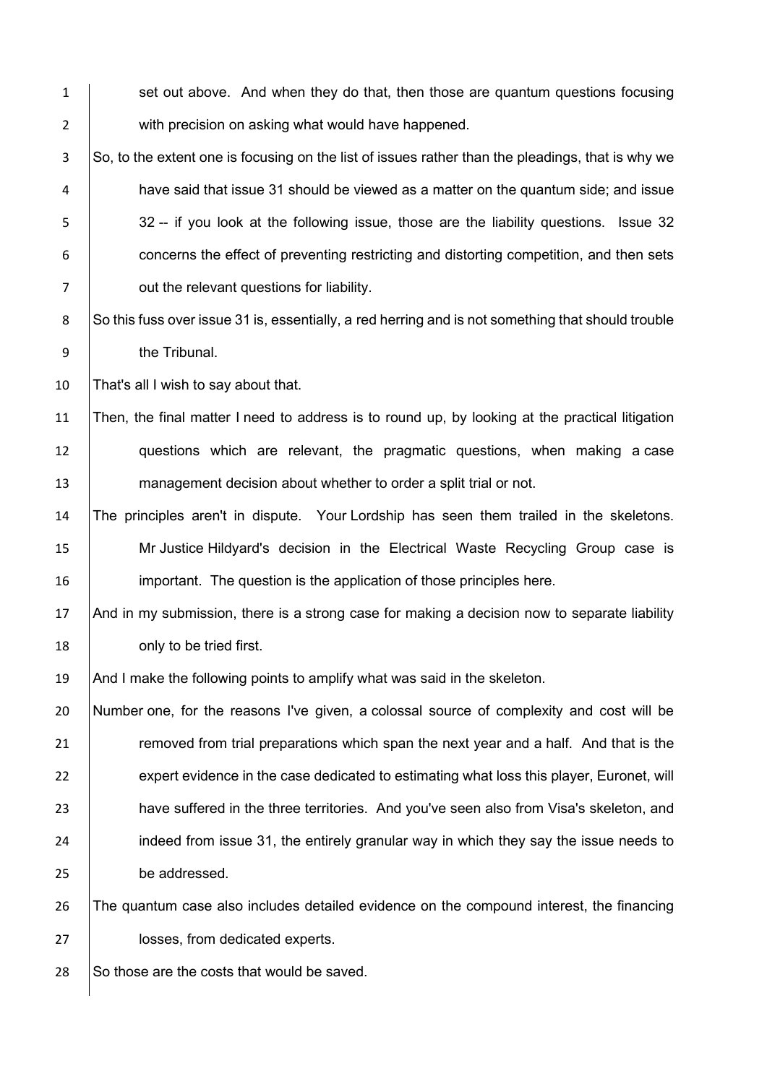1 set out above. And when they do that, then those are quantum questions focusing 2 with precision on asking what would have happened.

So, to the extent one is focusing on the list of issues rather than the pleadings, that is why we **have said that issue 31 should be viewed as a matter on the quantum side; and issue** 5 32 -- if you look at the following issue, those are the liability questions. Issue 32 **concerns the effect of preventing restricting and distorting competition, and then sets J** out the relevant questions for liability.

## 8  $\vert$  So this fuss over issue 31 is, essentially, a red herring and is not something that should trouble the Tribunal.

That's all I wish to say about that.

 Then, the final matter I need to address is to round up, by looking at the practical litigation questions which are relevant, the pragmatic questions, when making a case 13 management decision about whether to order a split trial or not.

 The principles aren't in dispute. Your Lordship has seen them trailed in the skeletons. 15 Mr Justice Hildyard's decision in the Electrical Waste Recycling Group case is important. The question is the application of those principles here.

 And in my submission, there is a strong case for making a decision now to separate liability **b** only to be tried first.

19 And I make the following points to amplify what was said in the skeleton.

 Number one, for the reasons I've given, a colossal source of complexity and cost will be **Frank of the moted from trial preparations which span the next year and a half.** And that is the 22 expert evidence in the case dedicated to estimating what loss this player, Euronet, will **have suffered in the three territories.** And you've seen also from Visa's skeleton, and indeed from issue 31, the entirely granular way in which they say the issue needs to be addressed.

 The quantum case also includes detailed evidence on the compound interest, the financing **lacks** losses, from dedicated experts.

So those are the costs that would be saved.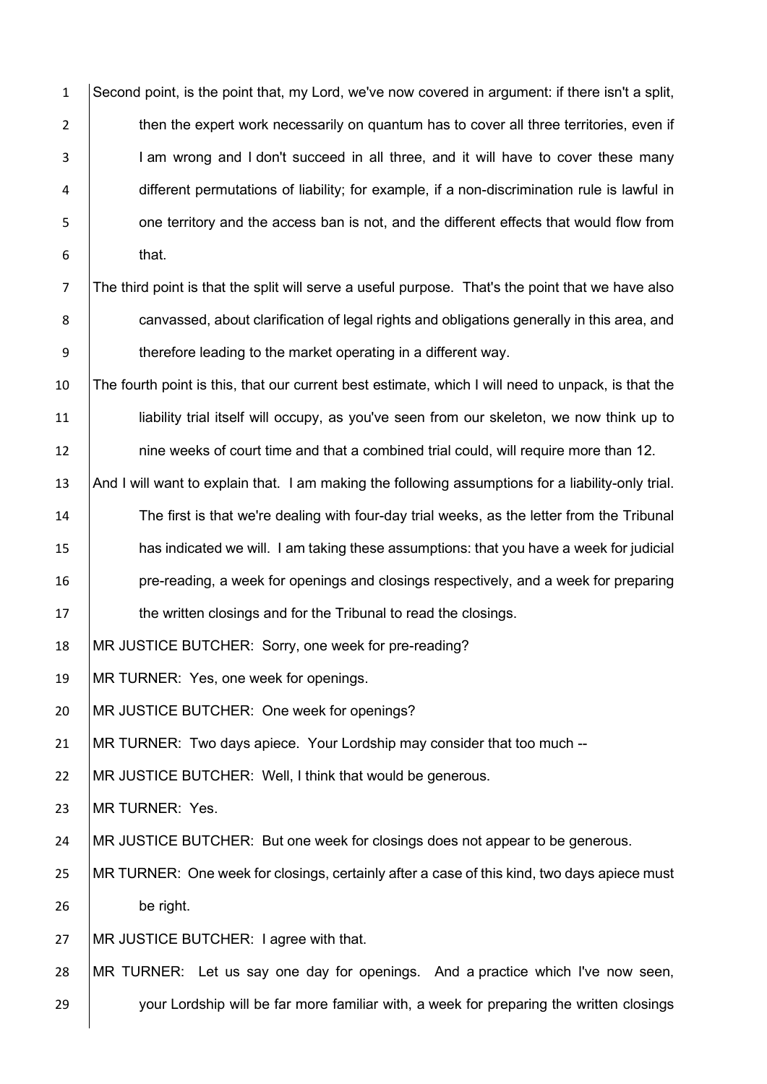1 Second point, is the point that, my Lord, we've now covered in argument: if there isn't a split, 2 then the expert work necessarily on quantum has to cover all three territories, even if 3 I am wrong and I don't succeed in all three, and it will have to cover these many 4 different permutations of liability; for example, if a non-discrimination rule is lawful in 5 **b** one territory and the access ban is not, and the different effects that would flow from  $6 \quad |$  that.

7 The third point is that the split will serve a useful purpose. That's the point that we have also 8 **canvassed, about clarification of legal rights and obligations generally in this area, and** 9  $\vert$  therefore leading to the market operating in a different way.

10 The fourth point is this, that our current best estimate, which I will need to unpack, is that the 11 **light** liability trial itself will occupy, as you've seen from our skeleton, we now think up to 12 **nine weeks of court time and that a combined trial could, will require more than 12.** 

13 And I will want to explain that. I am making the following assumptions for a liability-only trial.

14 The first is that we're dealing with four-day trial weeks, as the letter from the Tribunal **has indicated we will. I am taking these assumptions: that you have a week for judicial pre-reading, a week for openings and closings respectively, and a week for preparing the written closings and for the Tribunal to read the closings.** 

- 18 | MR JUSTICE BUTCHER: Sorry, one week for pre-reading?
- 19 | MR TURNER: Yes, one week for openings.
- 20 | MR JUSTICE BUTCHER: One week for openings?
- 21 | MR TURNER: Two days apiece. Your Lordship may consider that too much --
- 22 | MR JUSTICE BUTCHER: Well, I think that would be generous.
- 23 | MR TURNER: Yes.
- 24 | MR JUSTICE BUTCHER: But one week for closings does not appear to be generous.
- 25 MR TURNER: One week for closings, certainly after a case of this kind, two days apiece must 26 be right.
- 27 | MR JUSTICE BUTCHER: I agree with that.
- 28 MR TURNER: Let us say one day for openings. And a practice which I've now seen, 29 your Lordship will be far more familiar with, a week for preparing the written closings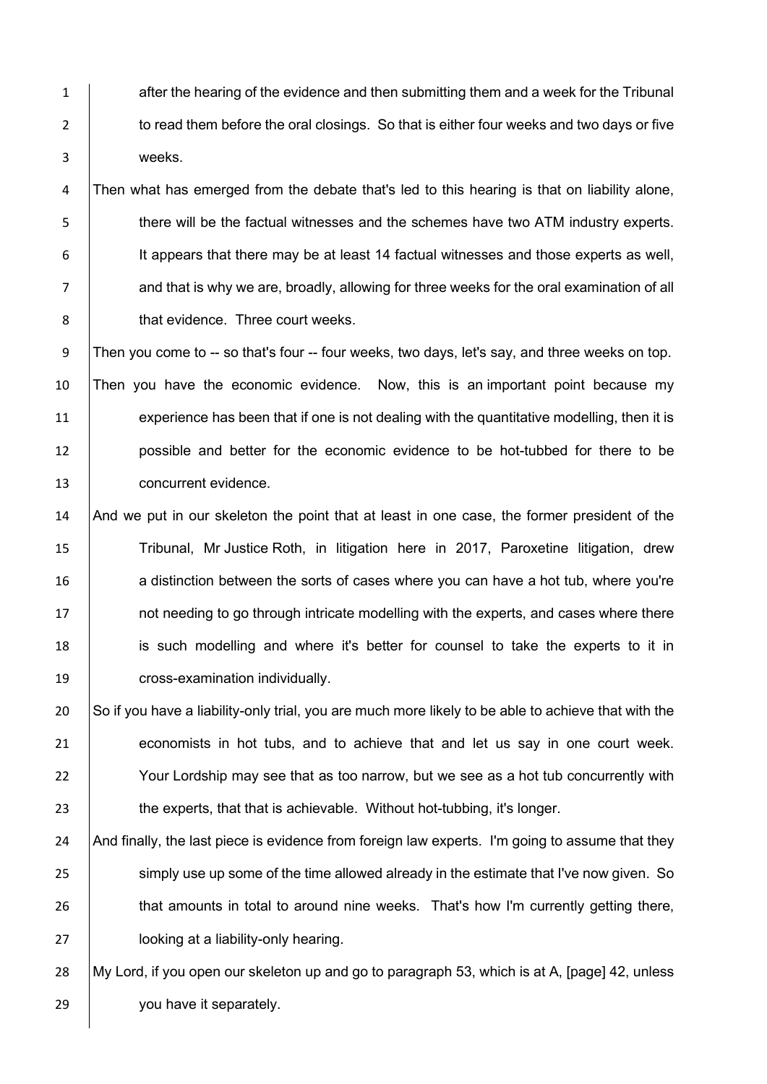1 after the hearing of the evidence and then submitting them and a week for the Tribunal 2 to read them before the oral closings. So that is either four weeks and two days or five 3 weeks.

4 Then what has emerged from the debate that's led to this hearing is that on liability alone, 5 **there will be the factual witnesses and the schemes have two ATM industry experts.** 6 | It appears that there may be at least 14 factual witnesses and those experts as well, 7 **Fig. 2** and that is why we are, broadly, allowing for three weeks for the oral examination of all 8 **b** that evidence. Three court weeks.

9 | Then you come to -- so that's four -- four weeks, two days, let's say, and three weeks on top. Then you have the economic evidence. Now, this is an important point because my experience has been that if one is not dealing with the quantitative modelling, then it is possible and better for the economic evidence to be hot-tubbed for there to be concurrent evidence.

14 And we put in our skeleton the point that at least in one case, the former president of the Tribunal, Mr Justice Roth, in litigation here in 2017, Paroxetine litigation, drew 16 a distinction between the sorts of cases where you can have a hot tub, where you're **1** not needing to go through intricate modelling with the experts, and cases where there is such modelling and where it's better for counsel to take the experts to it in cross-examination individually.

20  $\vert$  So if you have a liability-only trial, you are much more likely to be able to achieve that with the 21 economists in hot tubs, and to achieve that and let us say in one court week. 22 Your Lordship may see that as too narrow, but we see as a hot tub concurrently with  $23$  the experts, that that is achievable. Without hot-tubbing, it's longer.

24 And finally, the last piece is evidence from foreign law experts. I'm going to assume that they 25 simply use up some of the time allowed already in the estimate that I've now given. So 26 **that amounts in total to around nine weeks.** That's how I'm currently getting there, 27 **lacks** looking at a liability-only hearing.

28 My Lord, if you open our skeleton up and go to paragraph 53, which is at A, [page] 42, unless 29 you have it separately.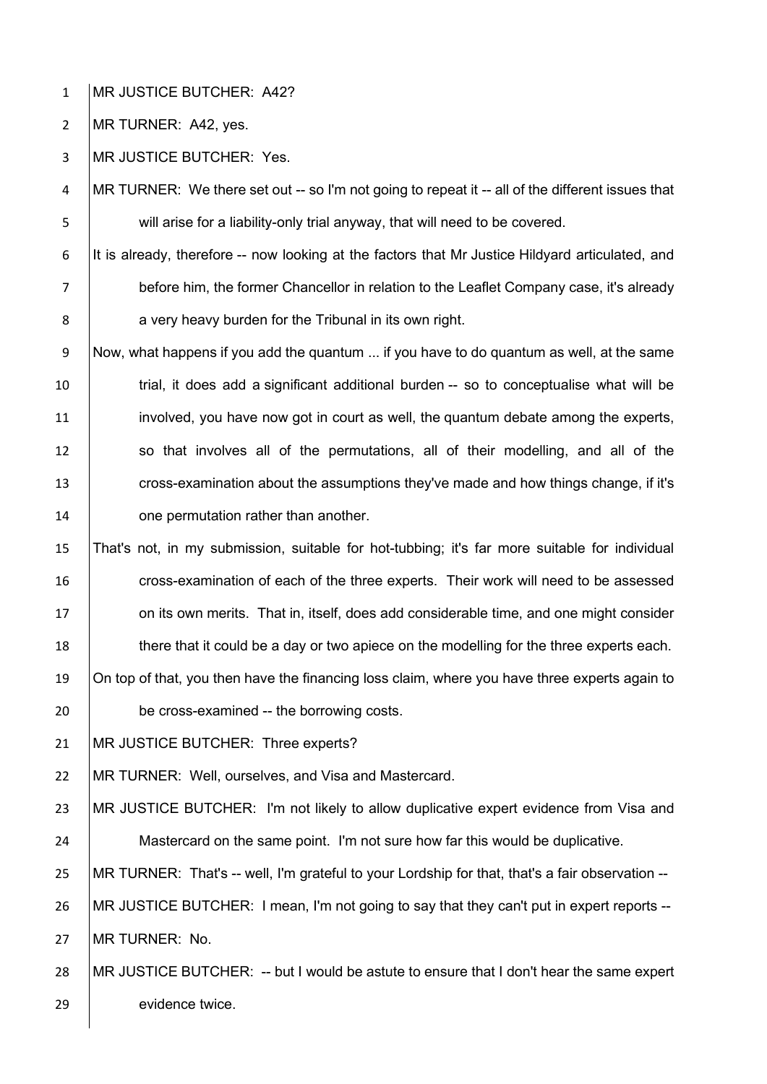1 | MR JUSTICE BUTCHER: A42?

2 | MR TURNER: A42, yes.

3 MR JUSTICE BUTCHER: Yes.

4  $\parallel$  MR TURNER: We there set out -- so I'm not going to repeat it -- all of the different issues that 5 will arise for a liability-only trial anyway, that will need to be covered.

6 | It is already, therefore -- now looking at the factors that Mr Justice Hildyard articulated, and 7 **before him, the former Chancellor in relation to the Leaflet Company case, it's already** 8 a very heavy burden for the Tribunal in its own right.

Now, what happens if you add the quantum ... if you have to do quantum as well, at the same **trial, it does add a significant additional burden** -- so to conceptualise what will be involved, you have now got in court as well, the quantum debate among the experts, 12 so that involves all of the permutations, all of their modelling, and all of the cross-examination about the assumptions they've made and how things change, if it's **one permutation rather than another.** 

 That's not, in my submission, suitable for hot-tubbing; it's far more suitable for individual cross-examination of each of the three experts. Their work will need to be assessed **on its own merits. That in, itself, does add considerable time, and one might consider** 18 there that it could be a day or two apiece on the modelling for the three experts each.

19 On top of that, you then have the financing loss claim, where you have three experts again to

20 **be cross-examined -- the borrowing costs.** 

21 | MR JUSTICE BUTCHER: Three experts?

22 | MR TURNER: Well, ourselves, and Visa and Mastercard.

23 | MR JUSTICE BUTCHER: I'm not likely to allow duplicative expert evidence from Visa and 24 Mastercard on the same point. I'm not sure how far this would be duplicative. 25 MR TURNER: That's -- well, I'm grateful to your Lordship for that, that's a fair observation --

26 MR JUSTICE BUTCHER: I mean, I'm not going to say that they can't put in expert reports --

27 **MR TURNER: No.** 

28 | MR JUSTICE BUTCHER: -- but I would be astute to ensure that I don't hear the same expert 29 evidence twice.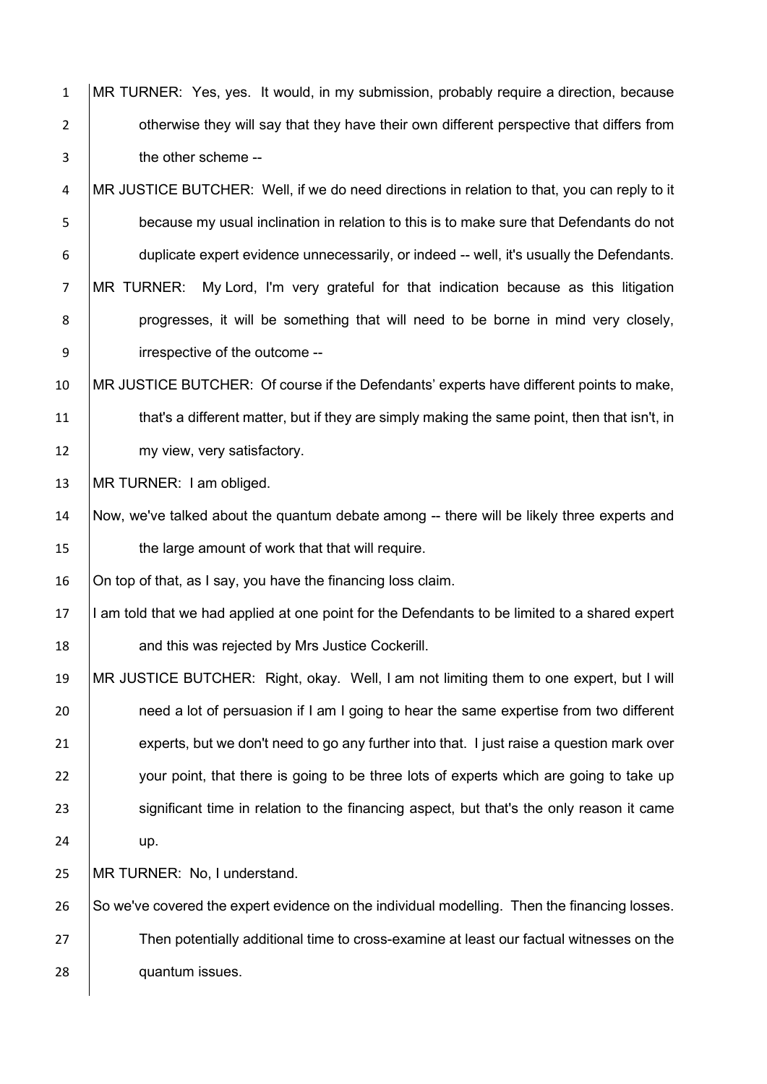MR TURNER: Yes, yes. It would, in my submission, probably require a direction, because **b** otherwise they will say that they have their own different perspective that differs from **b** the other scheme --

4 | MR JUSTICE BUTCHER: Well, if we do need directions in relation to that, you can reply to it **because my usual inclination in relation to this is to make sure that Defendants do not duplicate expert evidence unnecessarily, or indeed -- well, it's usually the Defendants.** MR TURNER: My Lord, I'm very grateful for that indication because as this litigation **progresses, it will be something that will need to be borne in mind very closely,** irrespective of the outcome --

 MR JUSTICE BUTCHER: Of course if the Defendants' experts have different points to make, 11  $\parallel$  that's a different matter, but if they are simply making the same point, then that isn't, in 12 my view, very satisfactory.

MR TURNER: I am obliged.

14 Now, we've talked about the quantum debate among -- there will be likely three experts and **the large amount of work that that will require.** 

On top of that, as I say, you have the financing loss claim.

 I am told that we had applied at one point for the Defendants to be limited to a shared expert **Arror** and this was rejected by Mrs Justice Cockerill.

 MR JUSTICE BUTCHER: Right, okay. Well, I am not limiting them to one expert, but I will **need a lot of persuasion if I am I going to hear the same expertise from two different** 21 experts, but we don't need to go any further into that. I just raise a question mark over 22 vour point, that there is going to be three lots of experts which are going to take up **Solut** significant time in relation to the financing aspect, but that's the only reason it came up.

25 | MR TURNER: No, I understand.

26 So we've covered the expert evidence on the individual modelling. Then the financing losses. 27 Then potentially additional time to cross-examine at least our factual witnesses on the 28 | quantum issues.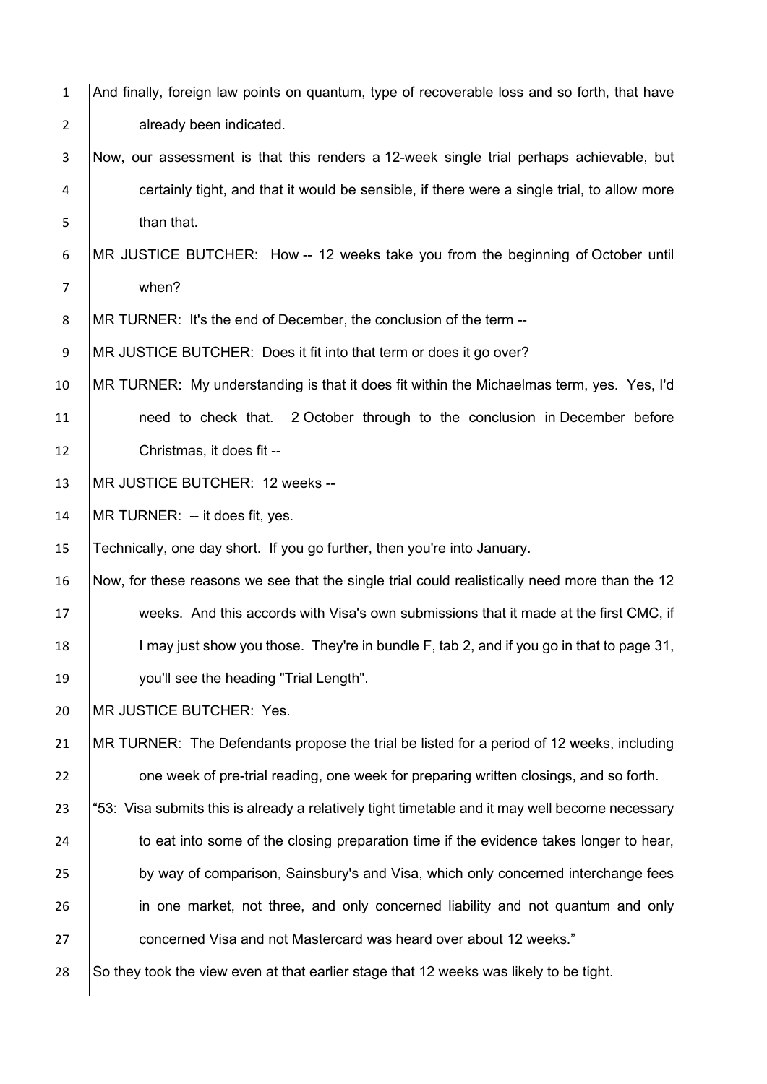| $\mathbf{1}$   | And finally, foreign law points on quantum, type of recoverable loss and so forth, that have    |
|----------------|-------------------------------------------------------------------------------------------------|
| $\overline{2}$ | already been indicated.                                                                         |
| 3              | Now, our assessment is that this renders a 12-week single trial perhaps achievable, but         |
| 4              | certainly tight, and that it would be sensible, if there were a single trial, to allow more     |
| 5              | than that.                                                                                      |
| 6              | MR JUSTICE BUTCHER: How -- 12 weeks take you from the beginning of October until                |
| $\overline{7}$ | when?                                                                                           |
| 8              | MR TURNER: It's the end of December, the conclusion of the term --                              |
| 9              | MR JUSTICE BUTCHER: Does it fit into that term or does it go over?                              |
| 10             | MR TURNER: My understanding is that it does fit within the Michaelmas term, yes. Yes, I'd       |
| 11             | 2 October through to the conclusion in December before<br>need to check that.                   |
| 12             | Christmas, it does fit --                                                                       |
| 13             | MR JUSTICE BUTCHER: 12 weeks --                                                                 |
| 14             | MR TURNER: -- it does fit, yes.                                                                 |
|                |                                                                                                 |
| 15             | Technically, one day short. If you go further, then you're into January.                        |
| 16             | Now, for these reasons we see that the single trial could realistically need more than the 12   |
| 17             | weeks. And this accords with Visa's own submissions that it made at the first CMC, if           |
| 18             | I may just show you those. They're in bundle F, tab 2, and if you go in that to page 31,        |
| 19             | you'll see the heading "Trial Length".                                                          |
| 20             | MR JUSTICE BUTCHER: Yes.                                                                        |
| 21             | MR TURNER: The Defendants propose the trial be listed for a period of 12 weeks, including       |
| 22             | one week of pre-trial reading, one week for preparing written closings, and so forth.           |
| 23             | "53: Visa submits this is already a relatively tight timetable and it may well become necessary |
| 24             | to eat into some of the closing preparation time if the evidence takes longer to hear,          |
| 25             | by way of comparison, Sainsbury's and Visa, which only concerned interchange fees               |
| 26             | in one market, not three, and only concerned liability and not quantum and only                 |
| 27             | concerned Visa and not Mastercard was heard over about 12 weeks."                               |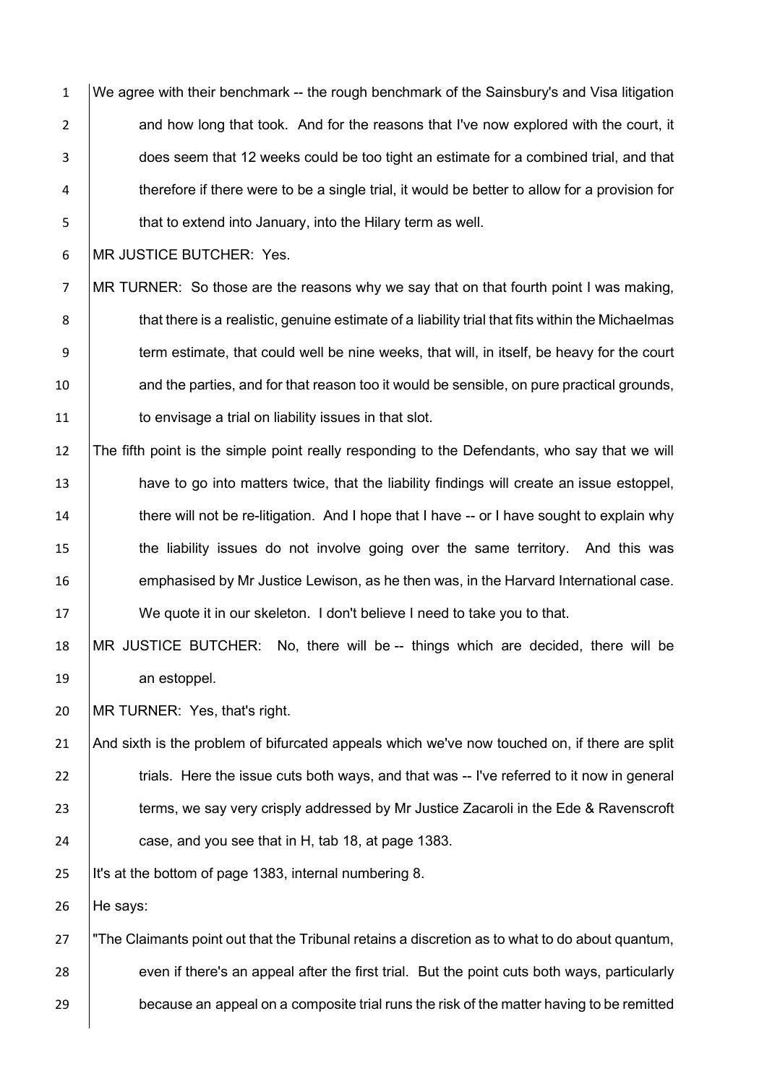1 We agree with their benchmark -- the rough benchmark of the Sainsbury's and Visa litigation 2 and how long that took. And for the reasons that I've now explored with the court, it 3 **does seem that 12 weeks could be too tight an estimate for a combined trial, and that** 4 therefore if there were to be a single trial, it would be better to allow for a provision for 5 **that to extend into January, into the Hilary term as well.** 

6 MR JUSTICE BUTCHER: Yes.

7 | MR TURNER: So those are the reasons why we say that on that fourth point I was making, 8 **that there is a realistic, genuine estimate of a liability trial that fits within the Michaelmas** 9 term estimate, that could well be nine weeks, that will, in itself, be heavy for the court 10 **Fig. 20** and the parties, and for that reason too it would be sensible, on pure practical grounds, 11 to envisage a trial on liability issues in that slot.

12 The fifth point is the simple point really responding to the Defendants, who say that we will 13 have to go into matters twice, that the liability findings will create an issue estoppel,  $14$  there will not be re-litigation. And I hope that I have  $-$  or I have sought to explain why 15 the liability issues do not involve going over the same territory. And this was 16 **emphasised by Mr Justice Lewison, as he then was, in the Harvard International case.** 17 We quote it in our skeleton. I don't believe I need to take you to that.

18 MR JUSTICE BUTCHER: No, there will be -- things which are decided, there will be 19 an estoppel.

20 MR TURNER: Yes, that's right.

21 And sixth is the problem of bifurcated appeals which we've now touched on, if there are split  $22$   $\parallel$  trials. Here the issue cuts both ways, and that was -- I've referred to it now in general 23 Terms, we say very crisply addressed by Mr Justice Zacaroli in the Ede & Ravenscroft 24 **case, and you see that in H, tab 18, at page 1383.** 

25 | It's at the bottom of page 1383, internal numbering 8.

26  $He$  says:

27 The Claimants point out that the Tribunal retains a discretion as to what to do about quantum, 28 even if there's an appeal after the first trial. But the point cuts both ways, particularly 29 **because an appeal on a composite trial runs the risk of the matter having to be remitted**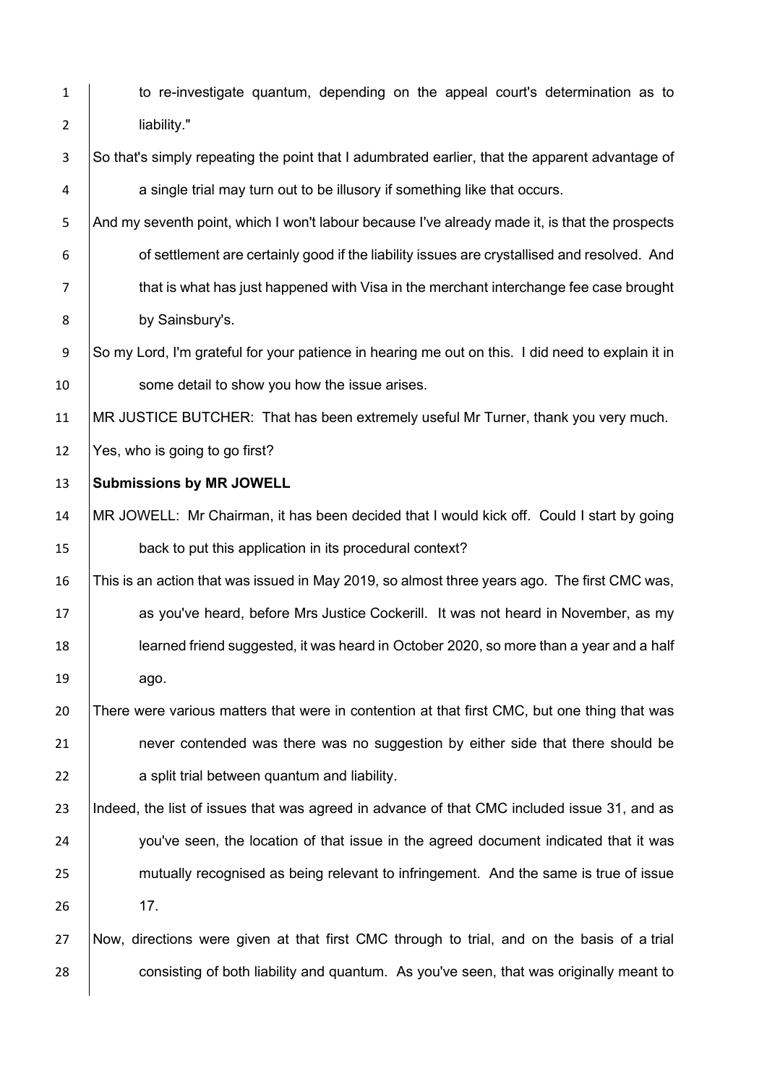| $\mathbf{1}$   | to re-investigate quantum, depending on the appeal court's determination as to                    |
|----------------|---------------------------------------------------------------------------------------------------|
| $\overline{2}$ | liability."                                                                                       |
| 3              | So that's simply repeating the point that I adumbrated earlier, that the apparent advantage of    |
| 4              | a single trial may turn out to be illusory if something like that occurs.                         |
| 5              | And my seventh point, which I won't labour because I've already made it, is that the prospects    |
| 6              | of settlement are certainly good if the liability issues are crystallised and resolved. And       |
| 7              | that is what has just happened with Visa in the merchant interchange fee case brought             |
| 8              | by Sainsbury's.                                                                                   |
| 9              | So my Lord, I'm grateful for your patience in hearing me out on this. I did need to explain it in |
| 10             | some detail to show you how the issue arises.                                                     |
| 11             | MR JUSTICE BUTCHER: That has been extremely useful Mr Turner, thank you very much.                |
| 12             | Yes, who is going to go first?                                                                    |
| 13             | <b>Submissions by MR JOWELL</b>                                                                   |
| 14             | MR JOWELL: Mr Chairman, it has been decided that I would kick off. Could I start by going         |
| 15             | back to put this application in its procedural context?                                           |
| 16             | This is an action that was issued in May 2019, so almost three years ago. The first CMC was,      |
| 17             | as you've heard, before Mrs Justice Cockerill. It was not heard in November, as my                |
| 18             | learned friend suggested, it was heard in October 2020, so more than a year and a half            |
| 19             | ago.                                                                                              |
| 20             | There were various matters that were in contention at that first CMC, but one thing that was      |
| 21             | never contended was there was no suggestion by either side that there should be                   |
| 22             | a split trial between quantum and liability.                                                      |
| 23             | Indeed, the list of issues that was agreed in advance of that CMC included issue 31, and as       |
| 24             | you've seen, the location of that issue in the agreed document indicated that it was              |
| 25             | mutually recognised as being relevant to infringement. And the same is true of issue              |
| 26             | 17.                                                                                               |
| 27             | Now, directions were given at that first CMC through to trial, and on the basis of a trial        |
| 28             | consisting of both liability and quantum. As you've seen, that was originally meant to            |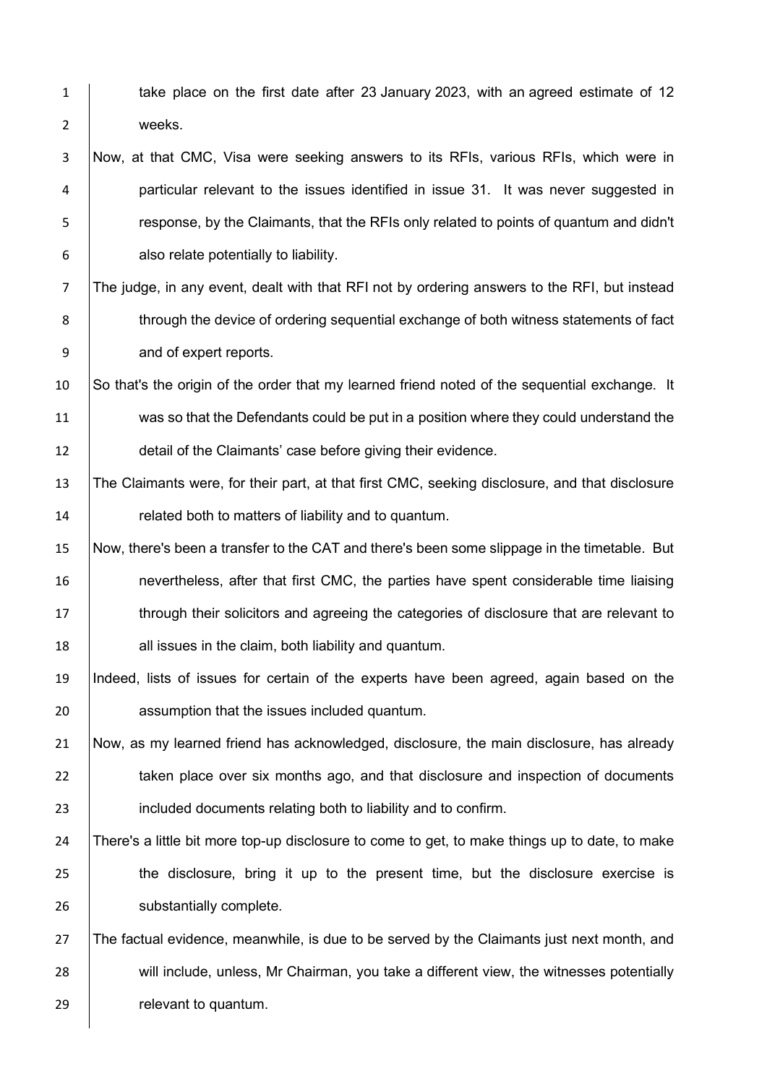| $\mathbf{1}$   | take place on the first date after 23 January 2023, with an agreed estimate of 12              |
|----------------|------------------------------------------------------------------------------------------------|
| $\overline{2}$ | weeks.                                                                                         |
| 3              | Now, at that CMC, Visa were seeking answers to its RFIs, various RFIs, which were in           |
| 4              | particular relevant to the issues identified in issue 31. It was never suggested in            |
| 5              | response, by the Claimants, that the RFIs only related to points of quantum and didn't         |
| 6              | also relate potentially to liability.                                                          |
| $\overline{7}$ | The judge, in any event, dealt with that RFI not by ordering answers to the RFI, but instead   |
| 8              | through the device of ordering sequential exchange of both witness statements of fact          |
| 9              | and of expert reports.                                                                         |
| 10             | So that's the origin of the order that my learned friend noted of the sequential exchange. It  |
| 11             | was so that the Defendants could be put in a position where they could understand the          |
| 12             | detail of the Claimants' case before giving their evidence.                                    |
| 13             | The Claimants were, for their part, at that first CMC, seeking disclosure, and that disclosure |
| 14             | related both to matters of liability and to quantum.                                           |
| 15             | Now, there's been a transfer to the CAT and there's been some slippage in the timetable. But   |
| 16             | nevertheless, after that first CMC, the parties have spent considerable time liaising          |
| 17             | through their solicitors and agreeing the categories of disclosure that are relevant to        |
| 18             | all issues in the claim, both liability and quantum.                                           |
| 19             | Indeed, lists of issues for certain of the experts have been agreed, again based on the        |
| 20             | assumption that the issues included quantum.                                                   |
| 21             | Now, as my learned friend has acknowledged, disclosure, the main disclosure, has already       |
| 22             | taken place over six months ago, and that disclosure and inspection of documents               |
| 23             | included documents relating both to liability and to confirm.                                  |
| 24             | There's a little bit more top-up disclosure to come to get, to make things up to date, to make |
| 25             | the disclosure, bring it up to the present time, but the disclosure exercise is                |
| 26             | substantially complete.                                                                        |
| 27             | The factual evidence, meanwhile, is due to be served by the Claimants just next month, and     |
| 28             | will include, unless, Mr Chairman, you take a different view, the witnesses potentially        |
| 29             | relevant to quantum.                                                                           |
|                |                                                                                                |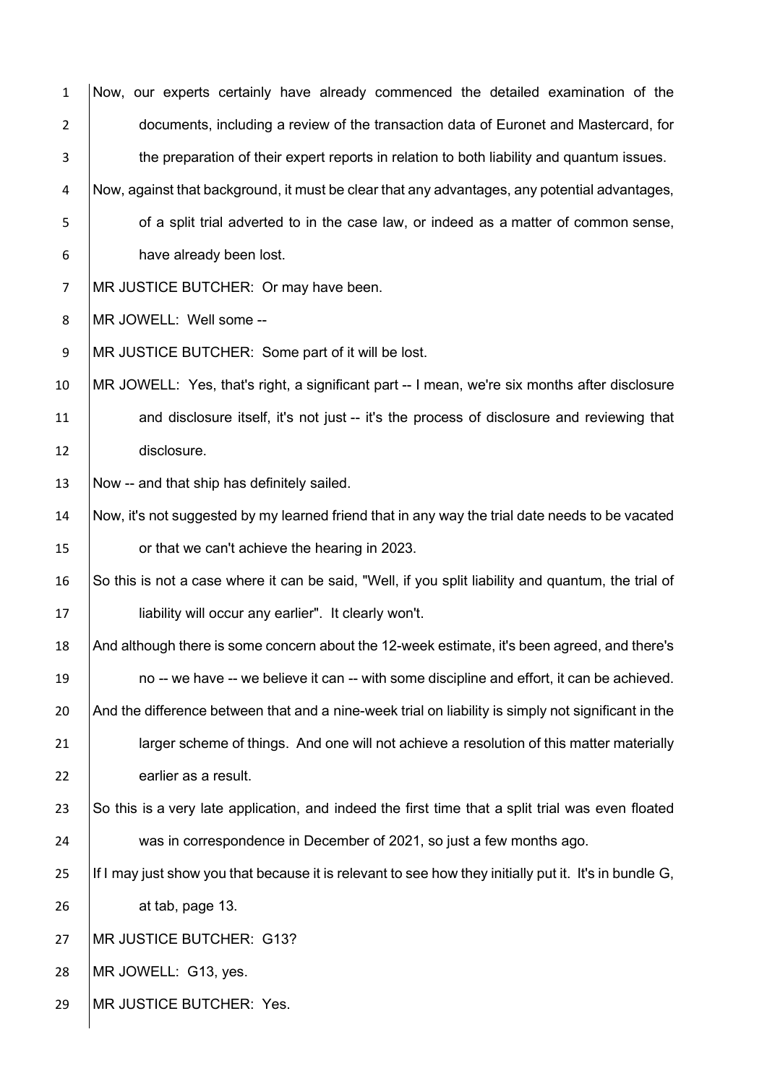| $\mathbf{1}$   | Now, our experts certainly have already commenced the detailed examination of the                      |
|----------------|--------------------------------------------------------------------------------------------------------|
| $\overline{2}$ | documents, including a review of the transaction data of Euronet and Mastercard, for                   |
| 3              | the preparation of their expert reports in relation to both liability and quantum issues.              |
| 4              | Now, against that background, it must be clear that any advantages, any potential advantages,          |
| 5              | of a split trial adverted to in the case law, or indeed as a matter of common sense,                   |
| 6              | have already been lost.                                                                                |
| $\overline{7}$ | MR JUSTICE BUTCHER: Or may have been.                                                                  |
| 8              | MR JOWELL: Well some --                                                                                |
| 9              | MR JUSTICE BUTCHER: Some part of it will be lost.                                                      |
| 10             | MR JOWELL: Yes, that's right, a significant part -- I mean, we're six months after disclosure          |
| 11             | and disclosure itself, it's not just -- it's the process of disclosure and reviewing that              |
| 12             | disclosure.                                                                                            |
| 13             | Now -- and that ship has definitely sailed.                                                            |
| 14             | Now, it's not suggested by my learned friend that in any way the trial date needs to be vacated        |
| 15             | or that we can't achieve the hearing in 2023.                                                          |
| 16             | So this is not a case where it can be said, "Well, if you split liability and quantum, the trial of    |
| 17             | liability will occur any earlier". It clearly won't.                                                   |
| 18             | And although there is some concern about the 12-week estimate, it's been agreed, and there's           |
| 19             | no -- we have -- we believe it can -- with some discipline and effort, it can be achieved.             |
| 20             | And the difference between that and a nine-week trial on liability is simply not significant in the    |
| 21             | larger scheme of things. And one will not achieve a resolution of this matter materially               |
| 22             | earlier as a result.                                                                                   |
| 23             | So this is a very late application, and indeed the first time that a split trial was even floated      |
| 24             | was in correspondence in December of 2021, so just a few months ago.                                   |
| 25             | If I may just show you that because it is relevant to see how they initially put it. It's in bundle G, |
| 26             | at tab, page 13.                                                                                       |
| 27             | MR JUSTICE BUTCHER: G13?                                                                               |
| 28             | MR JOWELL: G13, yes.                                                                                   |
| 29             | MR JUSTICE BUTCHER: Yes.                                                                               |
|                |                                                                                                        |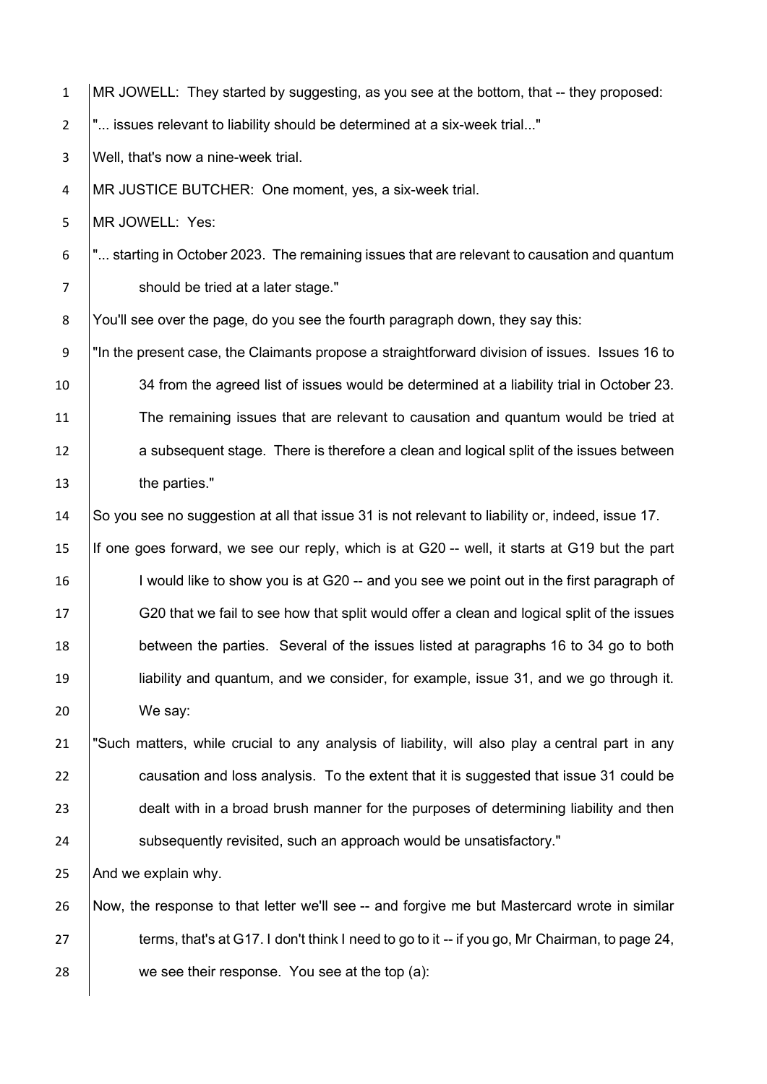1  $\parallel$  MR JOWELL: They started by suggesting, as you see at the bottom, that -- they proposed:  $2$   $\vert$ "... issues relevant to liability should be determined at a six-week trial..." 3 Well, that's now a nine-week trial. 4 MR JUSTICE BUTCHER: One moment, yes, a six-week trial. 5 MR JOWELL: Yes: 6  $\vert$ "... starting in October 2023. The remaining issues that are relevant to causation and quantum 7 Should be tried at a later stage." 8 You'll see over the page, do you see the fourth paragraph down, they say this: 9 | "In the present case, the Claimants propose a straightforward division of issues. Issues 16 to 10 34 from the agreed list of issues would be determined at a liability trial in October 23. 11 The remaining issues that are relevant to causation and quantum would be tried at 12 a subsequent stage. There is therefore a clean and logical split of the issues between 13 **the parties."** 14 So you see no suggestion at all that issue 31 is not relevant to liability or, indeed, issue 17. 15 If one goes forward, we see our reply, which is at G20 -- well, it starts at G19 but the part 16 I would like to show you is at G20 -- and you see we point out in the first paragraph of 17 September 17 G20 that we fail to see how that split would offer a clean and logical split of the issues 18 between the parties. Several of the issues listed at paragraphs 16 to 34 go to both 19 liability and quantum, and we consider, for example, issue 31, and we go through it. 20 | We say: 21  $\vert$  "Such matters, while crucial to any analysis of liability, will also play a central part in any 22 causation and loss analysis. To the extent that it is suggested that issue 31 could be 23 **dealt with in a broad brush manner for the purposes of determining liability and then** 24 Subsequently revisited, such an approach would be unsatisfactory." 25  $\vert$  And we explain why. 26 Now, the response to that letter we'll see -- and forgive me but Mastercard wrote in similar 27  $\parallel$  terms, that's at G17. I don't think I need to go to it -- if you go, Mr Chairman, to page 24, 28 we see their response. You see at the top (a):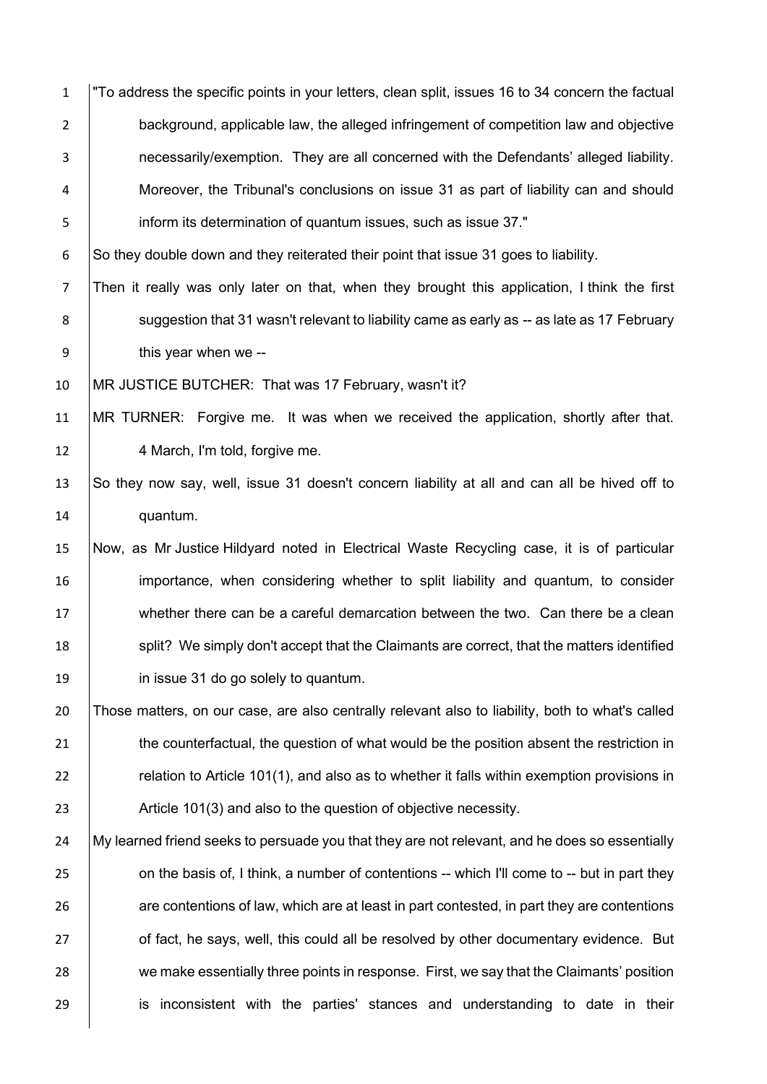| $\mathbf{1}$   | "To address the specific points in your letters, clean split, issues 16 to 34 concern the factual |
|----------------|---------------------------------------------------------------------------------------------------|
| $\overline{2}$ | background, applicable law, the alleged infringement of competition law and objective             |
| 3              | necessarily/exemption. They are all concerned with the Defendants' alleged liability.             |
| 4              | Moreover, the Tribunal's conclusions on issue 31 as part of liability can and should              |
| 5              | inform its determination of quantum issues, such as issue 37."                                    |
| 6              | So they double down and they reiterated their point that issue 31 goes to liability.              |
| $\overline{7}$ | Then it really was only later on that, when they brought this application, I think the first      |
| 8              | suggestion that 31 wasn't relevant to liability came as early as -- as late as 17 February        |
| 9              | this year when we --                                                                              |
| 10             | MR JUSTICE BUTCHER: That was 17 February, wasn't it?                                              |
| 11             | MR TURNER: Forgive me. It was when we received the application, shortly after that.               |
| 12             | 4 March, I'm told, forgive me.                                                                    |
| 13             | So they now say, well, issue 31 doesn't concern liability at all and can all be hived off to      |
| 14             | quantum.                                                                                          |
| 15             | Now, as Mr Justice Hildyard noted in Electrical Waste Recycling case, it is of particular         |
| 16             | importance, when considering whether to split liability and quantum, to consider                  |
| 17             | whether there can be a careful demarcation between the two. Can there be a clean                  |
| 18             | split? We simply don't accept that the Claimants are correct, that the matters identified         |
| 19             | in issue 31 do go solely to quantum.                                                              |
| 20             | Those matters, on our case, are also centrally relevant also to liability, both to what's called  |
| 21             | the counterfactual, the question of what would be the position absent the restriction in          |
| 22             | relation to Article 101(1), and also as to whether it falls within exemption provisions in        |
| 23             | Article 101(3) and also to the question of objective necessity.                                   |
| 24             | My learned friend seeks to persuade you that they are not relevant, and he does so essentially    |
| 25             | on the basis of, I think, a number of contentions -- which I'll come to -- but in part they       |
| 26             | are contentions of law, which are at least in part contested, in part they are contentions        |
| 27             | of fact, he says, well, this could all be resolved by other documentary evidence. But             |
| 28             | we make essentially three points in response. First, we say that the Claimants' position          |
| 29             | inconsistent with the parties' stances and understanding to date in their<br>IS.                  |
|                |                                                                                                   |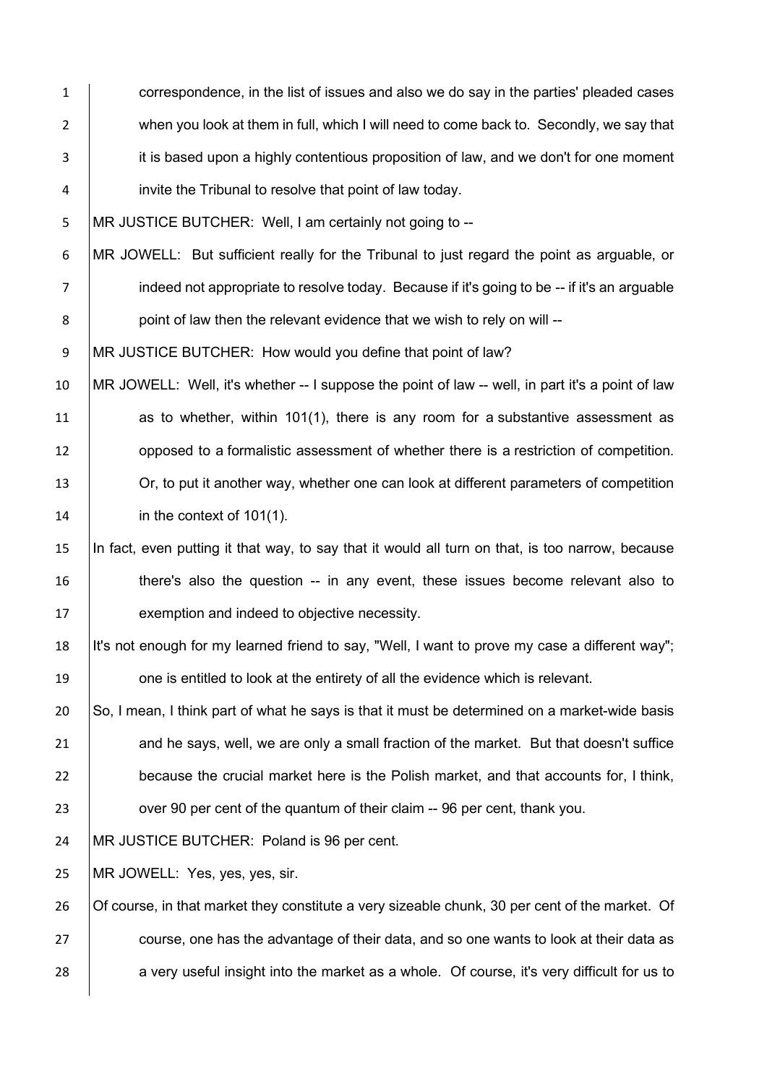1 correspondence, in the list of issues and also we do say in the parties' pleaded cases 2 when you look at them in full, which I will need to come back to. Secondly, we say that 3 it is based upon a highly contentious proposition of law, and we don't for one moment 4 | invite the Tribunal to resolve that point of law today. 5 MR JUSTICE BUTCHER: Well, I am certainly not going to --MR JOWELL: But sufficient really for the Tribunal to just regard the point as arguable, or 7 | indeed not appropriate to resolve today. Because if it's going to be -- if it's an arguable | point of law then the relevant evidence that we wish to rely on will --9 | MR JUSTICE BUTCHER: How would you define that point of law? MR JOWELL: Well, it's whether -- I suppose the point of law -- well, in part it's a point of law  $\vert$  as to whether, within 101(1), there is any room for a substantive assessment as **opposed to a formalistic assessment of whether there is a restriction of competition. Or, to put it another way, whether one can look at different parameters of competition**  in the context of 101(1). In fact, even putting it that way, to say that it would all turn on that, is too narrow, because there's also the question -- in any event, these issues become relevant also to **Example 17** exemption and indeed to objective necessity. It's not enough for my learned friend to say, "Well, I want to prove my case a different way"; **one is entitled to look at the entirety of all the evidence which is relevant.**  $\vert$  So, I mean, I think part of what he says is that it must be determined on a market-wide basis 21 and he says, well, we are only a small fraction of the market. But that doesn't suffice **because the crucial market here is the Polish market, and that accounts for, I think, over 90 per cent of the quantum of their claim -- 96 per cent, thank you.** 24 | MR JUSTICE BUTCHER: Poland is 96 per cent. MR JOWELL: Yes, yes, yes, sir. 26 | Of course, in that market they constitute a very sizeable chunk, 30 per cent of the market. Of **course, one has the advantage of their data, and so one wants to look at their data as** 28 a very useful insight into the market as a whole. Of course, it's very difficult for us to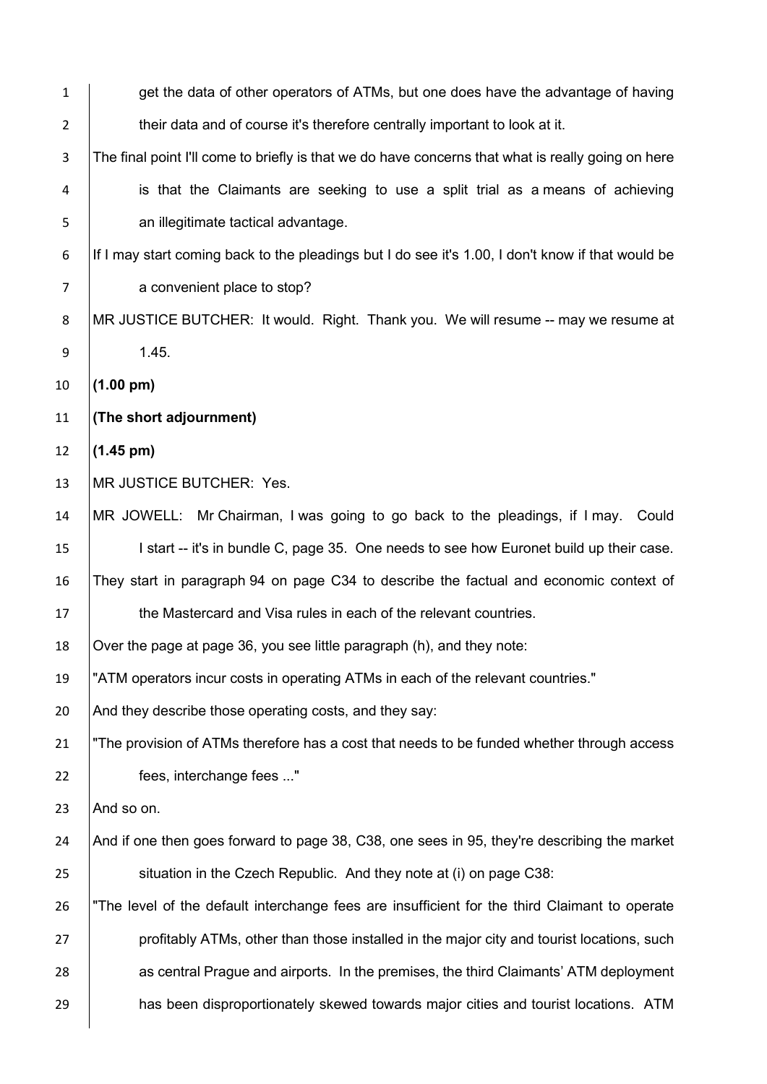| $\mathbf{1}$   | get the data of other operators of ATMs, but one does have the advantage of having                 |
|----------------|----------------------------------------------------------------------------------------------------|
| $\overline{2}$ | their data and of course it's therefore centrally important to look at it.                         |
| 3              | The final point I'll come to briefly is that we do have concerns that what is really going on here |
| 4              | is that the Claimants are seeking to use a split trial as a means of achieving                     |
| 5              | an illegitimate tactical advantage.                                                                |
| 6              | If I may start coming back to the pleadings but I do see it's 1.00, I don't know if that would be  |
| 7              | a convenient place to stop?                                                                        |
| 8              | MR JUSTICE BUTCHER: It would. Right. Thank you. We will resume -- may we resume at                 |
| 9              | 1.45.                                                                                              |
| 10             | $(1.00 \text{ pm})$                                                                                |
| 11             | (The short adjournment)                                                                            |
| 12             | $(1.45 \text{ pm})$                                                                                |
| 13             | MR JUSTICE BUTCHER: Yes.                                                                           |
| 14             | MR JOWELL: Mr Chairman, I was going to go back to the pleadings, if I may. Could                   |
| 15             | I start -- it's in bundle C, page 35. One needs to see how Euronet build up their case.            |
| 16             | They start in paragraph 94 on page C34 to describe the factual and economic context of             |
| 17             | the Mastercard and Visa rules in each of the relevant countries.                                   |
| 18             | Over the page at page 36, you see little paragraph (h), and they note:                             |
| 19             | "ATM operators incur costs in operating ATMs in each of the relevant countries."                   |
| 20             | And they describe those operating costs, and they say:                                             |
| 21             | "The provision of ATMs therefore has a cost that needs to be funded whether through access         |
| 22             | fees, interchange fees "                                                                           |
| 23             | And so on.                                                                                         |
| 24             | And if one then goes forward to page 38, C38, one sees in 95, they're describing the market        |
| 25             | situation in the Czech Republic. And they note at (i) on page C38:                                 |
| 26             | "The level of the default interchange fees are insufficient for the third Claimant to operate      |
| 27             | profitably ATMs, other than those installed in the major city and tourist locations, such          |
| 28             | as central Prague and airports. In the premises, the third Claimants' ATM deployment               |
| 29             | has been disproportionately skewed towards major cities and tourist locations. ATM                 |
|                |                                                                                                    |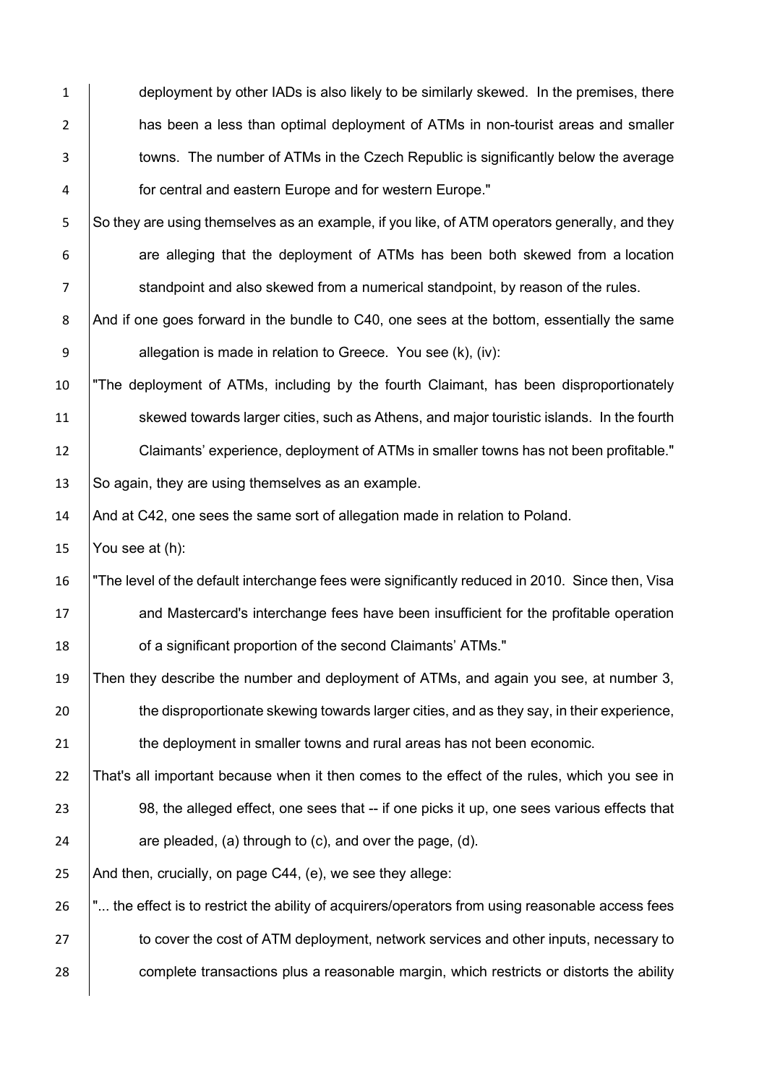1 deployment by other IADs is also likely to be similarly skewed. In the premises, there 2 **has been a less than optimal deployment of ATMs in non-tourist areas and smaller** 3 towns. The number of ATMs in the Czech Republic is significantly below the average 4 for central and eastern Europe and for western Europe."  $\overline{5}$  So they are using themselves as an example, if you like, of ATM operators generally, and they 6 **Fig.** are alleging that the deployment of ATMs has been both skewed from a location 7 | standpoint and also skewed from a numerical standpoint, by reason of the rules. 8 And if one goes forward in the bundle to C40, one sees at the bottom, essentially the same 9 | allegation is made in relation to Greece. You see (k), (iv): 10 "The deployment of ATMs, including by the fourth Claimant, has been disproportionately 11 Skewed towards larger cities, such as Athens, and major touristic islands. In the fourth 12 Claimants' experience, deployment of ATMs in smaller towns has not been profitable." 13 So again, they are using themselves as an example. 14 And at C42, one sees the same sort of allegation made in relation to Poland. 15  $\sqrt{\frac{1}{15}}$  You see at (h): 16 | "The level of the default interchange fees were significantly reduced in 2010. Since then, Visa 17 **and Mastercard's interchange fees have been insufficient for the profitable operation** 18 **of a significant proportion of the second Claimants' ATMs."** 19 Then they describe the number and deployment of ATMs, and again you see, at number 3, 20 the disproportionate skewing towards larger cities, and as they say, in their experience, 21 **the deployment in smaller towns and rural areas has not been economic.** 22 That's all important because when it then comes to the effect of the rules, which you see in 23 98, the alleged effect, one sees that -- if one picks it up, one sees various effects that 24  $\vert$  are pleaded, (a) through to (c), and over the page, (d). 25  $\vert$  And then, crucially, on page C44, (e), we see they allege: 26 |"... the effect is to restrict the ability of acquirers/operators from using reasonable access fees 27 to cover the cost of ATM deployment, network services and other inputs, necessary to 28 complete transactions plus a reasonable margin, which restricts or distorts the ability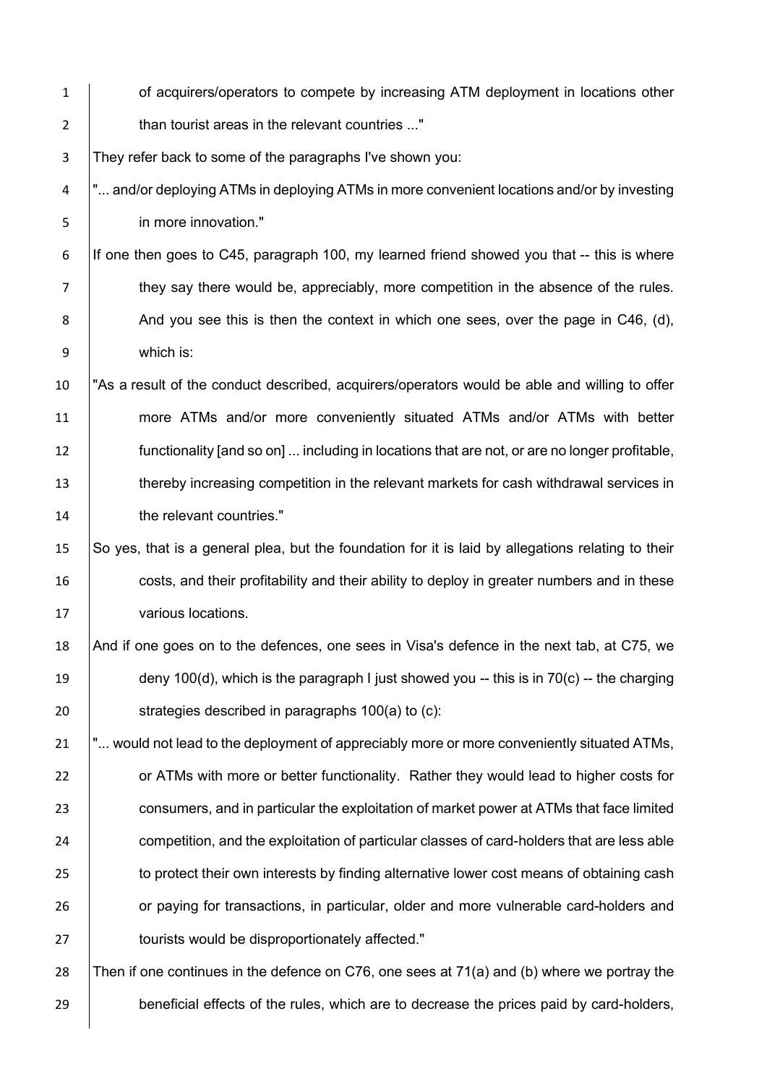| $\mathbf{1}$   | of acquirers/operators to compete by increasing ATM deployment in locations other                  |
|----------------|----------------------------------------------------------------------------------------------------|
| $\overline{2}$ | than tourist areas in the relevant countries "                                                     |
| 3              | They refer back to some of the paragraphs I've shown you:                                          |
| 4              | " and/or deploying ATMs in deploying ATMs in more convenient locations and/or by investing         |
| 5              | in more innovation."                                                                               |
| 6              | If one then goes to C45, paragraph 100, my learned friend showed you that -- this is where         |
| 7              | they say there would be, appreciably, more competition in the absence of the rules.                |
| 8              | And you see this is then the context in which one sees, over the page in C46, (d),                 |
| 9              | which is:                                                                                          |
| 10             | "As a result of the conduct described, acquirers/operators would be able and willing to offer      |
| 11             | more ATMs and/or more conveniently situated ATMs and/or ATMs with better                           |
| 12             | functionality [and so on]  including in locations that are not, or are no longer profitable,       |
| 13             | thereby increasing competition in the relevant markets for cash withdrawal services in             |
| 14             | the relevant countries."                                                                           |
| 15             | So yes, that is a general plea, but the foundation for it is laid by allegations relating to their |
| 16             | costs, and their profitability and their ability to deploy in greater numbers and in these         |
| 17             | various locations.                                                                                 |
| 18             | And if one goes on to the defences, one sees in Visa's defence in the next tab, at C75, we         |
| 19             | deny 100(d), which is the paragraph I just showed you -- this is in $70(c)$ -- the charging        |
| 20             | strategies described in paragraphs 100(a) to (c):                                                  |
| 21             | " would not lead to the deployment of appreciably more or more conveniently situated ATMs,         |
| 22             | or ATMs with more or better functionality. Rather they would lead to higher costs for              |
| 23             | consumers, and in particular the exploitation of market power at ATMs that face limited            |
| 24             | competition, and the exploitation of particular classes of card-holders that are less able         |
| 25             | to protect their own interests by finding alternative lower cost means of obtaining cash           |
| 26             | or paying for transactions, in particular, older and more vulnerable card-holders and              |
| 27             | tourists would be disproportionately affected."                                                    |
| 28             | Then if one continues in the defence on C76, one sees at $71(a)$ and (b) where we portray the      |
| 29             | beneficial effects of the rules, which are to decrease the prices paid by card-holders,            |
|                |                                                                                                    |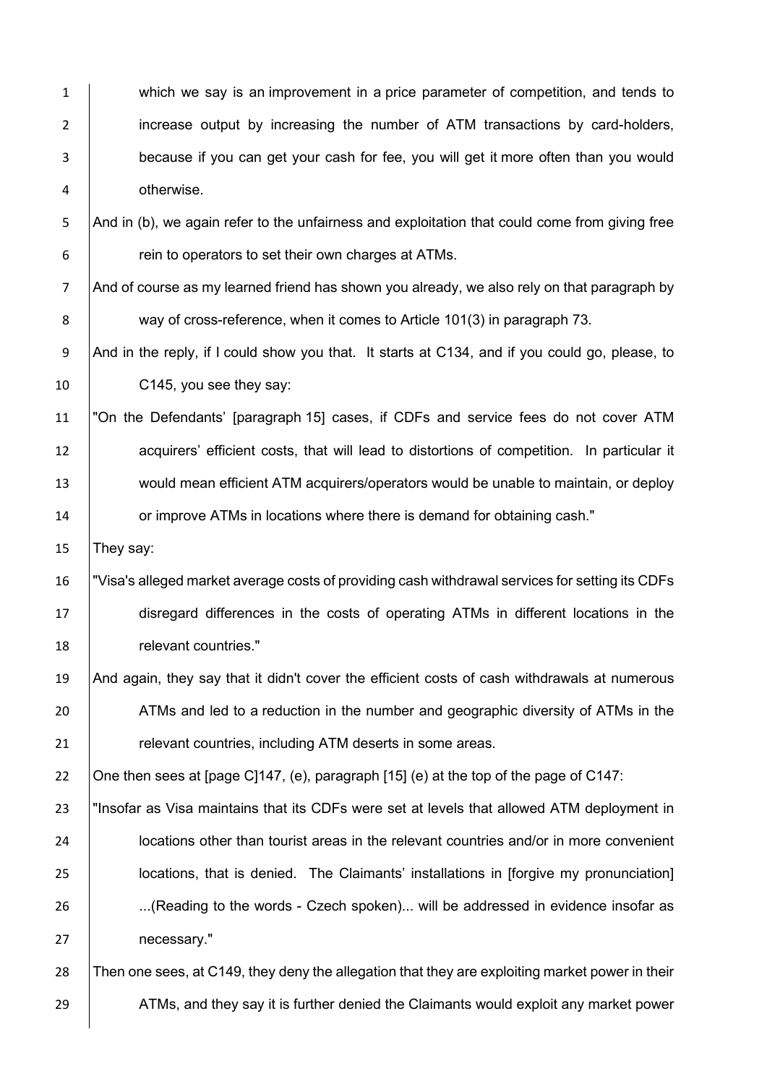1 which we say is an improvement in a price parameter of competition, and tends to 2 increase output by increasing the number of ATM transactions by card-holders, 3 because if you can get your cash for fee, you will get it more often than you would 4 otherwise. 5 And in (b), we again refer to the unfairness and exploitation that could come from giving free 6 **Fig. 3** rein to operators to set their own charges at ATMs. 7 And of course as my learned friend has shown you already, we also rely on that paragraph by 8 way of cross-reference, when it comes to Article 101(3) in paragraph 73. 9 And in the reply, if I could show you that. It starts at C134, and if you could go, please, to 10 C145, you see they say: 11 "On the Defendants' [paragraph 15] cases, if CDFs and service fees do not cover ATM 12 **acquirers' efficient costs, that will lead to distortions of competition.** In particular it 13 would mean efficient ATM acquirers/operators would be unable to maintain, or deploy 14 **14** or improve ATMs in locations where there is demand for obtaining cash." 15  $|$ They say: 16 "Visa's alleged market average costs of providing cash withdrawal services for setting its CDFs 17 disregard differences in the costs of operating ATMs in different locations in the 18 relevant countries." 19 And again, they say that it didn't cover the efficient costs of cash withdrawals at numerous 20 ATMs and led to a reduction in the number and geographic diversity of ATMs in the 21 **Fig. 21** relevant countries, including ATM deserts in some areas. 22  $\vert$  One then sees at [page C]147, (e), paragraph [15] (e) at the top of the page of C147: 23 "Insofar as Visa maintains that its CDFs were set at levels that allowed ATM deployment in 24 **let in the locations other than tourist areas in the relevant countries and/or in more convenient** 25 locations, that is denied. The Claimants' installations in [forgive my pronunciation] 26 ....(Reading to the words - Czech spoken)... will be addressed in evidence insofar as 27 | necessary." 28 Then one sees, at C149, they deny the allegation that they are exploiting market power in their 29 ATMs, and they say it is further denied the Claimants would exploit any market power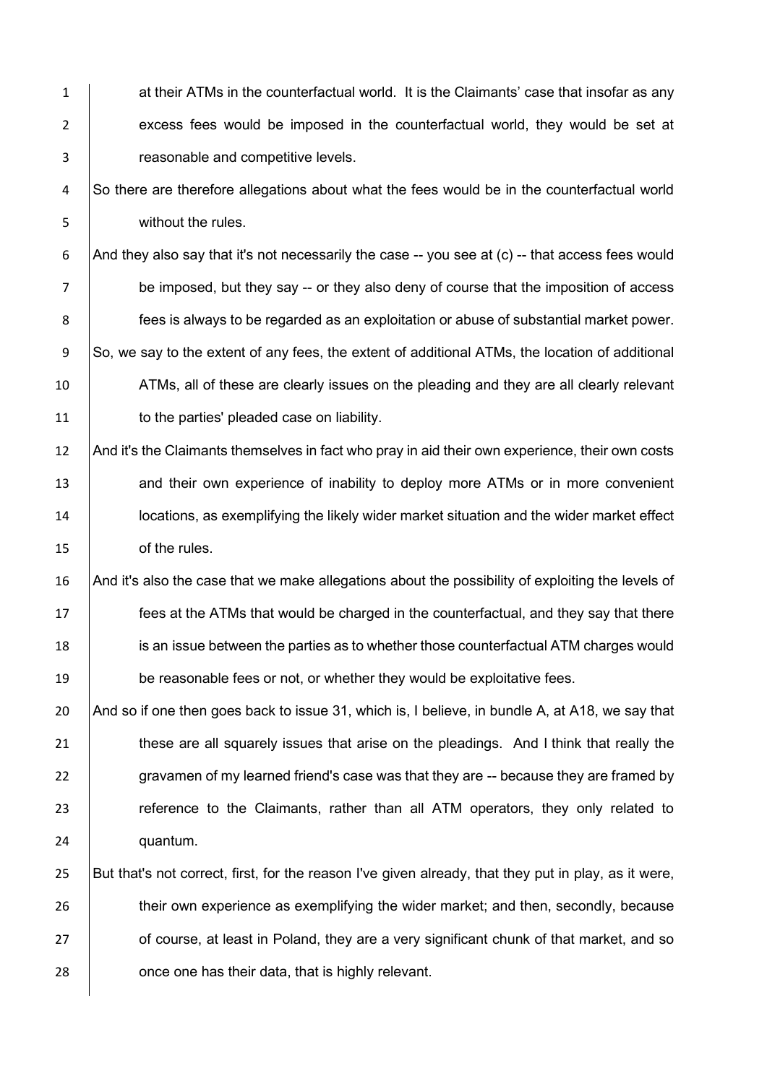- 1 at their ATMs in the counterfactual world. It is the Claimants' case that insofar as any 2 excess fees would be imposed in the counterfactual world, they would be set at 3 **Fig. 3** reasonable and competitive levels.
- 4 So there are therefore allegations about what the fees would be in the counterfactual world 5 without the rules.
- 6 And they also say that it's not necessarily the case -- you see at  $(c)$  -- that access fees would  $7$  be imposed, but they say -- or they also deny of course that the imposition of access 8 fees is always to be regarded as an exploitation or abuse of substantial market power. 9 So, we say to the extent of any fees, the extent of additional ATMs, the location of additional 10 ATMs, all of these are clearly issues on the pleading and they are all clearly relevant 11 **to the parties' pleaded case on liability.**
- 12 And it's the Claimants themselves in fact who pray in aid their own experience, their own costs 13 and their own experience of inability to deploy more ATMs or in more convenient 14 **lucations, as exemplifying the likely wider market situation and the wider market effect** 15 **of the rules**.
- 16 And it's also the case that we make allegations about the possibility of exploiting the levels of 17 fees at the ATMs that would be charged in the counterfactual, and they say that there 18 is an issue between the parties as to whether those counterfactual ATM charges would 19 **be reasonable fees or not, or whether they would be exploitative fees.**
- 20 And so if one then goes back to issue 31, which is, I believe, in bundle A, at A18, we say that 21 these are all squarely issues that arise on the pleadings. And I think that really the 22 gravamen of my learned friend's case was that they are  $-$  because they are framed by 23 Teference to the Claimants, rather than all ATM operators, they only related to 24 | quantum.
- 25 But that's not correct, first, for the reason I've given already, that they put in play, as it were, 26 their own experience as exemplifying the wider market; and then, secondly, because  $27$  of course, at least in Poland, they are a very significant chunk of that market, and so 28 **once one has their data, that is highly relevant.**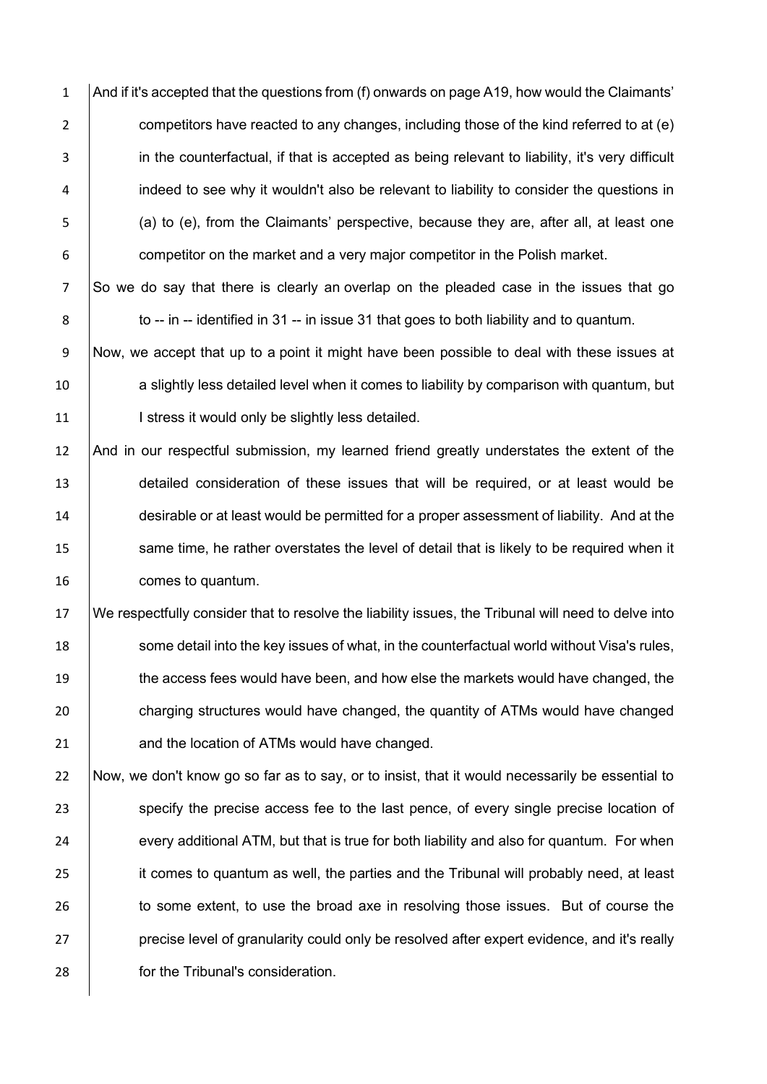1 And if it's accepted that the questions from (f) onwards on page A19, how would the Claimants' 2 competitors have reacted to any changes, including those of the kind referred to at (e) 3 in the counterfactual, if that is accepted as being relevant to liability, it's very difficult 4 indeed to see why it wouldn't also be relevant to liability to consider the questions in 5 (a) to (e), from the Claimants' perspective, because they are, after all, at least one 6 **competitior on the market and a very major competitor in the Polish market.** 

7 So we do say that there is clearly an overlap on the pleaded case in the issues that go  $8$   $\vert$  to -- in -- identified in 31 -- in issue 31 that goes to both liability and to quantum.

9 Now, we accept that up to a point it might have been possible to deal with these issues at 10 **a** slightly less detailed level when it comes to liability by comparison with quantum, but 11 | I stress it would only be slightly less detailed.

12 And in our respectful submission, my learned friend greatly understates the extent of the 13 detailed consideration of these issues that will be required, or at least would be 14 desirable or at least would be permitted for a proper assessment of liability. And at the 15 same time, he rather overstates the level of detail that is likely to be required when it 16 **comes to quantum.** 

17 We respectfully consider that to resolve the liability issues, the Tribunal will need to delve into 18 some detail into the key issues of what, in the counterfactual world without Visa's rules, 19 the access fees would have been, and how else the markets would have changed, the 20 **charging structures would have changed, the quantity of ATMs would have changed** 21 **and the location of ATMs would have changed.** 

22 Now, we don't know go so far as to say, or to insist, that it would necessarily be essential to 23 specify the precise access fee to the last pence, of every single precise location of 24 every additional ATM, but that is true for both liability and also for quantum. For when 25 it comes to quantum as well, the parties and the Tribunal will probably need, at least 26 to some extent, to use the broad axe in resolving those issues. But of course the 27 **precise level of granularity could only be resolved after expert evidence, and it's really** 28 **for the Tribunal's consideration.**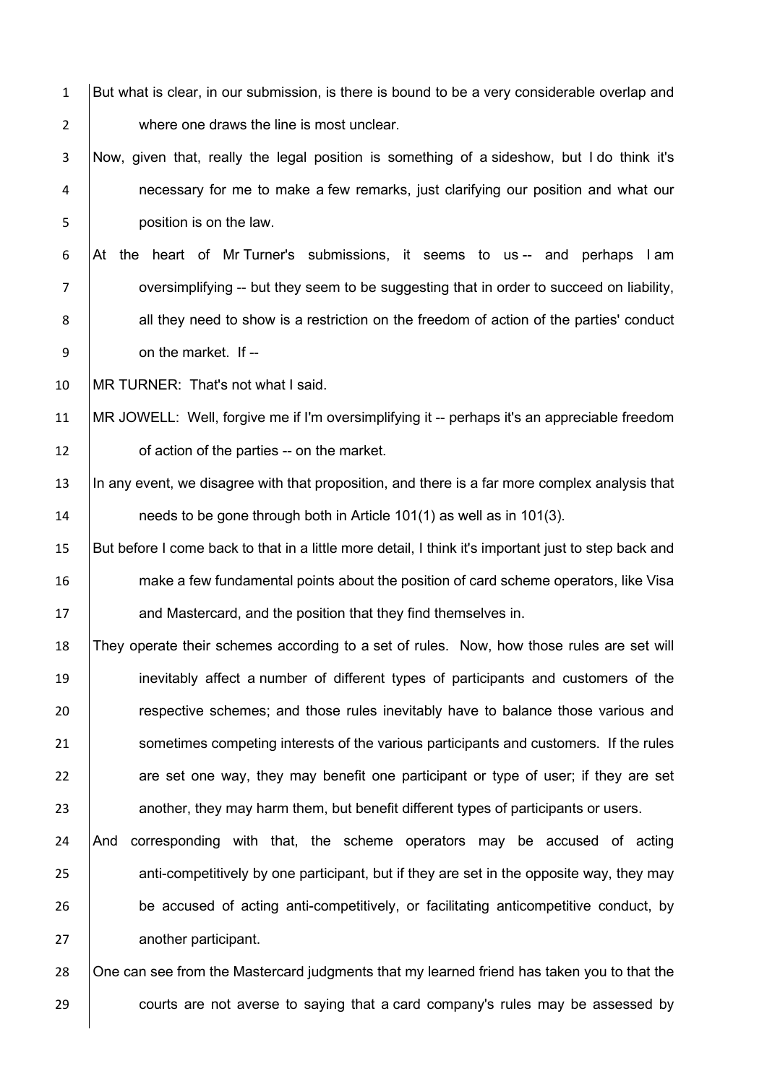1 But what is clear, in our submission, is there is bound to be a very considerable overlap and **where one draws the line is most unclear.** 

Now, given that, really the legal position is something of a sideshow, but I do think it's **necessary for me to make a few remarks, just clarifying our position and what our bosition is on the law.** 

At the heart of Mr Turner's submissions, it seems to us -- and perhaps I am **Fig. 2** oversimplifying -- but they seem to be suggesting that in order to succeed on liability, 8 all they need to show is a restriction on the freedom of action of the parties' conduct 9 on the market. If --

MR TURNER: That's not what I said.

 MR JOWELL: Well, forgive me if I'm oversimplifying it -- perhaps it's an appreciable freedom **of action of the parties -- on the market.** 

13 In any event, we disagree with that proposition, and there is a far more complex analysis that **needs to be gone through both in Article 101(1)** as well as in 101(3).

 But before I come back to that in a little more detail, I think it's important just to step back and 16 make a few fundamental points about the position of card scheme operators, like Visa **and Mastercard, and the position that they find themselves in.** 

 They operate their schemes according to a set of rules. Now, how those rules are set will inevitably affect a number of different types of participants and customers of the **Fig.** respective schemes; and those rules inevitably have to balance those various and **Sometimes competing interests of the various participants and customers.** If the rules are set one way, they may benefit one participant or type of user; if they are set **another, they may harm them, but benefit different types of participants or users.** 

24 | And corresponding with that, the scheme operators may be accused of acting anti-competitively by one participant, but if they are set in the opposite way, they may 26 be accused of acting anti-competitively, or facilitating anticompetitive conduct, by 27 another participant.

28 | One can see from the Mastercard judgments that my learned friend has taken you to that the **courts are not averse to saying that a card company's rules may be assessed by**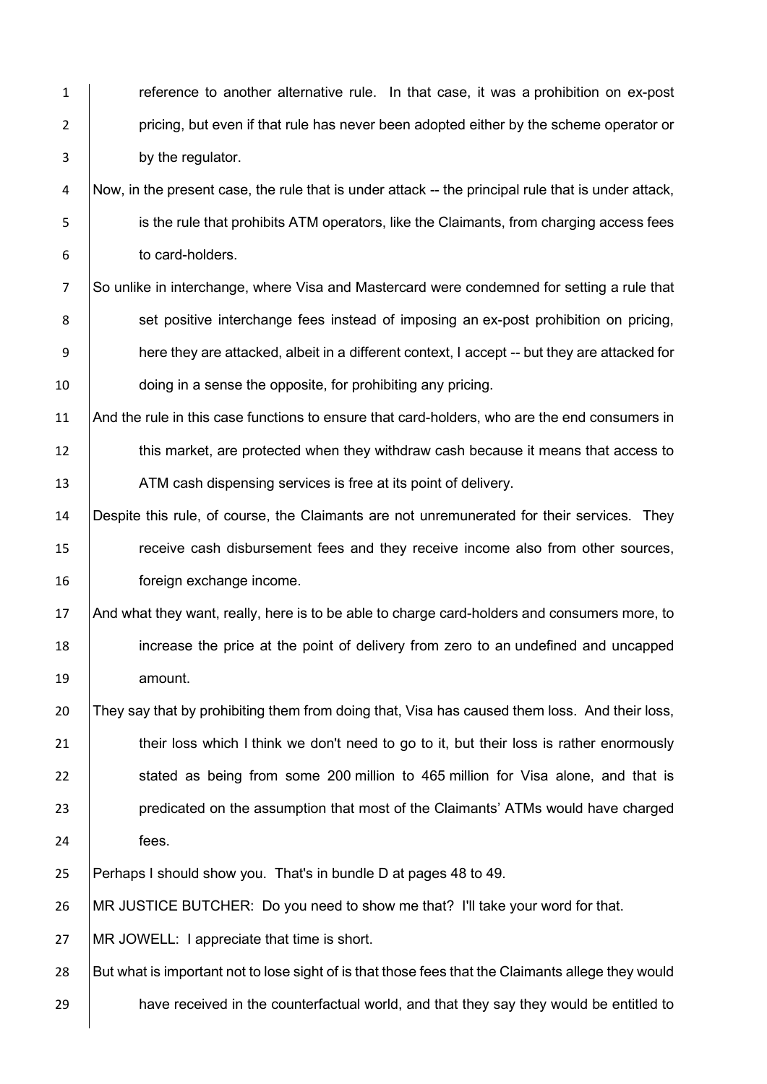1 **Figure 1** reference to another alternative rule. In that case, it was a prohibition on ex-post 2 **prici** pricing, but even if that rule has never been adopted either by the scheme operator or 3 by the regulator. 4 Now, in the present case, the rule that is under attack -- the principal rule that is under attack, 5 is the rule that prohibits ATM operators, like the Claimants, from charging access fees 6 to card-holders. 7 So unlike in interchange, where Visa and Mastercard were condemned for setting a rule that 8 set positive interchange fees instead of imposing an ex-post prohibition on pricing, 9 | here they are attacked, albeit in a different context, I accept -- but they are attacked for 10 **doing in a sense the opposite, for prohibiting any pricing.** 11 And the rule in this case functions to ensure that card-holders, who are the end consumers in 12 this market, are protected when they withdraw cash because it means that access to 13 ATM cash dispensing services is free at its point of delivery. 14 Despite this rule, of course, the Claimants are not unremunerated for their services. They 15 The receive cash disbursement fees and they receive income also from other sources, 16 foreign exchange income. 17 And what they want, really, here is to be able to charge card-holders and consumers more, to 18 increase the price at the point of delivery from zero to an undefined and uncapped 19 | amount. 20 They say that by prohibiting them from doing that, Visa has caused them loss. And their loss, 21 their loss which I think we don't need to go to it, but their loss is rather enormously 22 Stated as being from some 200 million to 465 million for Visa alone, and that is 23 **predicated on the assumption that most of the Claimants' ATMs would have charged** 24 fees. 25 Perhaps I should show you. That's in bundle D at pages 48 to 49. 26 MR JUSTICE BUTCHER: Do you need to show me that? I'll take your word for that. 27 | MR JOWELL: I appreciate that time is short. 28 But what is important not to lose sight of is that those fees that the Claimants allege they would 29 **have received in the counterfactual world, and that they say they would be entitled to**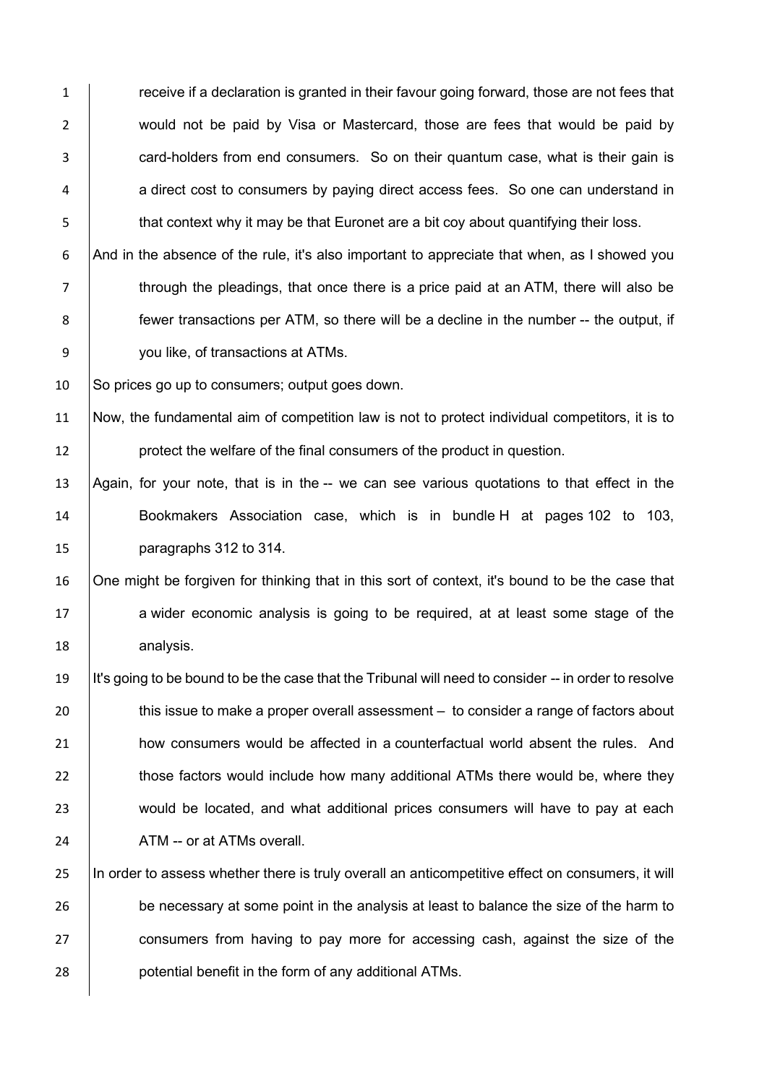**Fig. 2** receive if a declaration is granted in their favour going forward, those are not fees that 2 would not be paid by Visa or Mastercard, those are fees that would be paid by **card-holders from end consumers.** So on their quantum case, what is their gain is 4 a direct cost to consumers by paying direct access fees. So one can understand in 5 that context why it may be that Euronet are a bit coy about quantifying their loss.

6 And in the absence of the rule, it's also important to appreciate that when, as I showed you  $\vert$  through the pleadings, that once there is a price paid at an ATM, there will also be fewer transactions per ATM, so there will be a decline in the number -- the output, if you like, of transactions at ATMs.

10 So prices go up to consumers; output goes down.

 Now, the fundamental aim of competition law is not to protect individual competitors, it is to **protect the welfare of the final consumers of the product in question.** 

 Again, for your note, that is in the -- we can see various quotations to that effect in the Bookmakers Association case, which is in bundle H at pages 102 to 103, paragraphs 312 to 314.

 One might be forgiven for thinking that in this sort of context, it's bound to be the case that a wider economic analysis is going to be required, at at least some stage of the 18 | analysis.

 It's going to be bound to be the case that the Tribunal will need to consider -- in order to resolve 20 this issue to make a proper overall assessment – to consider a range of factors about **how consumers would be affected in a counterfactual world absent the rules.** And 22 those factors would include how many additional ATMs there would be, where they 23 would be located, and what additional prices consumers will have to pay at each 24 ATM -- or at ATMs overall.

 In order to assess whether there is truly overall an anticompetitive effect on consumers, it will 26 be necessary at some point in the analysis at least to balance the size of the harm to **consumers from having to pay more for accessing cash, against the size of the potential benefit in the form of any additional ATMs.**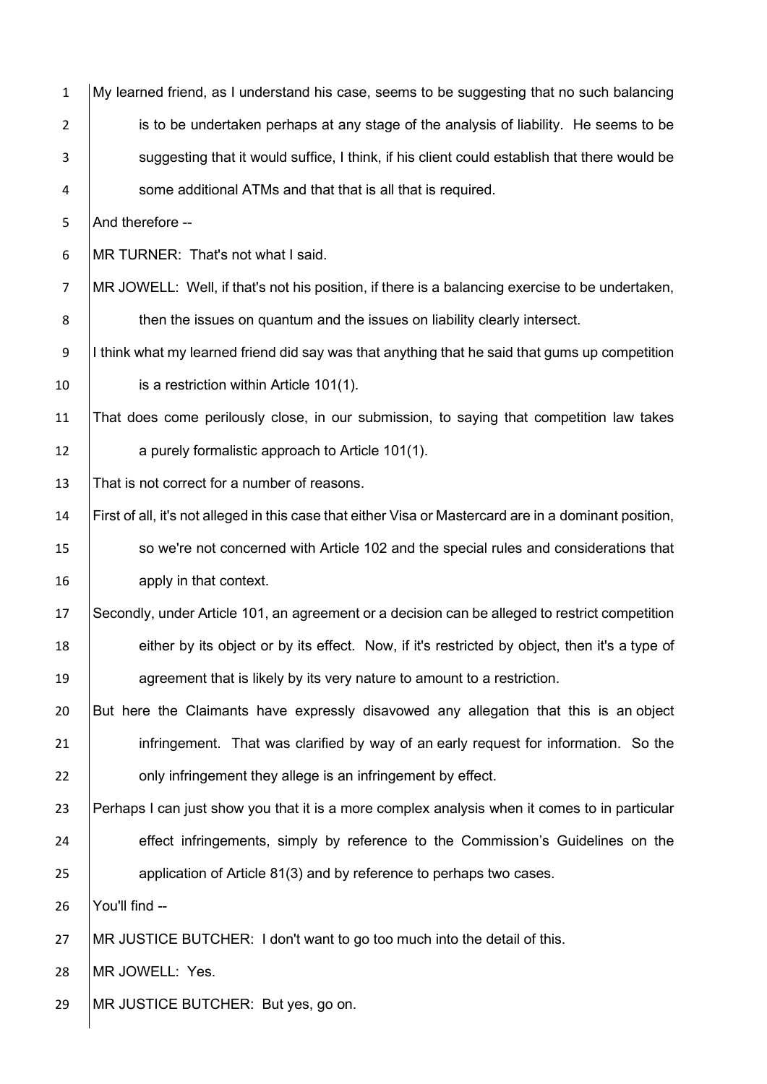| $\mathbf{1}$   | My learned friend, as I understand his case, seems to be suggesting that no such balancing             |
|----------------|--------------------------------------------------------------------------------------------------------|
| $\overline{2}$ | is to be undertaken perhaps at any stage of the analysis of liability. He seems to be                  |
| 3              | suggesting that it would suffice, I think, if his client could establish that there would be           |
| 4              | some additional ATMs and that that is all that is required.                                            |
| 5              | And therefore --                                                                                       |
| 6              | MR TURNER: That's not what I said.                                                                     |
| $\overline{7}$ | MR JOWELL: Well, if that's not his position, if there is a balancing exercise to be undertaken,        |
| 8              | then the issues on quantum and the issues on liability clearly intersect.                              |
| 9              | I think what my learned friend did say was that anything that he said that gums up competition         |
| 10             | is a restriction within Article 101(1).                                                                |
| 11             | That does come perilously close, in our submission, to saying that competition law takes               |
| 12             | a purely formalistic approach to Article 101(1).                                                       |
| 13             | That is not correct for a number of reasons.                                                           |
| 14             | First of all, it's not alleged in this case that either Visa or Mastercard are in a dominant position, |
| 15             | so we're not concerned with Article 102 and the special rules and considerations that                  |
| 16             | apply in that context.                                                                                 |
| 17             | Secondly, under Article 101, an agreement or a decision can be alleged to restrict competition         |
| 18             | either by its object or by its effect. Now, if it's restricted by object, then it's a type of          |
| 19             | agreement that is likely by its very nature to amount to a restriction.                                |
| 20             | But here the Claimants have expressly disavowed any allegation that this is an object                  |
| 21             | infringement. That was clarified by way of an early request for information. So the                    |
| 22             | only infringement they allege is an infringement by effect.                                            |
| 23             | Perhaps I can just show you that it is a more complex analysis when it comes to in particular          |
| 24             | effect infringements, simply by reference to the Commission's Guidelines on the                        |
| 25             | application of Article 81(3) and by reference to perhaps two cases.                                    |
| 26             | You'll find --                                                                                         |
| 27             | MR JUSTICE BUTCHER: I don't want to go too much into the detail of this.                               |
| 28             | MR JOWELL: Yes.                                                                                        |
| 29             | MR JUSTICE BUTCHER: But yes, go on.                                                                    |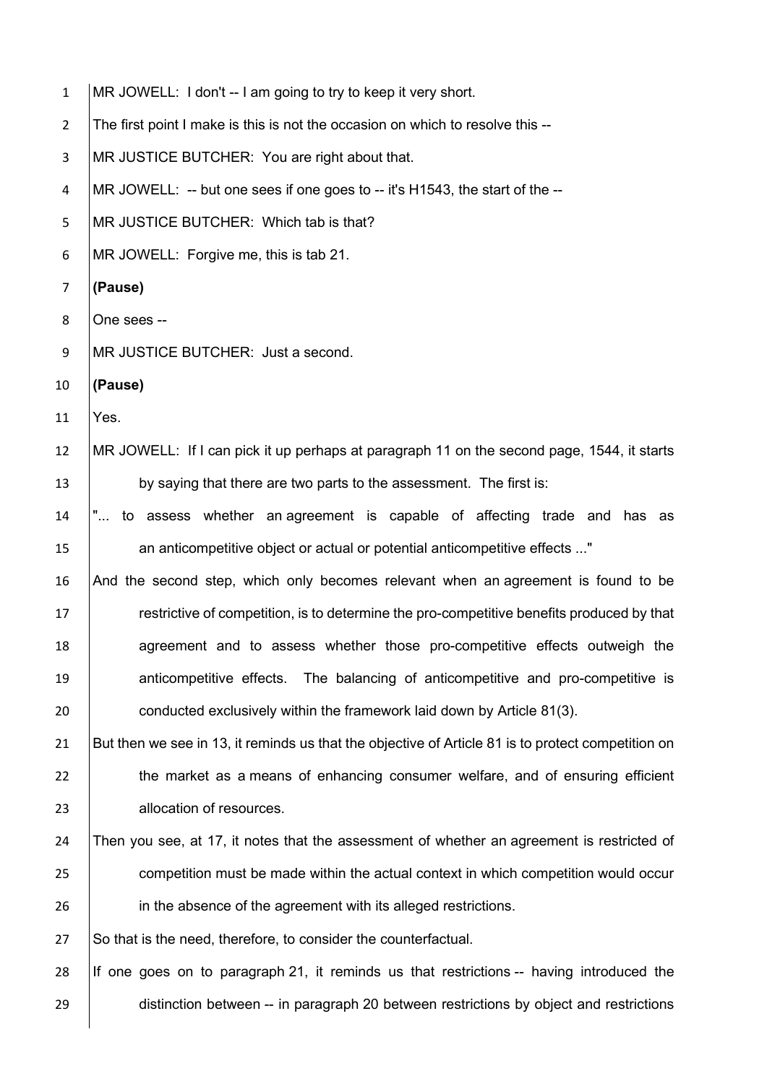| $\mathbf{1}$   | MR JOWELL: I don't -- I am going to try to keep it very short.                                     |
|----------------|----------------------------------------------------------------------------------------------------|
| $\overline{2}$ | The first point I make is this is not the occasion on which to resolve this --                     |
| 3              | MR JUSTICE BUTCHER: You are right about that.                                                      |
| 4              | MR JOWELL: -- but one sees if one goes to -- it's H1543, the start of the --                       |
| 5              | MR JUSTICE BUTCHER: Which tab is that?                                                             |
|                |                                                                                                    |
| 6              | MR JOWELL: Forgive me, this is tab 21.                                                             |
| 7              | (Pause)                                                                                            |
| 8              | One sees --                                                                                        |
| 9              | MR JUSTICE BUTCHER: Just a second.                                                                 |
| 10             | (Pause)                                                                                            |
| 11             | Yes.                                                                                               |
| 12             | MR JOWELL: If I can pick it up perhaps at paragraph 11 on the second page, 1544, it starts         |
| 13             | by saying that there are two parts to the assessment. The first is:                                |
| 14             | to assess whether an agreement is capable of affecting trade and has as                            |
| 15             | an anticompetitive object or actual or potential anticompetitive effects "                         |
| 16             | And the second step, which only becomes relevant when an agreement is found to be                  |
| 17             | restrictive of competition, is to determine the pro-competitive benefits produced by that          |
| 18             | agreement and to assess whether those pro-competitive effects outweigh the                         |
| 19             | anticompetitive effects. The balancing of anticompetitive and pro-competitive is                   |
| 20             | conducted exclusively within the framework laid down by Article 81(3).                             |
| 21             | But then we see in 13, it reminds us that the objective of Article 81 is to protect competition on |
| 22             | the market as a means of enhancing consumer welfare, and of ensuring efficient                     |
| 23             | allocation of resources.                                                                           |
| 24             | Then you see, at 17, it notes that the assessment of whether an agreement is restricted of         |
| 25             | competition must be made within the actual context in which competition would occur                |
| 26             | in the absence of the agreement with its alleged restrictions.                                     |
| 27             | So that is the need, therefore, to consider the counterfactual.                                    |
| 28             | If one goes on to paragraph 21, it reminds us that restrictions -- having introduced the           |
| 29             | distinction between -- in paragraph 20 between restrictions by object and restrictions             |
|                |                                                                                                    |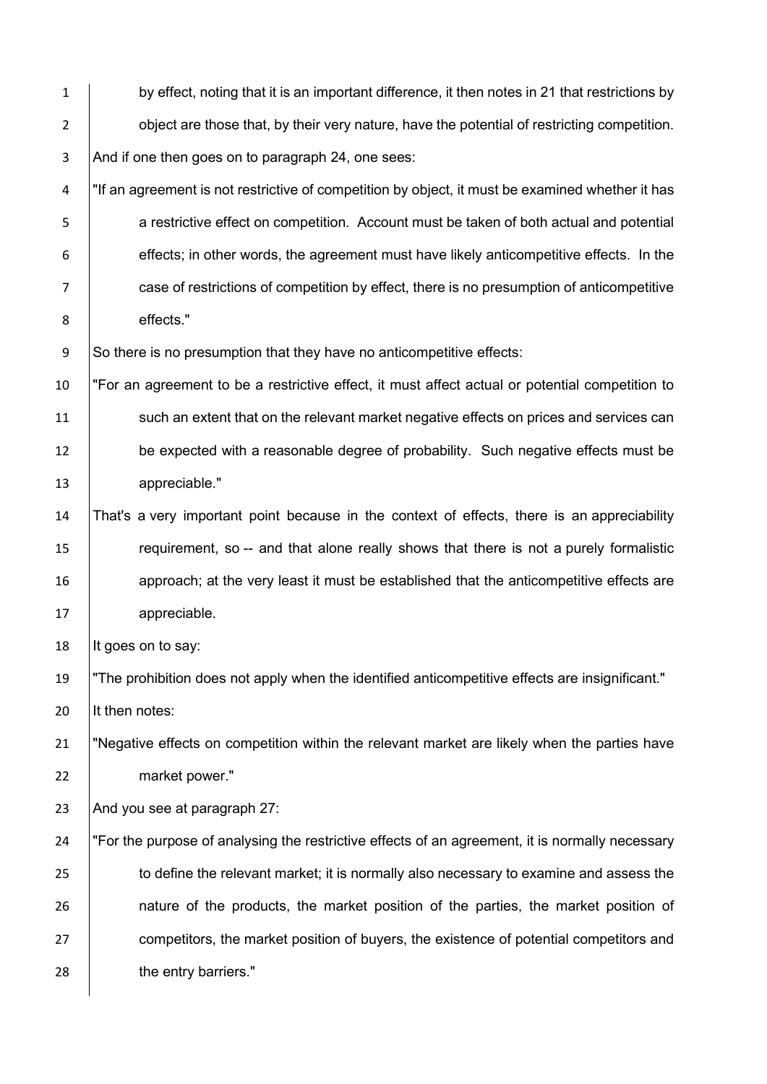| $\mathbf{1}$   | by effect, noting that it is an important difference, it then notes in 21 that restrictions by   |
|----------------|--------------------------------------------------------------------------------------------------|
| $\overline{2}$ | object are those that, by their very nature, have the potential of restricting competition.      |
| 3              | And if one then goes on to paragraph 24, one sees:                                               |
| 4              | "If an agreement is not restrictive of competition by object, it must be examined whether it has |
| 5              | a restrictive effect on competition. Account must be taken of both actual and potential          |
| 6              | effects; in other words, the agreement must have likely anticompetitive effects. In the          |
| 7              | case of restrictions of competition by effect, there is no presumption of anticompetitive        |
| 8              | effects."                                                                                        |
| 9              | So there is no presumption that they have no anticompetitive effects:                            |
| 10             | "For an agreement to be a restrictive effect, it must affect actual or potential competition to  |
| 11             | such an extent that on the relevant market negative effects on prices and services can           |
| 12             | be expected with a reasonable degree of probability. Such negative effects must be               |
| 13             | appreciable."                                                                                    |
| 14             | That's a very important point because in the context of effects, there is an appreciability      |
| 15             | requirement, so -- and that alone really shows that there is not a purely formalistic            |
| 16             | approach; at the very least it must be established that the anticompetitive effects are          |
| 17             | appreciable.                                                                                     |
| 18             | It goes on to say:                                                                               |
| 19             | "The prohibition does not apply when the identified anticompetitive effects are insignificant."  |
| 20             | It then notes:                                                                                   |
| 21             | "Negative effects on competition within the relevant market are likely when the parties have     |
| 22             | market power."                                                                                   |
| 23             | And you see at paragraph 27:                                                                     |
| 24             | "For the purpose of analysing the restrictive effects of an agreement, it is normally necessary  |
| 25             | to define the relevant market; it is normally also necessary to examine and assess the           |
| 26             | nature of the products, the market position of the parties, the market position of               |
| 27             | competitors, the market position of buyers, the existence of potential competitors and           |
| 28             | the entry barriers."                                                                             |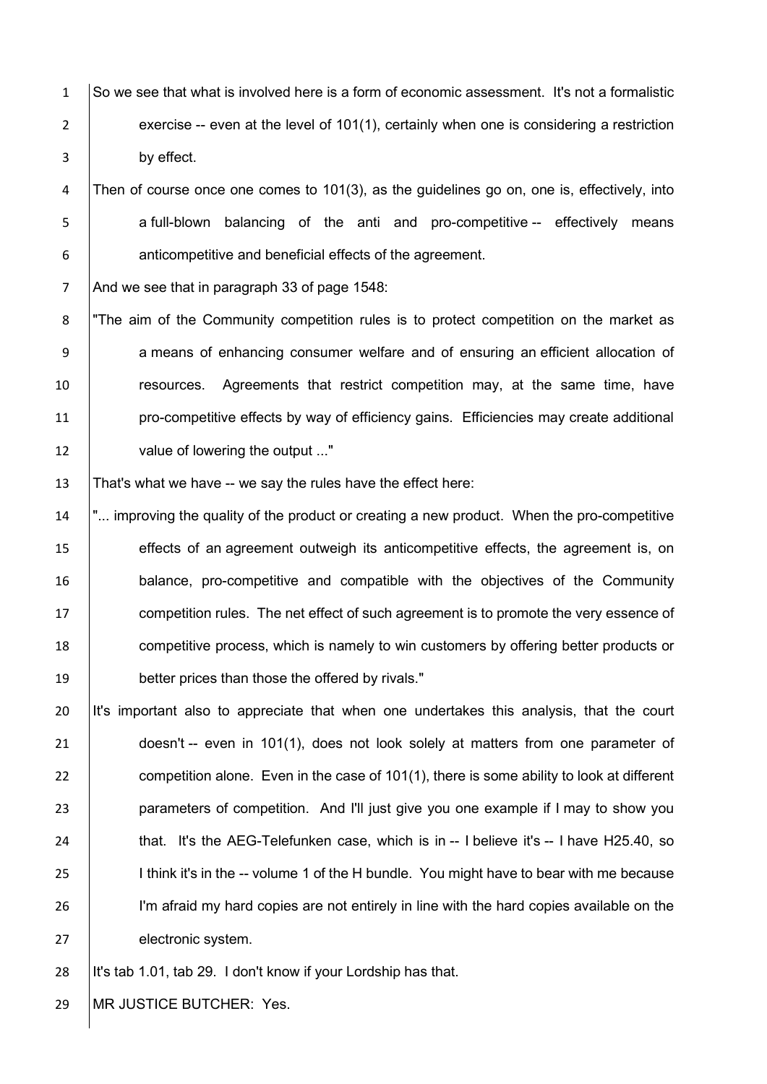1 So we see that what is involved here is a form of economic assessment. It's not a formalistic 2  $\parallel$  exercise -- even at the level of 101(1), certainly when one is considering a restriction 3 by effect.

4 Then of course once one comes to 101(3), as the guidelines go on, one is, effectively, into 5 a full-blown balancing of the anti and pro-competitive -- effectively means 6 **anticompetitive and beneficial effects of the agreement.** 

7 And we see that in paragraph 33 of page 1548:

8 The aim of the Community competition rules is to protect competition on the market as 9 a means of enhancing consumer welfare and of ensuring an efficient allocation of 10 resources. Agreements that restrict competition may, at the same time, have 11 **pro-competitive effects by way of efficiency gains.** Efficiencies may create additional 12 value of lowering the output ..."

13 That's what we have -- we say the rules have the effect here:

  $\vert$ "... improving the quality of the product or creating a new product. When the pro-competitive 15 effects of an agreement outweigh its anticompetitive effects, the agreement is, on balance, pro-competitive and compatible with the objectives of the Community **Fig. 2** competition rules. The net effect of such agreement is to promote the very essence of competitive process, which is namely to win customers by offering better products or better prices than those the offered by rivals."

 It's important also to appreciate that when one undertakes this analysis, that the court 21 doesn't -- even in 101(1), does not look solely at matters from one parameter of **competition alone.** Even in the case of 101(1), there is some ability to look at different **parameters of competition.** And I'll just give you one example if I may to show you  $\parallel$  that. It's the AEG-Telefunken case, which is in -- I believe it's -- I have H25.40, so 25 | I think it's in the -- volume 1 of the H bundle. You might have to bear with me because **I'm afraid my hard copies are not entirely in line with the hard copies available on the** 27 electronic system.

28 | It's tab 1.01, tab 29. I don't know if your Lordship has that.

29 | MR JUSTICE BUTCHER: Yes.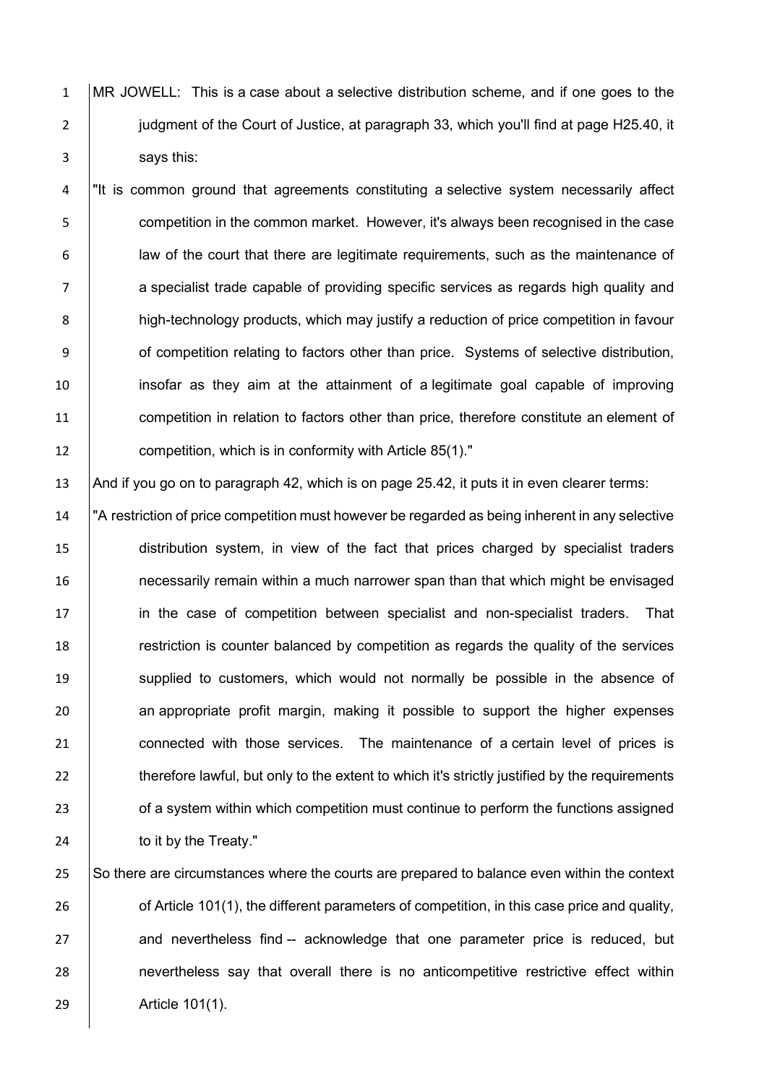MR JOWELL: This is a case about a selective distribution scheme, and if one goes to the **judgment of the Court of Justice, at paragraph 33, which you'll find at page H25.40, it** 3 | says this:

4 | "It is common ground that agreements constituting a selective system necessarily affect **competition in the common market. However, it's always been recognised in the case law of the court that there are legitimate requirements, such as the maintenance of Fig.** a specialist trade capable of providing specific services as regards high quality and high-technology products, which may justify a reduction of price competition in favour of competition relating to factors other than price. Systems of selective distribution, insofar as they aim at the attainment of a legitimate goal capable of improving **competition in relation to factors other than price, therefore constitute an element of competition, which is in conformity with Article 85(1).**"

13 And if you go on to paragraph 42, which is on page 25.42, it puts it in even clearer terms:

14 The restriction of price competition must however be regarded as being inherent in any selective distribution system, in view of the fact that prices charged by specialist traders **16** necessarily remain within a much narrower span than that which might be envisaged **in the case of competition between specialist and non-specialist traders.** That restriction is counter balanced by competition as regards the quality of the services 19 Supplied to customers, which would not normally be possible in the absence of 20 an appropriate profit margin, making it possible to support the higher expenses **connected with those services.** The maintenance of a certain level of prices is 22 therefore lawful, but only to the extent to which it's strictly justified by the requirements **of a system within which competition must continue to perform the functions assigned b** to it by the Treaty."

25 So there are circumstances where the courts are prepared to balance even within the context **of Article 101(1), the different parameters of competition, in this case price and quality,**  and nevertheless find -- acknowledge that one parameter price is reduced, but nevertheless say that overall there is no anticompetitive restrictive effect within Article 101(1).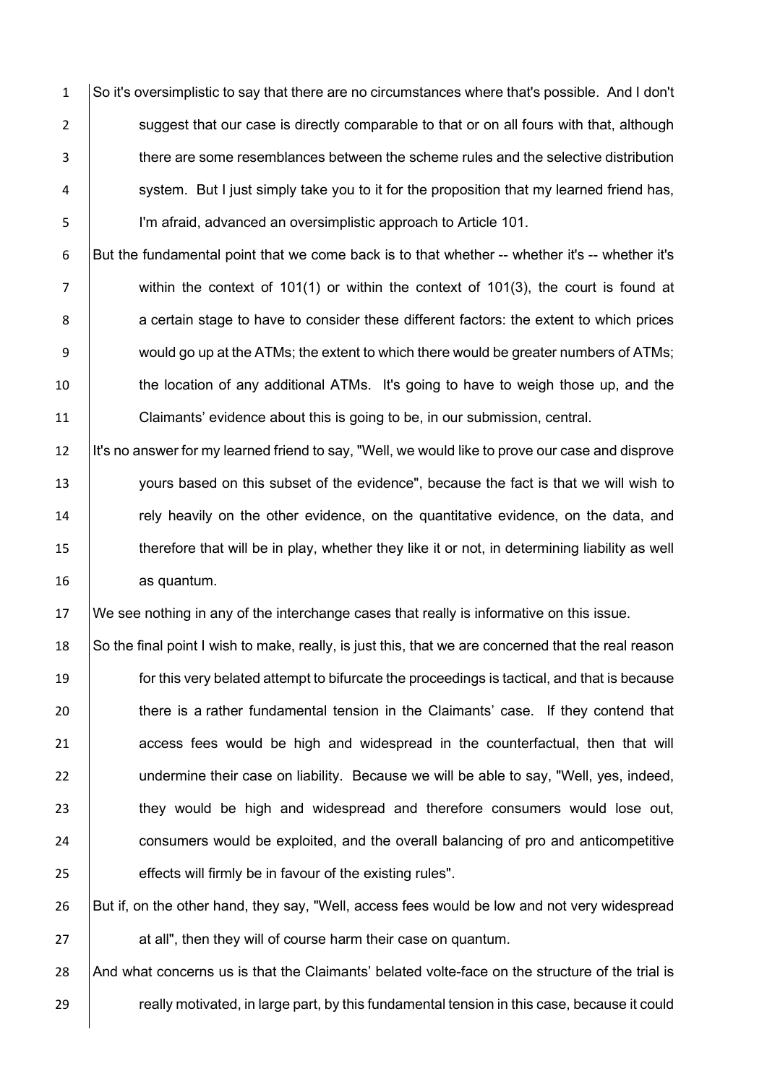1 So it's oversimplistic to say that there are no circumstances where that's possible. And I don't 2 | suggest that our case is directly comparable to that or on all fours with that, although 3 there are some resemblances between the scheme rules and the selective distribution 4 | system. But I just simply take you to it for the proposition that my learned friend has, 5 I'm afraid, advanced an oversimplistic approach to Article 101.

6  $\vert$  But the fundamental point that we come back is to that whether -- whether it's -- whether it's 7 | within the context of 101(1) or within the context of 101(3), the court is found at 8 a certain stage to have to consider these different factors: the extent to which prices 9 would go up at the ATMs; the extent to which there would be greater numbers of ATMs; 10 **the location of any additional ATMs.** It's going to have to weigh those up, and the 11 Claimants' evidence about this is going to be, in our submission, central.

12 It's no answer for my learned friend to say, "Well, we would like to prove our case and disprove 13 yours based on this subset of the evidence", because the fact is that we will wish to 14 The rely heavily on the other evidence, on the quantitative evidence, on the data, and 15 therefore that will be in play, whether they like it or not, in determining liability as well 16 as quantum.

17 We see nothing in any of the interchange cases that really is informative on this issue.

18 So the final point I wish to make, really, is just this, that we are concerned that the real reason 19 **for this very belated attempt to bifurcate the proceedings is tactical, and that is because** 20 there is a rather fundamental tension in the Claimants' case. If they contend that 21 access fees would be high and widespread in the counterfactual, then that will 22 **undermine their case on liability.** Because we will be able to say, "Well, yes, indeed, 23 they would be high and widespread and therefore consumers would lose out, 24 **consumers would be exploited, and the overall balancing of pro and anticompetitive** 25 **effects will firmly be in favour of the existing rules".** 

26 But if, on the other hand, they say, "Well, access fees would be low and not very widespread  $27$  at all", then they will of course harm their case on quantum.

28 And what concerns us is that the Claimants' belated volte-face on the structure of the trial is 29 **Fig. 3** really motivated, in large part, by this fundamental tension in this case, because it could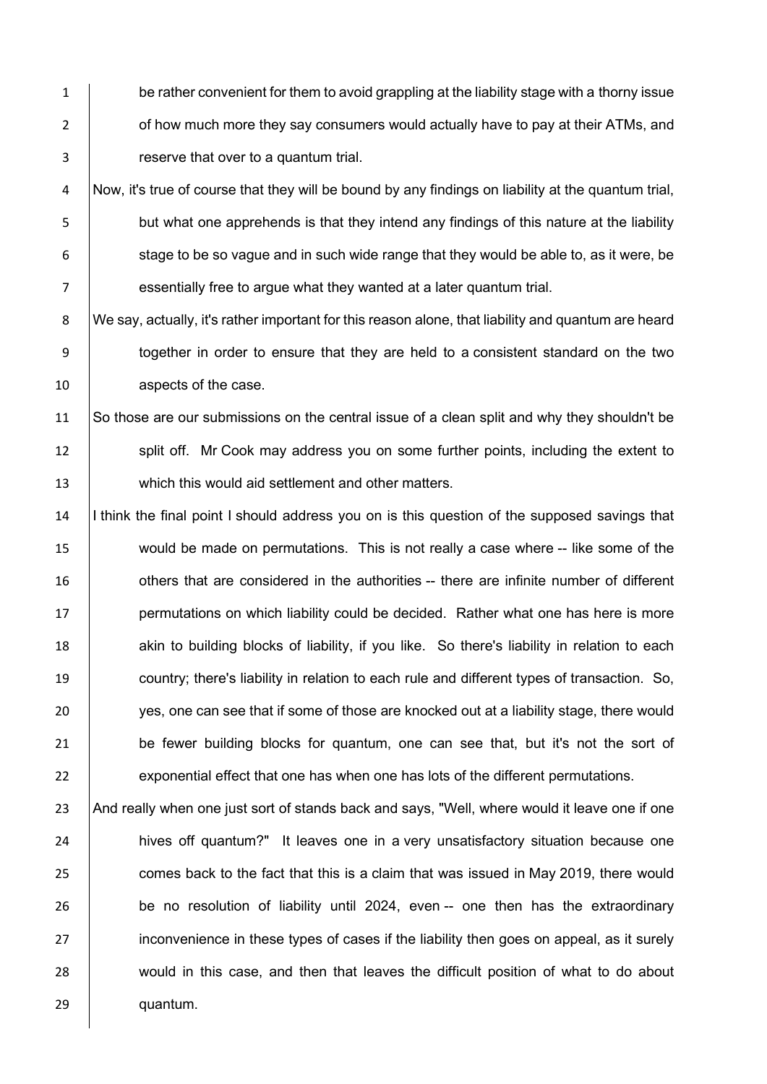1 be rather convenient for them to avoid grappling at the liability stage with a thorny issue 2 **b** of how much more they say consumers would actually have to pay at their ATMs, and 3 **Superserve that over to a quantum trial.** 

4 Now, it's true of course that they will be bound by any findings on liability at the quantum trial, 5 but what one apprehends is that they intend any findings of this nature at the liability  $\overline{6}$  stage to be so vague and in such wide range that they would be able to, as it were, be  $7$  | essentially free to argue what they wanted at a later quantum trial.

8 We say, actually, it's rather important for this reason alone, that liability and quantum are heard 9 **together in order to ensure that they are held to a consistent standard on the two** 10 **aspects of the case.** 

11 So those are our submissions on the central issue of a clean split and why they shouldn't be 12 split off. Mr Cook may address you on some further points, including the extent to 13 which this would aid settlement and other matters.

14 I think the final point I should address you on is this question of the supposed savings that 15 would be made on permutations. This is not really a case where -- like some of the 16 **others that are considered in the authorities -- there are infinite number of different** 17 **permutations on which liability could be decided. Rather what one has here is more** 18 akin to building blocks of liability, if you like. So there's liability in relation to each 19 **country**; there's liability in relation to each rule and different types of transaction. So, 20 yes, one can see that if some of those are knocked out at a liability stage, there would 21 be fewer building blocks for quantum, one can see that, but it's not the sort of 22 exponential effect that one has when one has lots of the different permutations.

23 And really when one just sort of stands back and says, "Well, where would it leave one if one 24 **hives off quantum?"** It leaves one in a very unsatisfactory situation because one 25 **comes back to the fact that this is a claim that was issued in May 2019, there would** 26 be no resolution of liability until 2024, even -- one then has the extraordinary 27 **i** inconvenience in these types of cases if the liability then goes on appeal, as it surely 28 would in this case, and then that leaves the difficult position of what to do about 29 | quantum.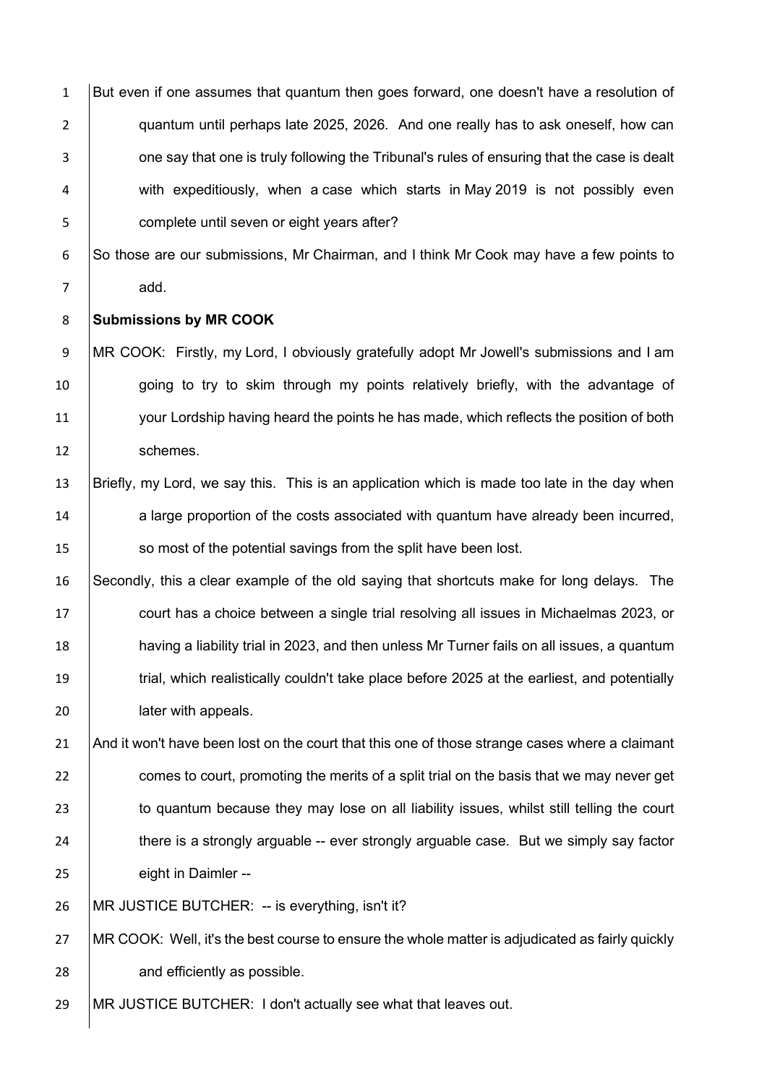1 But even if one assumes that quantum then goes forward, one doesn't have a resolution of 2 | quantum until perhaps late 2025, 2026. And one really has to ask oneself, how can 3 **one say that one is truly following the Tribunal's rules of ensuring that the case is dealt** 4 with expeditiously, when a case which starts in May 2019 is not possibly even 5 **b** complete until seven or eight years after?

6 So those are our submissions, Mr Chairman, and I think Mr Cook may have a few points to  $7 \mid$  add.

8 **Submissions by MR COOK** 

- 9 | MR COOK: Firstly, my Lord, I obviously gratefully adopt Mr Jowell's submissions and I am 10 going to try to skim through my points relatively briefly, with the advantage of 11 your Lordship having heard the points he has made, which reflects the position of both 12 | schemes.
- 13 Briefly, my Lord, we say this. This is an application which is made too late in the day when  $14$  a large proportion of the costs associated with quantum have already been incurred, 15 **So most of the potential savings from the split have been lost.**

16 Secondly, this a clear example of the old saying that shortcuts make for long delays. The 17 court has a choice between a single trial resolving all issues in Michaelmas 2023, or 18 having a liability trial in 2023, and then unless Mr Turner fails on all issues, a quantum 19 trial, which realistically couldn't take place before 2025 at the earliest, and potentially 20 **later with appeals.** 

21 And it won't have been lost on the court that this one of those strange cases where a claimant 22 comes to court, promoting the merits of a split trial on the basis that we may never get 23 to quantum because they may lose on all liability issues, whilst still telling the court  $24$  there is a strongly arguable -- ever strongly arguable case. But we simply say factor 25 eight in Daimler --

26 | MR JUSTICE BUTCHER: -- is everything, isn't it?

27 MR COOK: Well, it's the best course to ensure the whole matter is adjudicated as fairly quickly 28 **and efficiently as possible.** 

29 MR JUSTICE BUTCHER: I don't actually see what that leaves out.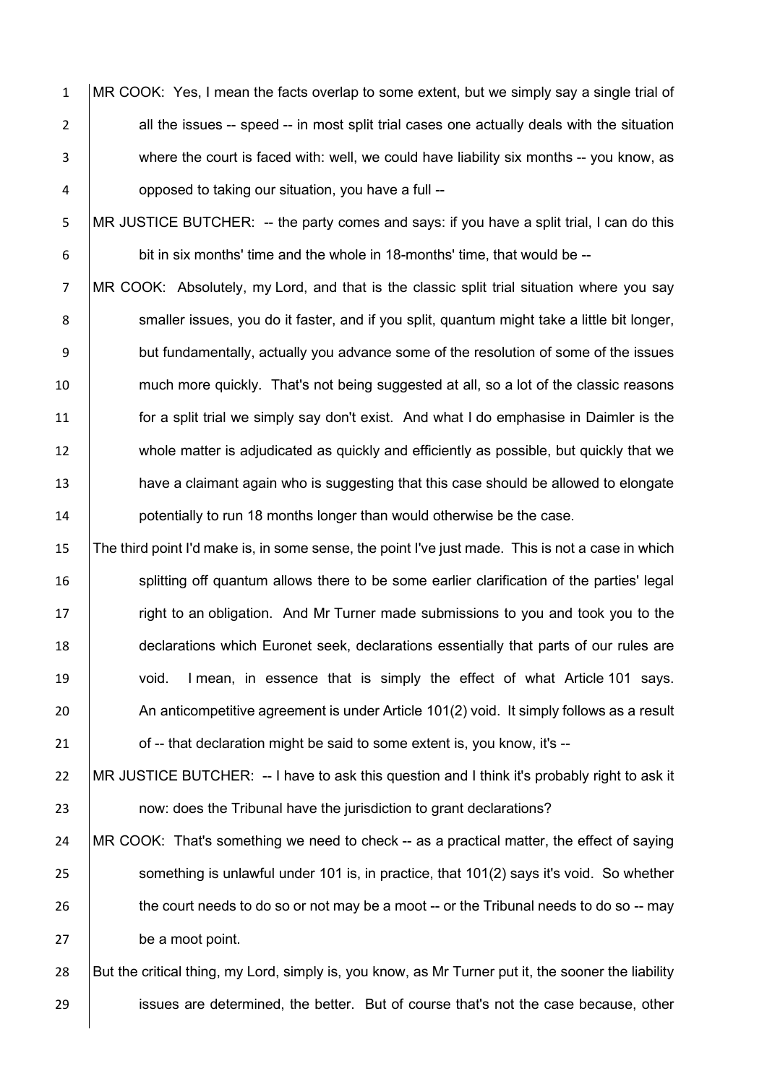1 MR COOK: Yes, I mean the facts overlap to some extent, but we simply say a single trial of  $\vert$  all the issues -- speed -- in most split trial cases one actually deals with the situation where the court is faced with: well, we could have liability six months -- you know, as opposed to taking our situation, you have a full --

5 MR JUSTICE BUTCHER: -- the party comes and says: if you have a split trial, I can do this  $6 \mid$  bit in six months' time and the whole in 18-months' time, that would be --

7 MR COOK: Absolutely, my Lord, and that is the classic split trial situation where you say 8 Smaller issues, you do it faster, and if you split, quantum might take a little bit longer, 9 but fundamentally, actually you advance some of the resolution of some of the issues 10 much more quickly. That's not being suggested at all, so a lot of the classic reasons 11 **for a split trial we simply say don't exist.** And what I do emphasise in Daimler is the 12 whole matter is adjudicated as quickly and efficiently as possible, but quickly that we 13 have a claimant again who is suggesting that this case should be allowed to elongate 14 **potentially to run 18 months longer than would otherwise be the case.** 

 The third point I'd make is, in some sense, the point I've just made. This is not a case in which **Splitting off quantum allows there to be some earlier clarification of the parties' legal Fight 17** right to an obligation. And Mr Turner made submissions to you and took you to the declarations which Euronet seek, declarations essentially that parts of our rules are void. I mean, in essence that is simply the effect of what Article 101 says. 20 An anticompetitive agreement is under Article 101(2) void. It simply follows as a result **of --** that declaration might be said to some extent is, you know, it's --

22 | MR JUSTICE BUTCHER: -- I have to ask this question and I think it's probably right to ask it 23 **now:** does the Tribunal have the jurisdiction to grant declarations?

24  $\parallel$  MR COOK: That's something we need to check -- as a practical matter, the effect of saying 25 Something is unlawful under 101 is, in practice, that 101(2) says it's void. So whether 26  $\vert$  the court needs to do so or not may be a moot -- or the Tribunal needs to do so -- may 27 be a moot point.

28 But the critical thing, my Lord, simply is, you know, as Mr Turner put it, the sooner the liability 29 **issues are determined, the better.** But of course that's not the case because, other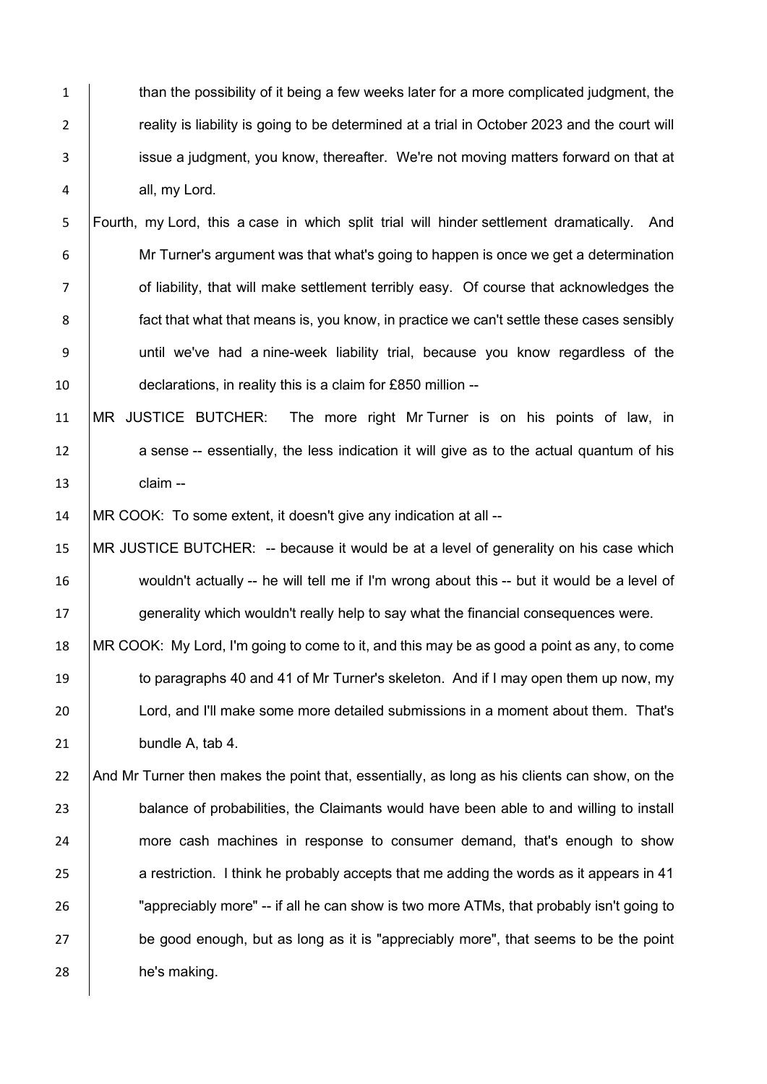1 than the possibility of it being a few weeks later for a more complicated judgment, the **Fig.** Feality is liability is going to be determined at a trial in October 2023 and the court will 3 issue a judgment, you know, thereafter. We're not moving matters forward on that at 4 all, my Lord.

Fourth, my Lord, this a case in which split trial will hinder settlement dramatically. And Mr Turner's argument was that what's going to happen is once we get a determination **Fig.** of liability, that will make settlement terribly easy. Of course that acknowledges the fact that what that means is, you know, in practice we can't settle these cases sensibly until we've had a nine-week liability trial, because you know regardless of the declarations, in reality this is a claim for £850 million --

 MR JUSTICE BUTCHER: The more right Mr Turner is on his points of law, in 12 a sense -- essentially, the less indication it will give as to the actual quantum of his **claim** --

MR COOK: To some extent, it doesn't give any indication at all --

 MR JUSTICE BUTCHER: -- because it would be at a level of generality on his case which 16 wouldn't actually -- he will tell me if I'm wrong about this -- but it would be a level of generality which wouldn't really help to say what the financial consequences were.

 MR COOK: My Lord, I'm going to come to it, and this may be as good a point as any, to come 19 to paragraphs 40 and 41 of Mr Turner's skeleton. And if I may open them up now, my **Lord, and I'll make some more detailed submissions in a moment about them.** That's **bundle A**, tab 4.

22 And Mr Turner then makes the point that, essentially, as long as his clients can show, on the **balance of probabilities, the Claimants would have been able to and willing to install** 24 more cash machines in response to consumer demand, that's enough to show 25 a restriction. I think he probably accepts that me adding the words as it appears in 41 **The Studie Common Studie is an** above is two more ATMs, that probably isn't going to be good enough, but as long as it is "appreciably more", that seems to be the point 28 he's making.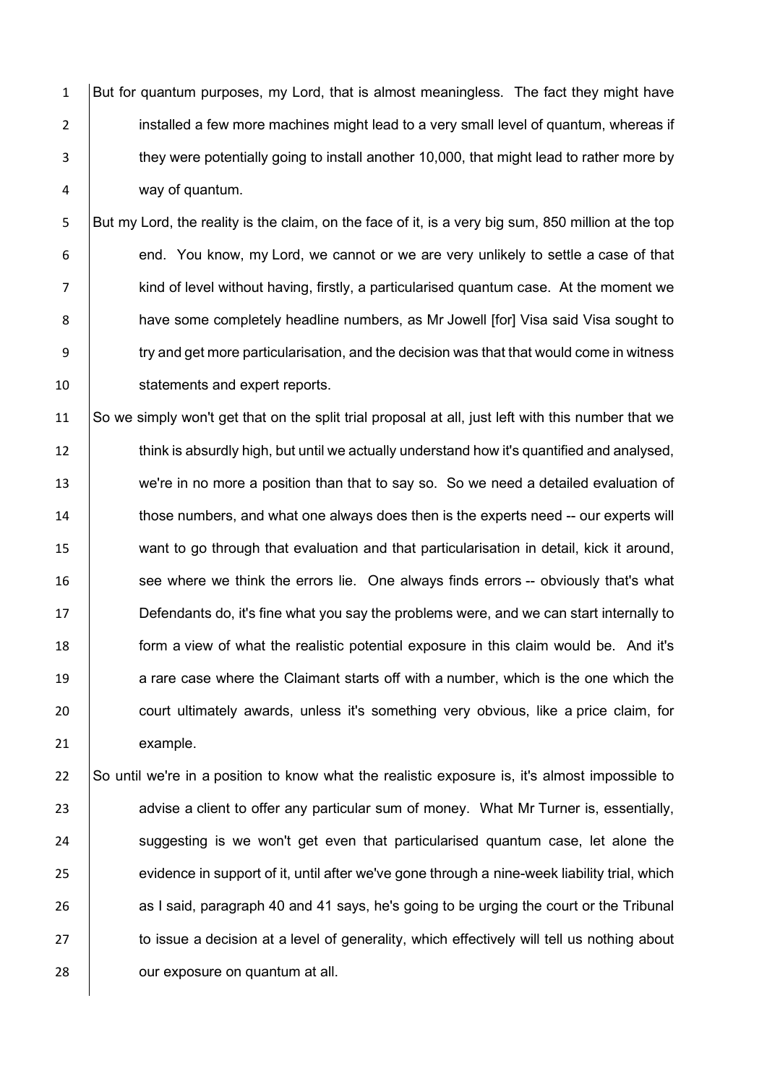1 But for quantum purposes, my Lord, that is almost meaningless. The fact they might have 2 installed a few more machines might lead to a very small level of quantum, whereas if 3 they were potentially going to install another 10,000, that might lead to rather more by 4 way of quantum.

5 But my Lord, the reality is the claim, on the face of it, is a very big sum, 850 million at the top  $6$  end. You know, my Lord, we cannot or we are very unlikely to settle a case of that  $7$  kind of level without having, firstly, a particularised quantum case. At the moment we 8 have some completely headline numbers, as Mr Jowell [for] Visa said Visa sought to 9 try and get more particularisation, and the decision was that that would come in witness 10 | statements and expert reports.

11 So we simply won't get that on the split trial proposal at all, just left with this number that we 12 think is absurdly high, but until we actually understand how it's quantified and analysed, 13 we're in no more a position than that to say so. So we need a detailed evaluation of 14 those numbers, and what one always does then is the experts need -- our experts will 15 want to go through that evaluation and that particularisation in detail, kick it around, 16 **Solut** see where we think the errors lie. One always finds errors -- obviously that's what 17 Defendants do, it's fine what you say the problems were, and we can start internally to 18 **form a view of what the realistic potential exposure in this claim would be.** And it's 19 a rare case where the Claimant starts off with a number, which is the one which the 20 **court ultimately awards, unless it's something very obvious, like a price claim, for** 21 example.

 $22$  So until we're in a position to know what the realistic exposure is, it's almost impossible to 23 advise a client to offer any particular sum of money. What Mr Turner is, essentially, 24 Suggesting is we won't get even that particularised quantum case, let alone the 25 evidence in support of it, until after we've gone through a nine-week liability trial, which 26 as I said, paragraph 40 and 41 says, he's going to be urging the court or the Tribunal  $27$   $\parallel$  to issue a decision at a level of generality, which effectively will tell us nothing about 28 **July 28** our exposure on quantum at all.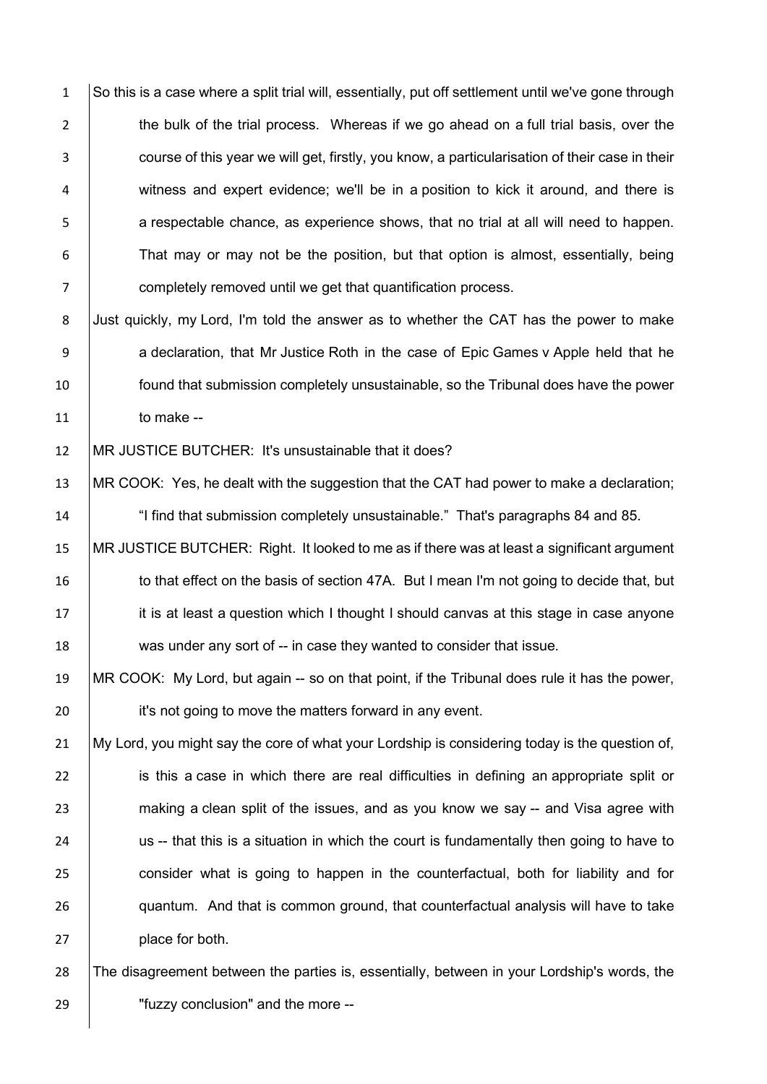1 So this is a case where a split trial will, essentially, put off settlement until we've gone through  $2$  the bulk of the trial process. Whereas if we go ahead on a full trial basis, over the 3 **course of this year we will get, firstly, you know, a particularisation of their case in their** 4 witness and expert evidence; we'll be in a position to kick it around, and there is 5 a respectable chance, as experience shows, that no trial at all will need to happen. 6 That may or may not be the position, but that option is almost, essentially, being 7 **completely removed until we get that quantification process.** 

8 Just quickly, my Lord. I'm told the answer as to whether the CAT has the power to make 9 a declaration, that Mr Justice Roth in the case of Epic Games v Apple held that he 10 found that submission completely unsustainable, so the Tribunal does have the power  $11$  to make --

12 | MR JUSTICE BUTCHER: It's unsustainable that it does?

13 MR COOK: Yes, he dealt with the suggestion that the CAT had power to make a declaration; 14 **I** "I find that submission completely unsustainable." That's paragraphs 84 and 85.

15 MR JUSTICE BUTCHER: Right. It looked to me as if there was at least a significant argument 16 to that effect on the basis of section 47A. But I mean I'm not going to decide that, but 17 **i**t is at least a question which I thought I should canvas at this stage in case anyone 18 was under any sort of -- in case they wanted to consider that issue.

19 MR COOK: My Lord, but again -- so on that point, if the Tribunal does rule it has the power, 20 it's not going to move the matters forward in any event.

 $\parallel$  My Lord, you might say the core of what your Lordship is considering today is the question of, 22 is this a case in which there are real difficulties in defining an appropriate split or  $\parallel$  making a clean split of the issues, and as you know we say -- and Visa agree with us -- that this is a situation in which the court is fundamentally then going to have to **consider what is going to happen in the counterfactual, both for liability and for quantum.** And that is common ground, that counterfactual analysis will have to take | place for both.

28 The disagreement between the parties is, essentially, between in your Lordship's words, the 29 **The Study Conclusion**" and the more --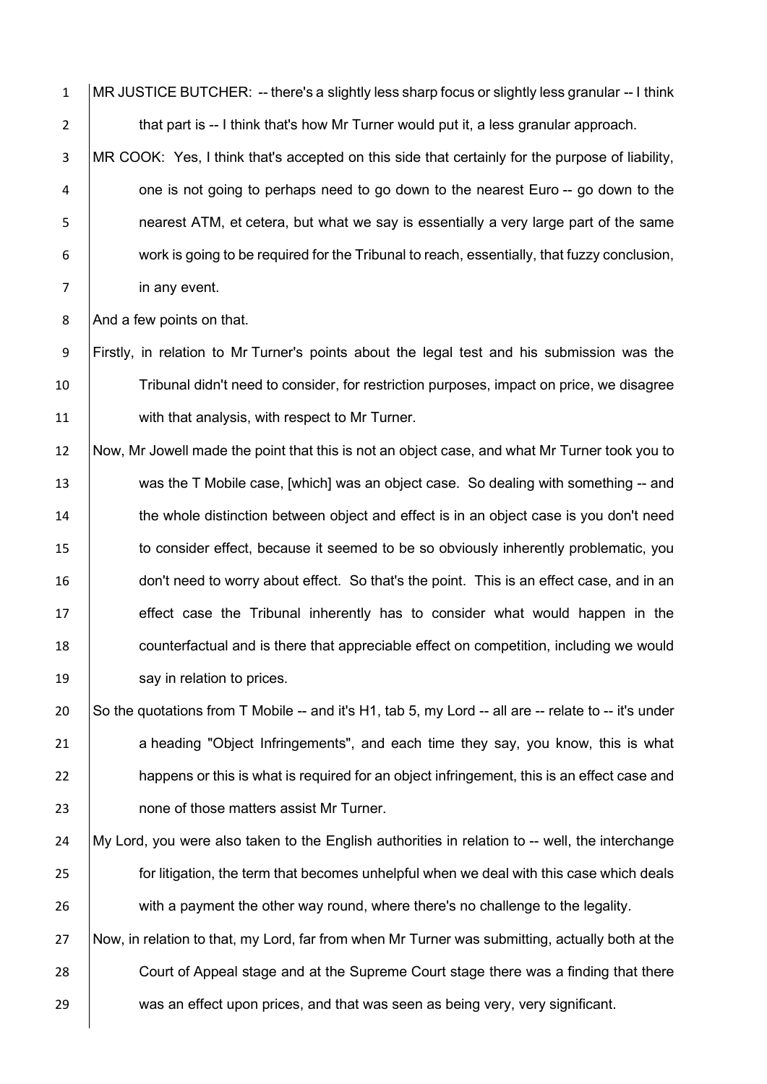1 | MR JUSTICE BUTCHER: -- there's a slightly less sharp focus or slightly less granular -- I think 2  $\vert$  that part is -- I think that's how Mr Turner would put it, a less granular approach.

MR COOK: Yes, I think that's accepted on this side that certainly for the purpose of liability, **1** one is not going to perhaps need to go down to the nearest Euro -- go down to the nearest ATM, et cetera, but what we say is essentially a very large part of the same 6 work is going to be required for the Tribunal to reach, essentially, that fuzzy conclusion, **in any event.** 

8  $\vert$  And a few points on that.

9 Firstly, in relation to Mr Turner's points about the legal test and his submission was the 10 Tribunal didn't need to consider, for restriction purposes, impact on price, we disagree 11 | with that analysis, with respect to Mr Turner.

12 Now, Mr Jowell made the point that this is not an object case, and what Mr Turner took you to 13 was the T Mobile case, [which] was an object case. So dealing with something -- and 14 the whole distinction between object and effect is in an object case is you don't need 15 to consider effect, because it seemed to be so obviously inherently problematic, you 16 **don't need to worry about effect.** So that's the point. This is an effect case, and in an  $17$  effect case the Tribunal inherently has to consider what would happen in the 18 counterfactual and is there that appreciable effect on competition, including we would 19 | say in relation to prices.

 $\vert$  So the quotations from T Mobile -- and it's H1, tab 5, my Lord -- all are -- relate to -- it's under 21 a heading "Object Infringements", and each time they say, you know, this is what **happens or this is what is required for an object infringement, this is an effect case and none of those matters assist Mr Turner.** 

## 24 | My Lord, you were also taken to the English authorities in relation to -- well, the interchange 25 **for litigation, the term that becomes unhelpful when we deal with this case which deals** 26 with a payment the other way round, where there's no challenge to the legality.

27 Now, in relation to that, my Lord, far from when Mr Turner was submitting, actually both at the 28 Court of Appeal stage and at the Supreme Court stage there was a finding that there 29 was an effect upon prices, and that was seen as being very, very significant.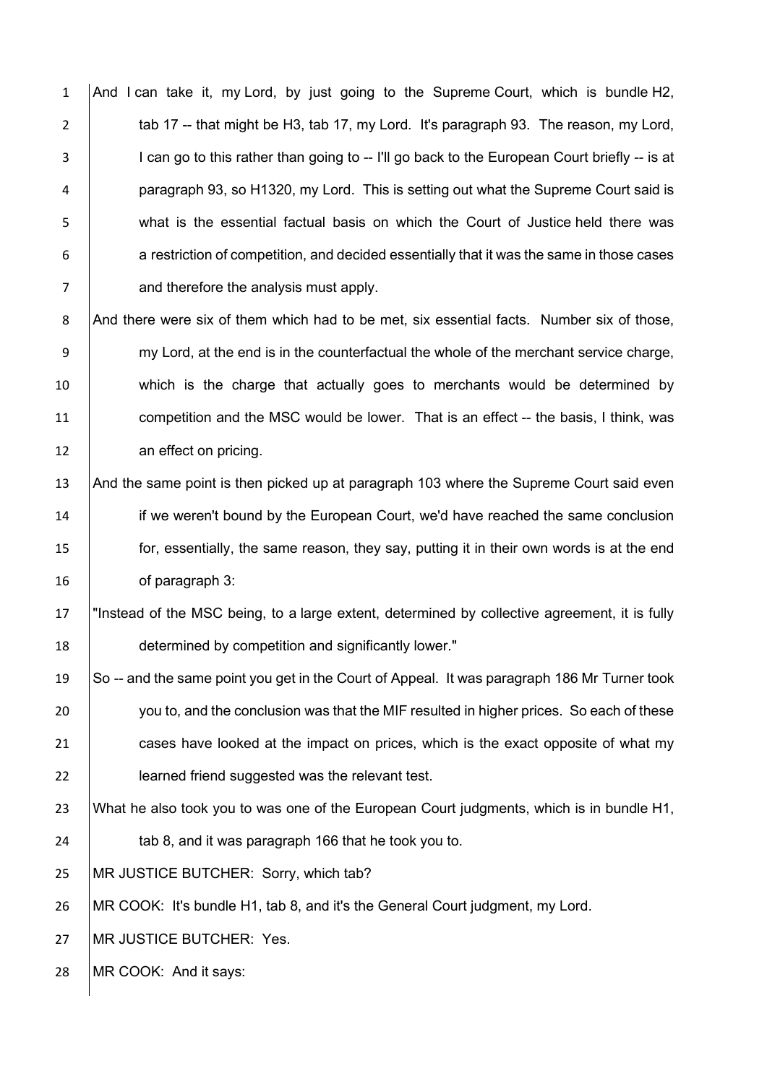And I can take it, my Lord, by just going to the Supreme Court, which is bundle H2,  $\vert$  tab 17 -- that might be H3, tab 17, my Lord. It's paragraph 93. The reason, my Lord, 3 | I can go to this rather than going to -- I'll go back to the European Court briefly -- is at **paragraph 93, so H1320, my Lord. This is setting out what the Supreme Court said is** what is the essential factual basis on which the Court of Justice held there was **a** restriction of competition, and decided essentially that it was the same in those cases **and therefore the analysis must apply.** 

8 And there were six of them which had to be met, six essential facts. Number six of those, 9 | my Lord, at the end is in the counterfactual the whole of the merchant service charge, which is the charge that actually goes to merchants would be determined by **competition and the MSC would be lower.** That is an effect -- the basis, I think, was 12 an effect on pricing.

13 And the same point is then picked up at paragraph 103 where the Supreme Court said even 14 if we weren't bound by the European Court, we'd have reached the same conclusion **for, essentially, the same reason, they say, putting it in their own words is at the end of paragraph 3:** 

 "Instead of the MSC being, to a large extent, determined by collective agreement, it is fully **determined by competition and significantly lower.**"

 So -- and the same point you get in the Court of Appeal. It was paragraph 186 Mr Turner took 20 you to, and the conclusion was that the MIF resulted in higher prices. So each of these **cases have looked at the impact on prices, which is the exact opposite of what my learned friend suggested was the relevant test.** 

What he also took you to was one of the European Court judgments, which is in bundle H1,

24  $\vert$  tab 8, and it was paragraph 166 that he took you to.

MR JUSTICE BUTCHER: Sorry, which tab?

MR COOK: It's bundle H1, tab 8, and it's the General Court judgment, my Lord.

27 MR JUSTICE BUTCHER: Yes.

28 | MR COOK: And it says: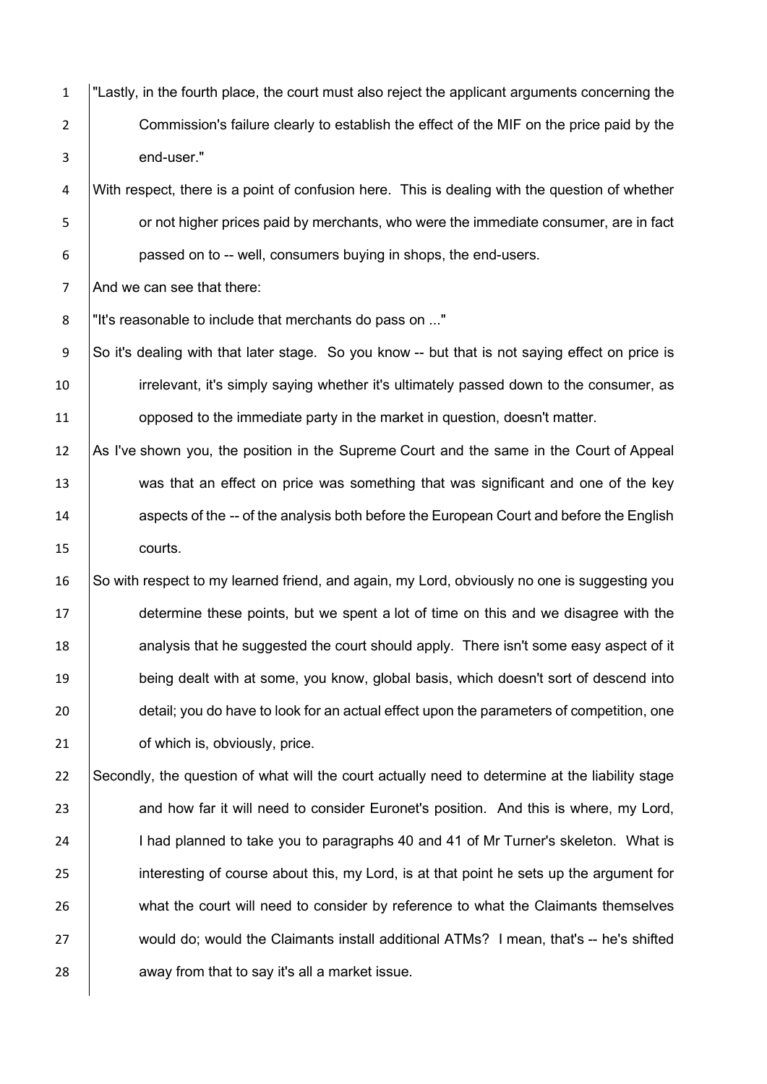1 "Lastly, in the fourth place, the court must also reject the applicant arguments concerning the 2 Commission's failure clearly to establish the effect of the MIF on the price paid by the 3 end-user."

4 With respect, there is a point of confusion here. This is dealing with the question of whether 5 **b** or not higher prices paid by merchants, who were the immediate consumer, are in fact  $6$  | passed on to -- well, consumers buying in shops, the end-users.

7 And we can see that there:

8 "It's reasonable to include that merchants do pass on ..."

9 So it's dealing with that later stage. So you know -- but that is not saying effect on price is 10 irrelevant, it's simply saying whether it's ultimately passed down to the consumer, as 11 **opposed to the immediate party in the market in question, doesn't matter.** 

12 As I've shown you, the position in the Supreme Court and the same in the Court of Appeal 13 was that an effect on price was something that was significant and one of the key 14 **Access** of the -- of the analysis both before the European Court and before the English 15 courts.

16 So with respect to my learned friend, and again, my Lord, obviously no one is suggesting you 17 determine these points, but we spent a lot of time on this and we disagree with the 18 **analysis that he suggested the court should apply.** There isn't some easy aspect of it 19 being dealt with at some, you know, global basis, which doesn't sort of descend into 20 detail; you do have to look for an actual effect upon the parameters of competition, one 21 **of which is, obviously, price.** 

22 Secondly, the question of what will the court actually need to determine at the liability stage 23 and how far it will need to consider Euronet's position. And this is where, my Lord, 24 I had planned to take you to paragraphs 40 and 41 of Mr Turner's skeleton. What is 25 interesting of course about this, my Lord, is at that point he sets up the argument for 26 what the court will need to consider by reference to what the Claimants themselves 27 Would do; would the Claimants install additional ATMs? I mean, that's -- he's shifted 28 **a**way from that to say it's all a market issue.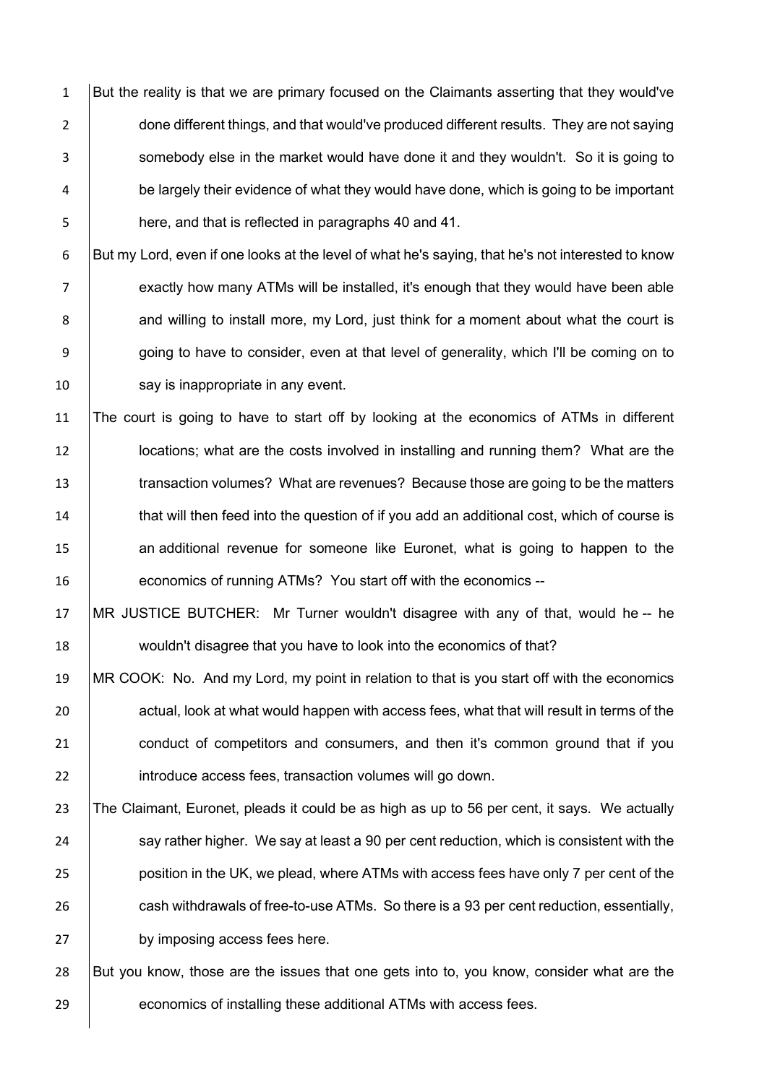1 But the reality is that we are primary focused on the Claimants asserting that they would've 2 done different things, and that would've produced different results. They are not saying 3 | somebody else in the market would have done it and they wouldn't. So it is going to 4 be largely their evidence of what they would have done, which is going to be important 5 here, and that is reflected in paragraphs 40 and 41.

6 But my Lord, even if one looks at the level of what he's saying, that he's not interested to know 7 **Fig. 2** exactly how many ATMs will be installed, it's enough that they would have been able  $8$  | and willing to install more, my Lord, just think for a moment about what the court is 9 | going to have to consider, even at that level of generality, which I'll be coming on to 10 | say is inappropriate in any event.

11 The court is going to have to start off by looking at the economics of ATMs in different 12 **let is contained as involved** in installing and running them? What are the 13 transaction volumes? What are revenues? Because those are going to be the matters 14 that will then feed into the question of if you add an additional cost, which of course is 15 an additional revenue for someone like Euronet, what is going to happen to the 16 **economics of running ATMs?** You start off with the economics --

17 MR JUSTICE BUTCHER: Mr Turner wouldn't disagree with any of that, would he -- he 18 wouldn't disagree that you have to look into the economics of that?

 MR COOK: No. And my Lord, my point in relation to that is you start off with the economics **actual, look at what would happen with access fees, what that will result in terms of the conduct of competitors and consumers, and then it's common ground that if you introduce access fees, transaction volumes will go down.** 

 The Claimant, Euronet, pleads it could be as high as up to 56 per cent, it says. We actually say rather higher. We say at least a 90 per cent reduction, which is consistent with the **position in the UK, we plead, where ATMs with access fees have only 7 per cent of the cash withdrawals of free-to-use ATMs.** So there is a 93 per cent reduction, essentially, 27 by imposing access fees here.

28 But you know, those are the issues that one gets into to, you know, consider what are the 29 **economics of installing these additional ATMs with access fees.**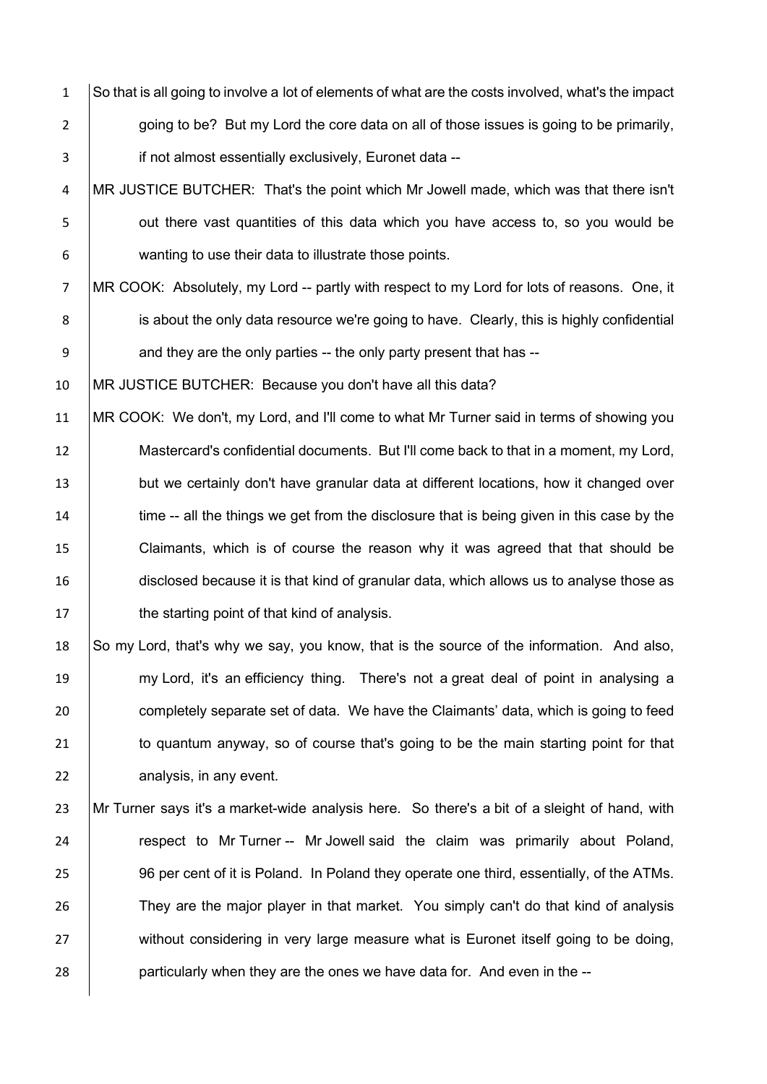1 So that is all going to involve a lot of elements of what are the costs involved, what's the impact 2 | going to be? But my Lord the core data on all of those issues is going to be primarily, 3 **if not almost essentially exclusively, Euronet data --**

4 | MR JUSTICE BUTCHER: That's the point which Mr Jowell made, which was that there isn't 5 **b** out there vast quantities of this data which you have access to, so you would be 6 wanting to use their data to illustrate those points.

7 | MR COOK: Absolutely, my Lord -- partly with respect to my Lord for lots of reasons. One, it 8 is about the only data resource we're going to have. Clearly, this is highly confidential 9  $\vert$  and they are the only parties -- the only party present that has --

10 MR JUSTICE BUTCHER: Because you don't have all this data?

11 MR COOK: We don't, my Lord, and I'll come to what Mr Turner said in terms of showing you 12 Mastercard's confidential documents. But I'll come back to that in a moment, my Lord, 13 but we certainly don't have granular data at different locations, how it changed over 14 time -- all the things we get from the disclosure that is being given in this case by the 15 Claimants, which is of course the reason why it was agreed that that should be 16 disclosed because it is that kind of granular data, which allows us to analyse those as 17 **the starting point of that kind of analysis.** 

18  $\vert$  So my Lord, that's why we say, you know, that is the source of the information. And also, 19 my Lord, it's an efficiency thing. There's not a great deal of point in analysing a 20 **completely separate set of data.** We have the Claimants' data, which is going to feed 21 to quantum anyway, so of course that's going to be the main starting point for that 22 **Arial** 22 **analysis, in any event.** 

23 | Mr Turner says it's a market-wide analysis here. So there's a bit of a sleight of hand, with 24 The state of to Mr Turner -- Mr Jowell said the claim was primarily about Poland, 25 96 per cent of it is Poland. In Poland they operate one third, essentially, of the ATMs. 26 They are the major player in that market. You simply can't do that kind of analysis  $27$  without considering in very large measure what is Euronet itself going to be doing, 28 **particularly when they are the ones we have data for.** And even in the --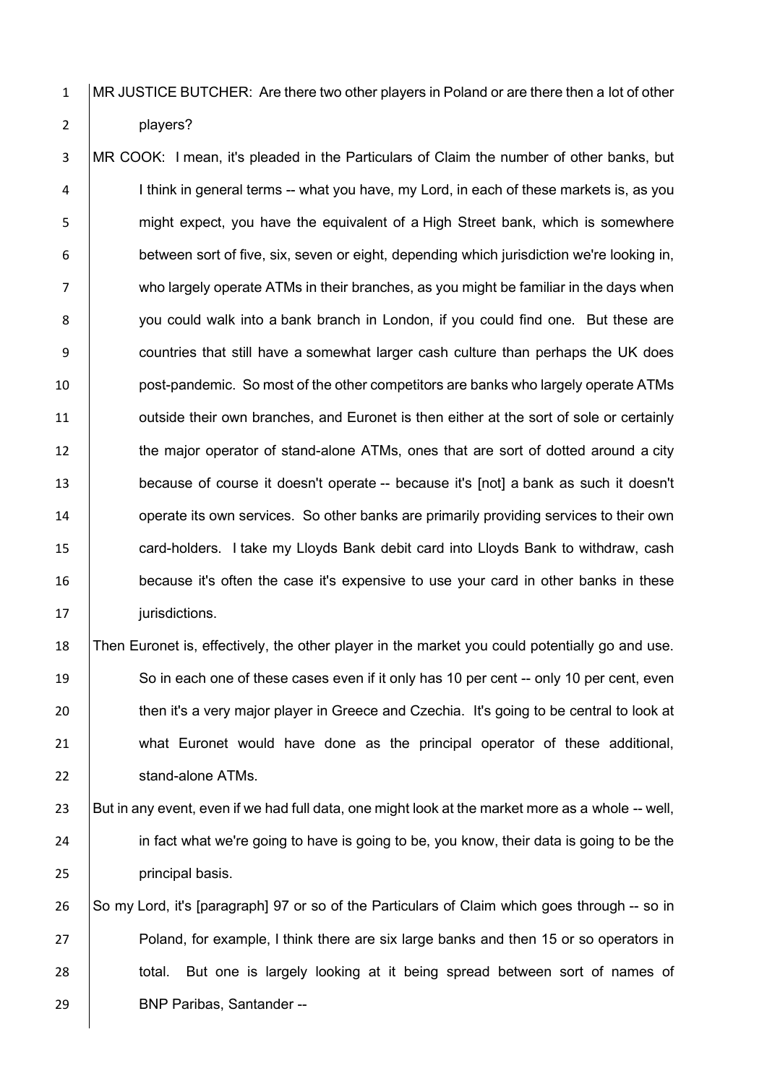1 | MR JUSTICE BUTCHER: Are there two other players in Poland or are there then a lot of other

2 | players?

3 MR COOK: I mean, it's pleaded in the Particulars of Claim the number of other banks, but 4 | I think in general terms -- what you have, my Lord, in each of these markets is, as you 5 might expect, you have the equivalent of a High Street bank, which is somewhere 6 **between sort of five, six, seven or eight, depending which jurisdiction we're looking in,** 7 who largely operate ATMs in their branches, as you might be familiar in the days when 8 vou could walk into a bank branch in London, if you could find one. But these are 9 | countries that still have a somewhat larger cash culture than perhaps the UK does 10 **post-pandemic.** So most of the other competitors are banks who largely operate ATMs 11 **July 20** outside their own branches, and Euronet is then either at the sort of sole or certainly 12 the major operator of stand-alone ATMs, ones that are sort of dotted around a city 13 because of course it doesn't operate -- because it's [not] a bank as such it doesn't 14 **operate its own services.** So other banks are primarily providing services to their own 15 **card-holders.** I take my Lloyds Bank debit card into Lloyds Bank to withdraw, cash 16 because it's often the case it's expensive to use your card in other banks in these 17 | jurisdictions.

18 Then Euronet is, effectively, the other player in the market you could potentially go and use. 19 So in each one of these cases even if it only has 10 per cent -- only 10 per cent, even 20 then it's a very major player in Greece and Czechia. It's going to be central to look at 21 what Euronet would have done as the principal operator of these additional, 22 **Stand-alone ATMs.** 

23 But in any event, even if we had full data, one might look at the market more as a whole -- well, 24 in fact what we're going to have is going to be, you know, their data is going to be the 25 | principal basis.

26 So my Lord, it's [paragraph] 97 or so of the Particulars of Claim which goes through -- so in 27 **Poland, for example, I think there are six large banks and then 15 or so operators in** 28 total. But one is largely looking at it being spread between sort of names of 29 BNP Paribas, Santander --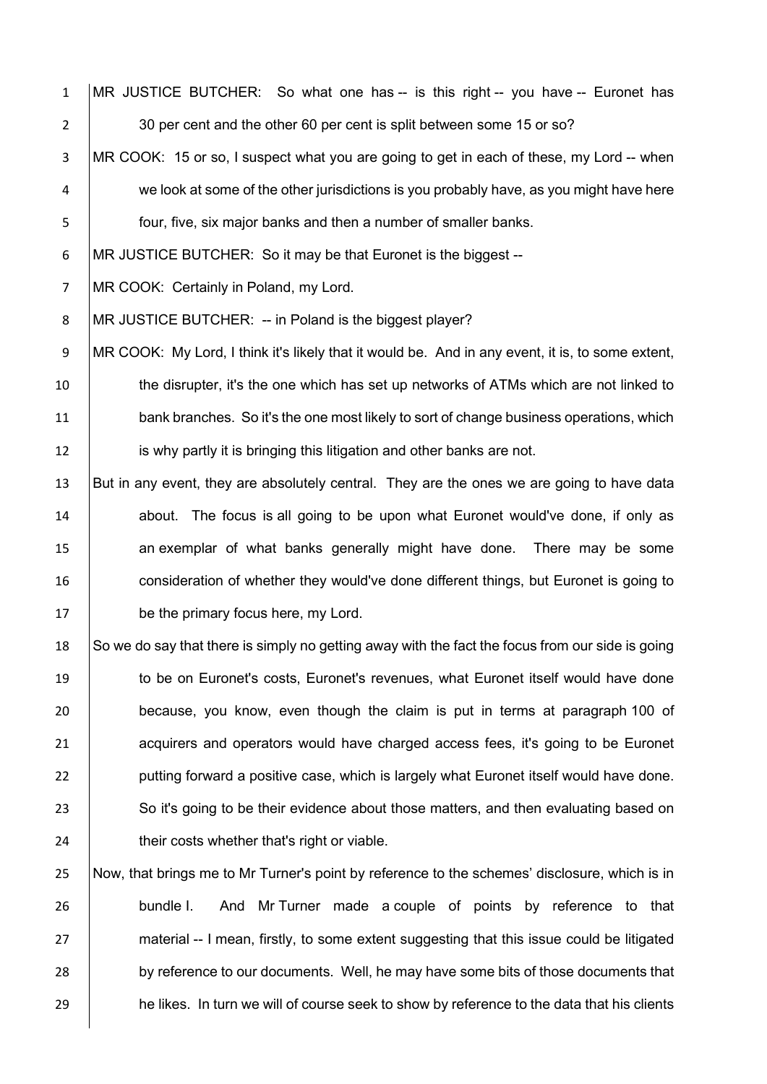1 MR JUSTICE BUTCHER: So what one has -- is this right -- you have -- Euronet has 2 30 per cent and the other 60 per cent is split between some 15 or so?

3 MR COOK: 15 or so, I suspect what you are going to get in each of these, my Lord -- when  $4$  we look at some of the other jurisdictions is you probably have, as you might have here 5 four, five, six major banks and then a number of smaller banks.

6 MR JUSTICE BUTCHER: So it may be that Euronet is the biggest --

7 | MR COOK: Certainly in Poland, my Lord.

8 | MR JUSTICE BUTCHER: -- in Poland is the biggest player?

9 MR COOK: My Lord, I think it's likely that it would be. And in any event, it is, to some extent, 10 the disrupter, it's the one which has set up networks of ATMs which are not linked to 11 bank branches. So it's the one most likely to sort of change business operations, which 12 **is why partly it is bringing this litigation and other banks are not.** 

13 But in any event, they are absolutely central. They are the ones we are going to have data 14 about. The focus is all going to be upon what Euronet would've done, if only as 15 an exemplar of what banks generally might have done. There may be some 16 **consideration of whether they would've done different things, but Euronet is going to** 17 be the primary focus here, my Lord.

 So we do say that there is simply no getting away with the fact the focus from our side is going 19 to be on Euronet's costs, Euronet's revenues, what Euronet itself would have done **because, you know, even though the claim is put in terms at paragraph 100 of acquirers and operators would have charged access fees, it's going to be Euronet putting forward a positive case, which is largely what Euronet itself would have done.** 23 So it's going to be their evidence about those matters, and then evaluating based on **their costs whether that's right or viable.** 

 Now, that brings me to Mr Turner's point by reference to the schemes' disclosure, which is in **bundle I.** And Mr Turner made a couple of points by reference to that material -- I mean, firstly, to some extent suggesting that this issue could be litigated 28 by reference to our documents. Well, he may have some bits of those documents that **he likes.** In turn we will of course seek to show by reference to the data that his clients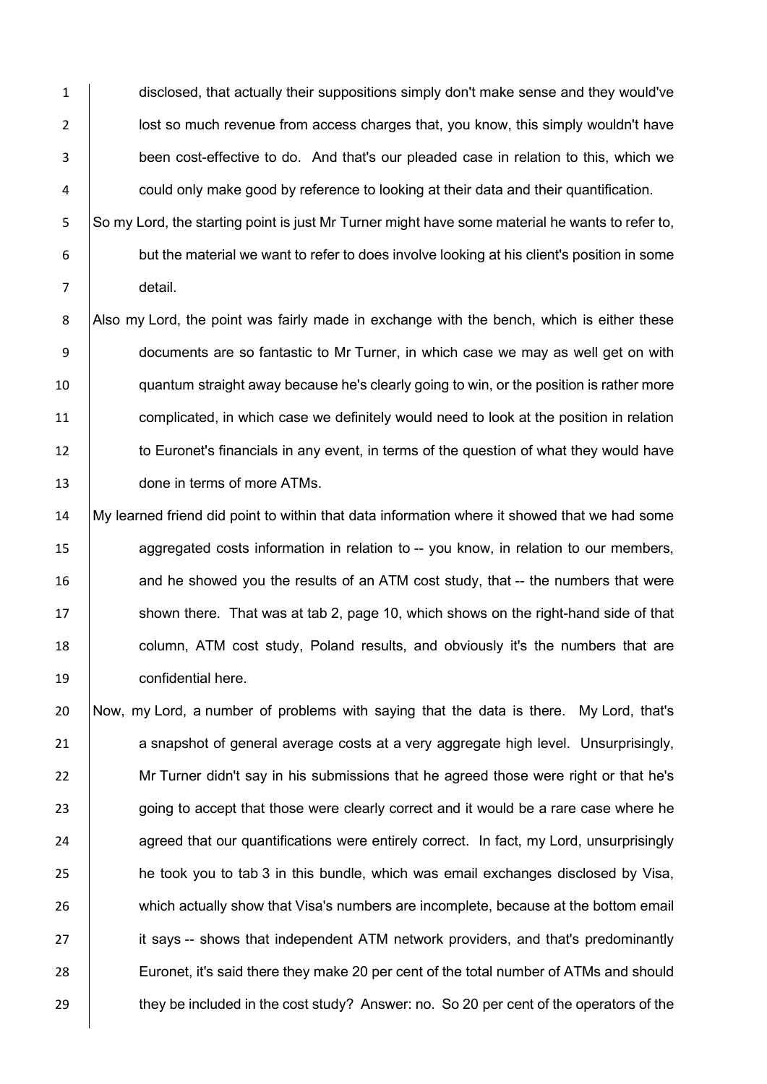1 disclosed, that actually their suppositions simply don't make sense and they would've **let in so much revenue from access charges that, you know, this simply wouldn't have been cost-effective to do.** And that's our pleaded case in relation to this, which we **could only make good by reference to looking at their data and their quantification.** 

 So my Lord, the starting point is just Mr Turner might have some material he wants to refer to, 6 but the material we want to refer to does involve looking at his client's position in some detail.

8 Also my Lord, the point was fairly made in exchange with the bench, which is either these documents are so fantastic to Mr Turner, in which case we may as well get on with **quantum straight away because he's clearly going to win, or the position is rather more complicated, in which case we definitely would need to look at the position in relation** 12 to Euronet's financials in any event, in terms of the question of what they would have **done in terms of more ATMs.** 

14 My learned friend did point to within that data information where it showed that we had some **aggregated costs information in relation to -- you know, in relation to our members, and he showed you the results of an ATM cost study, that -- the numbers that were** 17 shown there. That was at tab 2, page 10, which shows on the right-hand side of that **column, ATM cost study, Poland results, and obviously it's the numbers that are confidential here.** 

 Now, my Lord, a number of problems with saying that the data is there. My Lord, that's a snapshot of general average costs at a very aggregate high level. Unsurprisingly, 22 Mr Turner didn't say in his submissions that he agreed those were right or that he's **going to accept that those were clearly correct and it would be a rare case where he** 24 agreed that our quantifications were entirely correct. In fact, my Lord, unsurprisingly **he took you to tab 3 in this bundle, which was email exchanges disclosed by Visa,** 26 which actually show that Visa's numbers are incomplete, because at the bottom email **it says -- shows that independent ATM network providers, and that's predominantly** 28 Euronet, it's said there they make 20 per cent of the total number of ATMs and should 29 they be included in the cost study? Answer: no. So 20 per cent of the operators of the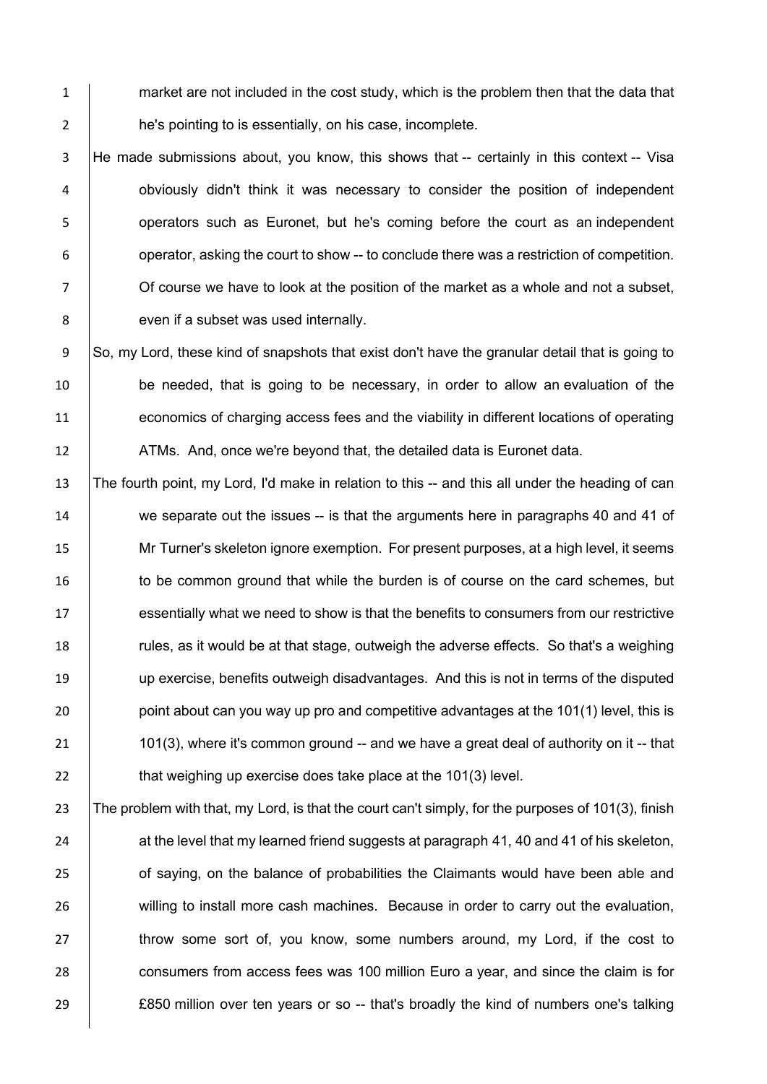1 market are not included in the cost study, which is the problem then that the data that 2 **he's pointing to is essentially, on his case, incomplete.** 

He made submissions about, you know, this shows that -- certainly in this context -- Visa **budge obviously didn't think it was necessary to consider the position of independent** operators such as Euronet, but he's coming before the court as an independent  $\overline{6}$  | operator, asking the court to show -- to conclude there was a restriction of competition. **Of course we have to look at the position of the market as a whole and not a subset,** 8 even if a subset was used internally.

9 So, my Lord, these kind of snapshots that exist don't have the granular detail that is going to 10 be needed, that is going to be necessary, in order to allow an evaluation of the 11 **economics of charging access fees and the viability in different locations of operating** 12 ATMs. And, once we're beyond that, the detailed data is Euronet data.

13 The fourth point, my Lord, I'd make in relation to this -- and this all under the heading of can 14 we separate out the issues -- is that the arguments here in paragraphs 40 and 41 of 15 Mr Turner's skeleton ignore exemption. For present purposes, at a high level, it seems 16 to be common ground that while the burden is of course on the card schemes, but 17 **essentially what we need to show is that the benefits to consumers from our restrictive** 18 Trules, as it would be at that stage, outweigh the adverse effects. So that's a weighing 19 vup exercise, benefits outweigh disadvantages. And this is not in terms of the disputed 20 **point about can you way up pro and competitive advantages at the 101(1) level, this is** 21  $\vert$  101(3), where it's common ground -- and we have a great deal of authority on it -- that 22  $\parallel$  that weighing up exercise does take place at the 101(3) level.

23 The problem with that, my Lord, is that the court can't simply, for the purposes of 101(3), finish 24  $\parallel$  at the level that my learned friend suggests at paragraph 41, 40 and 41 of his skeleton, 25 of saying, on the balance of probabilities the Claimants would have been able and 26 willing to install more cash machines. Because in order to carry out the evaluation, 27 throw some sort of, you know, some numbers around, my Lord, if the cost to 28 consumers from access fees was 100 million Euro a year, and since the claim is for 29 **E**850 million over ten years or so -- that's broadly the kind of numbers one's talking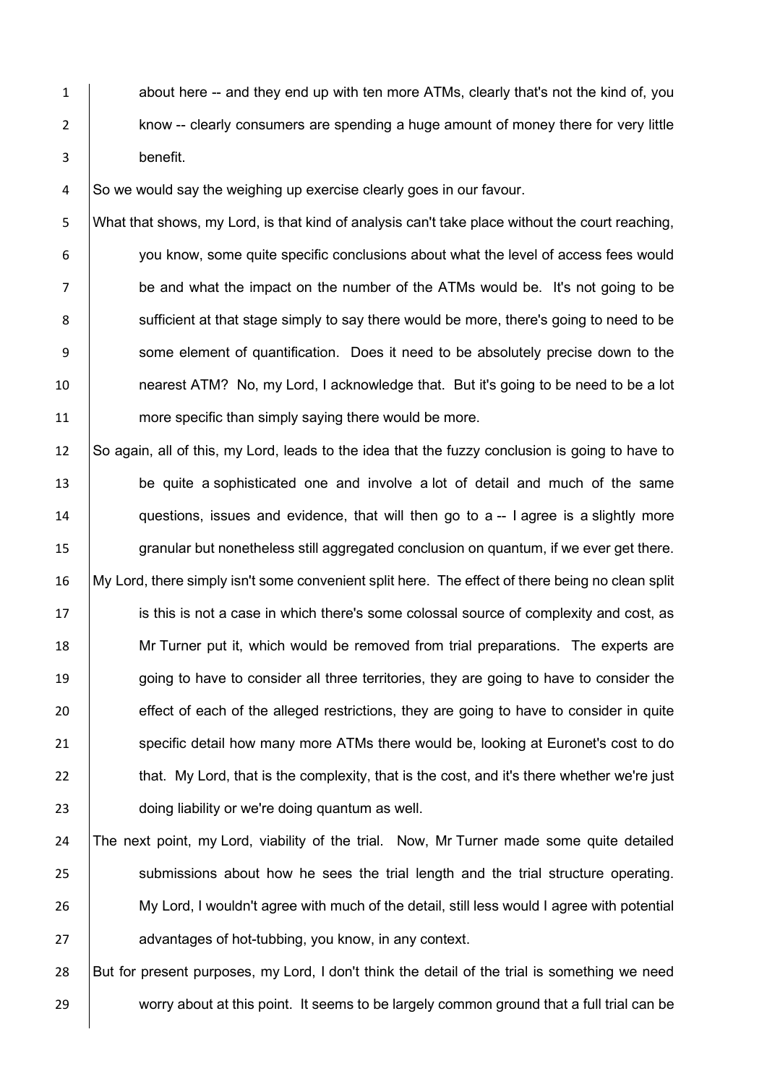1 about here -- and they end up with ten more ATMs, clearly that's not the kind of, you 2 **know** -- clearly consumers are spending a huge amount of money there for very little 3 benefit.

 $4$  So we would say the weighing up exercise clearly goes in our favour.

5 What that shows, my Lord, is that kind of analysis can't take place without the court reaching, 6 you know, some quite specific conclusions about what the level of access fees would 7 **be and what the impact on the number of the ATMs would be. It's not going to be** 8 Sufficient at that stage simply to say there would be more, there's going to need to be 9 Some element of quantification. Does it need to be absolutely precise down to the 10 **nearest ATM?** No, my Lord, I acknowledge that. But it's going to be need to be a lot 11 more specific than simply saying there would be more.

12 So again, all of this, my Lord, leads to the idea that the fuzzy conclusion is going to have to 13 be quite a sophisticated one and involve a lot of detail and much of the same 14 questions, issues and evidence, that will then go to a -- I agree is a slightly more 15 granular but nonetheless still aggregated conclusion on quantum, if we ever get there. 16 My Lord, there simply isn't some convenient split here. The effect of there being no clean split 17 **i** is this is not a case in which there's some colossal source of complexity and cost, as 18 Mr Turner put it, which would be removed from trial preparations. The experts are 19 going to have to consider all three territories, they are going to have to consider the 20 effect of each of the alleged restrictions, they are going to have to consider in quite 21 **Specific detail how many more ATMs there would be, looking at Euronet's cost to do**  $22$  that. My Lord, that is the complexity, that is the cost, and it's there whether we're just 23 **doing liability or we're doing quantum as well.** 

24 The next point, my Lord, viability of the trial. Now, Mr Turner made some quite detailed 25 submissions about how he sees the trial length and the trial structure operating. 26 | My Lord, I wouldn't agree with much of the detail, still less would I agree with potential 27 **advantages of hot-tubbing, you know, in any context.** 

28 But for present purposes, my Lord, I don't think the detail of the trial is something we need 29 worry about at this point. It seems to be largely common ground that a full trial can be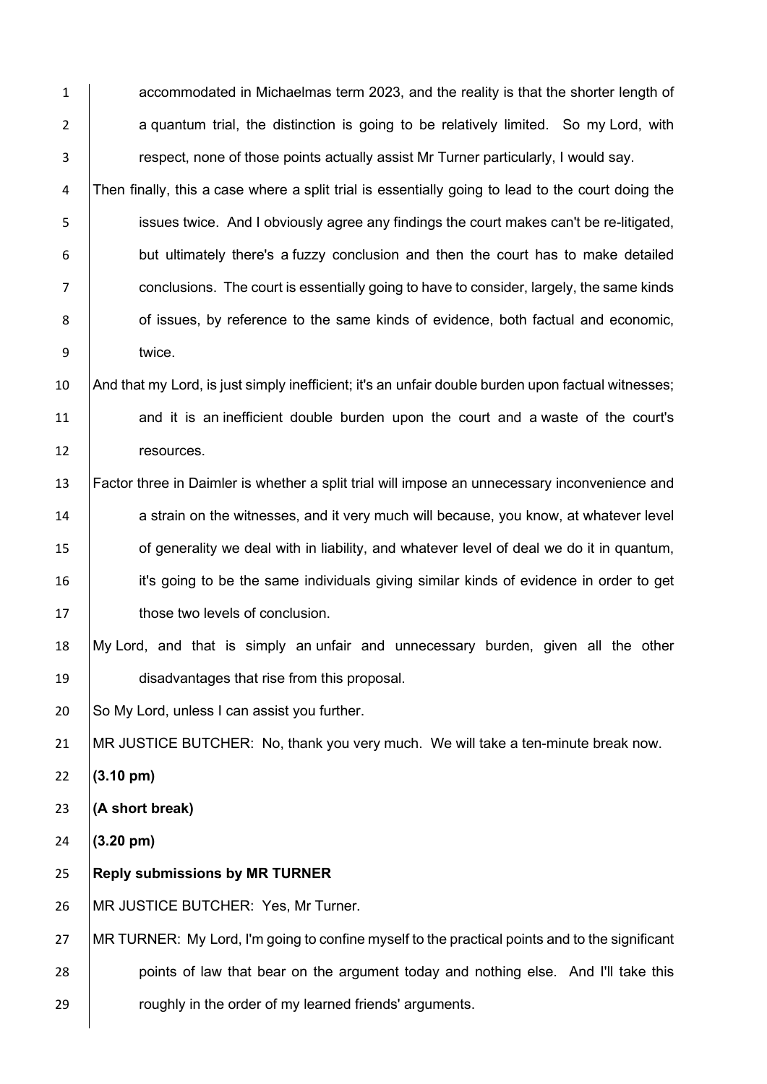$\parallel$  a quantum trial, the distinction is going to be relatively limited. So my Lord, with **Fig. 3** respect, none of those points actually assist Mr Turner particularly, I would say. 4 Then finally, this a case where a split trial is essentially going to lead to the court doing the issues twice. And I obviously agree any findings the court makes can't be re-litigated, 6 but ultimately there's a fuzzy conclusion and then the court has to make detailed **Fig. 2** conclusions. The court is essentially going to have to consider, largely, the same kinds **b** of issues, by reference to the same kinds of evidence, both factual and economic, twice. 10 And that my Lord, is just simply inefficient; it's an unfair double burden upon factual witnesses; and it is an inefficient double burden upon the court and a waste of the court's **resources**. Factor three in Daimler is whether a split trial will impose an unnecessary inconvenience and a strain on the witnesses, and it very much will because, you know, at whatever level **of generality we deal with in liability, and whatever level of deal we do it in quantum,** 16 it's going to be the same individuals giving similar kinds of evidence in order to get **those two levels of conclusion.**  My Lord, and that is simply an unfair and unnecessary burden, given all the other disadvantages that rise from this proposal. 20 So My Lord, unless I can assist you further. 21 MR JUSTICE BUTCHER: No, thank you very much. We will take a ten-minute break now. **(3.10 pm) (A short break) (3.20 pm) Reply submissions by MR TURNER**  26 | MR JUSTICE BUTCHER: Yes, Mr Turner. 27 MR TURNER: My Lord, I'm going to confine myself to the practical points and to the significant **points of law that bear on the argument today and nothing else.** And I'll take this **The Studie Convertionary Convertised** Friends' arguments.

1 accommodated in Michaelmas term 2023, and the reality is that the shorter length of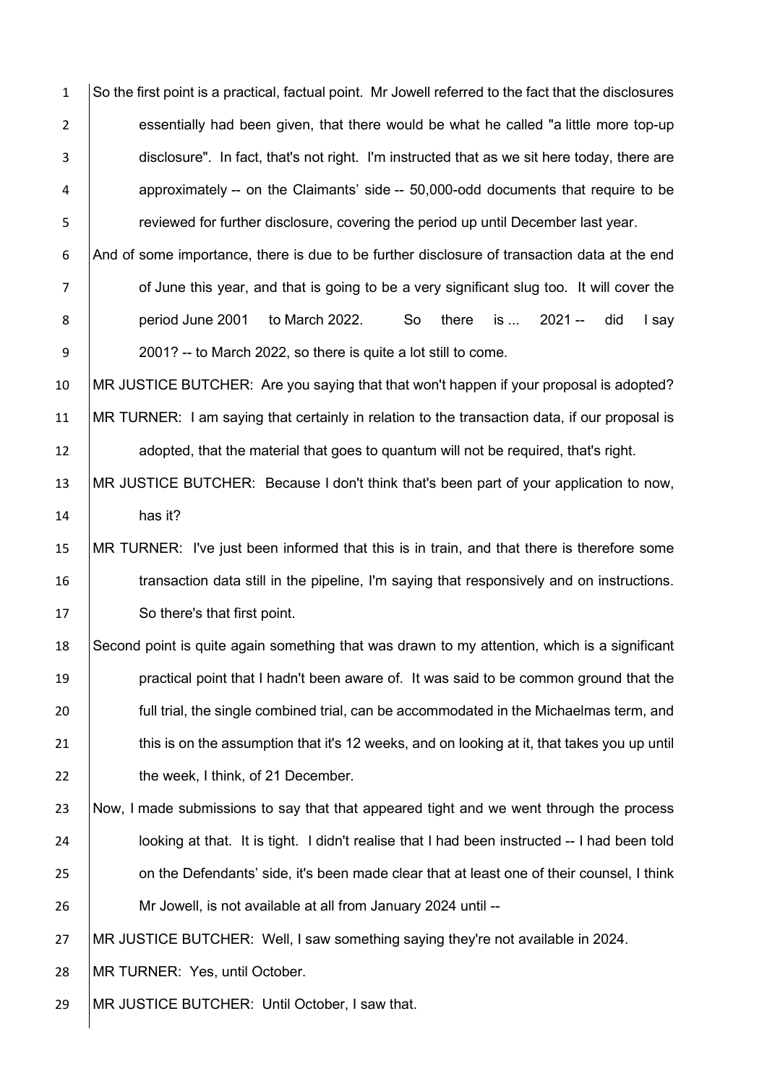1 So the first point is a practical, factual point. Mr Jowell referred to the fact that the disclosures 2  $\parallel$  essentially had been given, that there would be what he called "a little more top-up 3 disclosure". In fact, that's not right. I'm instructed that as we sit here today, there are 4 approximately -- on the Claimants' side -- 50,000-odd documents that require to be 5 **Fig. 2** reviewed for further disclosure, covering the period up until December last year.

6 And of some importance, there is due to be further disclosure of transaction data at the end 7 **Fig.** of June this year, and that is going to be a very significant slug too. It will cover the 8 | period June 2001 to March 2022. So there is ... 2021 -- did I say 9 2001? -- to March 2022, so there is quite a lot still to come.

10 MR JUSTICE BUTCHER: Are you saying that that won't happen if your proposal is adopted? 11 MR TURNER: I am saying that certainly in relation to the transaction data, if our proposal is 12 **adopted, that the material that goes to quantum will not be required, that's right.** 

13 MR JUSTICE BUTCHER: Because I don't think that's been part of your application to now, 14 has it?

15 MR TURNER: I've just been informed that this is in train, and that there is therefore some 16 **transaction data still in the pipeline, I'm saying that responsively and on instructions.** 17 | So there's that first point.

 Second point is quite again something that was drawn to my attention, which is a significant **practical point that I hadn't been aware of.** It was said to be common ground that the **full trial, the single combined trial, can be accommodated in the Michaelmas term, and** 21 this is on the assumption that it's 12 weeks, and on looking at it, that takes you up until **he week, I think, of 21 December.** 

23 Now, I made submissions to say that that appeared tight and we went through the process 24 | looking at that. It is tight. I didn't realise that I had been instructed -- I had been told 25 **on the Defendants' side, it's been made clear that at least one of their counsel, I think** 26 | Mr Jowell, is not available at all from January 2024 until --

27 MR JUSTICE BUTCHER: Well, I saw something saying they're not available in 2024.

28 | MR TURNER: Yes, until October.

29 | MR JUSTICE BUTCHER: Until October, I saw that.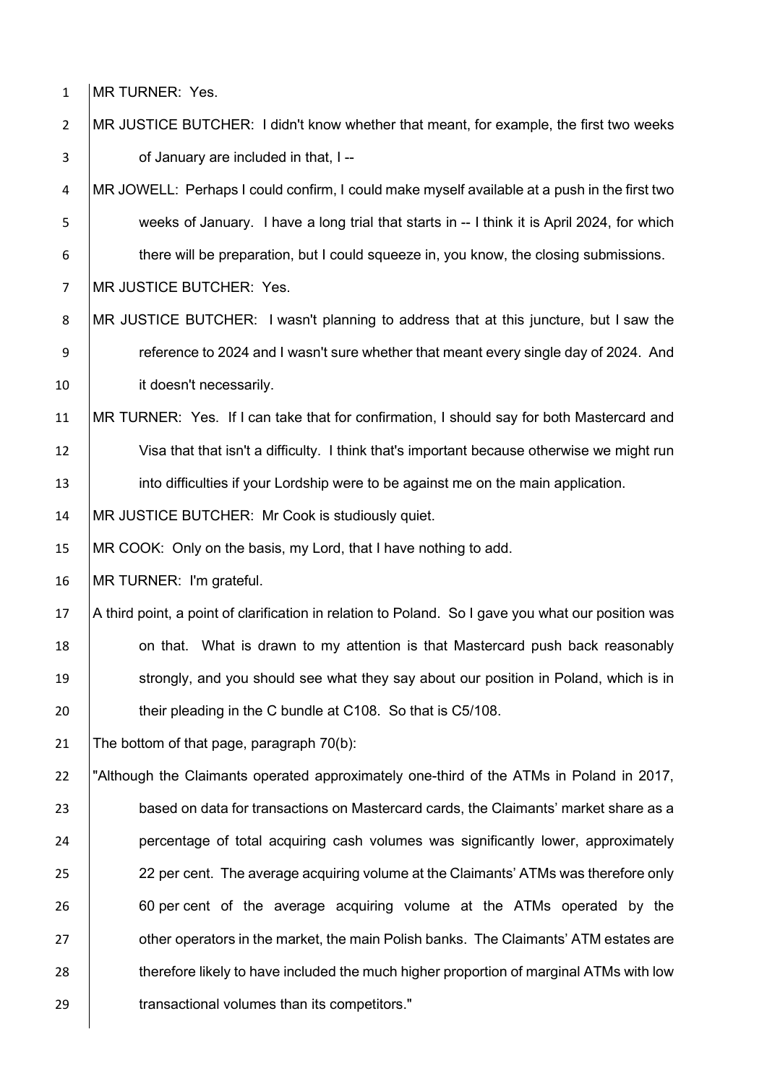- 1 MR TURNER: Yes.
- 2 MR JUSTICE BUTCHER: I didn't know whether that meant, for example, the first two weeks 3 **J** of January are included in that, I--

4 MR JOWELL: Perhaps I could confirm, I could make myself available at a push in the first two 5 weeks of January. I have a long trial that starts in -- I think it is April 2024, for which 6 **there will be preparation, but I could squeeze in, you know, the closing submissions.** 7 | MR JUSTICE BUTCHER: Yes.

8 MR JUSTICE BUTCHER: I wasn't planning to address that at this juncture, but I saw the 9 | reference to 2024 and I wasn't sure whether that meant every single day of 2024. And 10 **it doesn't necessarily.** 

11 MR TURNER: Yes. If I can take that for confirmation, I should say for both Mastercard and 12 Visa that that isn't a difficulty. I think that's important because otherwise we might run 13 into difficulties if your Lordship were to be against me on the main application.

14 | MR JUSTICE BUTCHER: Mr Cook is studiously quiet.

15 | MR COOK: Only on the basis, my Lord, that I have nothing to add.

16 MR TURNER: I'm grateful.

17 A third point, a point of clarification in relation to Poland. So I gave you what our position was 18 **on that.** What is drawn to my attention is that Mastercard push back reasonably 19 Strongly, and you should see what they say about our position in Poland, which is in 20 **their pleading in the C bundle at C108.** So that is C5/108.

21  $\vert$  The bottom of that page, paragraph 70(b):

22 "Although the Claimants operated approximately one-third of the ATMs in Poland in 2017, 23 based on data for transactions on Mastercard cards, the Claimants' market share as a 24 **percentage of total acquiring cash volumes was significantly lower, approximately** 25 22 per cent. The average acquiring volume at the Claimants' ATMs was therefore only 26 60 per cent of the average acquiring volume at the ATMs operated by the 27 **Julie 27** other operators in the market, the main Polish banks. The Claimants' ATM estates are 28 therefore likely to have included the much higher proportion of marginal ATMs with low 29 **transactional volumes than its competitors."**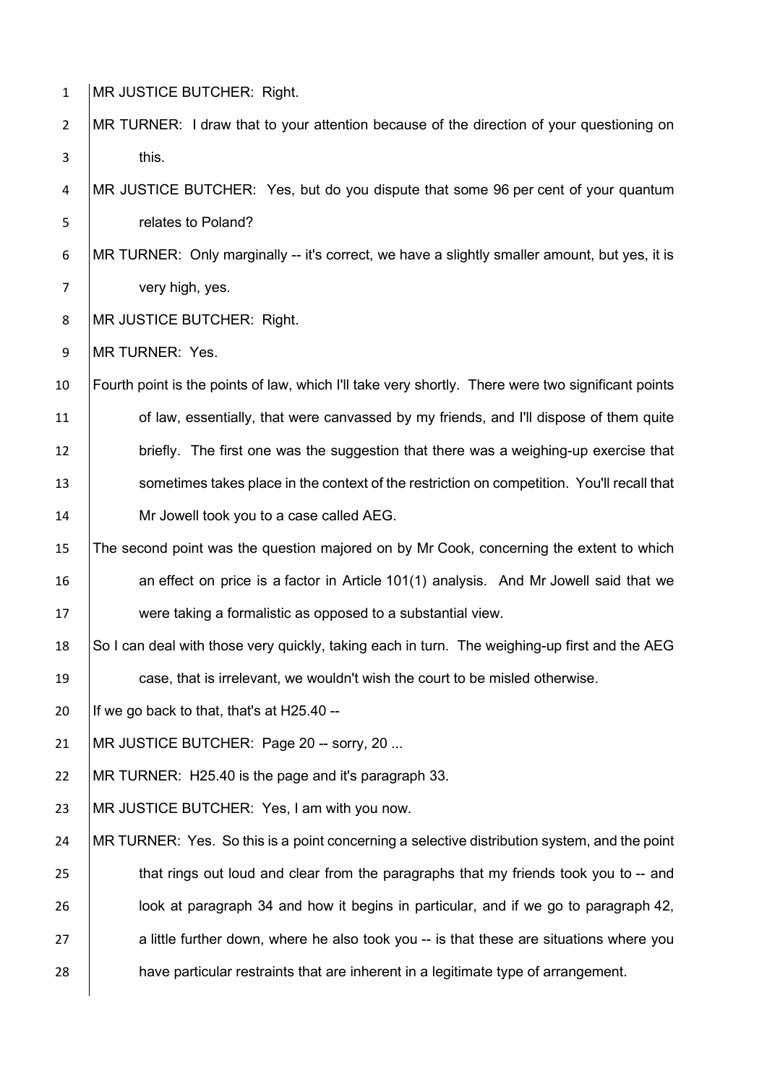| $\mathbf{1}$     | MR JUSTICE BUTCHER: Right.                                                                         |
|------------------|----------------------------------------------------------------------------------------------------|
| $\overline{2}$   | MR TURNER: I draw that to your attention because of the direction of your questioning on           |
| 3                | this.                                                                                              |
| 4                | MR JUSTICE BUTCHER: Yes, but do you dispute that some 96 per cent of your quantum                  |
| 5                | relates to Poland?                                                                                 |
| 6                | MR TURNER: Only marginally -- it's correct, we have a slightly smaller amount, but yes, it is      |
| $\overline{7}$   | very high, yes.                                                                                    |
| 8                | MR JUSTICE BUTCHER: Right.                                                                         |
| $\boldsymbol{9}$ | MR TURNER: Yes.                                                                                    |
| 10               | Fourth point is the points of law, which I'll take very shortly. There were two significant points |
| 11               | of law, essentially, that were canvassed by my friends, and I'll dispose of them quite             |
| 12               | briefly. The first one was the suggestion that there was a weighing-up exercise that               |
| 13               | sometimes takes place in the context of the restriction on competition. You'll recall that         |
| 14               | Mr Jowell took you to a case called AEG.                                                           |
| 15               | The second point was the question majored on by Mr Cook, concerning the extent to which            |
| 16               | an effect on price is a factor in Article 101(1) analysis. And Mr Jowell said that we              |
| 17               | were taking a formalistic as opposed to a substantial view.                                        |
| 18               | So I can deal with those very quickly, taking each in turn. The weighing-up first and the AEG      |
| 19               | case, that is irrelevant, we wouldn't wish the court to be misled otherwise.                       |
| 20               | If we go back to that, that's at H25.40 --                                                         |
| 21               | MR JUSTICE BUTCHER: Page 20 -- sorry, 20                                                           |
| 22               | MR TURNER: H25.40 is the page and it's paragraph 33.                                               |
| 23               | MR JUSTICE BUTCHER: Yes, I am with you now.                                                        |
| 24               | MR TURNER: Yes. So this is a point concerning a selective distribution system, and the point       |
| 25               | that rings out loud and clear from the paragraphs that my friends took you to -- and               |
| 26               | look at paragraph 34 and how it begins in particular, and if we go to paragraph 42,                |
| 27               | a little further down, where he also took you -- is that these are situations where you            |
| 28               | have particular restraints that are inherent in a legitimate type of arrangement.                  |
|                  |                                                                                                    |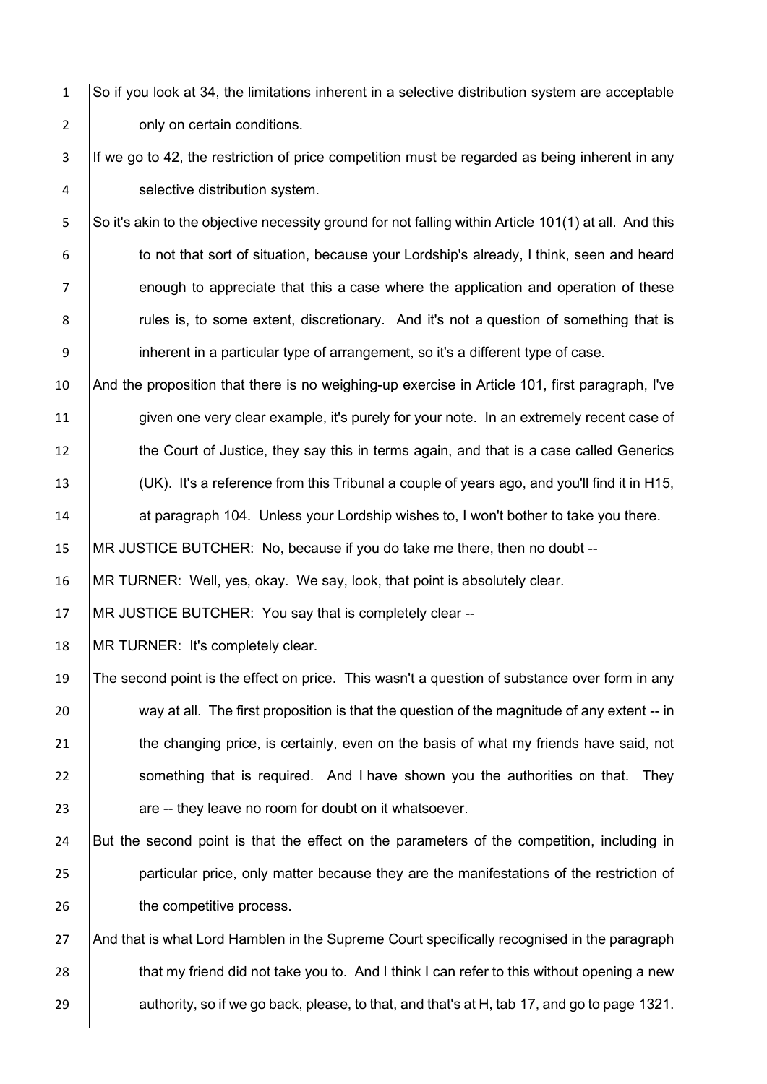1 So if you look at 34, the limitations inherent in a selective distribution system are acceptable 2 only on certain conditions.

3 If we go to 42, the restriction of price competition must be regarded as being inherent in any 4 | selective distribution system.

5 So it's akin to the objective necessity ground for not falling within Article 101(1) at all. And this 6 to not that sort of situation, because your Lordship's already, I think, seen and heard 7 **Fig.** For appreciate that this a case where the application and operation of these 8 Trules is, to some extent, discretionary. And it's not a question of something that is 9 | inherent in a particular type of arrangement, so it's a different type of case.

10 And the proposition that there is no weighing-up exercise in Article 101, first paragraph, I've 11 given one very clear example, it's purely for your note. In an extremely recent case of 12 the Court of Justice, they say this in terms again, and that is a case called Generics 13 (UK). It's a reference from this Tribunal a couple of years ago, and you'll find it in H15, 14 at paragraph 104. Unless your Lordship wishes to, I won't bother to take you there.

15 MR JUSTICE BUTCHER: No, because if you do take me there, then no doubt --

16 MR TURNER: Well, yes, okay. We say, look, that point is absolutely clear.

17 MR JUSTICE BUTCHER: You say that is completely clear --

18 | MR TURNER: It's completely clear.

19 The second point is the effect on price. This wasn't a question of substance over form in any 20 way at all. The first proposition is that the question of the magnitude of any extent -- in  $21$  the changing price, is certainly, even on the basis of what my friends have said, not 22 Something that is required. And I have shown you the authorities on that. They 23 **a** are -- they leave no room for doubt on it whatsoever.

24 But the second point is that the effect on the parameters of the competition, including in 25 **particular price, only matter because they are the manifestations of the restriction of** 26 the competitive process.

27 And that is what Lord Hamblen in the Supreme Court specifically recognised in the paragraph 28 that my friend did not take you to. And I think I can refer to this without opening a new 29 authority, so if we go back, please, to that, and that's at H, tab 17, and go to page 1321.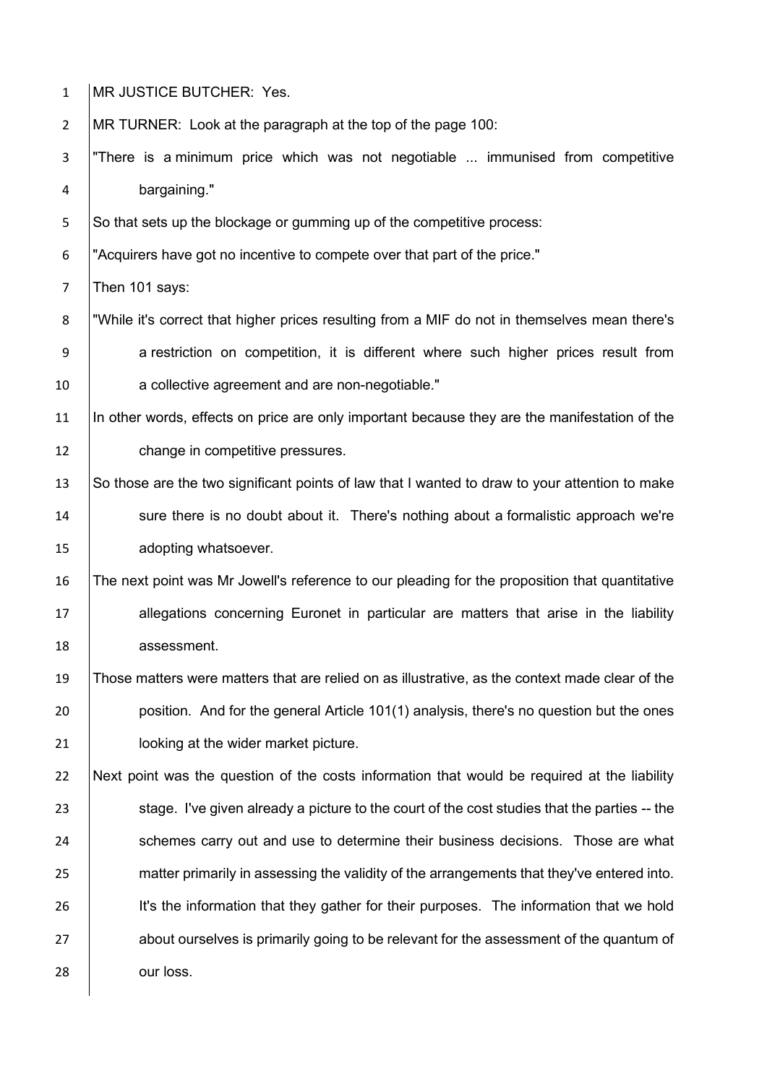| $\mathbf{1}$   | MR JUSTICE BUTCHER: Yes.                                                                        |
|----------------|-------------------------------------------------------------------------------------------------|
| $\overline{2}$ | MR TURNER: Look at the paragraph at the top of the page 100:                                    |
| 3              | "There is a minimum price which was not negotiable  immunised from competitive                  |
| 4              | bargaining."                                                                                    |
| 5              | So that sets up the blockage or gumming up of the competitive process:                          |
| 6              | "Acquirers have got no incentive to compete over that part of the price."                       |
| $\overline{7}$ | Then 101 says:                                                                                  |
| 8              | "While it's correct that higher prices resulting from a MIF do not in themselves mean there's   |
| 9              | a restriction on competition, it is different where such higher prices result from              |
| 10             | a collective agreement and are non-negotiable."                                                 |
| 11             | In other words, effects on price are only important because they are the manifestation of the   |
| 12             | change in competitive pressures.                                                                |
| 13             | So those are the two significant points of law that I wanted to draw to your attention to make  |
| 14             | sure there is no doubt about it. There's nothing about a formalistic approach we're             |
| 15             | adopting whatsoever.                                                                            |
| 16             | The next point was Mr Jowell's reference to our pleading for the proposition that quantitative  |
| 17             | allegations concerning Euronet in particular are matters that arise in the liability            |
| 18             | assessment.                                                                                     |
| 19             | Those matters were matters that are relied on as illustrative, as the context made clear of the |
| 20             | position. And for the general Article 101(1) analysis, there's no question but the ones         |
| 21             | looking at the wider market picture.                                                            |
| 22             | Next point was the question of the costs information that would be required at the liability    |
| 23             | stage. I've given already a picture to the court of the cost studies that the parties -- the    |
| 24             | schemes carry out and use to determine their business decisions. Those are what                 |
| 25             | matter primarily in assessing the validity of the arrangements that they've entered into.       |
| 26             | It's the information that they gather for their purposes. The information that we hold          |
| 27             | about ourselves is primarily going to be relevant for the assessment of the quantum of          |
| 28             | our loss.                                                                                       |
|                |                                                                                                 |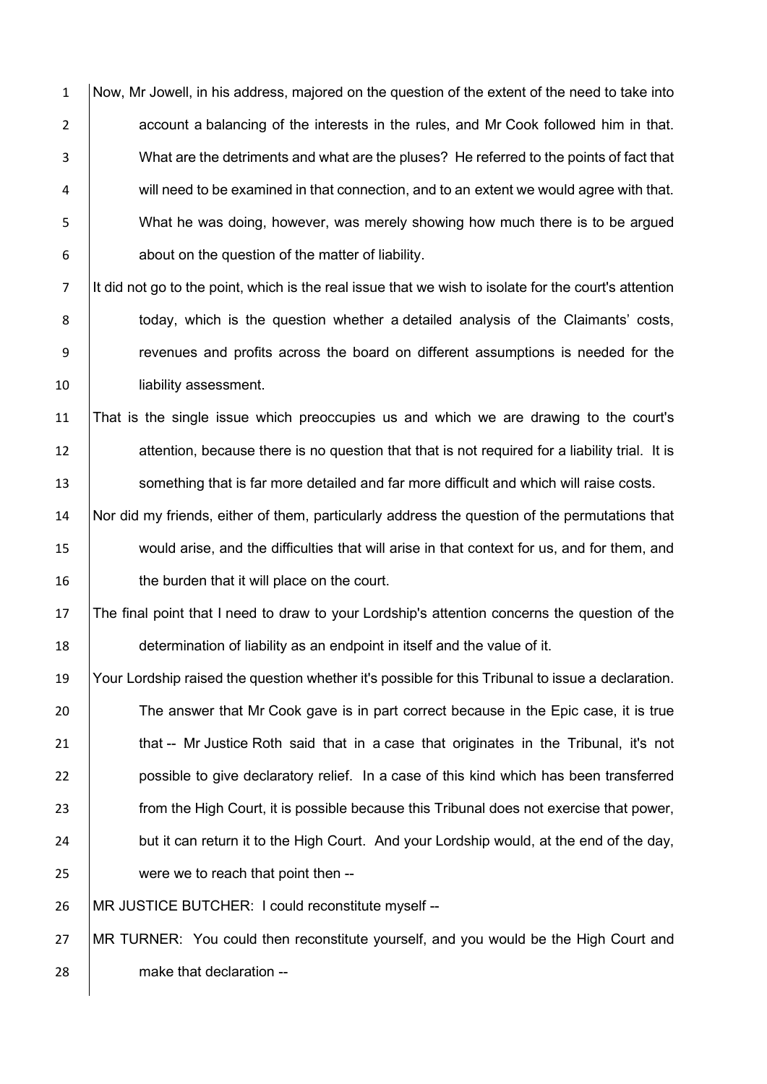1 Now, Mr Jowell, in his address, majored on the question of the extent of the need to take into 2 **account a balancing of the interests in the rules, and Mr Cook followed him in that.** 3 What are the detriments and what are the pluses? He referred to the points of fact that 4 will need to be examined in that connection, and to an extent we would agree with that. 5 What he was doing, however, was merely showing how much there is to be argued 6 about on the question of the matter of liability.

7 | It did not go to the point, which is the real issue that we wish to isolate for the court's attention 8 **today**, which is the question whether a detailed analysis of the Claimants' costs, 9 Tevenues and profits across the board on different assumptions is needed for the 10 **liability assessment.** 

11 That is the single issue which preoccupies us and which we are drawing to the court's 12 attention, because there is no question that that is not required for a liability trial. It is 13 Something that is far more detailed and far more difficult and which will raise costs.

14 Nor did my friends, either of them, particularly address the question of the permutations that 15 would arise, and the difficulties that will arise in that context for us, and for them, and 16 **the burden that it will place on the court.** 

17 The final point that I need to draw to your Lordship's attention concerns the question of the 18 **determination of liability as an endpoint in itself and the value of it.** 

19 Your Lordship raised the question whether it's possible for this Tribunal to issue a declaration. 20 The answer that Mr Cook gave is in part correct because in the Epic case, it is true 21 **that -- Mr Justice Roth said that in a case that originates in the Tribunal, it's not** 22 **possible to give declaratory relief.** In a case of this kind which has been transferred 23 **from the High Court, it is possible because this Tribunal does not exercise that power,** 24 but it can return it to the High Court. And your Lordship would, at the end of the day, 25 were we to reach that point then --

26 MR JUSTICE BUTCHER: I could reconstitute myself --

27 | MR TURNER: You could then reconstitute yourself, and you would be the High Court and 28 make that declaration --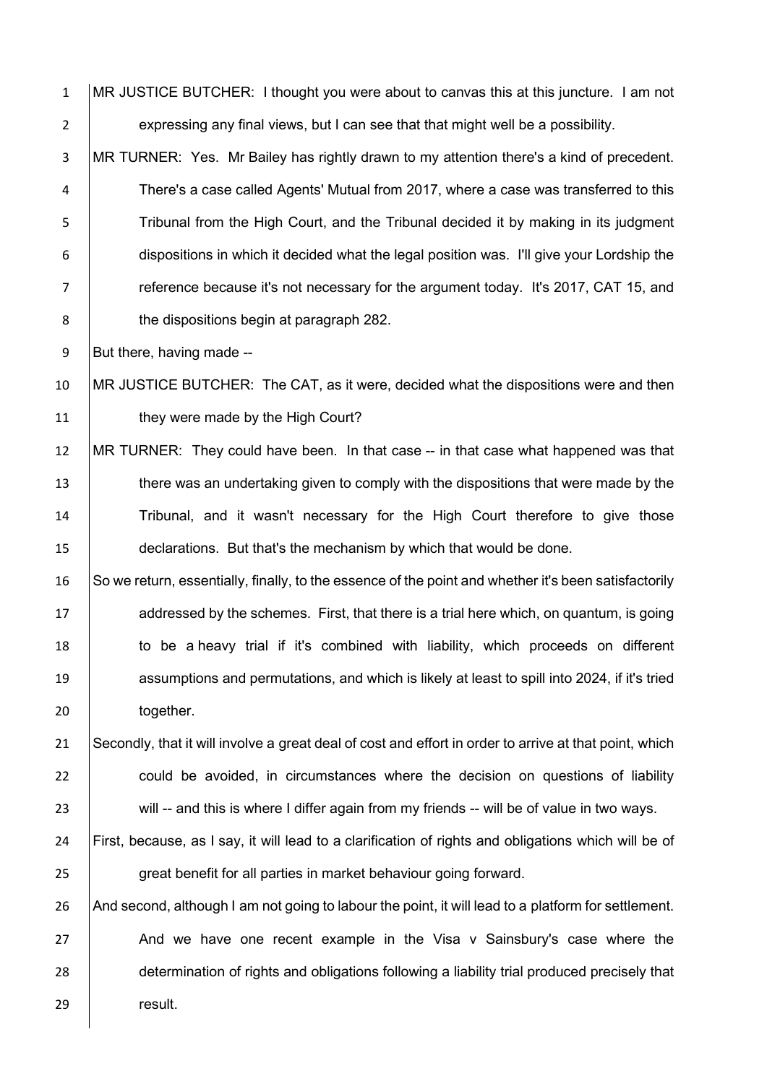1 | MR JUSTICE BUTCHER: I thought you were about to canvas this at this juncture. I am not 2  $\parallel$  expressing any final views, but I can see that that might well be a possibility. 3 MR TURNER: Yes. Mr Bailey has rightly drawn to my attention there's a kind of precedent.

4 There's a case called Agents' Mutual from 2017, where a case was transferred to this 5 Tribunal from the High Court, and the Tribunal decided it by making in its judgment 6 dispositions in which it decided what the legal position was. I'll give your Lordship the 7 T Feference because it's not necessary for the argument today. It's 2017, CAT 15, and 8 **b** the dispositions begin at paragraph 282.

9 But there, having made --

10 | MR JUSTICE BUTCHER: The CAT, as it were, decided what the dispositions were and then 11 **they were made by the High Court?** 

12 | MR TURNER: They could have been. In that case -- in that case what happened was that 13 there was an undertaking given to comply with the dispositions that were made by the 14 Tribunal, and it wasn't necessary for the High Court therefore to give those 15 declarations. But that's the mechanism by which that would be done.

16 So we return, essentially, finally, to the essence of the point and whether it's been satisfactorily  $17$  addressed by the schemes. First, that there is a trial here which, on quantum, is going 18 to be a heavy trial if it's combined with liability, which proceeds on different 19 assumptions and permutations, and which is likely at least to spill into 2024, if it's tried 20 together.

21 Secondly, that it will involve a great deal of cost and effort in order to arrive at that point, which 22 **could be avoided, in circumstances where the decision on questions of liability**  $23$  will -- and this is where I differ again from my friends -- will be of value in two ways.

24 First, because, as I say, it will lead to a clarification of rights and obligations which will be of 25 **great benefit for all parties in market behaviour going forward.** 

26 And second, although I am not going to labour the point, it will lead to a platform for settlement. 27 And we have one recent example in the Visa v Sainsbury's case where the 28 **determination of rights and obligations following a liability trial produced precisely that** 29 | result.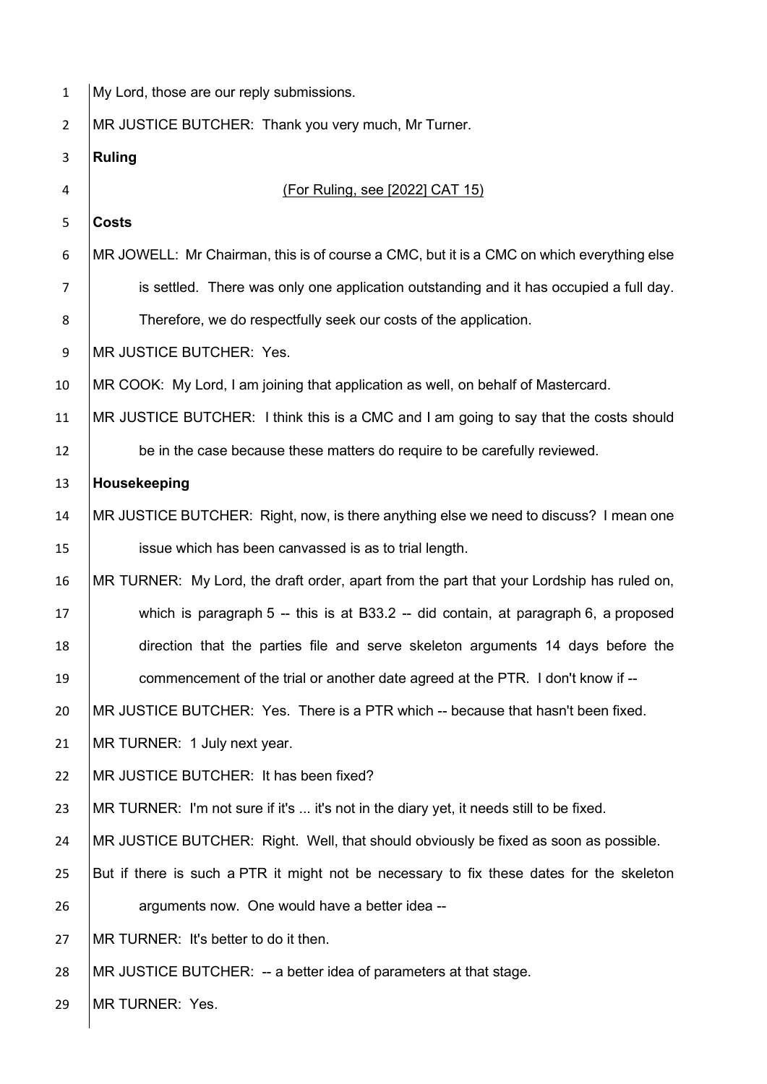| $\mathbf{1}$   | My Lord, those are our reply submissions.                                                 |
|----------------|-------------------------------------------------------------------------------------------|
| $\overline{2}$ | MR JUSTICE BUTCHER: Thank you very much, Mr Turner.                                       |
| 3              | <b>Ruling</b>                                                                             |
| 4              | (For Ruling, see [2022] CAT 15)                                                           |
| 5              | <b>Costs</b>                                                                              |
| 6              | MR JOWELL: Mr Chairman, this is of course a CMC, but it is a CMC on which everything else |
| 7              | is settled. There was only one application outstanding and it has occupied a full day.    |
| 8              | Therefore, we do respectfully seek our costs of the application.                          |
| 9              | MR JUSTICE BUTCHER: Yes.                                                                  |
| 10             | MR COOK: My Lord, I am joining that application as well, on behalf of Mastercard.         |
| 11             | MR JUSTICE BUTCHER: I think this is a CMC and I am going to say that the costs should     |
| 12             | be in the case because these matters do require to be carefully reviewed.                 |
| 13             | Housekeeping                                                                              |
| 14             | MR JUSTICE BUTCHER: Right, now, is there anything else we need to discuss? I mean one     |
| 15             | issue which has been canvassed is as to trial length.                                     |
| 16             | MR TURNER: My Lord, the draft order, apart from the part that your Lordship has ruled on, |
| 17             | which is paragraph $5 -$ this is at B33.2 -- did contain, at paragraph $6$ , a proposed   |
| 18             | direction that the parties file and serve skeleton arguments 14 days before the           |
| 19             | commencement of the trial or another date agreed at the PTR. I don't know if --           |
| 20             | MR JUSTICE BUTCHER: Yes. There is a PTR which -- because that hasn't been fixed.          |
| 21             | MR TURNER: 1 July next year.                                                              |
| 22             | MR JUSTICE BUTCHER: It has been fixed?                                                    |
| 23             | MR TURNER: I'm not sure if it's  it's not in the diary yet, it needs still to be fixed.   |
| 24             | MR JUSTICE BUTCHER: Right. Well, that should obviously be fixed as soon as possible.      |
| 25             | But if there is such a PTR it might not be necessary to fix these dates for the skeleton  |
| 26             | arguments now. One would have a better idea --                                            |
| 27             | MR TURNER: It's better to do it then.                                                     |
| 28             | MR JUSTICE BUTCHER: -- a better idea of parameters at that stage.                         |
| 29             | MR TURNER: Yes.                                                                           |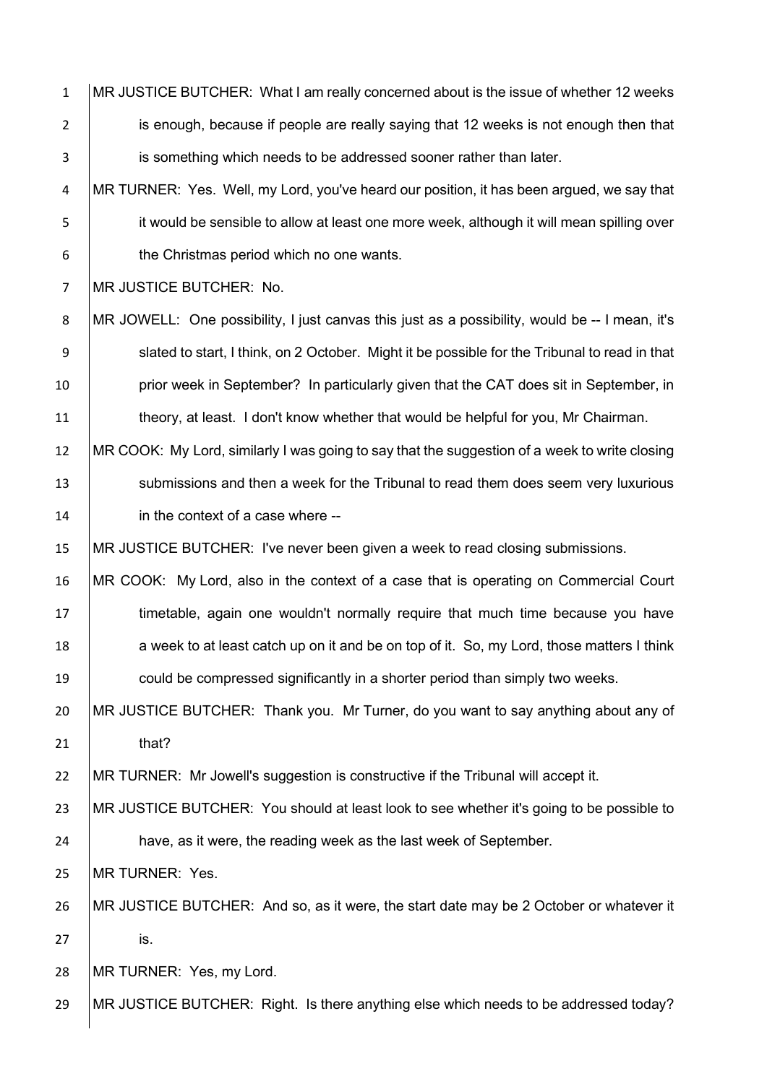2 is enough, because if people are really saying that 12 weeks is not enough then that 3 **is something which needs to be addressed sooner rather than later.** 4  $\parallel$  MR TURNER: Yes. Well, my Lord, you've heard our position, it has been argued, we say that 5 it would be sensible to allow at least one more week, although it will mean spilling over 6 **the Christmas period which no one wants.** 7 | MR JUSTICE BUTCHER: No. 8 MR JOWELL: One possibility, I just canvas this just as a possibility, would be -- I mean, it's 9 | slated to start, I think, on 2 October. Might it be possible for the Tribunal to read in that 10 **prior week in September?** In particularly given that the CAT does sit in September, in 11 theory, at least. I don't know whether that would be helpful for you, Mr Chairman. 12 MR COOK: My Lord, similarly I was going to say that the suggestion of a week to write closing 13 Submissions and then a week for the Tribunal to read them does seem very luxurious 14 **in the context of a case where --**15 MR JUSTICE BUTCHER: I've never been given a week to read closing submissions. 16 MR COOK: My Lord, also in the context of a case that is operating on Commercial Court 17 timetable, again one wouldn't normally require that much time because you have 18 a week to at least catch up on it and be on top of it. So, my Lord, those matters I think 19 **could be compressed significantly in a shorter period than simply two weeks.** 20 | MR JUSTICE BUTCHER: Thank you. Mr Turner, do you want to say anything about any of  $21$  that? 22 MR TURNER: Mr Jowell's suggestion is constructive if the Tribunal will accept it. 23 | MR JUSTICE BUTCHER: You should at least look to see whether it's going to be possible to 24 **have, as it were, the reading week as the last week of September.** 25 MR TURNER: Yes. 26 MR JUSTICE BUTCHER: And so, as it were, the start date may be 2 October or whatever it 27 is. 28 | MR TURNER: Yes, my Lord. 29 | MR JUSTICE BUTCHER: Right. Is there anything else which needs to be addressed today?

1 | MR JUSTICE BUTCHER: What I am really concerned about is the issue of whether 12 weeks